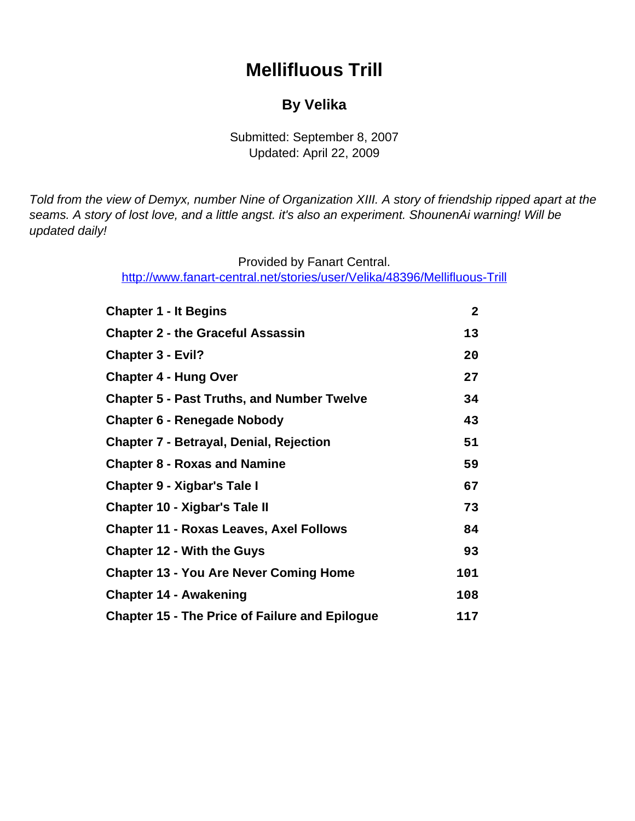# **Mellifluous Trill**

### **By Velika**

### Submitted: September 8, 2007 Updated: April 22, 2009

<span id="page-0-0"></span>Told from the view of Demyx, number Nine of Organization XIII. A story of friendship ripped apart at the seams. A story of lost love, and a little angst. it's also an experiment. ShounenAi warning! Will be updated daily!

Provided by Fanart Central.

[http://www.fanart-central.net/stories/user/Velika/48396/Mellifluous-Trill](#page-0-0)

| <b>Chapter 1 - It Begins</b>                          | $\mathbf{2}$ |
|-------------------------------------------------------|--------------|
| <b>Chapter 2 - the Graceful Assassin</b>              | 13           |
| <b>Chapter 3 - Evil?</b>                              | 20           |
| <b>Chapter 4 - Hung Over</b>                          | 27           |
| <b>Chapter 5 - Past Truths, and Number Twelve</b>     | 34           |
| <b>Chapter 6 - Renegade Nobody</b>                    | 43           |
| <b>Chapter 7 - Betrayal, Denial, Rejection</b>        | 51           |
| <b>Chapter 8 - Roxas and Namine</b>                   | 59           |
| <b>Chapter 9 - Xigbar's Tale I</b>                    | 67           |
| Chapter 10 - Xigbar's Tale II                         | 73           |
| <b>Chapter 11 - Roxas Leaves, Axel Follows</b>        | 84           |
| <b>Chapter 12 - With the Guys</b>                     | 93           |
| <b>Chapter 13 - You Are Never Coming Home</b>         | 101          |
| <b>Chapter 14 - Awakening</b>                         | 108          |
| <b>Chapter 15 - The Price of Failure and Epilogue</b> | 117          |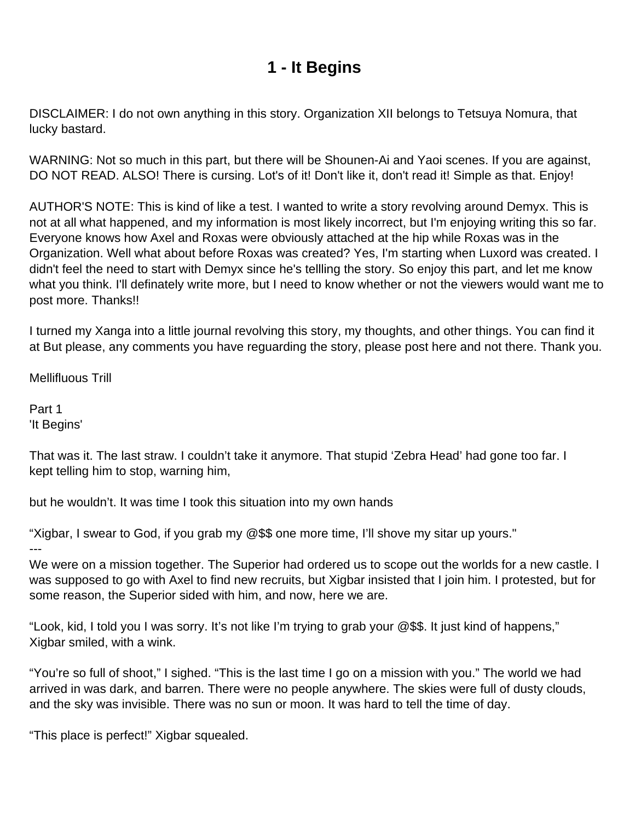## **1 - It Begins**

<span id="page-1-0"></span>DISCLAIMER: I do not own anything in this story. Organization XII belongs to Tetsuya Nomura, that lucky bastard.

WARNING: Not so much in this part, but there will be Shounen-Ai and Yaoi scenes. If you are against, DO NOT READ. ALSO! There is cursing. Lot's of it! Don't like it, don't read it! Simple as that. Enjoy!

AUTHOR'S NOTE: This is kind of like a test. I wanted to write a story revolving around Demyx. This is not at all what happened, and my information is most likely incorrect, but I'm enjoying writing this so far. Everyone knows how Axel and Roxas were obviously attached at the hip while Roxas was in the Organization. Well what about before Roxas was created? Yes, I'm starting when Luxord was created. I didn't feel the need to start with Demyx since he's tellling the story. So enjoy this part, and let me know what you think. I'll definately write more, but I need to know whether or not the viewers would want me to post more. Thanks!!

I turned my Xanga into a little journal revolving this story, my thoughts, and other things. You can find it at But please, any comments you have reguarding the story, please post here and not there. Thank you.

Mellifluous Trill

Part 1 'It Begins'

That was it. The last straw. I couldn't take it anymore. That stupid 'Zebra Head' had gone too far. I kept telling him to stop, warning him,

but he wouldn't. It was time I took this situation into my own hands

"Xigbar, I swear to God, if you grab my @\$\$ one more time, I'll shove my sitar up yours."

---

We were on a mission together. The Superior had ordered us to scope out the worlds for a new castle. I was supposed to go with Axel to find new recruits, but Xigbar insisted that I join him. I protested, but for some reason, the Superior sided with him, and now, here we are.

"Look, kid, I told you I was sorry. It's not like I'm trying to grab your @\$\$. It just kind of happens," Xigbar smiled, with a wink.

"You're so full of shoot," I sighed. "This is the last time I go on a mission with you." The world we had arrived in was dark, and barren. There were no people anywhere. The skies were full of dusty clouds, and the sky was invisible. There was no sun or moon. It was hard to tell the time of day.

"This place is perfect!" Xigbar squealed.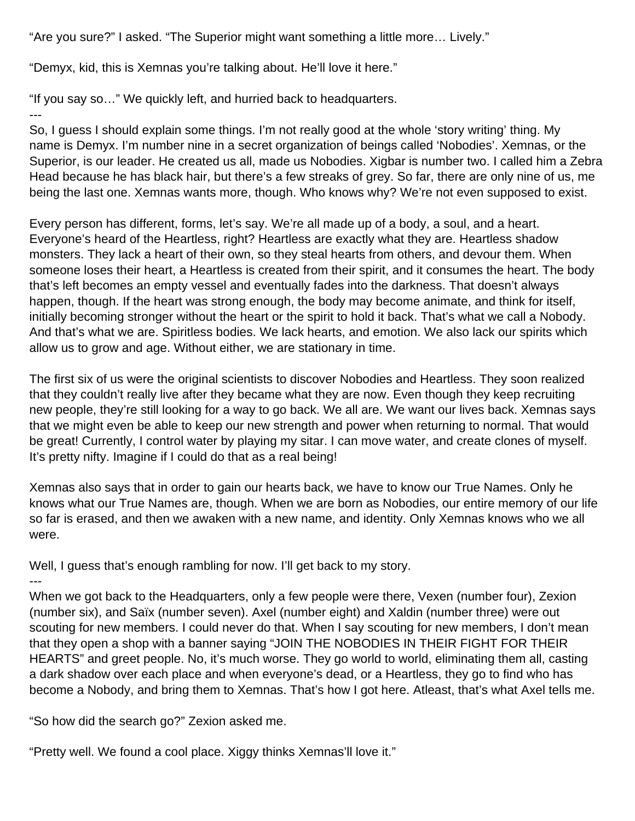"Are you sure?" I asked. "The Superior might want something a little more… Lively."

"Demyx, kid, this is Xemnas you're talking about. He'll love it here."

"If you say so…" We quickly left, and hurried back to headquarters. ---

So, I guess I should explain some things. I'm not really good at the whole 'story writing' thing. My name is Demyx. I'm number nine in a secret organization of beings called 'Nobodies'. Xemnas, or the Superior, is our leader. He created us all, made us Nobodies. Xigbar is number two. I called him a Zebra Head because he has black hair, but there's a few streaks of grey. So far, there are only nine of us, me being the last one. Xemnas wants more, though. Who knows why? We're not even supposed to exist.

Every person has different, forms, let's say. We're all made up of a body, a soul, and a heart. Everyone's heard of the Heartless, right? Heartless are exactly what they are. Heartless shadow monsters. They lack a heart of their own, so they steal hearts from others, and devour them. When someone loses their heart, a Heartless is created from their spirit, and it consumes the heart. The body that's left becomes an empty vessel and eventually fades into the darkness. That doesn't always happen, though. If the heart was strong enough, the body may become animate, and think for itself, initially becoming stronger without the heart or the spirit to hold it back. That's what we call a Nobody. And that's what we are. Spiritless bodies. We lack hearts, and emotion. We also lack our spirits which allow us to grow and age. Without either, we are stationary in time.

The first six of us were the original scientists to discover Nobodies and Heartless. They soon realized that they couldn't really live after they became what they are now. Even though they keep recruiting new people, they're still looking for a way to go back. We all are. We want our lives back. Xemnas says that we might even be able to keep our new strength and power when returning to normal. That would be great! Currently, I control water by playing my sitar. I can move water, and create clones of myself. It's pretty nifty. Imagine if I could do that as a real being!

Xemnas also says that in order to gain our hearts back, we have to know our True Names. Only he knows what our True Names are, though. When we are born as Nobodies, our entire memory of our life so far is erased, and then we awaken with a new name, and identity. Only Xemnas knows who we all were.

Well, I guess that's enough rambling for now. I'll get back to my story. ---

When we got back to the Headquarters, only a few people were there, Vexen (number four), Zexion (number six), and Saïx (number seven). Axel (number eight) and Xaldin (number three) were out scouting for new members. I could never do that. When I say scouting for new members, I don't mean that they open a shop with a banner saying "JOIN THE NOBODIES IN THEIR FIGHT FOR THEIR HEARTS" and greet people. No, it's much worse. They go world to world, eliminating them all, casting a dark shadow over each place and when everyone's dead, or a Heartless, they go to find who has become a Nobody, and bring them to Xemnas. That's how I got here. Atleast, that's what Axel tells me.

"So how did the search go?" Zexion asked me.

"Pretty well. We found a cool place. Xiggy thinks Xemnas'll love it."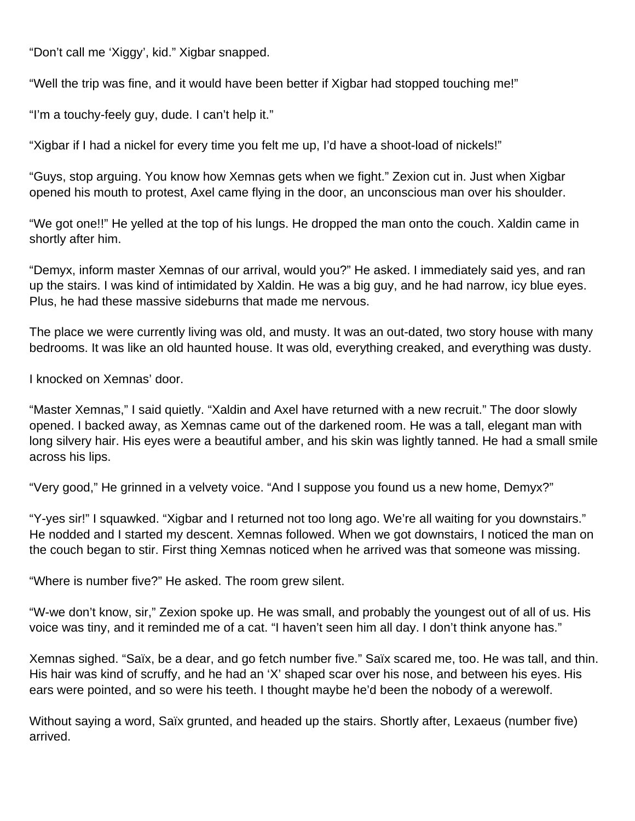"Don't call me 'Xiggy', kid." Xigbar snapped.

"Well the trip was fine, and it would have been better if Xigbar had stopped touching me!"

"I'm a touchy-feely guy, dude. I can't help it."

"Xigbar if I had a nickel for every time you felt me up, I'd have a shoot-load of nickels!"

"Guys, stop arguing. You know how Xemnas gets when we fight." Zexion cut in. Just when Xigbar opened his mouth to protest, Axel came flying in the door, an unconscious man over his shoulder.

"We got one!!" He yelled at the top of his lungs. He dropped the man onto the couch. Xaldin came in shortly after him.

"Demyx, inform master Xemnas of our arrival, would you?" He asked. I immediately said yes, and ran up the stairs. I was kind of intimidated by Xaldin. He was a big guy, and he had narrow, icy blue eyes. Plus, he had these massive sideburns that made me nervous.

The place we were currently living was old, and musty. It was an out-dated, two story house with many bedrooms. It was like an old haunted house. It was old, everything creaked, and everything was dusty.

I knocked on Xemnas' door.

"Master Xemnas," I said quietly. "Xaldin and Axel have returned with a new recruit." The door slowly opened. I backed away, as Xemnas came out of the darkened room. He was a tall, elegant man with long silvery hair. His eyes were a beautiful amber, and his skin was lightly tanned. He had a small smile across his lips.

"Very good," He grinned in a velvety voice. "And I suppose you found us a new home, Demyx?"

"Y-yes sir!" I squawked. "Xigbar and I returned not too long ago. We're all waiting for you downstairs." He nodded and I started my descent. Xemnas followed. When we got downstairs, I noticed the man on the couch began to stir. First thing Xemnas noticed when he arrived was that someone was missing.

"Where is number five?" He asked. The room grew silent.

"W-we don't know, sir," Zexion spoke up. He was small, and probably the youngest out of all of us. His voice was tiny, and it reminded me of a cat. "I haven't seen him all day. I don't think anyone has."

Xemnas sighed. "Saïx, be a dear, and go fetch number five." Saïx scared me, too. He was tall, and thin. His hair was kind of scruffy, and he had an 'X' shaped scar over his nose, and between his eyes. His ears were pointed, and so were his teeth. I thought maybe he'd been the nobody of a werewolf.

Without saying a word, Saïx grunted, and headed up the stairs. Shortly after, Lexaeus (number five) arrived.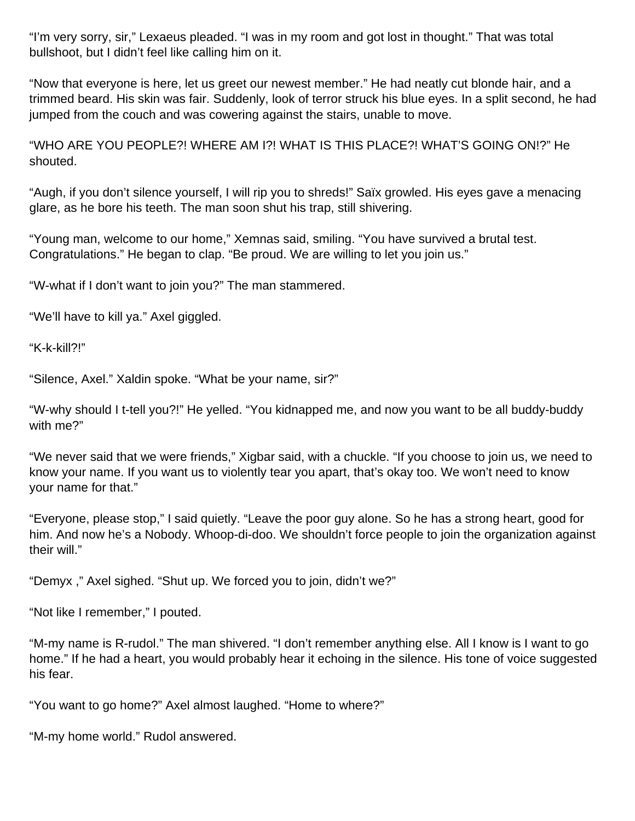"I'm very sorry, sir," Lexaeus pleaded. "I was in my room and got lost in thought." That was total bullshoot, but I didn't feel like calling him on it.

"Now that everyone is here, let us greet our newest member." He had neatly cut blonde hair, and a trimmed beard. His skin was fair. Suddenly, look of terror struck his blue eyes. In a split second, he had jumped from the couch and was cowering against the stairs, unable to move.

"WHO ARE YOU PEOPLE?! WHERE AM I?! WHAT IS THIS PLACE?! WHAT'S GOING ON!?" He shouted.

"Augh, if you don't silence yourself, I will rip you to shreds!" Saïx growled. His eyes gave a menacing glare, as he bore his teeth. The man soon shut his trap, still shivering.

"Young man, welcome to our home," Xemnas said, smiling. "You have survived a brutal test. Congratulations." He began to clap. "Be proud. We are willing to let you join us."

"W-what if I don't want to join you?" The man stammered.

"We'll have to kill ya." Axel giggled.

"K-k-kill?!"

"Silence, Axel." Xaldin spoke. "What be your name, sir?"

"W-why should I t-tell you?!" He yelled. "You kidnapped me, and now you want to be all buddy-buddy with me?"

"We never said that we were friends," Xigbar said, with a chuckle. "If you choose to join us, we need to know your name. If you want us to violently tear you apart, that's okay too. We won't need to know your name for that."

"Everyone, please stop," I said quietly. "Leave the poor guy alone. So he has a strong heart, good for him. And now he's a Nobody. Whoop-di-doo. We shouldn't force people to join the organization against their will."

"Demyx ," Axel sighed. "Shut up. We forced you to join, didn't we?"

"Not like I remember," I pouted.

"M-my name is R-rudol." The man shivered. "I don't remember anything else. All I know is I want to go home." If he had a heart, you would probably hear it echoing in the silence. His tone of voice suggested his fear.

"You want to go home?" Axel almost laughed. "Home to where?"

"M-my home world." Rudol answered.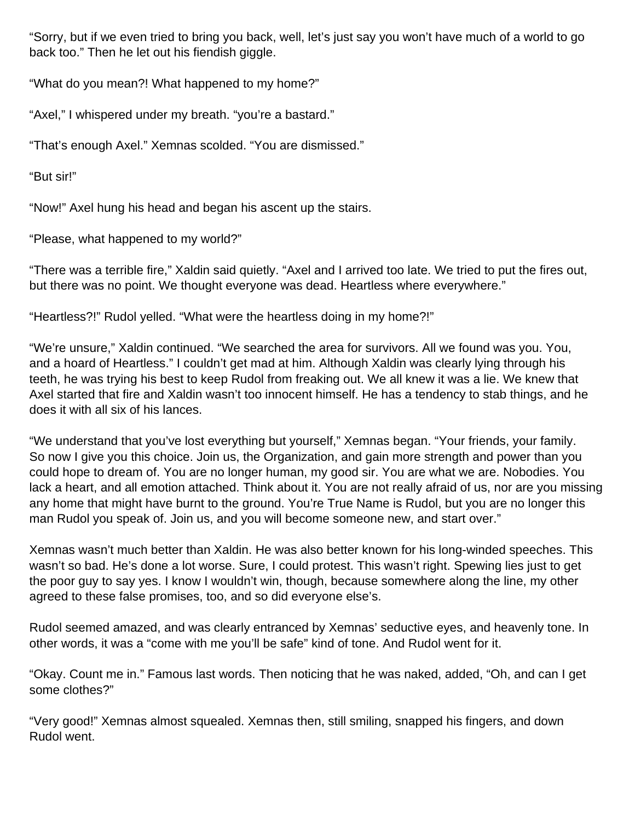"Sorry, but if we even tried to bring you back, well, let's just say you won't have much of a world to go back too." Then he let out his fiendish giggle.

"What do you mean?! What happened to my home?"

"Axel," I whispered under my breath. "you're a bastard."

"That's enough Axel." Xemnas scolded. "You are dismissed."

"But sir!"

"Now!" Axel hung his head and began his ascent up the stairs.

"Please, what happened to my world?"

"There was a terrible fire," Xaldin said quietly. "Axel and I arrived too late. We tried to put the fires out, but there was no point. We thought everyone was dead. Heartless where everywhere."

"Heartless?!" Rudol yelled. "What were the heartless doing in my home?!"

"We're unsure," Xaldin continued. "We searched the area for survivors. All we found was you. You, and a hoard of Heartless." I couldn't get mad at him. Although Xaldin was clearly lying through his teeth, he was trying his best to keep Rudol from freaking out. We all knew it was a lie. We knew that Axel started that fire and Xaldin wasn't too innocent himself. He has a tendency to stab things, and he does it with all six of his lances.

"We understand that you've lost everything but yourself," Xemnas began. "Your friends, your family. So now I give you this choice. Join us, the Organization, and gain more strength and power than you could hope to dream of. You are no longer human, my good sir. You are what we are. Nobodies. You lack a heart, and all emotion attached. Think about it. You are not really afraid of us, nor are you missing any home that might have burnt to the ground. You're True Name is Rudol, but you are no longer this man Rudol you speak of. Join us, and you will become someone new, and start over."

Xemnas wasn't much better than Xaldin. He was also better known for his long-winded speeches. This wasn't so bad. He's done a lot worse. Sure, I could protest. This wasn't right. Spewing lies just to get the poor guy to say yes. I know I wouldn't win, though, because somewhere along the line, my other agreed to these false promises, too, and so did everyone else's.

Rudol seemed amazed, and was clearly entranced by Xemnas' seductive eyes, and heavenly tone. In other words, it was a "come with me you'll be safe" kind of tone. And Rudol went for it.

"Okay. Count me in." Famous last words. Then noticing that he was naked, added, "Oh, and can I get some clothes?"

"Very good!" Xemnas almost squealed. Xemnas then, still smiling, snapped his fingers, and down Rudol went.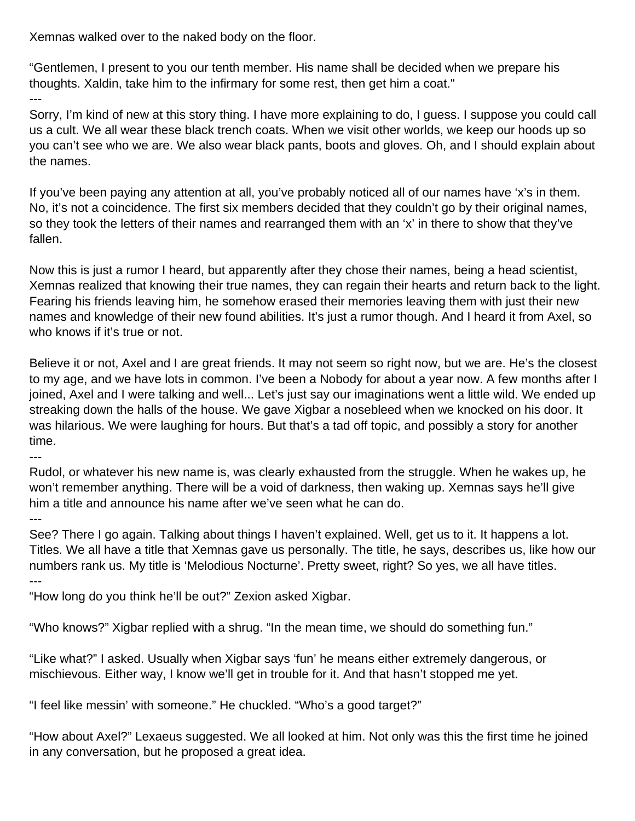Xemnas walked over to the naked body on the floor.

"Gentlemen, I present to you our tenth member. His name shall be decided when we prepare his thoughts. Xaldin, take him to the infirmary for some rest, then get him a coat."

Sorry, I'm kind of new at this story thing. I have more explaining to do, I guess. I suppose you could call us a cult. We all wear these black trench coats. When we visit other worlds, we keep our hoods up so you can't see who we are. We also wear black pants, boots and gloves. Oh, and I should explain about the names.

If you've been paying any attention at all, you've probably noticed all of our names have 'x's in them. No, it's not a coincidence. The first six members decided that they couldn't go by their original names, so they took the letters of their names and rearranged them with an 'x' in there to show that they've fallen.

Now this is just a rumor I heard, but apparently after they chose their names, being a head scientist, Xemnas realized that knowing their true names, they can regain their hearts and return back to the light. Fearing his friends leaving him, he somehow erased their memories leaving them with just their new names and knowledge of their new found abilities. It's just a rumor though. And I heard it from Axel, so who knows if it's true or not.

Believe it or not, Axel and I are great friends. It may not seem so right now, but we are. He's the closest to my age, and we have lots in common. I've been a Nobody for about a year now. A few months after I joined, Axel and I were talking and well... Let's just say our imaginations went a little wild. We ended up streaking down the halls of the house. We gave Xigbar a nosebleed when we knocked on his door. It was hilarious. We were laughing for hours. But that's a tad off topic, and possibly a story for another time.

--- Rudol, or whatever his new name is, was clearly exhausted from the struggle. When he wakes up, he won't remember anything. There will be a void of darkness, then waking up. Xemnas says he'll give him a title and announce his name after we've seen what he can do.

---

---

See? There I go again. Talking about things I haven't explained. Well, get us to it. It happens a lot. Titles. We all have a title that Xemnas gave us personally. The title, he says, describes us, like how our numbers rank us. My title is 'Melodious Nocturne'. Pretty sweet, right? So yes, we all have titles. ---

"How long do you think he'll be out?" Zexion asked Xigbar.

"Who knows?" Xigbar replied with a shrug. "In the mean time, we should do something fun."

"Like what?" I asked. Usually when Xigbar says 'fun' he means either extremely dangerous, or mischievous. Either way, I know we'll get in trouble for it. And that hasn't stopped me yet.

"I feel like messin' with someone." He chuckled. "Who's a good target?"

"How about Axel?" Lexaeus suggested. We all looked at him. Not only was this the first time he joined in any conversation, but he proposed a great idea.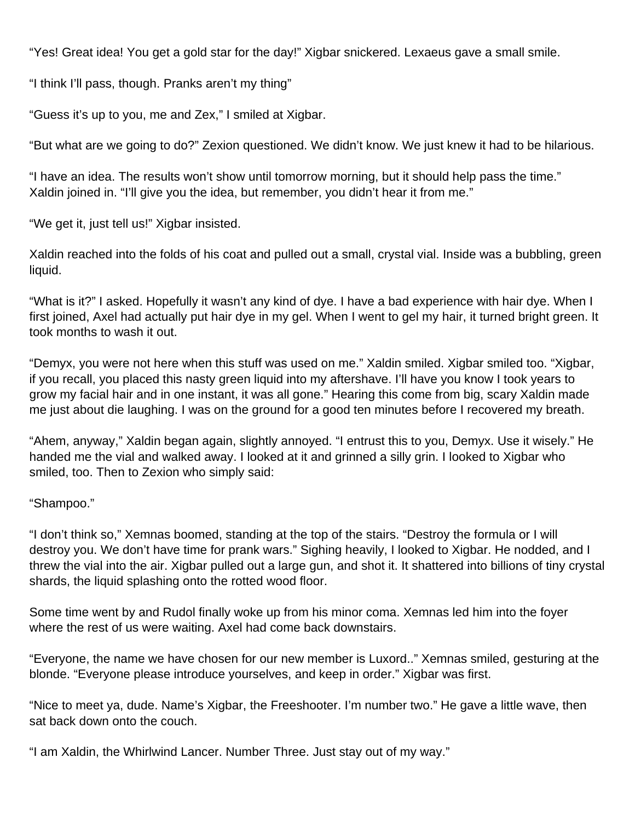"Yes! Great idea! You get a gold star for the day!" Xigbar snickered. Lexaeus gave a small smile.

"I think I'll pass, though. Pranks aren't my thing"

"Guess it's up to you, me and Zex," I smiled at Xigbar.

"But what are we going to do?" Zexion questioned. We didn't know. We just knew it had to be hilarious.

"I have an idea. The results won't show until tomorrow morning, but it should help pass the time." Xaldin joined in. "I'll give you the idea, but remember, you didn't hear it from me."

"We get it, just tell us!" Xigbar insisted.

Xaldin reached into the folds of his coat and pulled out a small, crystal vial. Inside was a bubbling, green liquid.

"What is it?" I asked. Hopefully it wasn't any kind of dye. I have a bad experience with hair dye. When I first joined, Axel had actually put hair dye in my gel. When I went to gel my hair, it turned bright green. It took months to wash it out.

"Demyx, you were not here when this stuff was used on me." Xaldin smiled. Xigbar smiled too. "Xigbar, if you recall, you placed this nasty green liquid into my aftershave. I'll have you know I took years to grow my facial hair and in one instant, it was all gone." Hearing this come from big, scary Xaldin made me just about die laughing. I was on the ground for a good ten minutes before I recovered my breath.

"Ahem, anyway," Xaldin began again, slightly annoyed. "I entrust this to you, Demyx. Use it wisely." He handed me the vial and walked away. I looked at it and grinned a silly grin. I looked to Xigbar who smiled, too. Then to Zexion who simply said:

"Shampoo."

"I don't think so," Xemnas boomed, standing at the top of the stairs. "Destroy the formula or I will destroy you. We don't have time for prank wars." Sighing heavily, I looked to Xigbar. He nodded, and I threw the vial into the air. Xigbar pulled out a large gun, and shot it. It shattered into billions of tiny crystal shards, the liquid splashing onto the rotted wood floor.

Some time went by and Rudol finally woke up from his minor coma. Xemnas led him into the foyer where the rest of us were waiting. Axel had come back downstairs.

"Everyone, the name we have chosen for our new member is Luxord.." Xemnas smiled, gesturing at the blonde. "Everyone please introduce yourselves, and keep in order." Xigbar was first.

"Nice to meet ya, dude. Name's Xigbar, the Freeshooter. I'm number two." He gave a little wave, then sat back down onto the couch.

"I am Xaldin, the Whirlwind Lancer. Number Three. Just stay out of my way."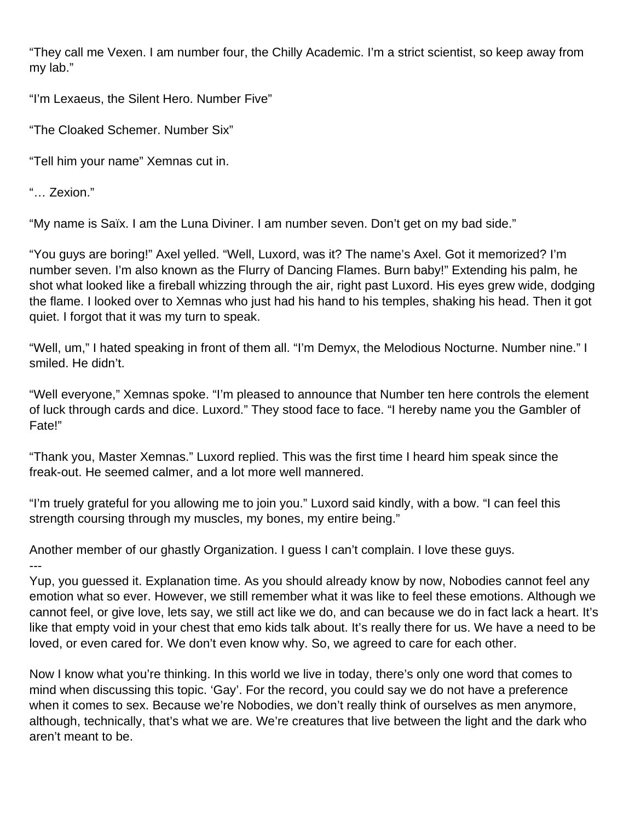"They call me Vexen. I am number four, the Chilly Academic. I'm a strict scientist, so keep away from my lab."

"I'm Lexaeus, the Silent Hero. Number Five"

"The Cloaked Schemer. Number Six"

"Tell him your name" Xemnas cut in.

"… Zexion."

"My name is Saïx. I am the Luna Diviner. I am number seven. Don't get on my bad side."

"You guys are boring!" Axel yelled. "Well, Luxord, was it? The name's Axel. Got it memorized? I'm number seven. I'm also known as the Flurry of Dancing Flames. Burn baby!" Extending his palm, he shot what looked like a fireball whizzing through the air, right past Luxord. His eyes grew wide, dodging the flame. I looked over to Xemnas who just had his hand to his temples, shaking his head. Then it got quiet. I forgot that it was my turn to speak.

"Well, um," I hated speaking in front of them all. "I'm Demyx, the Melodious Nocturne. Number nine." I smiled. He didn't.

"Well everyone," Xemnas spoke. "I'm pleased to announce that Number ten here controls the element of luck through cards and dice. Luxord." They stood face to face. "I hereby name you the Gambler of Fate!"

"Thank you, Master Xemnas." Luxord replied. This was the first time I heard him speak since the freak-out. He seemed calmer, and a lot more well mannered.

"I'm truely grateful for you allowing me to join you." Luxord said kindly, with a bow. "I can feel this strength coursing through my muscles, my bones, my entire being."

Another member of our ghastly Organization. I guess I can't complain. I love these guys. ---

Yup, you guessed it. Explanation time. As you should already know by now, Nobodies cannot feel any emotion what so ever. However, we still remember what it was like to feel these emotions. Although we cannot feel, or give love, lets say, we still act like we do, and can because we do in fact lack a heart. It's like that empty void in your chest that emo kids talk about. It's really there for us. We have a need to be loved, or even cared for. We don't even know why. So, we agreed to care for each other.

Now I know what you're thinking. In this world we live in today, there's only one word that comes to mind when discussing this topic. 'Gay'. For the record, you could say we do not have a preference when it comes to sex. Because we're Nobodies, we don't really think of ourselves as men anymore, although, technically, that's what we are. We're creatures that live between the light and the dark who aren't meant to be.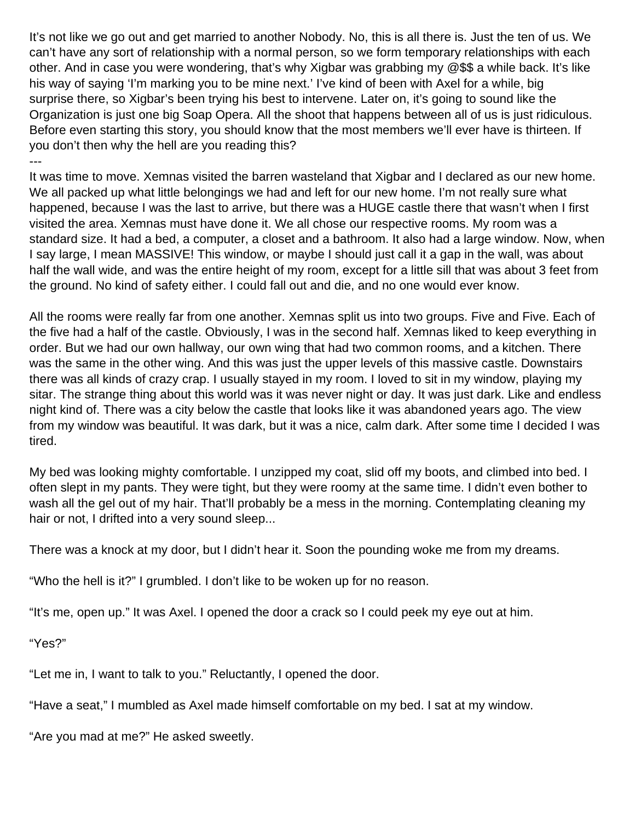It's not like we go out and get married to another Nobody. No, this is all there is. Just the ten of us. We can't have any sort of relationship with a normal person, so we form temporary relationships with each other. And in case you were wondering, that's why Xigbar was grabbing my @\$\$ a while back. It's like his way of saying 'I'm marking you to be mine next.' I've kind of been with Axel for a while, big surprise there, so Xigbar's been trying his best to intervene. Later on, it's going to sound like the Organization is just one big Soap Opera. All the shoot that happens between all of us is just ridiculous. Before even starting this story, you should know that the most members we'll ever have is thirteen. If you don't then why the hell are you reading this? ---

It was time to move. Xemnas visited the barren wasteland that Xigbar and I declared as our new home. We all packed up what little belongings we had and left for our new home. I'm not really sure what happened, because I was the last to arrive, but there was a HUGE castle there that wasn't when I first visited the area. Xemnas must have done it. We all chose our respective rooms. My room was a standard size. It had a bed, a computer, a closet and a bathroom. It also had a large window. Now, when I say large, I mean MASSIVE! This window, or maybe I should just call it a gap in the wall, was about half the wall wide, and was the entire height of my room, except for a little sill that was about 3 feet from the ground. No kind of safety either. I could fall out and die, and no one would ever know.

All the rooms were really far from one another. Xemnas split us into two groups. Five and Five. Each of the five had a half of the castle. Obviously, I was in the second half. Xemnas liked to keep everything in order. But we had our own hallway, our own wing that had two common rooms, and a kitchen. There was the same in the other wing. And this was just the upper levels of this massive castle. Downstairs there was all kinds of crazy crap. I usually stayed in my room. I loved to sit in my window, playing my sitar. The strange thing about this world was it was never night or day. It was just dark. Like and endless night kind of. There was a city below the castle that looks like it was abandoned years ago. The view from my window was beautiful. It was dark, but it was a nice, calm dark. After some time I decided I was tired.

My bed was looking mighty comfortable. I unzipped my coat, slid off my boots, and climbed into bed. I often slept in my pants. They were tight, but they were roomy at the same time. I didn't even bother to wash all the gel out of my hair. That'll probably be a mess in the morning. Contemplating cleaning my hair or not, I drifted into a very sound sleep...

There was a knock at my door, but I didn't hear it. Soon the pounding woke me from my dreams.

"Who the hell is it?" I grumbled. I don't like to be woken up for no reason.

"It's me, open up." It was Axel. I opened the door a crack so I could peek my eye out at him.

"Yes?"

"Let me in, I want to talk to you." Reluctantly, I opened the door.

"Have a seat," I mumbled as Axel made himself comfortable on my bed. I sat at my window.

"Are you mad at me?" He asked sweetly.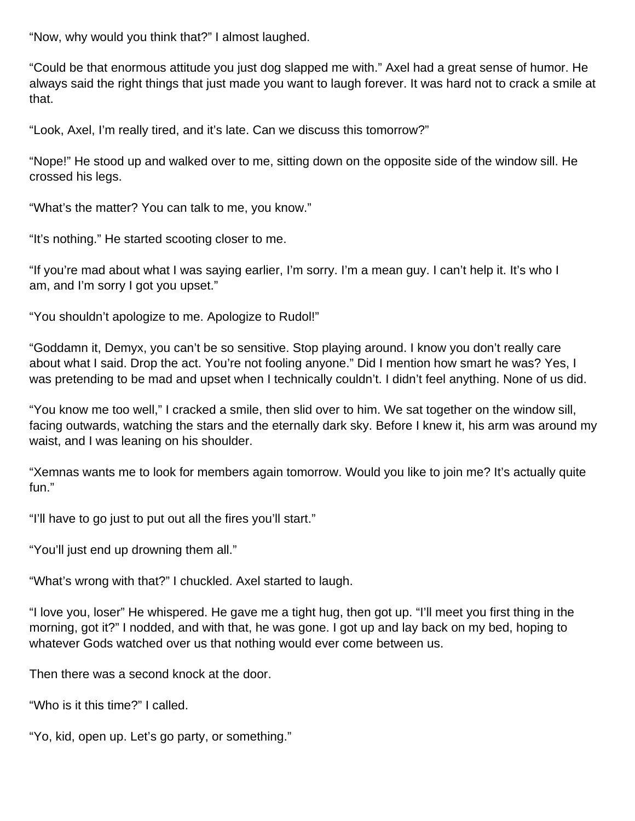"Now, why would you think that?" I almost laughed.

"Could be that enormous attitude you just dog slapped me with." Axel had a great sense of humor. He always said the right things that just made you want to laugh forever. It was hard not to crack a smile at that.

"Look, Axel, I'm really tired, and it's late. Can we discuss this tomorrow?"

"Nope!" He stood up and walked over to me, sitting down on the opposite side of the window sill. He crossed his legs.

"What's the matter? You can talk to me, you know."

"It's nothing." He started scooting closer to me.

"If you're mad about what I was saying earlier, I'm sorry. I'm a mean guy. I can't help it. It's who I am, and I'm sorry I got you upset."

"You shouldn't apologize to me. Apologize to Rudol!"

"Goddamn it, Demyx, you can't be so sensitive. Stop playing around. I know you don't really care about what I said. Drop the act. You're not fooling anyone." Did I mention how smart he was? Yes, I was pretending to be mad and upset when I technically couldn't. I didn't feel anything. None of us did.

"You know me too well," I cracked a smile, then slid over to him. We sat together on the window sill, facing outwards, watching the stars and the eternally dark sky. Before I knew it, his arm was around my waist, and I was leaning on his shoulder.

"Xemnas wants me to look for members again tomorrow. Would you like to join me? It's actually quite fun."

"I'll have to go just to put out all the fires you'll start."

"You'll just end up drowning them all."

"What's wrong with that?" I chuckled. Axel started to laugh.

"I love you, loser" He whispered. He gave me a tight hug, then got up. "I'll meet you first thing in the morning, got it?" I nodded, and with that, he was gone. I got up and lay back on my bed, hoping to whatever Gods watched over us that nothing would ever come between us.

Then there was a second knock at the door.

"Who is it this time?" I called.

"Yo, kid, open up. Let's go party, or something."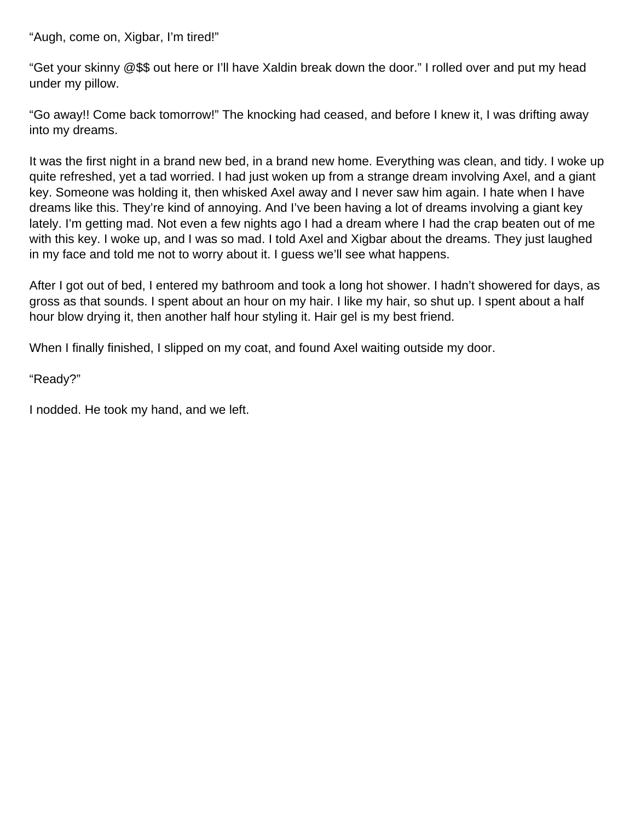"Augh, come on, Xigbar, I'm tired!"

"Get your skinny @\$\$ out here or I'll have Xaldin break down the door." I rolled over and put my head under my pillow.

"Go away!! Come back tomorrow!" The knocking had ceased, and before I knew it, I was drifting away into my dreams.

It was the first night in a brand new bed, in a brand new home. Everything was clean, and tidy. I woke up quite refreshed, yet a tad worried. I had just woken up from a strange dream involving Axel, and a giant key. Someone was holding it, then whisked Axel away and I never saw him again. I hate when I have dreams like this. They're kind of annoying. And I've been having a lot of dreams involving a giant key lately. I'm getting mad. Not even a few nights ago I had a dream where I had the crap beaten out of me with this key. I woke up, and I was so mad. I told Axel and Xigbar about the dreams. They just laughed in my face and told me not to worry about it. I guess we'll see what happens.

After I got out of bed, I entered my bathroom and took a long hot shower. I hadn't showered for days, as gross as that sounds. I spent about an hour on my hair. I like my hair, so shut up. I spent about a half hour blow drying it, then another half hour styling it. Hair gel is my best friend.

When I finally finished, I slipped on my coat, and found Axel waiting outside my door.

"Ready?"

I nodded. He took my hand, and we left.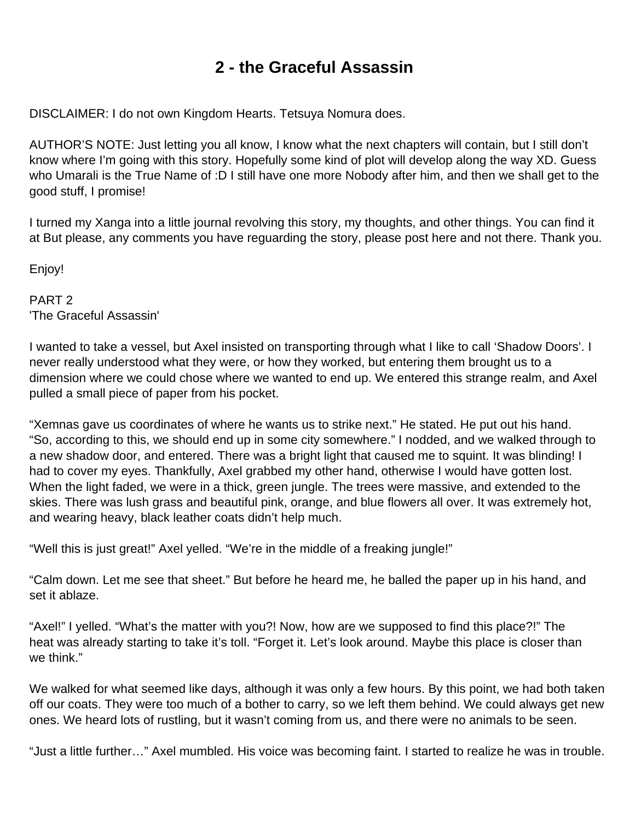## **2 - the Graceful Assassin**

<span id="page-12-0"></span>DISCLAIMER: I do not own Kingdom Hearts. Tetsuya Nomura does.

AUTHOR'S NOTE: Just letting you all know, I know what the next chapters will contain, but I still don't know where I'm going with this story. Hopefully some kind of plot will develop along the way XD. Guess who Umarali is the True Name of :D I still have one more Nobody after him, and then we shall get to the good stuff, I promise!

I turned my Xanga into a little journal revolving this story, my thoughts, and other things. You can find it at But please, any comments you have reguarding the story, please post here and not there. Thank you.

Enjoy!

PART 2 'The Graceful Assassin'

I wanted to take a vessel, but Axel insisted on transporting through what I like to call 'Shadow Doors'. I never really understood what they were, or how they worked, but entering them brought us to a dimension where we could chose where we wanted to end up. We entered this strange realm, and Axel pulled a small piece of paper from his pocket.

"Xemnas gave us coordinates of where he wants us to strike next." He stated. He put out his hand. "So, according to this, we should end up in some city somewhere." I nodded, and we walked through to a new shadow door, and entered. There was a bright light that caused me to squint. It was blinding! I had to cover my eyes. Thankfully, Axel grabbed my other hand, otherwise I would have gotten lost. When the light faded, we were in a thick, green jungle. The trees were massive, and extended to the skies. There was lush grass and beautiful pink, orange, and blue flowers all over. It was extremely hot, and wearing heavy, black leather coats didn't help much.

"Well this is just great!" Axel yelled. "We're in the middle of a freaking jungle!"

"Calm down. Let me see that sheet." But before he heard me, he balled the paper up in his hand, and set it ablaze.

"Axel!" I yelled. "What's the matter with you?! Now, how are we supposed to find this place?!" The heat was already starting to take it's toll. "Forget it. Let's look around. Maybe this place is closer than we think."

We walked for what seemed like days, although it was only a few hours. By this point, we had both taken off our coats. They were too much of a bother to carry, so we left them behind. We could always get new ones. We heard lots of rustling, but it wasn't coming from us, and there were no animals to be seen.

"Just a little further…" Axel mumbled. His voice was becoming faint. I started to realize he was in trouble.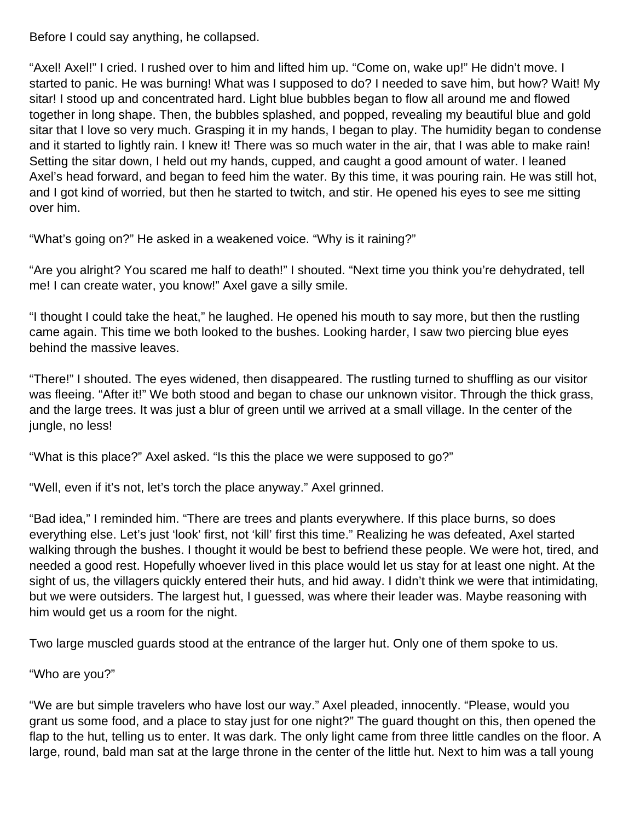Before I could say anything, he collapsed.

"Axel! Axel!" I cried. I rushed over to him and lifted him up. "Come on, wake up!" He didn't move. I started to panic. He was burning! What was I supposed to do? I needed to save him, but how? Wait! My sitar! I stood up and concentrated hard. Light blue bubbles began to flow all around me and flowed together in long shape. Then, the bubbles splashed, and popped, revealing my beautiful blue and gold sitar that I love so very much. Grasping it in my hands, I began to play. The humidity began to condense and it started to lightly rain. I knew it! There was so much water in the air, that I was able to make rain! Setting the sitar down, I held out my hands, cupped, and caught a good amount of water. I leaned Axel's head forward, and began to feed him the water. By this time, it was pouring rain. He was still hot, and I got kind of worried, but then he started to twitch, and stir. He opened his eyes to see me sitting over him.

"What's going on?" He asked in a weakened voice. "Why is it raining?"

"Are you alright? You scared me half to death!" I shouted. "Next time you think you're dehydrated, tell me! I can create water, you know!" Axel gave a silly smile.

"I thought I could take the heat," he laughed. He opened his mouth to say more, but then the rustling came again. This time we both looked to the bushes. Looking harder, I saw two piercing blue eyes behind the massive leaves.

"There!" I shouted. The eyes widened, then disappeared. The rustling turned to shuffling as our visitor was fleeing. "After it!" We both stood and began to chase our unknown visitor. Through the thick grass, and the large trees. It was just a blur of green until we arrived at a small village. In the center of the jungle, no less!

"What is this place?" Axel asked. "Is this the place we were supposed to go?"

"Well, even if it's not, let's torch the place anyway." Axel grinned.

"Bad idea," I reminded him. "There are trees and plants everywhere. If this place burns, so does everything else. Let's just 'look' first, not 'kill' first this time." Realizing he was defeated, Axel started walking through the bushes. I thought it would be best to befriend these people. We were hot, tired, and needed a good rest. Hopefully whoever lived in this place would let us stay for at least one night. At the sight of us, the villagers quickly entered their huts, and hid away. I didn't think we were that intimidating, but we were outsiders. The largest hut, I guessed, was where their leader was. Maybe reasoning with him would get us a room for the night.

Two large muscled guards stood at the entrance of the larger hut. Only one of them spoke to us.

"Who are you?"

"We are but simple travelers who have lost our way." Axel pleaded, innocently. "Please, would you grant us some food, and a place to stay just for one night?" The guard thought on this, then opened the flap to the hut, telling us to enter. It was dark. The only light came from three little candles on the floor. A large, round, bald man sat at the large throne in the center of the little hut. Next to him was a tall young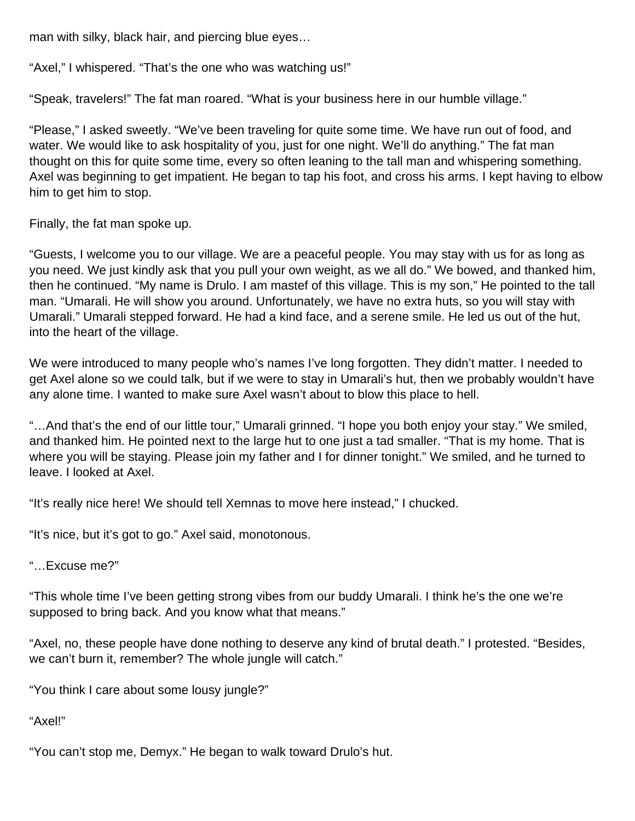man with silky, black hair, and piercing blue eyes…

"Axel," I whispered. "That's the one who was watching us!"

"Speak, travelers!" The fat man roared. "What is your business here in our humble village."

"Please," I asked sweetly. "We've been traveling for quite some time. We have run out of food, and water. We would like to ask hospitality of you, just for one night. We'll do anything." The fat man thought on this for quite some time, every so often leaning to the tall man and whispering something. Axel was beginning to get impatient. He began to tap his foot, and cross his arms. I kept having to elbow him to get him to stop.

Finally, the fat man spoke up.

"Guests, I welcome you to our village. We are a peaceful people. You may stay with us for as long as you need. We just kindly ask that you pull your own weight, as we all do." We bowed, and thanked him, then he continued. "My name is Drulo. I am mastef of this village. This is my son," He pointed to the tall man. "Umarali. He will show you around. Unfortunately, we have no extra huts, so you will stay with Umarali." Umarali stepped forward. He had a kind face, and a serene smile. He led us out of the hut, into the heart of the village.

We were introduced to many people who's names I've long forgotten. They didn't matter. I needed to get Axel alone so we could talk, but if we were to stay in Umarali's hut, then we probably wouldn't have any alone time. I wanted to make sure Axel wasn't about to blow this place to hell.

"…And that's the end of our little tour," Umarali grinned. "I hope you both enjoy your stay." We smiled, and thanked him. He pointed next to the large hut to one just a tad smaller. "That is my home. That is where you will be staying. Please join my father and I for dinner tonight." We smiled, and he turned to leave. I looked at Axel.

"It's really nice here! We should tell Xemnas to move here instead," I chucked.

"It's nice, but it's got to go." Axel said, monotonous.

"…Excuse me?"

"This whole time I've been getting strong vibes from our buddy Umarali. I think he's the one we're supposed to bring back. And you know what that means."

"Axel, no, these people have done nothing to deserve any kind of brutal death." I protested. "Besides, we can't burn it, remember? The whole jungle will catch."

"You think I care about some lousy jungle?"

"Axel!"

"You can't stop me, Demyx." He began to walk toward Drulo's hut.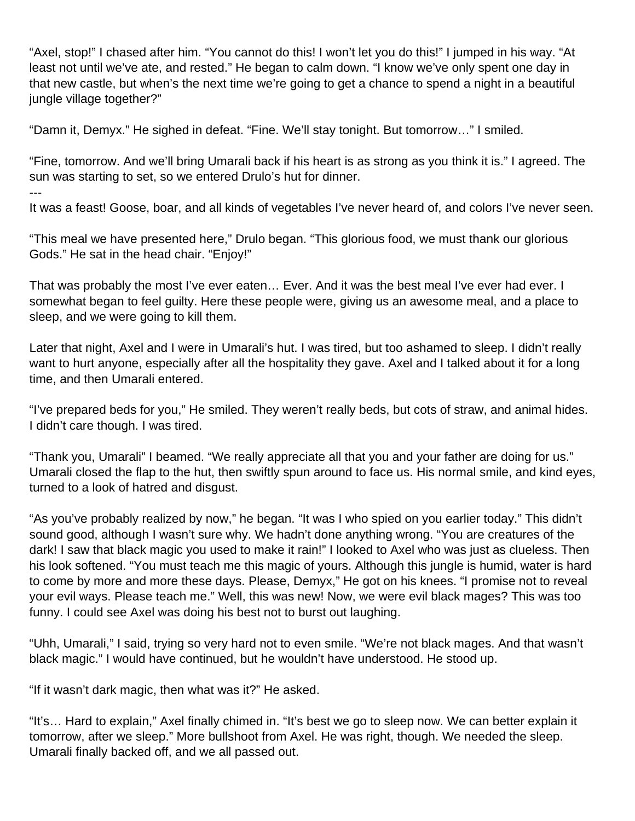"Axel, stop!" I chased after him. "You cannot do this! I won't let you do this!" I jumped in his way. "At least not until we've ate, and rested." He began to calm down. "I know we've only spent one day in that new castle, but when's the next time we're going to get a chance to spend a night in a beautiful jungle village together?"

"Damn it, Demyx." He sighed in defeat. "Fine. We'll stay tonight. But tomorrow…" I smiled.

"Fine, tomorrow. And we'll bring Umarali back if his heart is as strong as you think it is." I agreed. The sun was starting to set, so we entered Drulo's hut for dinner. ---

It was a feast! Goose, boar, and all kinds of vegetables I've never heard of, and colors I've never seen.

"This meal we have presented here," Drulo began. "This glorious food, we must thank our glorious Gods." He sat in the head chair. "Enjoy!"

That was probably the most I've ever eaten… Ever. And it was the best meal I've ever had ever. I somewhat began to feel guilty. Here these people were, giving us an awesome meal, and a place to sleep, and we were going to kill them.

Later that night, Axel and I were in Umarali's hut. I was tired, but too ashamed to sleep. I didn't really want to hurt anyone, especially after all the hospitality they gave. Axel and I talked about it for a long time, and then Umarali entered.

"I've prepared beds for you," He smiled. They weren't really beds, but cots of straw, and animal hides. I didn't care though. I was tired.

"Thank you, Umarali" I beamed. "We really appreciate all that you and your father are doing for us." Umarali closed the flap to the hut, then swiftly spun around to face us. His normal smile, and kind eyes, turned to a look of hatred and disgust.

"As you've probably realized by now," he began. "It was I who spied on you earlier today." This didn't sound good, although I wasn't sure why. We hadn't done anything wrong. "You are creatures of the dark! I saw that black magic you used to make it rain!" I looked to Axel who was just as clueless. Then his look softened. "You must teach me this magic of yours. Although this jungle is humid, water is hard to come by more and more these days. Please, Demyx," He got on his knees. "I promise not to reveal your evil ways. Please teach me." Well, this was new! Now, we were evil black mages? This was too funny. I could see Axel was doing his best not to burst out laughing.

"Uhh, Umarali," I said, trying so very hard not to even smile. "We're not black mages. And that wasn't black magic." I would have continued, but he wouldn't have understood. He stood up.

"If it wasn't dark magic, then what was it?" He asked.

"It's… Hard to explain," Axel finally chimed in. "It's best we go to sleep now. We can better explain it tomorrow, after we sleep." More bullshoot from Axel. He was right, though. We needed the sleep. Umarali finally backed off, and we all passed out.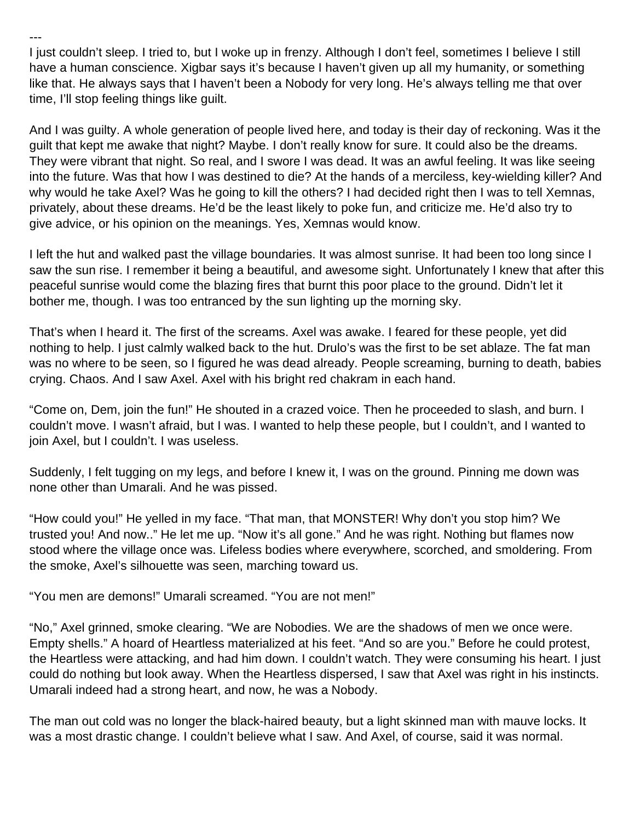I just couldn't sleep. I tried to, but I woke up in frenzy. Although I don't feel, sometimes I believe I still have a human conscience. Xigbar says it's because I haven't given up all my humanity, or something like that. He always says that I haven't been a Nobody for very long. He's always telling me that over time, I'll stop feeling things like guilt.

And I was guilty. A whole generation of people lived here, and today is their day of reckoning. Was it the guilt that kept me awake that night? Maybe. I don't really know for sure. It could also be the dreams. They were vibrant that night. So real, and I swore I was dead. It was an awful feeling. It was like seeing into the future. Was that how I was destined to die? At the hands of a merciless, key-wielding killer? And why would he take Axel? Was he going to kill the others? I had decided right then I was to tell Xemnas, privately, about these dreams. He'd be the least likely to poke fun, and criticize me. He'd also try to give advice, or his opinion on the meanings. Yes, Xemnas would know.

I left the hut and walked past the village boundaries. It was almost sunrise. It had been too long since I saw the sun rise. I remember it being a beautiful, and awesome sight. Unfortunately I knew that after this peaceful sunrise would come the blazing fires that burnt this poor place to the ground. Didn't let it bother me, though. I was too entranced by the sun lighting up the morning sky.

That's when I heard it. The first of the screams. Axel was awake. I feared for these people, yet did nothing to help. I just calmly walked back to the hut. Drulo's was the first to be set ablaze. The fat man was no where to be seen, so I figured he was dead already. People screaming, burning to death, babies crying. Chaos. And I saw Axel. Axel with his bright red chakram in each hand.

"Come on, Dem, join the fun!" He shouted in a crazed voice. Then he proceeded to slash, and burn. I couldn't move. I wasn't afraid, but I was. I wanted to help these people, but I couldn't, and I wanted to join Axel, but I couldn't. I was useless.

Suddenly, I felt tugging on my legs, and before I knew it, I was on the ground. Pinning me down was none other than Umarali. And he was pissed.

"How could you!" He yelled in my face. "That man, that MONSTER! Why don't you stop him? We trusted you! And now.." He let me up. "Now it's all gone." And he was right. Nothing but flames now stood where the village once was. Lifeless bodies where everywhere, scorched, and smoldering. From the smoke, Axel's silhouette was seen, marching toward us.

"You men are demons!" Umarali screamed. "You are not men!"

---

"No," Axel grinned, smoke clearing. "We are Nobodies. We are the shadows of men we once were. Empty shells." A hoard of Heartless materialized at his feet. "And so are you." Before he could protest, the Heartless were attacking, and had him down. I couldn't watch. They were consuming his heart. I just could do nothing but look away. When the Heartless dispersed, I saw that Axel was right in his instincts. Umarali indeed had a strong heart, and now, he was a Nobody.

The man out cold was no longer the black-haired beauty, but a light skinned man with mauve locks. It was a most drastic change. I couldn't believe what I saw. And Axel, of course, said it was normal.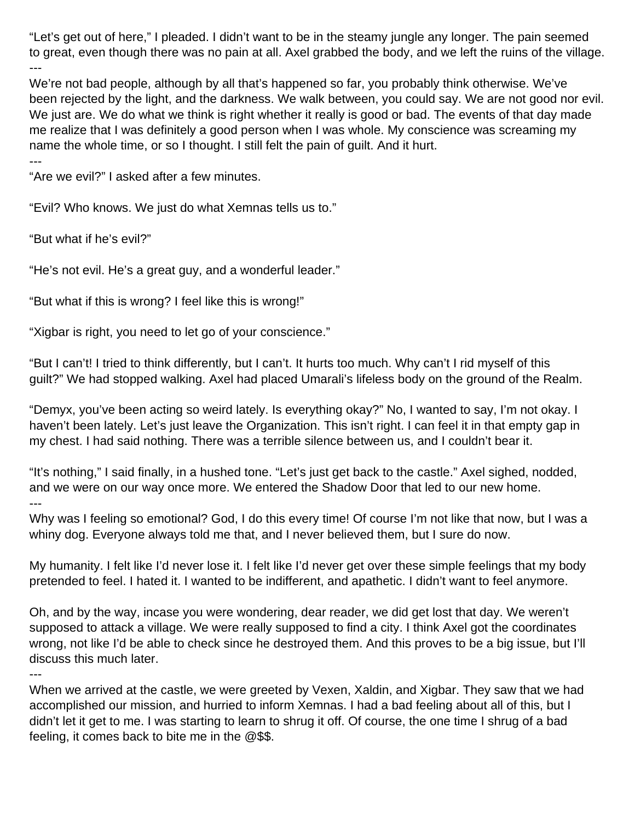"Let's get out of here," I pleaded. I didn't want to be in the steamy jungle any longer. The pain seemed to great, even though there was no pain at all. Axel grabbed the body, and we left the ruins of the village. ---

We're not bad people, although by all that's happened so far, you probably think otherwise. We've been rejected by the light, and the darkness. We walk between, you could say. We are not good nor evil. We just are. We do what we think is right whether it really is good or bad. The events of that day made me realize that I was definitely a good person when I was whole. My conscience was screaming my name the whole time, or so I thought. I still felt the pain of guilt. And it hurt.

---

"Are we evil?" I asked after a few minutes.

"Evil? Who knows. We just do what Xemnas tells us to."

"But what if he's evil?"

"He's not evil. He's a great guy, and a wonderful leader."

"But what if this is wrong? I feel like this is wrong!"

"Xigbar is right, you need to let go of your conscience."

"But I can't! I tried to think differently, but I can't. It hurts too much. Why can't I rid myself of this guilt?" We had stopped walking. Axel had placed Umarali's lifeless body on the ground of the Realm.

"Demyx, you've been acting so weird lately. Is everything okay?" No, I wanted to say, I'm not okay. I haven't been lately. Let's just leave the Organization. This isn't right. I can feel it in that empty gap in my chest. I had said nothing. There was a terrible silence between us, and I couldn't bear it.

"It's nothing," I said finally, in a hushed tone. "Let's just get back to the castle." Axel sighed, nodded, and we were on our way once more. We entered the Shadow Door that led to our new home. ---

Why was I feeling so emotional? God, I do this every time! Of course I'm not like that now, but I was a whiny dog. Everyone always told me that, and I never believed them, but I sure do now.

My humanity. I felt like I'd never lose it. I felt like I'd never get over these simple feelings that my body pretended to feel. I hated it. I wanted to be indifferent, and apathetic. I didn't want to feel anymore.

Oh, and by the way, incase you were wondering, dear reader, we did get lost that day. We weren't supposed to attack a village. We were really supposed to find a city. I think Axel got the coordinates wrong, not like I'd be able to check since he destroyed them. And this proves to be a big issue, but I'll discuss this much later.

---

When we arrived at the castle, we were greeted by Vexen, Xaldin, and Xigbar. They saw that we had accomplished our mission, and hurried to inform Xemnas. I had a bad feeling about all of this, but I didn't let it get to me. I was starting to learn to shrug it off. Of course, the one time I shrug of a bad feeling, it comes back to bite me in the @\$\$.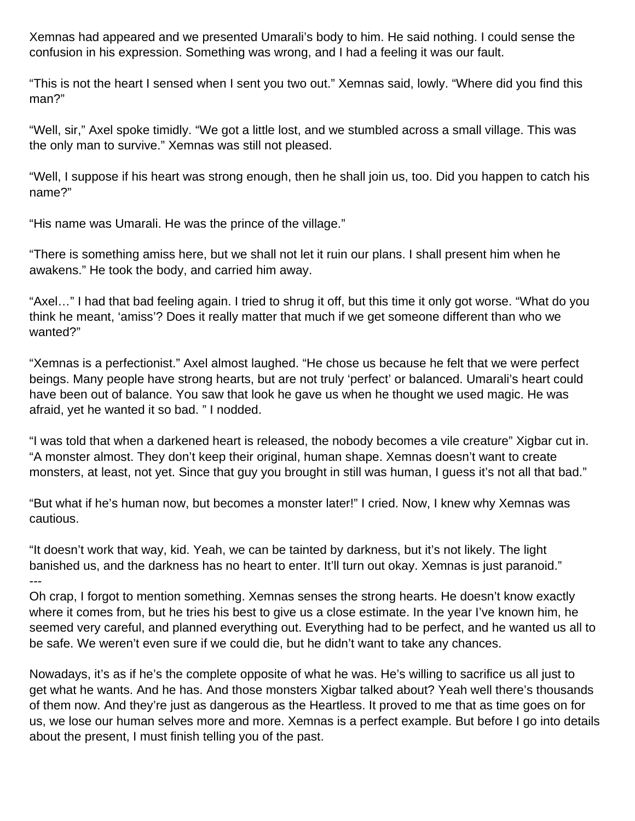Xemnas had appeared and we presented Umarali's body to him. He said nothing. I could sense the confusion in his expression. Something was wrong, and I had a feeling it was our fault.

"This is not the heart I sensed when I sent you two out." Xemnas said, lowly. "Where did you find this man?"

"Well, sir," Axel spoke timidly. "We got a little lost, and we stumbled across a small village. This was the only man to survive." Xemnas was still not pleased.

"Well, I suppose if his heart was strong enough, then he shall join us, too. Did you happen to catch his name?"

"His name was Umarali. He was the prince of the village."

"There is something amiss here, but we shall not let it ruin our plans. I shall present him when he awakens." He took the body, and carried him away.

"Axel…" I had that bad feeling again. I tried to shrug it off, but this time it only got worse. "What do you think he meant, 'amiss'? Does it really matter that much if we get someone different than who we wanted?"

"Xemnas is a perfectionist." Axel almost laughed. "He chose us because he felt that we were perfect beings. Many people have strong hearts, but are not truly 'perfect' or balanced. Umarali's heart could have been out of balance. You saw that look he gave us when he thought we used magic. He was afraid, yet he wanted it so bad. " I nodded.

"I was told that when a darkened heart is released, the nobody becomes a vile creature" Xigbar cut in. "A monster almost. They don't keep their original, human shape. Xemnas doesn't want to create monsters, at least, not yet. Since that guy you brought in still was human, I guess it's not all that bad."

"But what if he's human now, but becomes a monster later!" I cried. Now, I knew why Xemnas was cautious.

"It doesn't work that way, kid. Yeah, we can be tainted by darkness, but it's not likely. The light banished us, and the darkness has no heart to enter. It'll turn out okay. Xemnas is just paranoid." ---

Oh crap, I forgot to mention something. Xemnas senses the strong hearts. He doesn't know exactly where it comes from, but he tries his best to give us a close estimate. In the year I've known him, he seemed very careful, and planned everything out. Everything had to be perfect, and he wanted us all to be safe. We weren't even sure if we could die, but he didn't want to take any chances.

Nowadays, it's as if he's the complete opposite of what he was. He's willing to sacrifice us all just to get what he wants. And he has. And those monsters Xigbar talked about? Yeah well there's thousands of them now. And they're just as dangerous as the Heartless. It proved to me that as time goes on for us, we lose our human selves more and more. Xemnas is a perfect example. But before I go into details about the present, I must finish telling you of the past.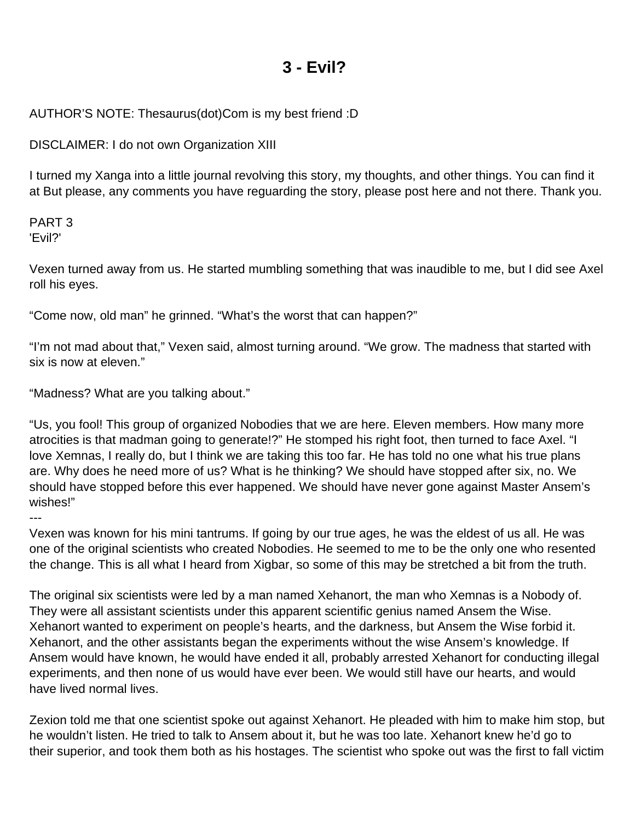### **3 - Evil?**

### <span id="page-19-0"></span>AUTHOR'S NOTE: Thesaurus(dot)Com is my best friend :D

DISCLAIMER: I do not own Organization XIII

I turned my Xanga into a little journal revolving this story, my thoughts, and other things. You can find it at But please, any comments you have reguarding the story, please post here and not there. Thank you.

PART 3 'Evil?'

Vexen turned away from us. He started mumbling something that was inaudible to me, but I did see Axel roll his eyes.

"Come now, old man" he grinned. "What's the worst that can happen?"

"I'm not mad about that," Vexen said, almost turning around. "We grow. The madness that started with six is now at eleven."

"Madness? What are you talking about."

"Us, you fool! This group of organized Nobodies that we are here. Eleven members. How many more atrocities is that madman going to generate!?" He stomped his right foot, then turned to face Axel. "I love Xemnas, I really do, but I think we are taking this too far. He has told no one what his true plans are. Why does he need more of us? What is he thinking? We should have stopped after six, no. We should have stopped before this ever happened. We should have never gone against Master Ansem's wishes!"

---

Vexen was known for his mini tantrums. If going by our true ages, he was the eldest of us all. He was one of the original scientists who created Nobodies. He seemed to me to be the only one who resented the change. This is all what I heard from Xigbar, so some of this may be stretched a bit from the truth.

The original six scientists were led by a man named Xehanort, the man who Xemnas is a Nobody of. They were all assistant scientists under this apparent scientific genius named Ansem the Wise. Xehanort wanted to experiment on people's hearts, and the darkness, but Ansem the Wise forbid it. Xehanort, and the other assistants began the experiments without the wise Ansem's knowledge. If Ansem would have known, he would have ended it all, probably arrested Xehanort for conducting illegal experiments, and then none of us would have ever been. We would still have our hearts, and would have lived normal lives.

Zexion told me that one scientist spoke out against Xehanort. He pleaded with him to make him stop, but he wouldn't listen. He tried to talk to Ansem about it, but he was too late. Xehanort knew he'd go to their superior, and took them both as his hostages. The scientist who spoke out was the first to fall victim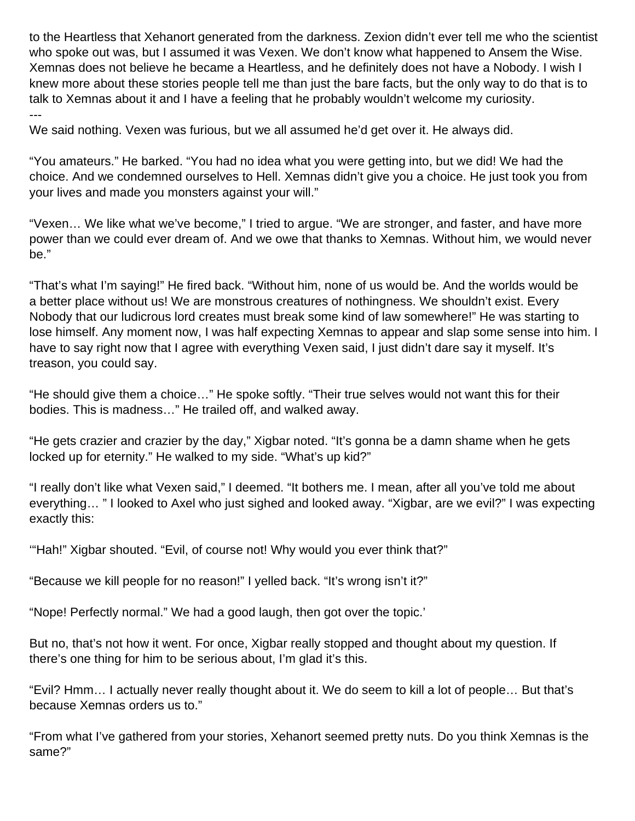to the Heartless that Xehanort generated from the darkness. Zexion didn't ever tell me who the scientist who spoke out was, but I assumed it was Vexen. We don't know what happened to Ansem the Wise. Xemnas does not believe he became a Heartless, and he definitely does not have a Nobody. I wish I knew more about these stories people tell me than just the bare facts, but the only way to do that is to talk to Xemnas about it and I have a feeling that he probably wouldn't welcome my curiosity. ---

We said nothing. Vexen was furious, but we all assumed he'd get over it. He always did.

"You amateurs." He barked. "You had no idea what you were getting into, but we did! We had the choice. And we condemned ourselves to Hell. Xemnas didn't give you a choice. He just took you from your lives and made you monsters against your will."

"Vexen… We like what we've become," I tried to argue. "We are stronger, and faster, and have more power than we could ever dream of. And we owe that thanks to Xemnas. Without him, we would never be."

"That's what I'm saying!" He fired back. "Without him, none of us would be. And the worlds would be a better place without us! We are monstrous creatures of nothingness. We shouldn't exist. Every Nobody that our ludicrous lord creates must break some kind of law somewhere!" He was starting to lose himself. Any moment now, I was half expecting Xemnas to appear and slap some sense into him. I have to say right now that I agree with everything Vexen said, I just didn't dare say it myself. It's treason, you could say.

"He should give them a choice…" He spoke softly. "Their true selves would not want this for their bodies. This is madness…" He trailed off, and walked away.

"He gets crazier and crazier by the day," Xigbar noted. "It's gonna be a damn shame when he gets locked up for eternity." He walked to my side. "What's up kid?"

"I really don't like what Vexen said," I deemed. "It bothers me. I mean, after all you've told me about everything… " I looked to Axel who just sighed and looked away. "Xigbar, are we evil?" I was expecting exactly this:

'"Hah!" Xigbar shouted. "Evil, of course not! Why would you ever think that?"

"Because we kill people for no reason!" I yelled back. "It's wrong isn't it?"

"Nope! Perfectly normal." We had a good laugh, then got over the topic.'

But no, that's not how it went. For once, Xigbar really stopped and thought about my question. If there's one thing for him to be serious about, I'm glad it's this.

"Evil? Hmm… I actually never really thought about it. We do seem to kill a lot of people… But that's because Xemnas orders us to."

"From what I've gathered from your stories, Xehanort seemed pretty nuts. Do you think Xemnas is the same?"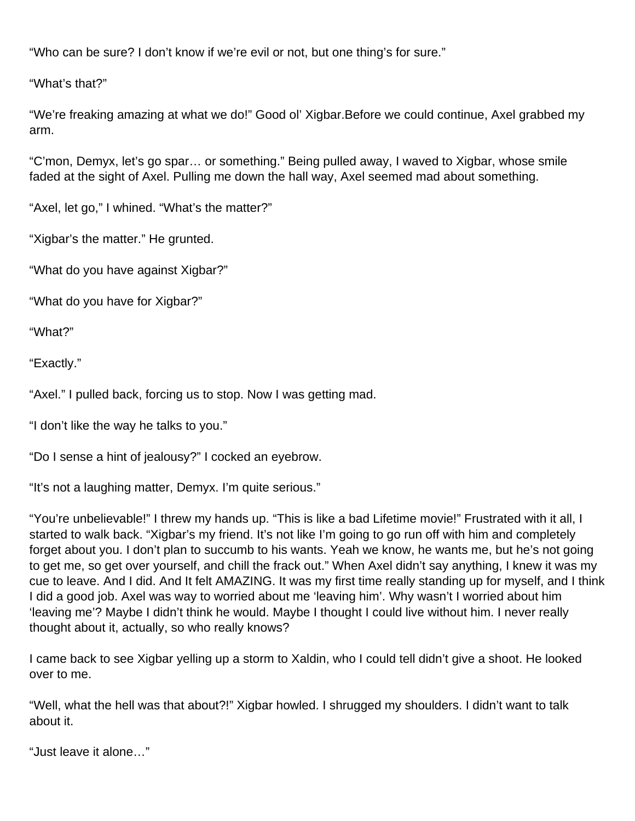"Who can be sure? I don't know if we're evil or not, but one thing's for sure."

"What's that?"

"We're freaking amazing at what we do!" Good ol' Xigbar.Before we could continue, Axel grabbed my arm.

"C'mon, Demyx, let's go spar… or something." Being pulled away, I waved to Xigbar, whose smile faded at the sight of Axel. Pulling me down the hall way, Axel seemed mad about something.

"Axel, let go," I whined. "What's the matter?"

"Xigbar's the matter." He grunted.

"What do you have against Xigbar?"

"What do you have for Xigbar?"

"What?"

"Exactly."

"Axel." I pulled back, forcing us to stop. Now I was getting mad.

"I don't like the way he talks to you."

"Do I sense a hint of jealousy?" I cocked an eyebrow.

"It's not a laughing matter, Demyx. I'm quite serious."

"You're unbelievable!" I threw my hands up. "This is like a bad Lifetime movie!" Frustrated with it all, I started to walk back. "Xigbar's my friend. It's not like I'm going to go run off with him and completely forget about you. I don't plan to succumb to his wants. Yeah we know, he wants me, but he's not going to get me, so get over yourself, and chill the frack out." When Axel didn't say anything, I knew it was my cue to leave. And I did. And It felt AMAZING. It was my first time really standing up for myself, and I think I did a good job. Axel was way to worried about me 'leaving him'. Why wasn't I worried about him 'leaving me'? Maybe I didn't think he would. Maybe I thought I could live without him. I never really thought about it, actually, so who really knows?

I came back to see Xigbar yelling up a storm to Xaldin, who I could tell didn't give a shoot. He looked over to me.

"Well, what the hell was that about?!" Xigbar howled. I shrugged my shoulders. I didn't want to talk about it.

"Just leave it alone…"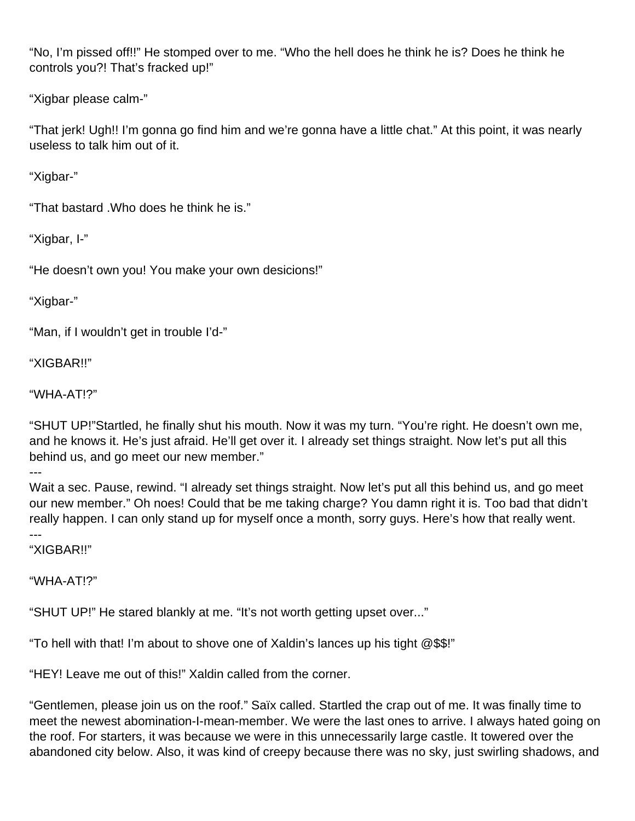"No, I'm pissed off!!" He stomped over to me. "Who the hell does he think he is? Does he think he controls you?! That's fracked up!"

"Xigbar please calm-"

"That jerk! Ugh!! I'm gonna go find him and we're gonna have a little chat." At this point, it was nearly useless to talk him out of it.

"Xigbar-"

"That bastard .Who does he think he is."

"Xigbar, I-"

"He doesn't own you! You make your own desicions!"

"Xigbar-"

"Man, if I wouldn't get in trouble I'd-"

"XIGBAR!!"

"WHA-AT!?"

"SHUT UP!"Startled, he finally shut his mouth. Now it was my turn. "You're right. He doesn't own me, and he knows it. He's just afraid. He'll get over it. I already set things straight. Now let's put all this behind us, and go meet our new member."

---

Wait a sec. Pause, rewind. "I already set things straight. Now let's put all this behind us, and go meet our new member." Oh noes! Could that be me taking charge? You damn right it is. Too bad that didn't really happen. I can only stand up for myself once a month, sorry guys. Here's how that really went.

--- "XIGBAR!!"

"WHA-AT!?"

"SHUT UP!" He stared blankly at me. "It's not worth getting upset over..."

"To hell with that! I'm about to shove one of Xaldin's lances up his tight @\$\$!"

"HEY! Leave me out of this!" Xaldin called from the corner.

"Gentlemen, please join us on the roof." Saïx called. Startled the crap out of me. It was finally time to meet the newest abomination-I-mean-member. We were the last ones to arrive. I always hated going on the roof. For starters, it was because we were in this unnecessarily large castle. It towered over the abandoned city below. Also, it was kind of creepy because there was no sky, just swirling shadows, and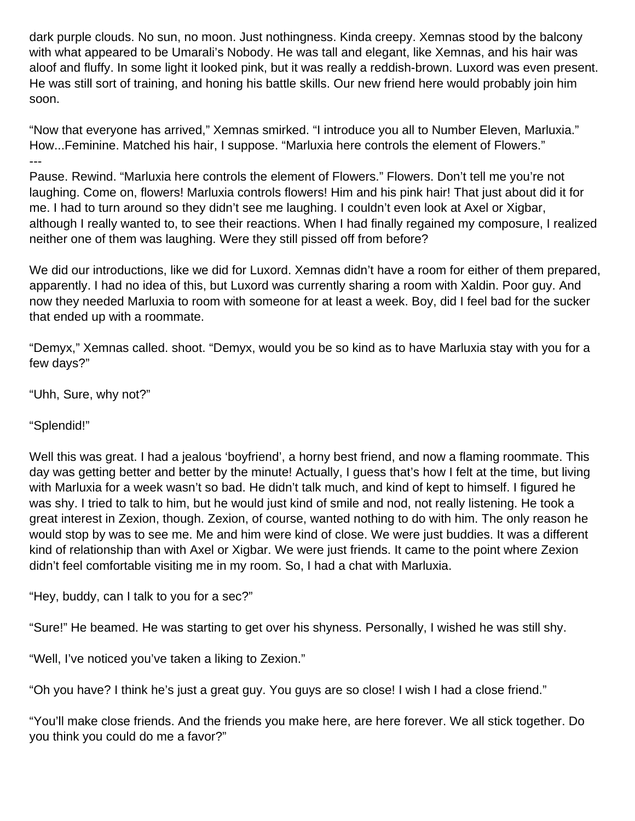dark purple clouds. No sun, no moon. Just nothingness. Kinda creepy. Xemnas stood by the balcony with what appeared to be Umarali's Nobody. He was tall and elegant, like Xemnas, and his hair was aloof and fluffy. In some light it looked pink, but it was really a reddish-brown. Luxord was even present. He was still sort of training, and honing his battle skills. Our new friend here would probably join him soon.

"Now that everyone has arrived," Xemnas smirked. "I introduce you all to Number Eleven, Marluxia." How...Feminine. Matched his hair, I suppose. "Marluxia here controls the element of Flowers." ---

Pause. Rewind. "Marluxia here controls the element of Flowers." Flowers. Don't tell me you're not laughing. Come on, flowers! Marluxia controls flowers! Him and his pink hair! That just about did it for me. I had to turn around so they didn't see me laughing. I couldn't even look at Axel or Xigbar, although I really wanted to, to see their reactions. When I had finally regained my composure, I realized neither one of them was laughing. Were they still pissed off from before?

We did our introductions, like we did for Luxord. Xemnas didn't have a room for either of them prepared, apparently. I had no idea of this, but Luxord was currently sharing a room with Xaldin. Poor guy. And now they needed Marluxia to room with someone for at least a week. Boy, did I feel bad for the sucker that ended up with a roommate.

"Demyx," Xemnas called. shoot. "Demyx, would you be so kind as to have Marluxia stay with you for a few days?"

"Uhh, Sure, why not?"

"Splendid!"

Well this was great. I had a jealous 'boyfriend', a horny best friend, and now a flaming roommate. This day was getting better and better by the minute! Actually, I guess that's how I felt at the time, but living with Marluxia for a week wasn't so bad. He didn't talk much, and kind of kept to himself. I figured he was shy. I tried to talk to him, but he would just kind of smile and nod, not really listening. He took a great interest in Zexion, though. Zexion, of course, wanted nothing to do with him. The only reason he would stop by was to see me. Me and him were kind of close. We were just buddies. It was a different kind of relationship than with Axel or Xigbar. We were just friends. It came to the point where Zexion didn't feel comfortable visiting me in my room. So, I had a chat with Marluxia.

"Hey, buddy, can I talk to you for a sec?"

"Sure!" He beamed. He was starting to get over his shyness. Personally, I wished he was still shy.

"Well, I've noticed you've taken a liking to Zexion."

"Oh you have? I think he's just a great guy. You guys are so close! I wish I had a close friend."

"You'll make close friends. And the friends you make here, are here forever. We all stick together. Do you think you could do me a favor?"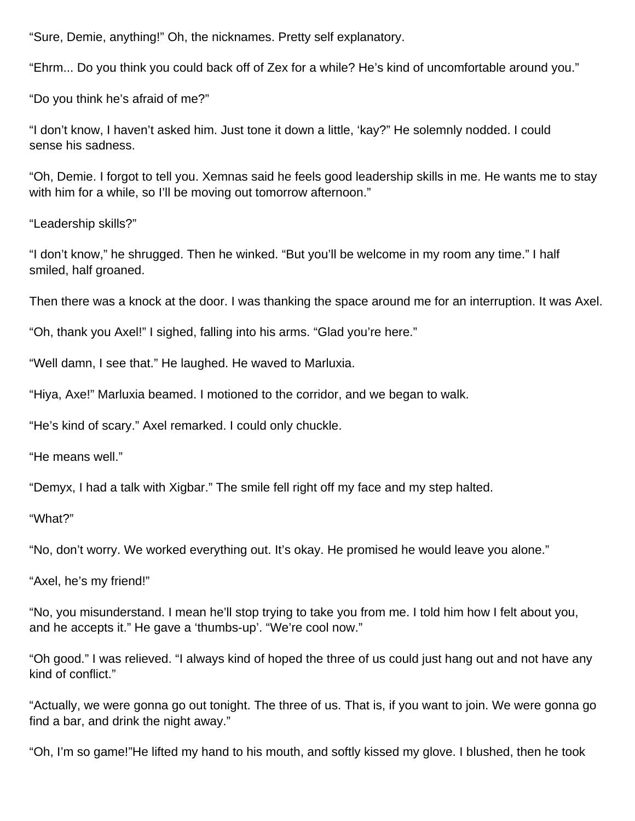"Sure, Demie, anything!" Oh, the nicknames. Pretty self explanatory.

"Ehrm... Do you think you could back off of Zex for a while? He's kind of uncomfortable around you."

"Do you think he's afraid of me?"

"I don't know, I haven't asked him. Just tone it down a little, 'kay?" He solemnly nodded. I could sense his sadness.

"Oh, Demie. I forgot to tell you. Xemnas said he feels good leadership skills in me. He wants me to stay with him for a while, so I'll be moving out tomorrow afternoon."

"Leadership skills?"

"I don't know," he shrugged. Then he winked. "But you'll be welcome in my room any time." I half smiled, half groaned.

Then there was a knock at the door. I was thanking the space around me for an interruption. It was Axel.

"Oh, thank you Axel!" I sighed, falling into his arms. "Glad you're here."

"Well damn, I see that." He laughed. He waved to Marluxia.

"Hiya, Axe!" Marluxia beamed. I motioned to the corridor, and we began to walk.

"He's kind of scary." Axel remarked. I could only chuckle.

"He means well."

"Demyx, I had a talk with Xigbar." The smile fell right off my face and my step halted.

"What?"

"No, don't worry. We worked everything out. It's okay. He promised he would leave you alone."

"Axel, he's my friend!"

"No, you misunderstand. I mean he'll stop trying to take you from me. I told him how I felt about you, and he accepts it." He gave a 'thumbs-up'. "We're cool now."

"Oh good." I was relieved. "I always kind of hoped the three of us could just hang out and not have any kind of conflict."

"Actually, we were gonna go out tonight. The three of us. That is, if you want to join. We were gonna go find a bar, and drink the night away."

"Oh, I'm so game!"He lifted my hand to his mouth, and softly kissed my glove. I blushed, then he took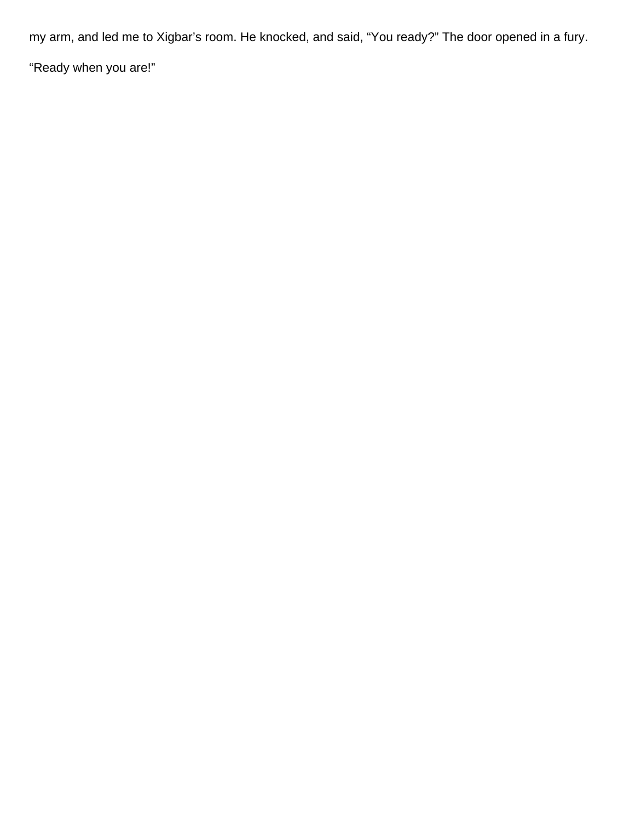my arm, and led me to Xigbar's room. He knocked, and said, "You ready?" The door opened in a fury.

"Ready when you are!"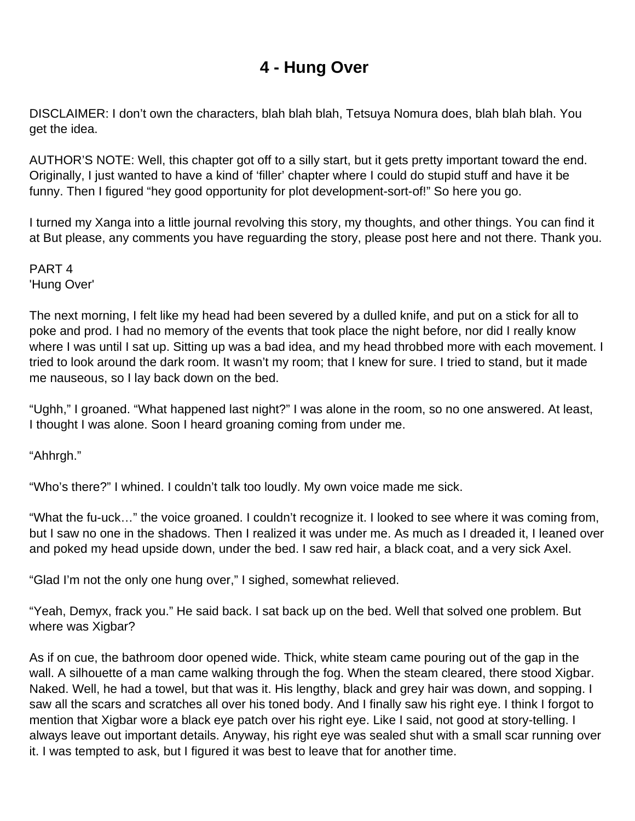## **4 - Hung Over**

<span id="page-26-0"></span>DISCLAIMER: I don't own the characters, blah blah blah, Tetsuya Nomura does, blah blah blah. You get the idea.

AUTHOR'S NOTE: Well, this chapter got off to a silly start, but it gets pretty important toward the end. Originally, I just wanted to have a kind of 'filler' chapter where I could do stupid stuff and have it be funny. Then I figured "hey good opportunity for plot development-sort-of!" So here you go.

I turned my Xanga into a little journal revolving this story, my thoughts, and other things. You can find it at But please, any comments you have reguarding the story, please post here and not there. Thank you.

PART 4 'Hung Over'

The next morning, I felt like my head had been severed by a dulled knife, and put on a stick for all to poke and prod. I had no memory of the events that took place the night before, nor did I really know where I was until I sat up. Sitting up was a bad idea, and my head throbbed more with each movement. I tried to look around the dark room. It wasn't my room; that I knew for sure. I tried to stand, but it made me nauseous, so I lay back down on the bed.

"Ughh," I groaned. "What happened last night?" I was alone in the room, so no one answered. At least, I thought I was alone. Soon I heard groaning coming from under me.

"Ahhrgh."

"Who's there?" I whined. I couldn't talk too loudly. My own voice made me sick.

"What the fu-uck…" the voice groaned. I couldn't recognize it. I looked to see where it was coming from, but I saw no one in the shadows. Then I realized it was under me. As much as I dreaded it, I leaned over and poked my head upside down, under the bed. I saw red hair, a black coat, and a very sick Axel.

"Glad I'm not the only one hung over," I sighed, somewhat relieved.

"Yeah, Demyx, frack you." He said back. I sat back up on the bed. Well that solved one problem. But where was Xigbar?

As if on cue, the bathroom door opened wide. Thick, white steam came pouring out of the gap in the wall. A silhouette of a man came walking through the fog. When the steam cleared, there stood Xigbar. Naked. Well, he had a towel, but that was it. His lengthy, black and grey hair was down, and sopping. I saw all the scars and scratches all over his toned body. And I finally saw his right eye. I think I forgot to mention that Xigbar wore a black eye patch over his right eye. Like I said, not good at story-telling. I always leave out important details. Anyway, his right eye was sealed shut with a small scar running over it. I was tempted to ask, but I figured it was best to leave that for another time.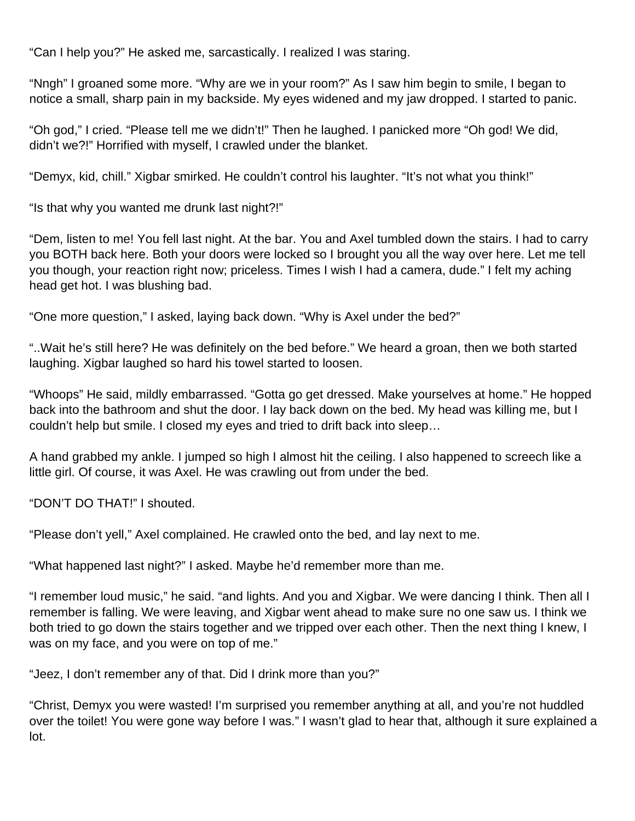"Can I help you?" He asked me, sarcastically. I realized I was staring.

"Nngh" I groaned some more. "Why are we in your room?" As I saw him begin to smile, I began to notice a small, sharp pain in my backside. My eyes widened and my jaw dropped. I started to panic.

"Oh god," I cried. "Please tell me we didn't!" Then he laughed. I panicked more "Oh god! We did, didn't we?!" Horrified with myself, I crawled under the blanket.

"Demyx, kid, chill." Xigbar smirked. He couldn't control his laughter. "It's not what you think!"

"Is that why you wanted me drunk last night?!"

"Dem, listen to me! You fell last night. At the bar. You and Axel tumbled down the stairs. I had to carry you BOTH back here. Both your doors were locked so I brought you all the way over here. Let me tell you though, your reaction right now; priceless. Times I wish I had a camera, dude." I felt my aching head get hot. I was blushing bad.

"One more question," I asked, laying back down. "Why is Axel under the bed?"

"..Wait he's still here? He was definitely on the bed before." We heard a groan, then we both started laughing. Xigbar laughed so hard his towel started to loosen.

"Whoops" He said, mildly embarrassed. "Gotta go get dressed. Make yourselves at home." He hopped back into the bathroom and shut the door. I lay back down on the bed. My head was killing me, but I couldn't help but smile. I closed my eyes and tried to drift back into sleep…

A hand grabbed my ankle. I jumped so high I almost hit the ceiling. I also happened to screech like a little girl. Of course, it was Axel. He was crawling out from under the bed.

"DON'T DO THAT!" I shouted.

"Please don't yell," Axel complained. He crawled onto the bed, and lay next to me.

"What happened last night?" I asked. Maybe he'd remember more than me.

"I remember loud music," he said. "and lights. And you and Xigbar. We were dancing I think. Then all I remember is falling. We were leaving, and Xigbar went ahead to make sure no one saw us. I think we both tried to go down the stairs together and we tripped over each other. Then the next thing I knew, I was on my face, and you were on top of me."

"Jeez, I don't remember any of that. Did I drink more than you?"

"Christ, Demyx you were wasted! I'm surprised you remember anything at all, and you're not huddled over the toilet! You were gone way before I was." I wasn't glad to hear that, although it sure explained a lot.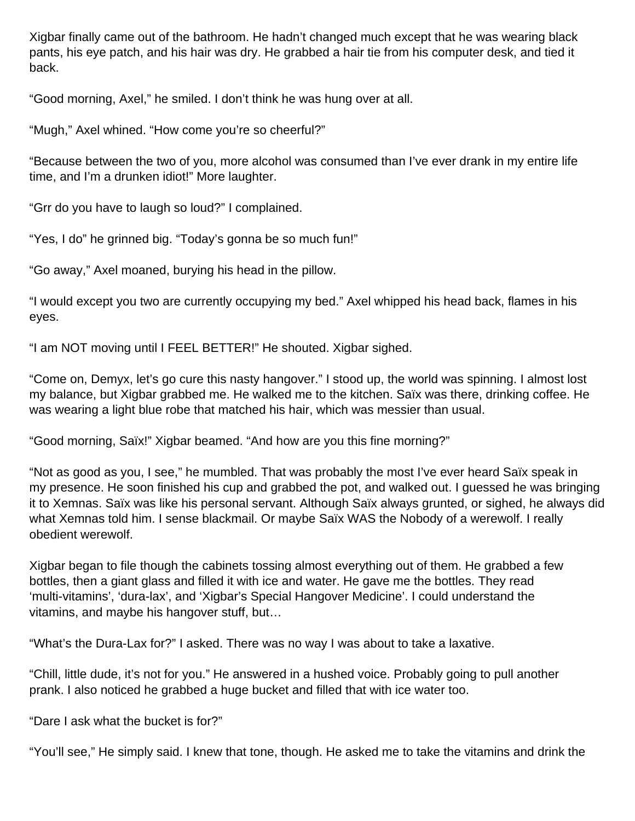Xigbar finally came out of the bathroom. He hadn't changed much except that he was wearing black pants, his eye patch, and his hair was dry. He grabbed a hair tie from his computer desk, and tied it back.

"Good morning, Axel," he smiled. I don't think he was hung over at all.

"Mugh," Axel whined. "How come you're so cheerful?"

"Because between the two of you, more alcohol was consumed than I've ever drank in my entire life time, and I'm a drunken idiot!" More laughter.

"Grr do you have to laugh so loud?" I complained.

"Yes, I do" he grinned big. "Today's gonna be so much fun!"

"Go away," Axel moaned, burying his head in the pillow.

"I would except you two are currently occupying my bed." Axel whipped his head back, flames in his eyes.

"I am NOT moving until I FEEL BETTER!" He shouted. Xigbar sighed.

"Come on, Demyx, let's go cure this nasty hangover." I stood up, the world was spinning. I almost lost my balance, but Xigbar grabbed me. He walked me to the kitchen. Saïx was there, drinking coffee. He was wearing a light blue robe that matched his hair, which was messier than usual.

"Good morning, Saïx!" Xigbar beamed. "And how are you this fine morning?"

"Not as good as you, I see," he mumbled. That was probably the most I've ever heard Saïx speak in my presence. He soon finished his cup and grabbed the pot, and walked out. I guessed he was bringing it to Xemnas. Saïx was like his personal servant. Although Saïx always grunted, or sighed, he always did what Xemnas told him. I sense blackmail. Or maybe Saïx WAS the Nobody of a werewolf. I really obedient werewolf.

Xigbar began to file though the cabinets tossing almost everything out of them. He grabbed a few bottles, then a giant glass and filled it with ice and water. He gave me the bottles. They read 'multi-vitamins', 'dura-lax', and 'Xigbar's Special Hangover Medicine'. I could understand the vitamins, and maybe his hangover stuff, but…

"What's the Dura-Lax for?" I asked. There was no way I was about to take a laxative.

"Chill, little dude, it's not for you." He answered in a hushed voice. Probably going to pull another prank. I also noticed he grabbed a huge bucket and filled that with ice water too.

"Dare I ask what the bucket is for?"

"You'll see," He simply said. I knew that tone, though. He asked me to take the vitamins and drink the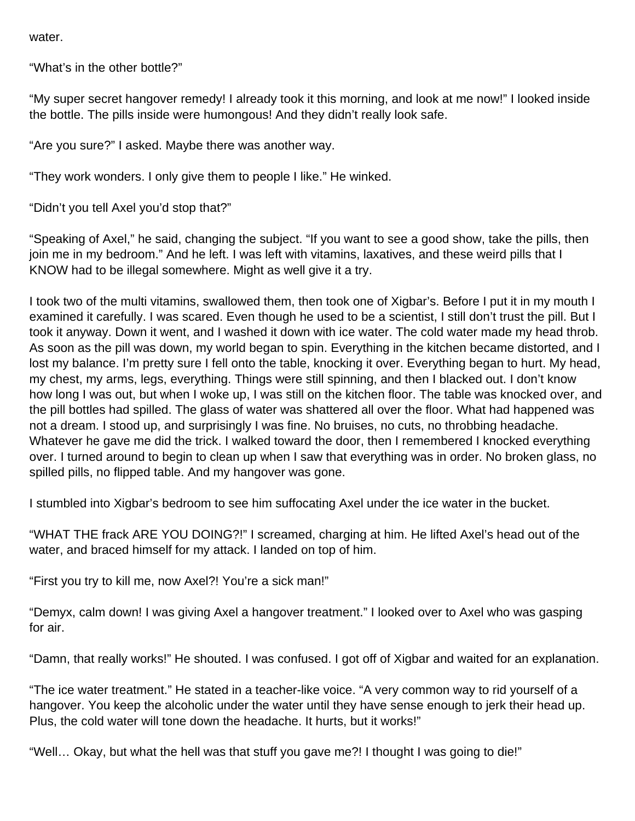water.

"What's in the other bottle?"

"My super secret hangover remedy! I already took it this morning, and look at me now!" I looked inside the bottle. The pills inside were humongous! And they didn't really look safe.

"Are you sure?" I asked. Maybe there was another way.

"They work wonders. I only give them to people I like." He winked.

"Didn't you tell Axel you'd stop that?"

"Speaking of Axel," he said, changing the subject. "If you want to see a good show, take the pills, then join me in my bedroom." And he left. I was left with vitamins, laxatives, and these weird pills that I KNOW had to be illegal somewhere. Might as well give it a try.

I took two of the multi vitamins, swallowed them, then took one of Xigbar's. Before I put it in my mouth I examined it carefully. I was scared. Even though he used to be a scientist, I still don't trust the pill. But I took it anyway. Down it went, and I washed it down with ice water. The cold water made my head throb. As soon as the pill was down, my world began to spin. Everything in the kitchen became distorted, and I lost my balance. I'm pretty sure I fell onto the table, knocking it over. Everything began to hurt. My head, my chest, my arms, legs, everything. Things were still spinning, and then I blacked out. I don't know how long I was out, but when I woke up, I was still on the kitchen floor. The table was knocked over, and the pill bottles had spilled. The glass of water was shattered all over the floor. What had happened was not a dream. I stood up, and surprisingly I was fine. No bruises, no cuts, no throbbing headache. Whatever he gave me did the trick. I walked toward the door, then I remembered I knocked everything over. I turned around to begin to clean up when I saw that everything was in order. No broken glass, no spilled pills, no flipped table. And my hangover was gone.

I stumbled into Xigbar's bedroom to see him suffocating Axel under the ice water in the bucket.

"WHAT THE frack ARE YOU DOING?!" I screamed, charging at him. He lifted Axel's head out of the water, and braced himself for my attack. I landed on top of him.

"First you try to kill me, now Axel?! You're a sick man!"

"Demyx, calm down! I was giving Axel a hangover treatment." I looked over to Axel who was gasping for air.

"Damn, that really works!" He shouted. I was confused. I got off of Xigbar and waited for an explanation.

"The ice water treatment." He stated in a teacher-like voice. "A very common way to rid yourself of a hangover. You keep the alcoholic under the water until they have sense enough to jerk their head up. Plus, the cold water will tone down the headache. It hurts, but it works!"

"Well… Okay, but what the hell was that stuff you gave me?! I thought I was going to die!"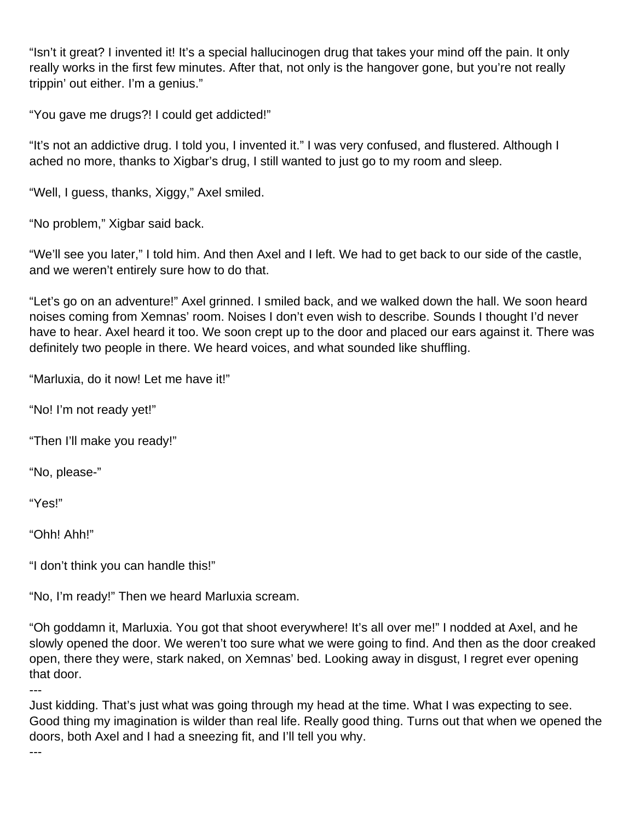"Isn't it great? I invented it! It's a special hallucinogen drug that takes your mind off the pain. It only really works in the first few minutes. After that, not only is the hangover gone, but you're not really trippin' out either. I'm a genius."

"You gave me drugs?! I could get addicted!"

"It's not an addictive drug. I told you, I invented it." I was very confused, and flustered. Although I ached no more, thanks to Xigbar's drug, I still wanted to just go to my room and sleep.

"Well, I guess, thanks, Xiggy," Axel smiled.

"No problem," Xigbar said back.

"We'll see you later," I told him. And then Axel and I left. We had to get back to our side of the castle, and we weren't entirely sure how to do that.

"Let's go on an adventure!" Axel grinned. I smiled back, and we walked down the hall. We soon heard noises coming from Xemnas' room. Noises I don't even wish to describe. Sounds I thought I'd never have to hear. Axel heard it too. We soon crept up to the door and placed our ears against it. There was definitely two people in there. We heard voices, and what sounded like shuffling.

"Marluxia, do it now! Let me have it!"

"No! I'm not ready yet!"

"Then I'll make you ready!"

"No, please-"

"Yes!"

"Ohh! Ahh!"

"I don't think you can handle this!"

"No, I'm ready!" Then we heard Marluxia scream.

"Oh goddamn it, Marluxia. You got that shoot everywhere! It's all over me!" I nodded at Axel, and he slowly opened the door. We weren't too sure what we were going to find. And then as the door creaked open, there they were, stark naked, on Xemnas' bed. Looking away in disgust, I regret ever opening that door.

---

Just kidding. That's just what was going through my head at the time. What I was expecting to see. Good thing my imagination is wilder than real life. Really good thing. Turns out that when we opened the doors, both Axel and I had a sneezing fit, and I'll tell you why.

---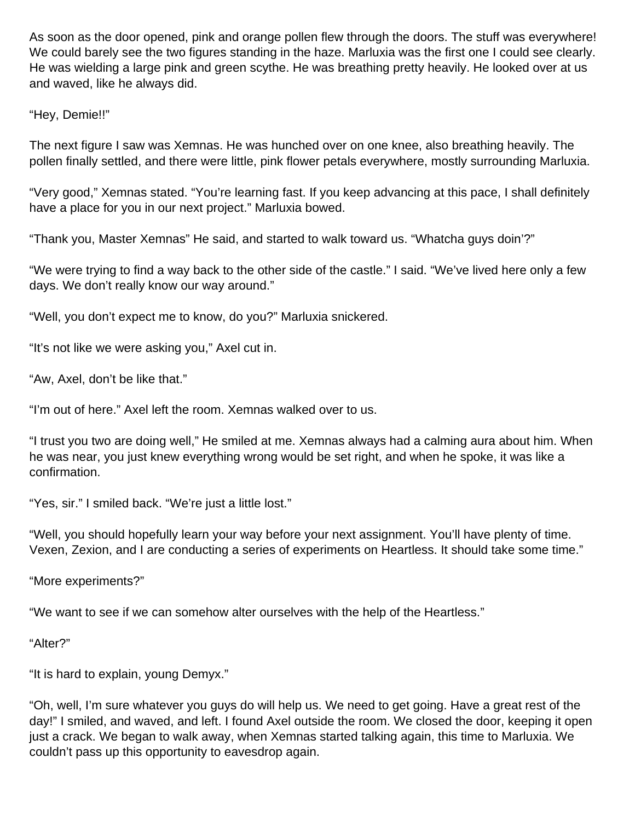As soon as the door opened, pink and orange pollen flew through the doors. The stuff was everywhere! We could barely see the two figures standing in the haze. Marluxia was the first one I could see clearly. He was wielding a large pink and green scythe. He was breathing pretty heavily. He looked over at us and waved, like he always did.

"Hey, Demie!!"

The next figure I saw was Xemnas. He was hunched over on one knee, also breathing heavily. The pollen finally settled, and there were little, pink flower petals everywhere, mostly surrounding Marluxia.

"Very good," Xemnas stated. "You're learning fast. If you keep advancing at this pace, I shall definitely have a place for you in our next project." Marluxia bowed.

"Thank you, Master Xemnas" He said, and started to walk toward us. "Whatcha guys doin'?"

"We were trying to find a way back to the other side of the castle." I said. "We've lived here only a few days. We don't really know our way around."

"Well, you don't expect me to know, do you?" Marluxia snickered.

"It's not like we were asking you," Axel cut in.

"Aw, Axel, don't be like that."

"I'm out of here." Axel left the room. Xemnas walked over to us.

"I trust you two are doing well," He smiled at me. Xemnas always had a calming aura about him. When he was near, you just knew everything wrong would be set right, and when he spoke, it was like a confirmation.

"Yes, sir." I smiled back. "We're just a little lost."

"Well, you should hopefully learn your way before your next assignment. You'll have plenty of time. Vexen, Zexion, and I are conducting a series of experiments on Heartless. It should take some time."

"More experiments?"

"We want to see if we can somehow alter ourselves with the help of the Heartless."

"Alter?"

"It is hard to explain, young Demyx."

"Oh, well, I'm sure whatever you guys do will help us. We need to get going. Have a great rest of the day!" I smiled, and waved, and left. I found Axel outside the room. We closed the door, keeping it open just a crack. We began to walk away, when Xemnas started talking again, this time to Marluxia. We couldn't pass up this opportunity to eavesdrop again.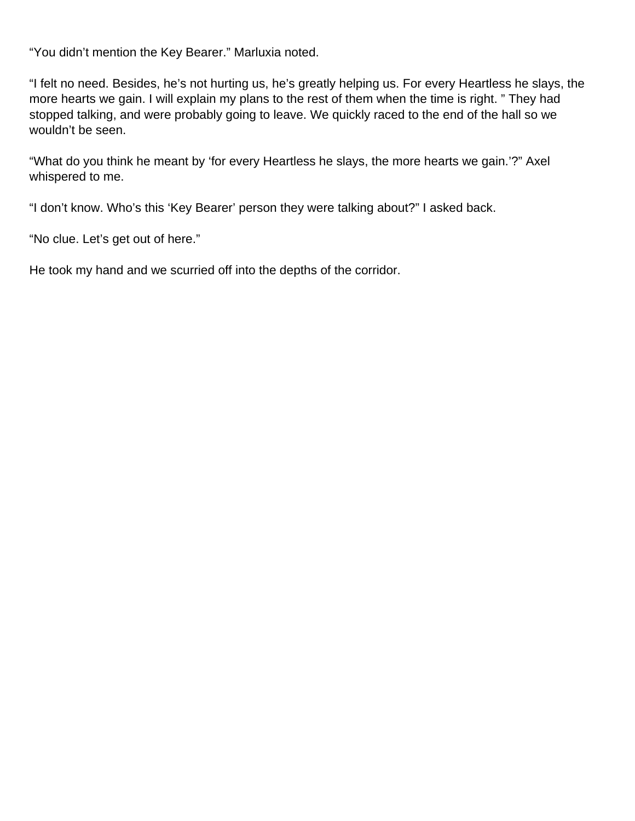"You didn't mention the Key Bearer." Marluxia noted.

"I felt no need. Besides, he's not hurting us, he's greatly helping us. For every Heartless he slays, the more hearts we gain. I will explain my plans to the rest of them when the time is right. " They had stopped talking, and were probably going to leave. We quickly raced to the end of the hall so we wouldn't be seen.

"What do you think he meant by 'for every Heartless he slays, the more hearts we gain.'?" Axel whispered to me.

"I don't know. Who's this 'Key Bearer' person they were talking about?" I asked back.

"No clue. Let's get out of here."

He took my hand and we scurried off into the depths of the corridor.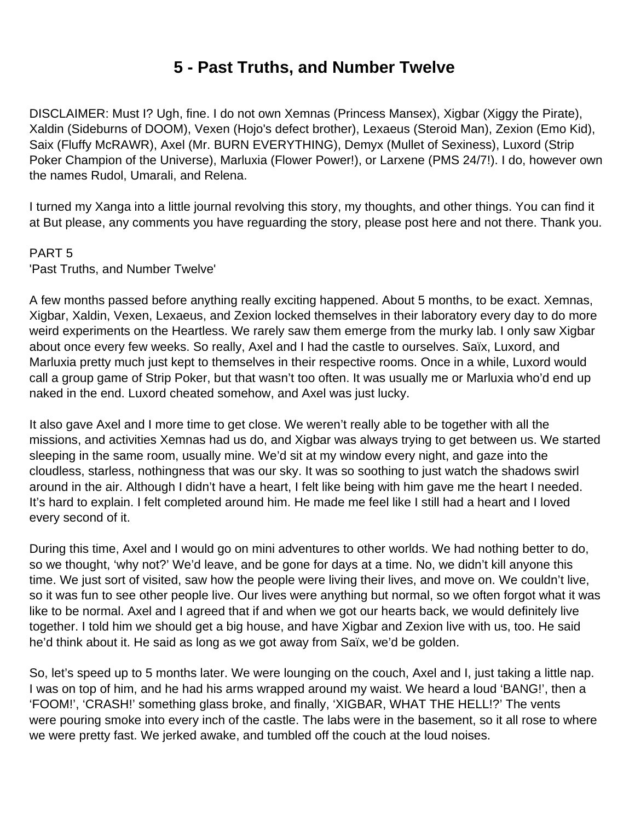## **5 - Past Truths, and Number Twelve**

<span id="page-33-0"></span>DISCLAIMER: Must I? Ugh, fine. I do not own Xemnas (Princess Mansex), Xigbar (Xiggy the Pirate), Xaldin (Sideburns of DOOM), Vexen (Hojo's defect brother), Lexaeus (Steroid Man), Zexion (Emo Kid), Saix (Fluffy McRAWR), Axel (Mr. BURN EVERYTHING), Demyx (Mullet of Sexiness), Luxord (Strip Poker Champion of the Universe), Marluxia (Flower Power!), or Larxene (PMS 24/7!). I do, however own the names Rudol, Umarali, and Relena.

I turned my Xanga into a little journal revolving this story, my thoughts, and other things. You can find it at But please, any comments you have reguarding the story, please post here and not there. Thank you.

#### PART 5

'Past Truths, and Number Twelve'

A few months passed before anything really exciting happened. About 5 months, to be exact. Xemnas, Xigbar, Xaldin, Vexen, Lexaeus, and Zexion locked themselves in their laboratory every day to do more weird experiments on the Heartless. We rarely saw them emerge from the murky lab. I only saw Xigbar about once every few weeks. So really, Axel and I had the castle to ourselves. Saïx, Luxord, and Marluxia pretty much just kept to themselves in their respective rooms. Once in a while, Luxord would call a group game of Strip Poker, but that wasn't too often. It was usually me or Marluxia who'd end up naked in the end. Luxord cheated somehow, and Axel was just lucky.

It also gave Axel and I more time to get close. We weren't really able to be together with all the missions, and activities Xemnas had us do, and Xigbar was always trying to get between us. We started sleeping in the same room, usually mine. We'd sit at my window every night, and gaze into the cloudless, starless, nothingness that was our sky. It was so soothing to just watch the shadows swirl around in the air. Although I didn't have a heart, I felt like being with him gave me the heart I needed. It's hard to explain. I felt completed around him. He made me feel like I still had a heart and I loved every second of it.

During this time, Axel and I would go on mini adventures to other worlds. We had nothing better to do, so we thought, 'why not?' We'd leave, and be gone for days at a time. No, we didn't kill anyone this time. We just sort of visited, saw how the people were living their lives, and move on. We couldn't live, so it was fun to see other people live. Our lives were anything but normal, so we often forgot what it was like to be normal. Axel and I agreed that if and when we got our hearts back, we would definitely live together. I told him we should get a big house, and have Xigbar and Zexion live with us, too. He said he'd think about it. He said as long as we got away from Saïx, we'd be golden.

So, let's speed up to 5 months later. We were lounging on the couch, Axel and I, just taking a little nap. I was on top of him, and he had his arms wrapped around my waist. We heard a loud 'BANG!', then a 'FOOM!', 'CRASH!' something glass broke, and finally, 'XIGBAR, WHAT THE HELL!?' The vents were pouring smoke into every inch of the castle. The labs were in the basement, so it all rose to where we were pretty fast. We jerked awake, and tumbled off the couch at the loud noises.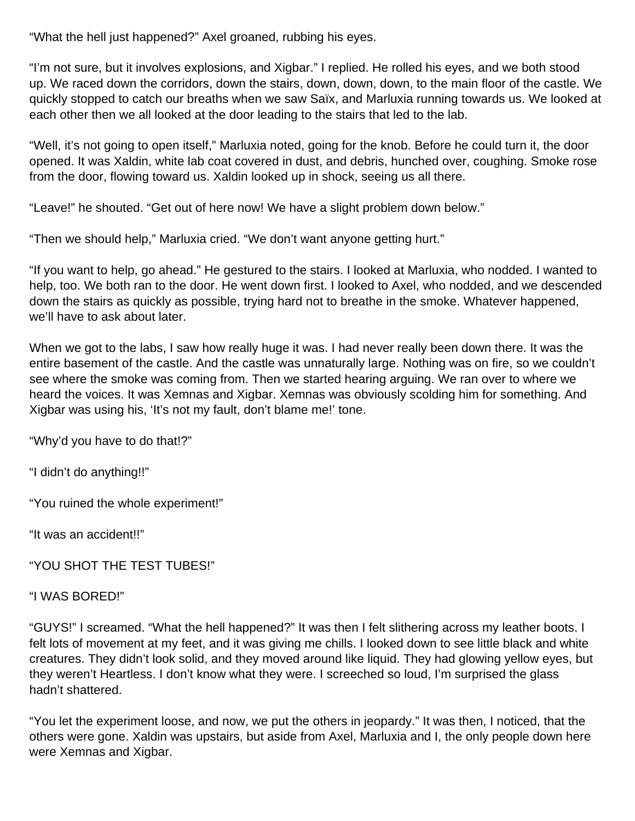"What the hell just happened?" Axel groaned, rubbing his eyes.

"I'm not sure, but it involves explosions, and Xigbar." I replied. He rolled his eyes, and we both stood up. We raced down the corridors, down the stairs, down, down, down, to the main floor of the castle. We quickly stopped to catch our breaths when we saw Saïx, and Marluxia running towards us. We looked at each other then we all looked at the door leading to the stairs that led to the lab.

"Well, it's not going to open itself," Marluxia noted, going for the knob. Before he could turn it, the door opened. It was Xaldin, white lab coat covered in dust, and debris, hunched over, coughing. Smoke rose from the door, flowing toward us. Xaldin looked up in shock, seeing us all there.

"Leave!" he shouted. "Get out of here now! We have a slight problem down below."

"Then we should help," Marluxia cried. "We don't want anyone getting hurt."

"If you want to help, go ahead." He gestured to the stairs. I looked at Marluxia, who nodded. I wanted to help, too. We both ran to the door. He went down first. I looked to Axel, who nodded, and we descended down the stairs as quickly as possible, trying hard not to breathe in the smoke. Whatever happened, we'll have to ask about later.

When we got to the labs, I saw how really huge it was. I had never really been down there. It was the entire basement of the castle. And the castle was unnaturally large. Nothing was on fire, so we couldn't see where the smoke was coming from. Then we started hearing arguing. We ran over to where we heard the voices. It was Xemnas and Xigbar. Xemnas was obviously scolding him for something. And Xigbar was using his, 'It's not my fault, don't blame me!' tone.

"Why'd you have to do that!?"

"I didn't do anything!!"

"You ruined the whole experiment!"

"It was an accident!!"

"YOU SHOT THE TEST TUBES!"

"I WAS BORED!"

"GUYS!" I screamed. "What the hell happened?" It was then I felt slithering across my leather boots. I felt lots of movement at my feet, and it was giving me chills. I looked down to see little black and white creatures. They didn't look solid, and they moved around like liquid. They had glowing yellow eyes, but they weren't Heartless. I don't know what they were. I screeched so loud, I'm surprised the glass hadn't shattered.

"You let the experiment loose, and now, we put the others in jeopardy." It was then, I noticed, that the others were gone. Xaldin was upstairs, but aside from Axel, Marluxia and I, the only people down here were Xemnas and Xigbar.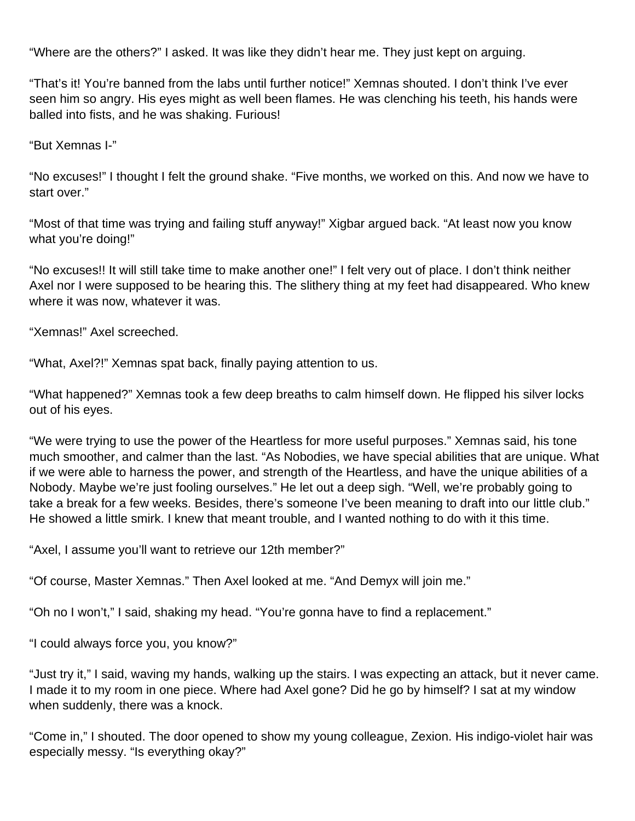"Where are the others?" I asked. It was like they didn't hear me. They just kept on arguing.

"That's it! You're banned from the labs until further notice!" Xemnas shouted. I don't think I've ever seen him so angry. His eyes might as well been flames. He was clenching his teeth, his hands were balled into fists, and he was shaking. Furious!

"But Xemnas I-"

"No excuses!" I thought I felt the ground shake. "Five months, we worked on this. And now we have to start over."

"Most of that time was trying and failing stuff anyway!" Xigbar argued back. "At least now you know what you're doing!"

"No excuses!! It will still take time to make another one!" I felt very out of place. I don't think neither Axel nor I were supposed to be hearing this. The slithery thing at my feet had disappeared. Who knew where it was now, whatever it was.

"Xemnas!" Axel screeched.

"What, Axel?!" Xemnas spat back, finally paying attention to us.

"What happened?" Xemnas took a few deep breaths to calm himself down. He flipped his silver locks out of his eyes.

"We were trying to use the power of the Heartless for more useful purposes." Xemnas said, his tone much smoother, and calmer than the last. "As Nobodies, we have special abilities that are unique. What if we were able to harness the power, and strength of the Heartless, and have the unique abilities of a Nobody. Maybe we're just fooling ourselves." He let out a deep sigh. "Well, we're probably going to take a break for a few weeks. Besides, there's someone I've been meaning to draft into our little club." He showed a little smirk. I knew that meant trouble, and I wanted nothing to do with it this time.

"Axel, I assume you'll want to retrieve our 12th member?"

"Of course, Master Xemnas." Then Axel looked at me. "And Demyx will join me."

"Oh no I won't," I said, shaking my head. "You're gonna have to find a replacement."

"I could always force you, you know?"

"Just try it," I said, waving my hands, walking up the stairs. I was expecting an attack, but it never came. I made it to my room in one piece. Where had Axel gone? Did he go by himself? I sat at my window when suddenly, there was a knock.

"Come in," I shouted. The door opened to show my young colleague, Zexion. His indigo-violet hair was especially messy. "Is everything okay?"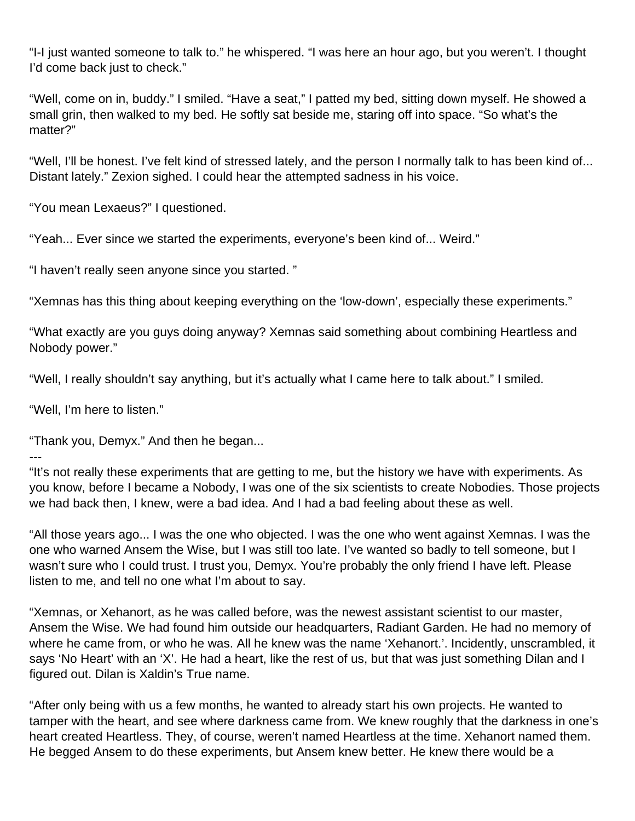"I-I just wanted someone to talk to." he whispered. "I was here an hour ago, but you weren't. I thought I'd come back just to check."

"Well, come on in, buddy." I smiled. "Have a seat," I patted my bed, sitting down myself. He showed a small grin, then walked to my bed. He softly sat beside me, staring off into space. "So what's the matter?"

"Well, I'll be honest. I've felt kind of stressed lately, and the person I normally talk to has been kind of... Distant lately." Zexion sighed. I could hear the attempted sadness in his voice.

"You mean Lexaeus?" I questioned.

"Yeah... Ever since we started the experiments, everyone's been kind of... Weird."

"I haven't really seen anyone since you started. "

"Xemnas has this thing about keeping everything on the 'low-down', especially these experiments."

"What exactly are you guys doing anyway? Xemnas said something about combining Heartless and Nobody power."

"Well, I really shouldn't say anything, but it's actually what I came here to talk about." I smiled.

"Well, I'm here to listen."

"Thank you, Demyx." And then he began...

---

"It's not really these experiments that are getting to me, but the history we have with experiments. As you know, before I became a Nobody, I was one of the six scientists to create Nobodies. Those projects we had back then, I knew, were a bad idea. And I had a bad feeling about these as well.

"All those years ago... I was the one who objected. I was the one who went against Xemnas. I was the one who warned Ansem the Wise, but I was still too late. I've wanted so badly to tell someone, but I wasn't sure who I could trust. I trust you, Demyx. You're probably the only friend I have left. Please listen to me, and tell no one what I'm about to say.

"Xemnas, or Xehanort, as he was called before, was the newest assistant scientist to our master, Ansem the Wise. We had found him outside our headquarters, Radiant Garden. He had no memory of where he came from, or who he was. All he knew was the name 'Xehanort.'. Incidently, unscrambled, it says 'No Heart' with an 'X'. He had a heart, like the rest of us, but that was just something Dilan and I figured out. Dilan is Xaldin's True name.

"After only being with us a few months, he wanted to already start his own projects. He wanted to tamper with the heart, and see where darkness came from. We knew roughly that the darkness in one's heart created Heartless. They, of course, weren't named Heartless at the time. Xehanort named them. He begged Ansem to do these experiments, but Ansem knew better. He knew there would be a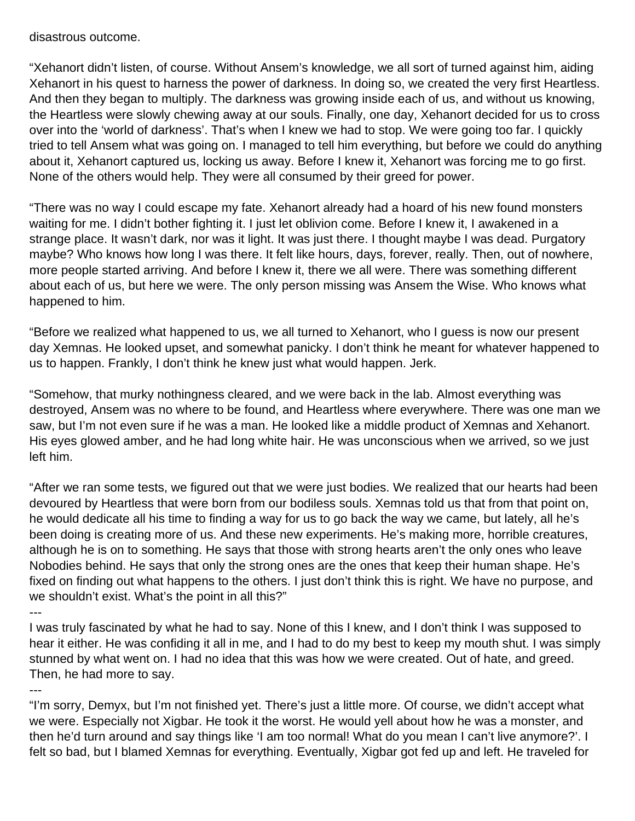disastrous outcome.

"Xehanort didn't listen, of course. Without Ansem's knowledge, we all sort of turned against him, aiding Xehanort in his quest to harness the power of darkness. In doing so, we created the very first Heartless. And then they began to multiply. The darkness was growing inside each of us, and without us knowing, the Heartless were slowly chewing away at our souls. Finally, one day, Xehanort decided for us to cross over into the 'world of darkness'. That's when I knew we had to stop. We were going too far. I quickly tried to tell Ansem what was going on. I managed to tell him everything, but before we could do anything about it, Xehanort captured us, locking us away. Before I knew it, Xehanort was forcing me to go first. None of the others would help. They were all consumed by their greed for power.

"There was no way I could escape my fate. Xehanort already had a hoard of his new found monsters waiting for me. I didn't bother fighting it. I just let oblivion come. Before I knew it, I awakened in a strange place. It wasn't dark, nor was it light. It was just there. I thought maybe I was dead. Purgatory maybe? Who knows how long I was there. It felt like hours, days, forever, really. Then, out of nowhere, more people started arriving. And before I knew it, there we all were. There was something different about each of us, but here we were. The only person missing was Ansem the Wise. Who knows what happened to him.

"Before we realized what happened to us, we all turned to Xehanort, who I guess is now our present day Xemnas. He looked upset, and somewhat panicky. I don't think he meant for whatever happened to us to happen. Frankly, I don't think he knew just what would happen. Jerk.

"Somehow, that murky nothingness cleared, and we were back in the lab. Almost everything was destroyed, Ansem was no where to be found, and Heartless where everywhere. There was one man we saw, but I'm not even sure if he was a man. He looked like a middle product of Xemnas and Xehanort. His eyes glowed amber, and he had long white hair. He was unconscious when we arrived, so we just left him.

"After we ran some tests, we figured out that we were just bodies. We realized that our hearts had been devoured by Heartless that were born from our bodiless souls. Xemnas told us that from that point on, he would dedicate all his time to finding a way for us to go back the way we came, but lately, all he's been doing is creating more of us. And these new experiments. He's making more, horrible creatures, although he is on to something. He says that those with strong hearts aren't the only ones who leave Nobodies behind. He says that only the strong ones are the ones that keep their human shape. He's fixed on finding out what happens to the others. I just don't think this is right. We have no purpose, and we shouldn't exist. What's the point in all this?"

---

I was truly fascinated by what he had to say. None of this I knew, and I don't think I was supposed to hear it either. He was confiding it all in me, and I had to do my best to keep my mouth shut. I was simply stunned by what went on. I had no idea that this was how we were created. Out of hate, and greed. Then, he had more to say.

---

"I'm sorry, Demyx, but I'm not finished yet. There's just a little more. Of course, we didn't accept what we were. Especially not Xigbar. He took it the worst. He would yell about how he was a monster, and then he'd turn around and say things like 'I am too normal! What do you mean I can't live anymore?'. I felt so bad, but I blamed Xemnas for everything. Eventually, Xigbar got fed up and left. He traveled for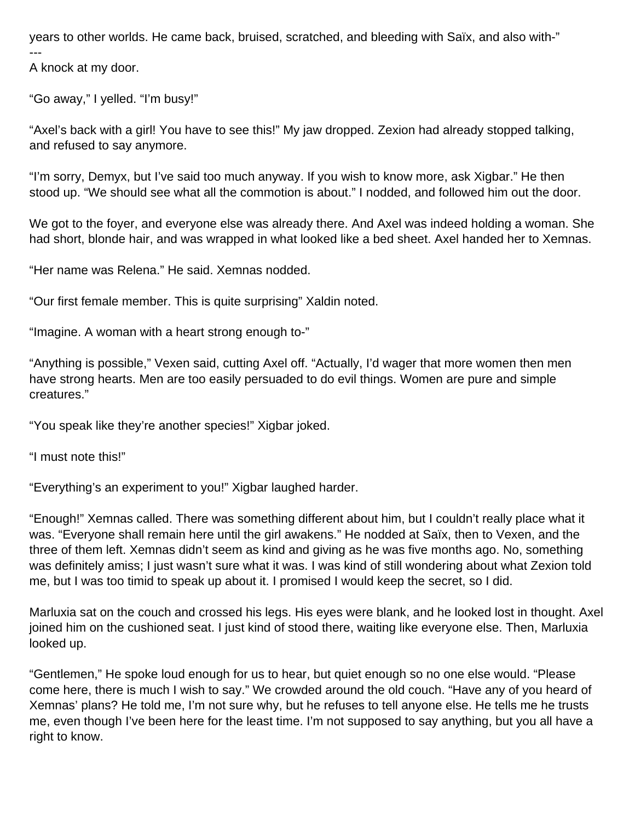years to other worlds. He came back, bruised, scratched, and bleeding with Saïx, and also with-" ---

A knock at my door.

"Go away," I yelled. "I'm busy!"

"Axel's back with a girl! You have to see this!" My jaw dropped. Zexion had already stopped talking, and refused to say anymore.

"I'm sorry, Demyx, but I've said too much anyway. If you wish to know more, ask Xigbar." He then stood up. "We should see what all the commotion is about." I nodded, and followed him out the door.

We got to the foyer, and everyone else was already there. And Axel was indeed holding a woman. She had short, blonde hair, and was wrapped in what looked like a bed sheet. Axel handed her to Xemnas.

"Her name was Relena." He said. Xemnas nodded.

"Our first female member. This is quite surprising" Xaldin noted.

"Imagine. A woman with a heart strong enough to-"

"Anything is possible," Vexen said, cutting Axel off. "Actually, I'd wager that more women then men have strong hearts. Men are too easily persuaded to do evil things. Women are pure and simple creatures."

"You speak like they're another species!" Xigbar joked.

"I must note this!"

"Everything's an experiment to you!" Xigbar laughed harder.

"Enough!" Xemnas called. There was something different about him, but I couldn't really place what it was. "Everyone shall remain here until the girl awakens." He nodded at Saïx, then to Vexen, and the three of them left. Xemnas didn't seem as kind and giving as he was five months ago. No, something was definitely amiss; I just wasn't sure what it was. I was kind of still wondering about what Zexion told me, but I was too timid to speak up about it. I promised I would keep the secret, so I did.

Marluxia sat on the couch and crossed his legs. His eyes were blank, and he looked lost in thought. Axel joined him on the cushioned seat. I just kind of stood there, waiting like everyone else. Then, Marluxia looked up.

"Gentlemen," He spoke loud enough for us to hear, but quiet enough so no one else would. "Please come here, there is much I wish to say." We crowded around the old couch. "Have any of you heard of Xemnas' plans? He told me, I'm not sure why, but he refuses to tell anyone else. He tells me he trusts me, even though I've been here for the least time. I'm not supposed to say anything, but you all have a right to know.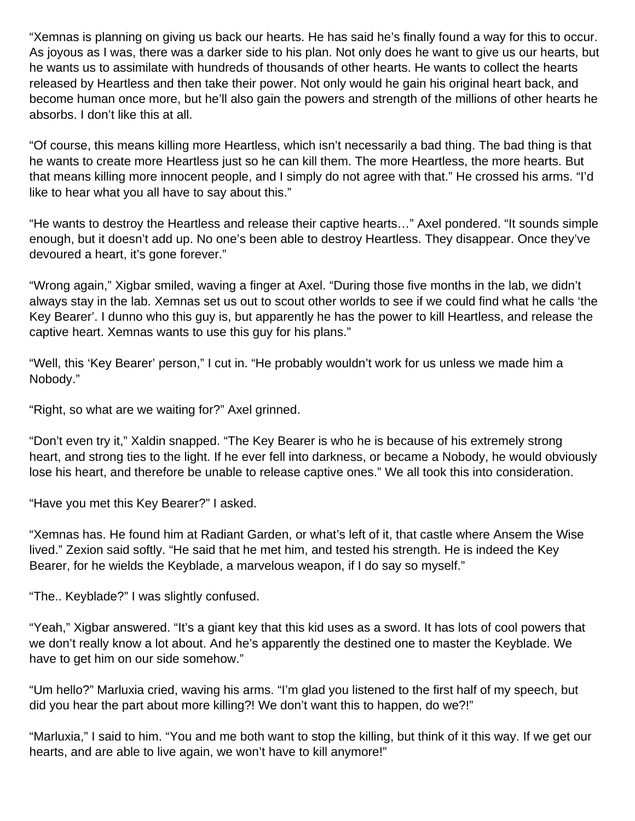"Xemnas is planning on giving us back our hearts. He has said he's finally found a way for this to occur. As joyous as I was, there was a darker side to his plan. Not only does he want to give us our hearts, but he wants us to assimilate with hundreds of thousands of other hearts. He wants to collect the hearts released by Heartless and then take their power. Not only would he gain his original heart back, and become human once more, but he'll also gain the powers and strength of the millions of other hearts he absorbs. I don't like this at all.

"Of course, this means killing more Heartless, which isn't necessarily a bad thing. The bad thing is that he wants to create more Heartless just so he can kill them. The more Heartless, the more hearts. But that means killing more innocent people, and I simply do not agree with that." He crossed his arms. "I'd like to hear what you all have to say about this."

"He wants to destroy the Heartless and release their captive hearts…" Axel pondered. "It sounds simple enough, but it doesn't add up. No one's been able to destroy Heartless. They disappear. Once they've devoured a heart, it's gone forever."

"Wrong again," Xigbar smiled, waving a finger at Axel. "During those five months in the lab, we didn't always stay in the lab. Xemnas set us out to scout other worlds to see if we could find what he calls 'the Key Bearer'. I dunno who this guy is, but apparently he has the power to kill Heartless, and release the captive heart. Xemnas wants to use this guy for his plans."

"Well, this 'Key Bearer' person," I cut in. "He probably wouldn't work for us unless we made him a Nobody."

"Right, so what are we waiting for?" Axel grinned.

"Don't even try it," Xaldin snapped. "The Key Bearer is who he is because of his extremely strong heart, and strong ties to the light. If he ever fell into darkness, or became a Nobody, he would obviously lose his heart, and therefore be unable to release captive ones." We all took this into consideration.

"Have you met this Key Bearer?" I asked.

"Xemnas has. He found him at Radiant Garden, or what's left of it, that castle where Ansem the Wise lived." Zexion said softly. "He said that he met him, and tested his strength. He is indeed the Key Bearer, for he wields the Keyblade, a marvelous weapon, if I do say so myself."

"The.. Keyblade?" I was slightly confused.

"Yeah," Xigbar answered. "It's a giant key that this kid uses as a sword. It has lots of cool powers that we don't really know a lot about. And he's apparently the destined one to master the Keyblade. We have to get him on our side somehow."

"Um hello?" Marluxia cried, waving his arms. "I'm glad you listened to the first half of my speech, but did you hear the part about more killing?! We don't want this to happen, do we?!"

"Marluxia," I said to him. "You and me both want to stop the killing, but think of it this way. If we get our hearts, and are able to live again, we won't have to kill anymore!"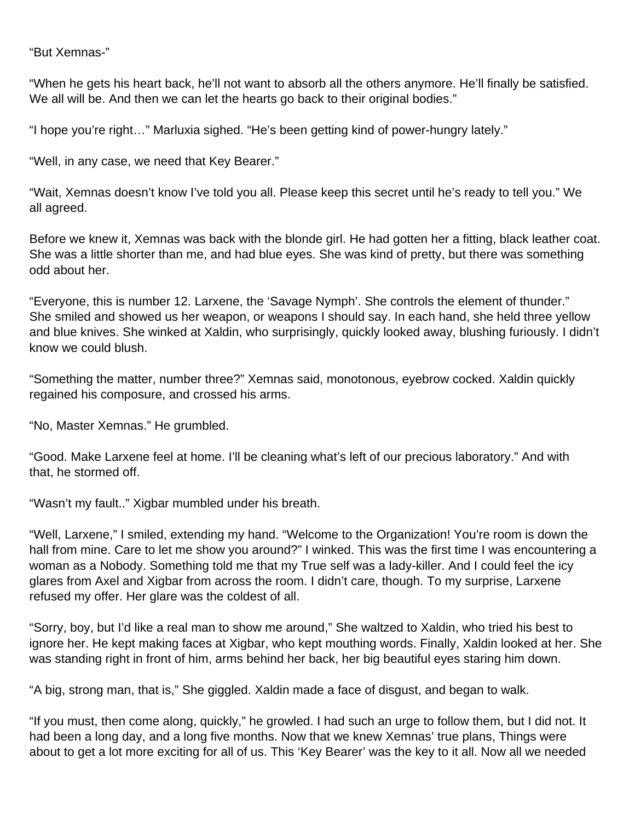#### "But Xemnas-"

"When he gets his heart back, he'll not want to absorb all the others anymore. He'll finally be satisfied. We all will be. And then we can let the hearts go back to their original bodies."

"I hope you're right…" Marluxia sighed. "He's been getting kind of power-hungry lately."

"Well, in any case, we need that Key Bearer."

"Wait, Xemnas doesn't know I've told you all. Please keep this secret until he's ready to tell you." We all agreed.

Before we knew it, Xemnas was back with the blonde girl. He had gotten her a fitting, black leather coat. She was a little shorter than me, and had blue eyes. She was kind of pretty, but there was something odd about her.

"Everyone, this is number 12. Larxene, the 'Savage Nymph'. She controls the element of thunder." She smiled and showed us her weapon, or weapons I should say. In each hand, she held three yellow and blue knives. She winked at Xaldin, who surprisingly, quickly looked away, blushing furiously. I didn't know we could blush.

"Something the matter, number three?" Xemnas said, monotonous, eyebrow cocked. Xaldin quickly regained his composure, and crossed his arms.

"No, Master Xemnas." He grumbled.

"Good. Make Larxene feel at home. I'll be cleaning what's left of our precious laboratory." And with that, he stormed off.

"Wasn't my fault.." Xigbar mumbled under his breath.

"Well, Larxene," I smiled, extending my hand. "Welcome to the Organization! You're room is down the hall from mine. Care to let me show you around?" I winked. This was the first time I was encountering a woman as a Nobody. Something told me that my True self was a lady-killer. And I could feel the icy glares from Axel and Xigbar from across the room. I didn't care, though. To my surprise, Larxene refused my offer. Her glare was the coldest of all.

"Sorry, boy, but I'd like a real man to show me around," She waltzed to Xaldin, who tried his best to ignore her. He kept making faces at Xigbar, who kept mouthing words. Finally, Xaldin looked at her. She was standing right in front of him, arms behind her back, her big beautiful eyes staring him down.

"A big, strong man, that is," She giggled. Xaldin made a face of disgust, and began to walk.

"If you must, then come along, quickly," he growled. I had such an urge to follow them, but I did not. It had been a long day, and a long five months. Now that we knew Xemnas' true plans, Things were about to get a lot more exciting for all of us. This 'Key Bearer' was the key to it all. Now all we needed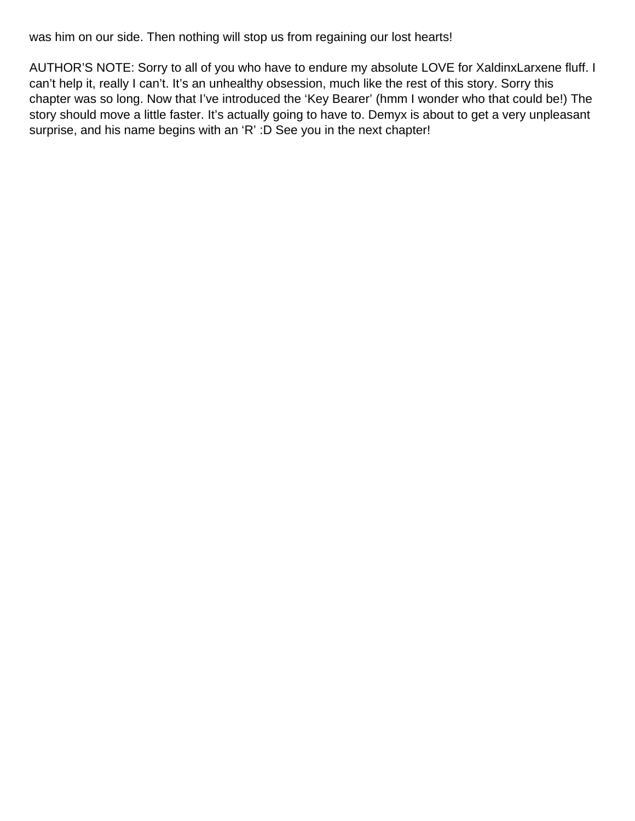was him on our side. Then nothing will stop us from regaining our lost hearts!

AUTHOR'S NOTE: Sorry to all of you who have to endure my absolute LOVE for XaldinxLarxene fluff. I can't help it, really I can't. It's an unhealthy obsession, much like the rest of this story. Sorry this chapter was so long. Now that I've introduced the 'Key Bearer' (hmm I wonder who that could be!) The story should move a little faster. It's actually going to have to. Demyx is about to get a very unpleasant surprise, and his name begins with an 'R' :D See you in the next chapter!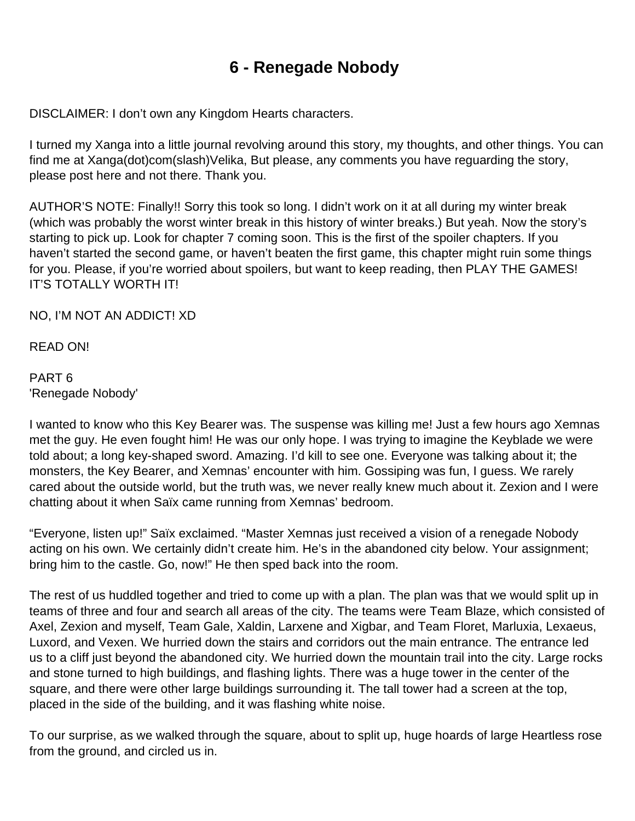# **6 - Renegade Nobody**

DISCLAIMER: I don't own any Kingdom Hearts characters.

I turned my Xanga into a little journal revolving around this story, my thoughts, and other things. You can find me at Xanga(dot)com(slash)Velika, But please, any comments you have reguarding the story, please post here and not there. Thank you.

AUTHOR'S NOTE: Finally!! Sorry this took so long. I didn't work on it at all during my winter break (which was probably the worst winter break in this history of winter breaks.) But yeah. Now the story's starting to pick up. Look for chapter 7 coming soon. This is the first of the spoiler chapters. If you haven't started the second game, or haven't beaten the first game, this chapter might ruin some things for you. Please, if you're worried about spoilers, but want to keep reading, then PLAY THE GAMES! IT'S TOTALLY WORTH IT!

NO, I'M NOT AN ADDICT! XD

READ ON!

PART 6 'Renegade Nobody'

I wanted to know who this Key Bearer was. The suspense was killing me! Just a few hours ago Xemnas met the guy. He even fought him! He was our only hope. I was trying to imagine the Keyblade we were told about; a long key-shaped sword. Amazing. I'd kill to see one. Everyone was talking about it; the monsters, the Key Bearer, and Xemnas' encounter with him. Gossiping was fun, I guess. We rarely cared about the outside world, but the truth was, we never really knew much about it. Zexion and I were chatting about it when Saïx came running from Xemnas' bedroom.

"Everyone, listen up!" Saïx exclaimed. "Master Xemnas just received a vision of a renegade Nobody acting on his own. We certainly didn't create him. He's in the abandoned city below. Your assignment; bring him to the castle. Go, now!" He then sped back into the room.

The rest of us huddled together and tried to come up with a plan. The plan was that we would split up in teams of three and four and search all areas of the city. The teams were Team Blaze, which consisted of Axel, Zexion and myself, Team Gale, Xaldin, Larxene and Xigbar, and Team Floret, Marluxia, Lexaeus, Luxord, and Vexen. We hurried down the stairs and corridors out the main entrance. The entrance led us to a cliff just beyond the abandoned city. We hurried down the mountain trail into the city. Large rocks and stone turned to high buildings, and flashing lights. There was a huge tower in the center of the square, and there were other large buildings surrounding it. The tall tower had a screen at the top, placed in the side of the building, and it was flashing white noise.

To our surprise, as we walked through the square, about to split up, huge hoards of large Heartless rose from the ground, and circled us in.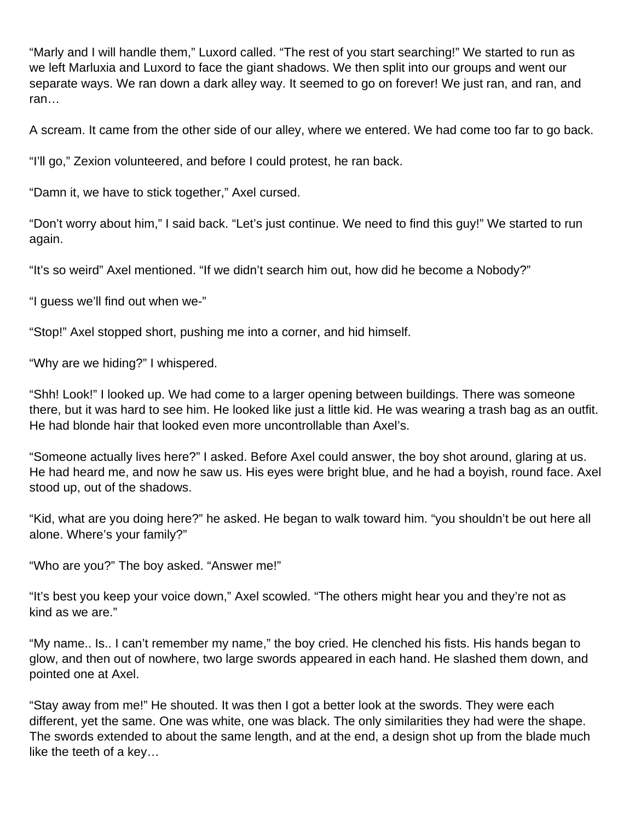"Marly and I will handle them," Luxord called. "The rest of you start searching!" We started to run as we left Marluxia and Luxord to face the giant shadows. We then split into our groups and went our separate ways. We ran down a dark alley way. It seemed to go on forever! We just ran, and ran, and ran…

A scream. It came from the other side of our alley, where we entered. We had come too far to go back.

"I'll go," Zexion volunteered, and before I could protest, he ran back.

"Damn it, we have to stick together," Axel cursed.

"Don't worry about him," I said back. "Let's just continue. We need to find this guy!" We started to run again.

"It's so weird" Axel mentioned. "If we didn't search him out, how did he become a Nobody?"

"I guess we'll find out when we-"

"Stop!" Axel stopped short, pushing me into a corner, and hid himself.

"Why are we hiding?" I whispered.

"Shh! Look!" I looked up. We had come to a larger opening between buildings. There was someone there, but it was hard to see him. He looked like just a little kid. He was wearing a trash bag as an outfit. He had blonde hair that looked even more uncontrollable than Axel's.

"Someone actually lives here?" I asked. Before Axel could answer, the boy shot around, glaring at us. He had heard me, and now he saw us. His eyes were bright blue, and he had a boyish, round face. Axel stood up, out of the shadows.

"Kid, what are you doing here?" he asked. He began to walk toward him. "you shouldn't be out here all alone. Where's your family?"

"Who are you?" The boy asked. "Answer me!"

"It's best you keep your voice down," Axel scowled. "The others might hear you and they're not as kind as we are."

"My name.. Is.. I can't remember my name," the boy cried. He clenched his fists. His hands began to glow, and then out of nowhere, two large swords appeared in each hand. He slashed them down, and pointed one at Axel.

"Stay away from me!" He shouted. It was then I got a better look at the swords. They were each different, yet the same. One was white, one was black. The only similarities they had were the shape. The swords extended to about the same length, and at the end, a design shot up from the blade much like the teeth of a key…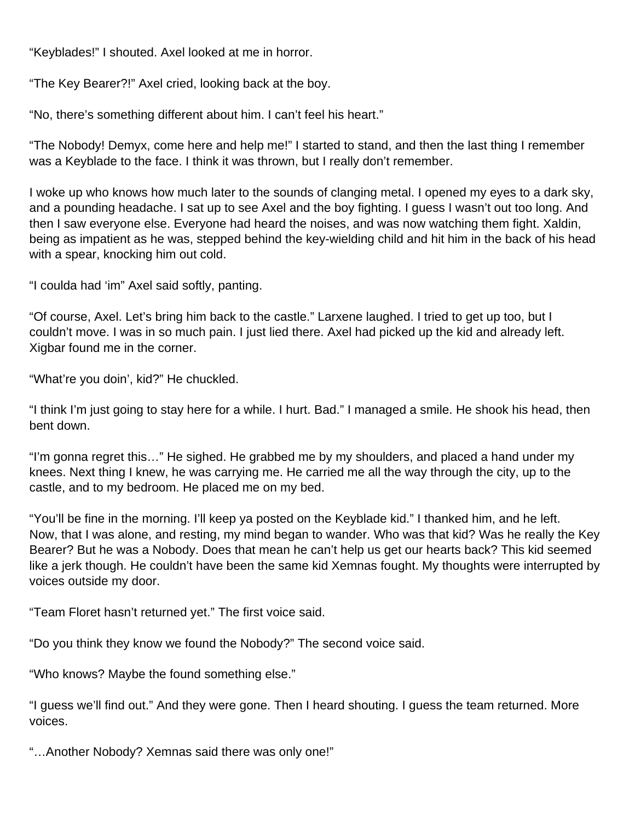"Keyblades!" I shouted. Axel looked at me in horror.

"The Key Bearer?!" Axel cried, looking back at the boy.

"No, there's something different about him. I can't feel his heart."

"The Nobody! Demyx, come here and help me!" I started to stand, and then the last thing I remember was a Keyblade to the face. I think it was thrown, but I really don't remember.

I woke up who knows how much later to the sounds of clanging metal. I opened my eyes to a dark sky, and a pounding headache. I sat up to see Axel and the boy fighting. I guess I wasn't out too long. And then I saw everyone else. Everyone had heard the noises, and was now watching them fight. Xaldin, being as impatient as he was, stepped behind the key-wielding child and hit him in the back of his head with a spear, knocking him out cold.

"I coulda had 'im" Axel said softly, panting.

"Of course, Axel. Let's bring him back to the castle." Larxene laughed. I tried to get up too, but I couldn't move. I was in so much pain. I just lied there. Axel had picked up the kid and already left. Xigbar found me in the corner.

"What're you doin', kid?" He chuckled.

"I think I'm just going to stay here for a while. I hurt. Bad." I managed a smile. He shook his head, then bent down.

"I'm gonna regret this…" He sighed. He grabbed me by my shoulders, and placed a hand under my knees. Next thing I knew, he was carrying me. He carried me all the way through the city, up to the castle, and to my bedroom. He placed me on my bed.

"You'll be fine in the morning. I'll keep ya posted on the Keyblade kid." I thanked him, and he left. Now, that I was alone, and resting, my mind began to wander. Who was that kid? Was he really the Key Bearer? But he was a Nobody. Does that mean he can't help us get our hearts back? This kid seemed like a jerk though. He couldn't have been the same kid Xemnas fought. My thoughts were interrupted by voices outside my door.

"Team Floret hasn't returned yet." The first voice said.

"Do you think they know we found the Nobody?" The second voice said.

"Who knows? Maybe the found something else."

"I guess we'll find out." And they were gone. Then I heard shouting. I guess the team returned. More voices.

"…Another Nobody? Xemnas said there was only one!"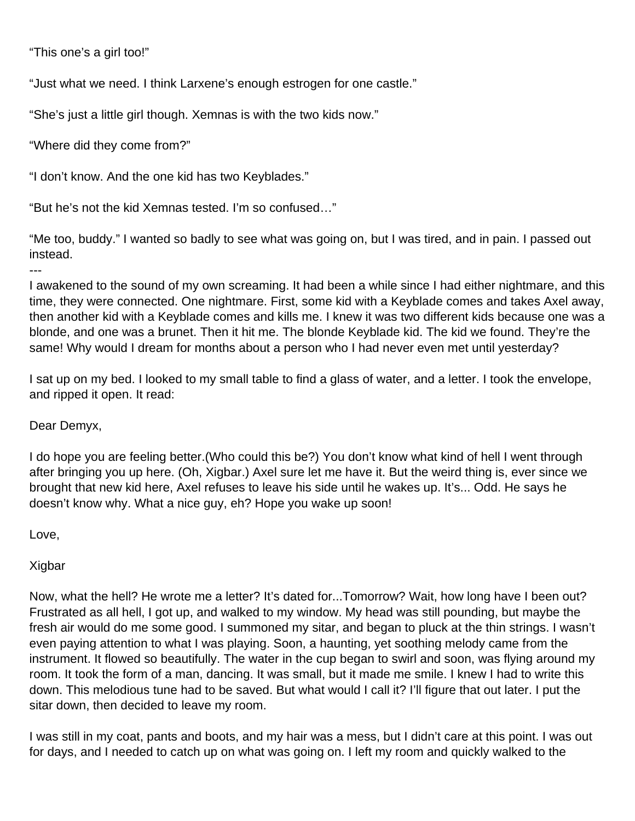"This one's a girl too!"

"Just what we need. I think Larxene's enough estrogen for one castle."

"She's just a little girl though. Xemnas is with the two kids now."

"Where did they come from?"

"I don't know. And the one kid has two Keyblades."

"But he's not the kid Xemnas tested. I'm so confused…"

"Me too, buddy." I wanted so badly to see what was going on, but I was tired, and in pain. I passed out instead.

I awakened to the sound of my own screaming. It had been a while since I had either nightmare, and this time, they were connected. One nightmare. First, some kid with a Keyblade comes and takes Axel away, then another kid with a Keyblade comes and kills me. I knew it was two different kids because one was a blonde, and one was a brunet. Then it hit me. The blonde Keyblade kid. The kid we found. They're the same! Why would I dream for months about a person who I had never even met until yesterday?

I sat up on my bed. I looked to my small table to find a glass of water, and a letter. I took the envelope, and ripped it open. It read:

#### Dear Demyx,

---

I do hope you are feeling better.(Who could this be?) You don't know what kind of hell I went through after bringing you up here. (Oh, Xigbar.) Axel sure let me have it. But the weird thing is, ever since we brought that new kid here, Axel refuses to leave his side until he wakes up. It's... Odd. He says he doesn't know why. What a nice guy, eh? Hope you wake up soon!

Love,

Xigbar

Now, what the hell? He wrote me a letter? It's dated for...Tomorrow? Wait, how long have I been out? Frustrated as all hell, I got up, and walked to my window. My head was still pounding, but maybe the fresh air would do me some good. I summoned my sitar, and began to pluck at the thin strings. I wasn't even paying attention to what I was playing. Soon, a haunting, yet soothing melody came from the instrument. It flowed so beautifully. The water in the cup began to swirl and soon, was flying around my room. It took the form of a man, dancing. It was small, but it made me smile. I knew I had to write this down. This melodious tune had to be saved. But what would I call it? I'll figure that out later. I put the sitar down, then decided to leave my room.

I was still in my coat, pants and boots, and my hair was a mess, but I didn't care at this point. I was out for days, and I needed to catch up on what was going on. I left my room and quickly walked to the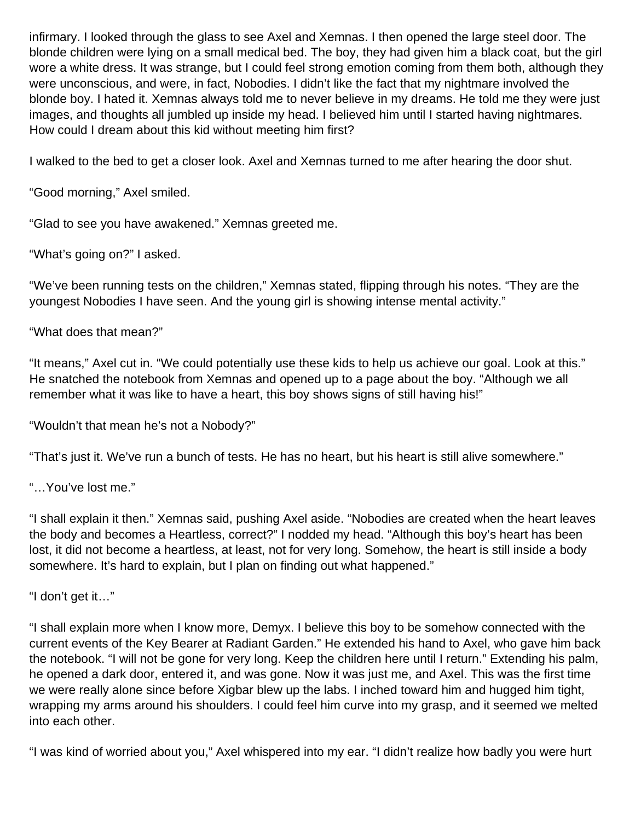infirmary. I looked through the glass to see Axel and Xemnas. I then opened the large steel door. The blonde children were lying on a small medical bed. The boy, they had given him a black coat, but the girl wore a white dress. It was strange, but I could feel strong emotion coming from them both, although they were unconscious, and were, in fact, Nobodies. I didn't like the fact that my nightmare involved the blonde boy. I hated it. Xemnas always told me to never believe in my dreams. He told me they were just images, and thoughts all jumbled up inside my head. I believed him until I started having nightmares. How could I dream about this kid without meeting him first?

I walked to the bed to get a closer look. Axel and Xemnas turned to me after hearing the door shut.

"Good morning," Axel smiled.

"Glad to see you have awakened." Xemnas greeted me.

"What's going on?" I asked.

"We've been running tests on the children," Xemnas stated, flipping through his notes. "They are the youngest Nobodies I have seen. And the young girl is showing intense mental activity."

"What does that mean?"

"It means," Axel cut in. "We could potentially use these kids to help us achieve our goal. Look at this." He snatched the notebook from Xemnas and opened up to a page about the boy. "Although we all remember what it was like to have a heart, this boy shows signs of still having his!"

"Wouldn't that mean he's not a Nobody?"

"That's just it. We've run a bunch of tests. He has no heart, but his heart is still alive somewhere."

"…You've lost me."

"I shall explain it then." Xemnas said, pushing Axel aside. "Nobodies are created when the heart leaves the body and becomes a Heartless, correct?" I nodded my head. "Although this boy's heart has been lost, it did not become a heartless, at least, not for very long. Somehow, the heart is still inside a body somewhere. It's hard to explain, but I plan on finding out what happened."

"I don't get it…"

"I shall explain more when I know more, Demyx. I believe this boy to be somehow connected with the current events of the Key Bearer at Radiant Garden." He extended his hand to Axel, who gave him back the notebook. "I will not be gone for very long. Keep the children here until I return." Extending his palm, he opened a dark door, entered it, and was gone. Now it was just me, and Axel. This was the first time we were really alone since before Xigbar blew up the labs. I inched toward him and hugged him tight, wrapping my arms around his shoulders. I could feel him curve into my grasp, and it seemed we melted into each other.

"I was kind of worried about you," Axel whispered into my ear. "I didn't realize how badly you were hurt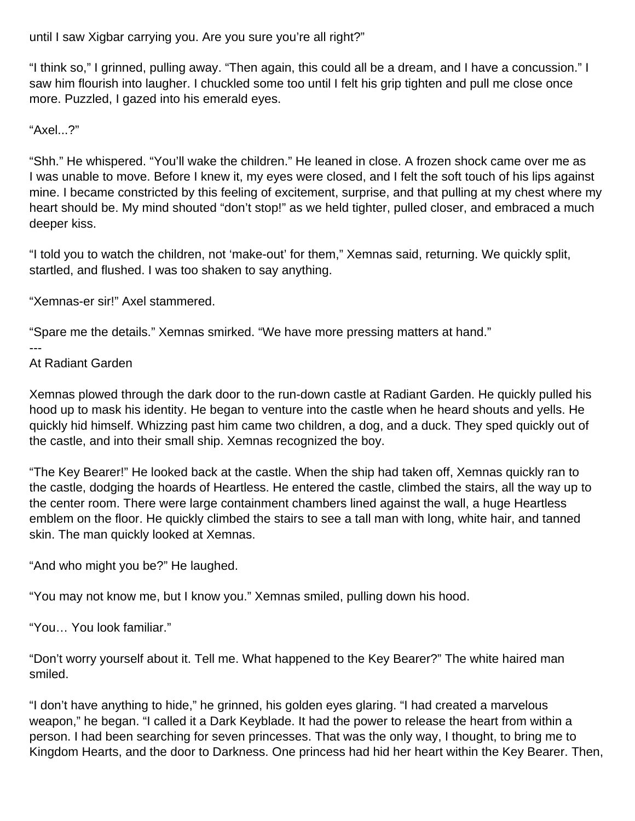until I saw Xigbar carrying you. Are you sure you're all right?"

"I think so," I grinned, pulling away. "Then again, this could all be a dream, and I have a concussion." I saw him flourish into laugher. I chuckled some too until I felt his grip tighten and pull me close once more. Puzzled, I gazed into his emerald eyes.

"Axel...?"

"Shh." He whispered. "You'll wake the children." He leaned in close. A frozen shock came over me as I was unable to move. Before I knew it, my eyes were closed, and I felt the soft touch of his lips against mine. I became constricted by this feeling of excitement, surprise, and that pulling at my chest where my heart should be. My mind shouted "don't stop!" as we held tighter, pulled closer, and embraced a much deeper kiss.

"I told you to watch the children, not 'make-out' for them," Xemnas said, returning. We quickly split, startled, and flushed. I was too shaken to say anything.

"Xemnas-er sir!" Axel stammered.

"Spare me the details." Xemnas smirked. "We have more pressing matters at hand."

---

At Radiant Garden

Xemnas plowed through the dark door to the run-down castle at Radiant Garden. He quickly pulled his hood up to mask his identity. He began to venture into the castle when he heard shouts and yells. He quickly hid himself. Whizzing past him came two children, a dog, and a duck. They sped quickly out of the castle, and into their small ship. Xemnas recognized the boy.

"The Key Bearer!" He looked back at the castle. When the ship had taken off, Xemnas quickly ran to the castle, dodging the hoards of Heartless. He entered the castle, climbed the stairs, all the way up to the center room. There were large containment chambers lined against the wall, a huge Heartless emblem on the floor. He quickly climbed the stairs to see a tall man with long, white hair, and tanned skin. The man quickly looked at Xemnas.

"And who might you be?" He laughed.

"You may not know me, but I know you." Xemnas smiled, pulling down his hood.

"You… You look familiar."

"Don't worry yourself about it. Tell me. What happened to the Key Bearer?" The white haired man smiled.

"I don't have anything to hide," he grinned, his golden eyes glaring. "I had created a marvelous weapon," he began. "I called it a Dark Keyblade. It had the power to release the heart from within a person. I had been searching for seven princesses. That was the only way, I thought, to bring me to Kingdom Hearts, and the door to Darkness. One princess had hid her heart within the Key Bearer. Then,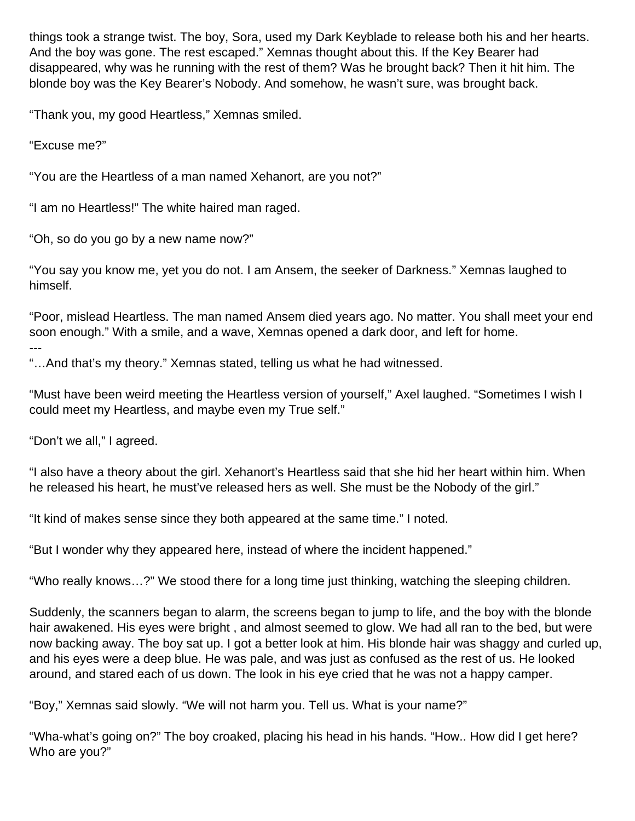things took a strange twist. The boy, Sora, used my Dark Keyblade to release both his and her hearts. And the boy was gone. The rest escaped." Xemnas thought about this. If the Key Bearer had disappeared, why was he running with the rest of them? Was he brought back? Then it hit him. The blonde boy was the Key Bearer's Nobody. And somehow, he wasn't sure, was brought back.

"Thank you, my good Heartless," Xemnas smiled.

"Excuse me?"

"You are the Heartless of a man named Xehanort, are you not?"

"I am no Heartless!" The white haired man raged.

"Oh, so do you go by a new name now?"

"You say you know me, yet you do not. I am Ansem, the seeker of Darkness." Xemnas laughed to himself.

"Poor, mislead Heartless. The man named Ansem died years ago. No matter. You shall meet your end soon enough." With a smile, and a wave, Xemnas opened a dark door, and left for home.

---

"…And that's my theory." Xemnas stated, telling us what he had witnessed.

"Must have been weird meeting the Heartless version of yourself," Axel laughed. "Sometimes I wish I could meet my Heartless, and maybe even my True self."

"Don't we all," I agreed.

"I also have a theory about the girl. Xehanort's Heartless said that she hid her heart within him. When he released his heart, he must've released hers as well. She must be the Nobody of the girl."

"It kind of makes sense since they both appeared at the same time." I noted.

"But I wonder why they appeared here, instead of where the incident happened."

"Who really knows…?" We stood there for a long time just thinking, watching the sleeping children.

Suddenly, the scanners began to alarm, the screens began to jump to life, and the boy with the blonde hair awakened. His eyes were bright , and almost seemed to glow. We had all ran to the bed, but were now backing away. The boy sat up. I got a better look at him. His blonde hair was shaggy and curled up, and his eyes were a deep blue. He was pale, and was just as confused as the rest of us. He looked around, and stared each of us down. The look in his eye cried that he was not a happy camper.

"Boy," Xemnas said slowly. "We will not harm you. Tell us. What is your name?"

"Wha-what's going on?" The boy croaked, placing his head in his hands. "How.. How did I get here? Who are you?"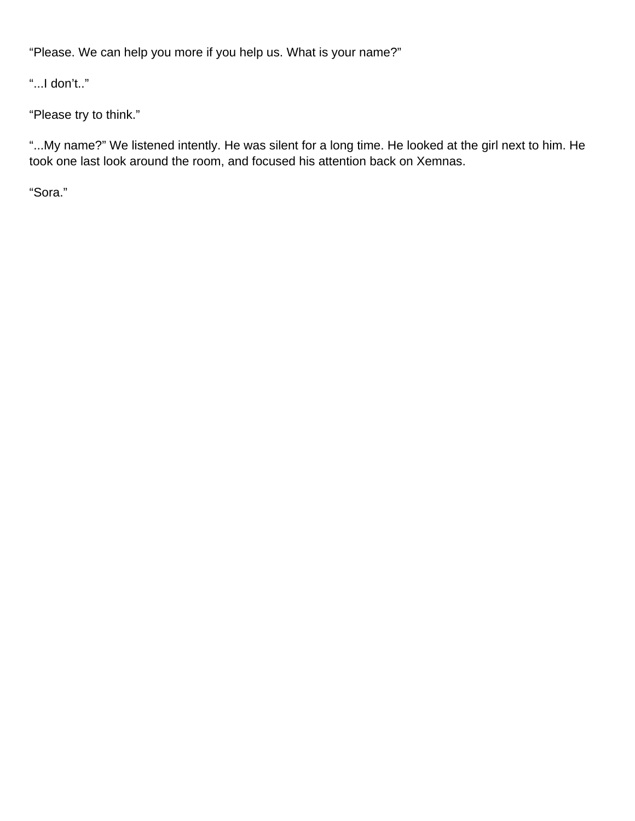"Please. We can help you more if you help us. What is your name?"

"...I don't.."

"Please try to think."

"...My name?" We listened intently. He was silent for a long time. He looked at the girl next to him. He took one last look around the room, and focused his attention back on Xemnas.

"Sora."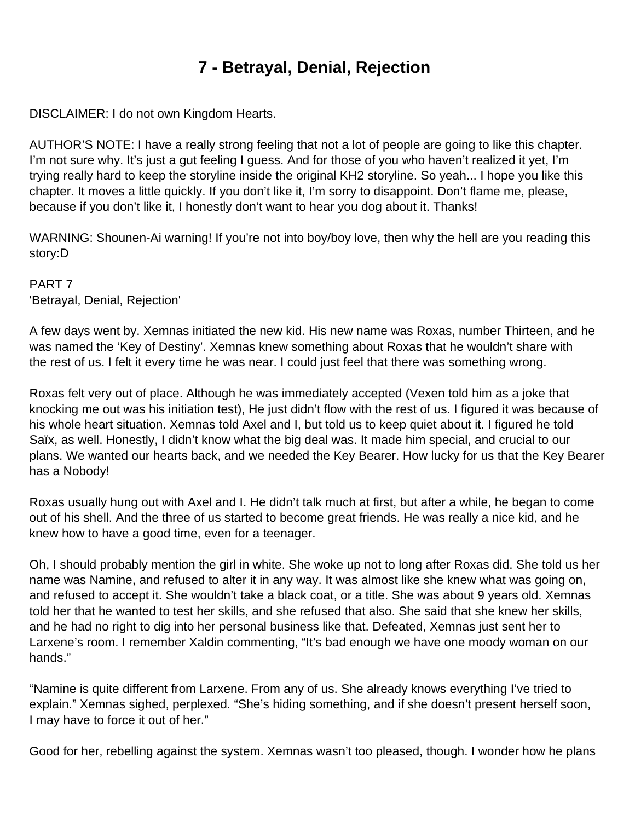# **7 - Betrayal, Denial, Rejection**

DISCLAIMER: I do not own Kingdom Hearts.

AUTHOR'S NOTE: I have a really strong feeling that not a lot of people are going to like this chapter. I'm not sure why. It's just a gut feeling I guess. And for those of you who haven't realized it yet, I'm trying really hard to keep the storyline inside the original KH2 storyline. So yeah... I hope you like this chapter. It moves a little quickly. If you don't like it, I'm sorry to disappoint. Don't flame me, please, because if you don't like it, I honestly don't want to hear you dog about it. Thanks!

WARNING: Shounen-Ai warning! If you're not into boy/boy love, then why the hell are you reading this story:D

PART 7 'Betrayal, Denial, Rejection'

A few days went by. Xemnas initiated the new kid. His new name was Roxas, number Thirteen, and he was named the 'Key of Destiny'. Xemnas knew something about Roxas that he wouldn't share with the rest of us. I felt it every time he was near. I could just feel that there was something wrong.

Roxas felt very out of place. Although he was immediately accepted (Vexen told him as a joke that knocking me out was his initiation test), He just didn't flow with the rest of us. I figured it was because of his whole heart situation. Xemnas told Axel and I, but told us to keep quiet about it. I figured he told Saïx, as well. Honestly, I didn't know what the big deal was. It made him special, and crucial to our plans. We wanted our hearts back, and we needed the Key Bearer. How lucky for us that the Key Bearer has a Nobody!

Roxas usually hung out with Axel and I. He didn't talk much at first, but after a while, he began to come out of his shell. And the three of us started to become great friends. He was really a nice kid, and he knew how to have a good time, even for a teenager.

Oh, I should probably mention the girl in white. She woke up not to long after Roxas did. She told us her name was Namine, and refused to alter it in any way. It was almost like she knew what was going on, and refused to accept it. She wouldn't take a black coat, or a title. She was about 9 years old. Xemnas told her that he wanted to test her skills, and she refused that also. She said that she knew her skills, and he had no right to dig into her personal business like that. Defeated, Xemnas just sent her to Larxene's room. I remember Xaldin commenting, "It's bad enough we have one moody woman on our hands."

"Namine is quite different from Larxene. From any of us. She already knows everything I've tried to explain." Xemnas sighed, perplexed. "She's hiding something, and if she doesn't present herself soon, I may have to force it out of her."

Good for her, rebelling against the system. Xemnas wasn't too pleased, though. I wonder how he plans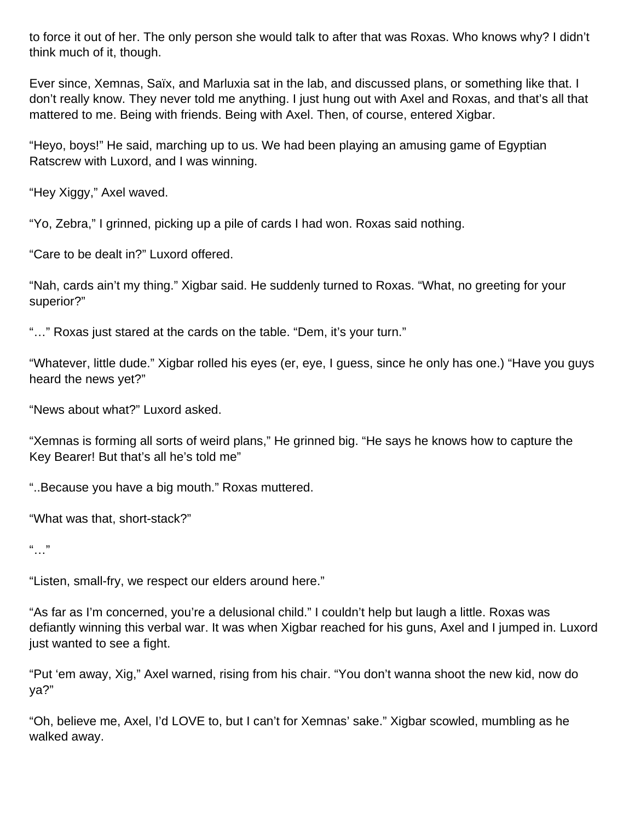to force it out of her. The only person she would talk to after that was Roxas. Who knows why? I didn't think much of it, though.

Ever since, Xemnas, Saïx, and Marluxia sat in the lab, and discussed plans, or something like that. I don't really know. They never told me anything. I just hung out with Axel and Roxas, and that's all that mattered to me. Being with friends. Being with Axel. Then, of course, entered Xigbar.

"Heyo, boys!" He said, marching up to us. We had been playing an amusing game of Egyptian Ratscrew with Luxord, and I was winning.

"Hey Xiggy," Axel waved.

"Yo, Zebra," I grinned, picking up a pile of cards I had won. Roxas said nothing.

"Care to be dealt in?" Luxord offered.

"Nah, cards ain't my thing." Xigbar said. He suddenly turned to Roxas. "What, no greeting for your superior?"

"…" Roxas just stared at the cards on the table. "Dem, it's your turn."

"Whatever, little dude." Xigbar rolled his eyes (er, eye, I guess, since he only has one.) "Have you guys heard the news yet?"

"News about what?" Luxord asked.

"Xemnas is forming all sorts of weird plans," He grinned big. "He says he knows how to capture the Key Bearer! But that's all he's told me"

"..Because you have a big mouth." Roxas muttered.

"What was that, short-stack?"

 $"$ 

"Listen, small-fry, we respect our elders around here."

"As far as I'm concerned, you're a delusional child." I couldn't help but laugh a little. Roxas was defiantly winning this verbal war. It was when Xigbar reached for his guns, Axel and I jumped in. Luxord just wanted to see a fight.

"Put 'em away, Xig," Axel warned, rising from his chair. "You don't wanna shoot the new kid, now do ya?"

"Oh, believe me, Axel, I'd LOVE to, but I can't for Xemnas' sake." Xigbar scowled, mumbling as he walked away.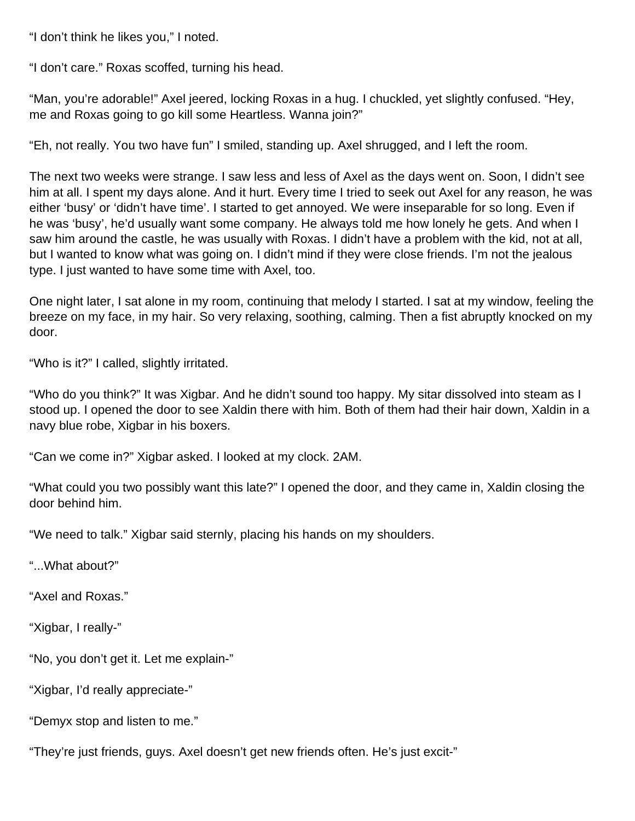"I don't think he likes you," I noted.

"I don't care." Roxas scoffed, turning his head.

"Man, you're adorable!" Axel jeered, locking Roxas in a hug. I chuckled, yet slightly confused. "Hey, me and Roxas going to go kill some Heartless. Wanna join?"

"Eh, not really. You two have fun" I smiled, standing up. Axel shrugged, and I left the room.

The next two weeks were strange. I saw less and less of Axel as the days went on. Soon, I didn't see him at all. I spent my days alone. And it hurt. Every time I tried to seek out Axel for any reason, he was either 'busy' or 'didn't have time'. I started to get annoyed. We were inseparable for so long. Even if he was 'busy', he'd usually want some company. He always told me how lonely he gets. And when I saw him around the castle, he was usually with Roxas. I didn't have a problem with the kid, not at all, but I wanted to know what was going on. I didn't mind if they were close friends. I'm not the jealous type. I just wanted to have some time with Axel, too.

One night later, I sat alone in my room, continuing that melody I started. I sat at my window, feeling the breeze on my face, in my hair. So very relaxing, soothing, calming. Then a fist abruptly knocked on my door.

"Who is it?" I called, slightly irritated.

"Who do you think?" It was Xigbar. And he didn't sound too happy. My sitar dissolved into steam as I stood up. I opened the door to see Xaldin there with him. Both of them had their hair down, Xaldin in a navy blue robe, Xigbar in his boxers.

"Can we come in?" Xigbar asked. I looked at my clock. 2AM.

"What could you two possibly want this late?" I opened the door, and they came in, Xaldin closing the door behind him.

"We need to talk." Xigbar said sternly, placing his hands on my shoulders.

"...What about?"

"Axel and Roxas."

"Xigbar, I really-"

"No, you don't get it. Let me explain-"

"Xigbar, I'd really appreciate-"

"Demyx stop and listen to me."

"They're just friends, guys. Axel doesn't get new friends often. He's just excit-"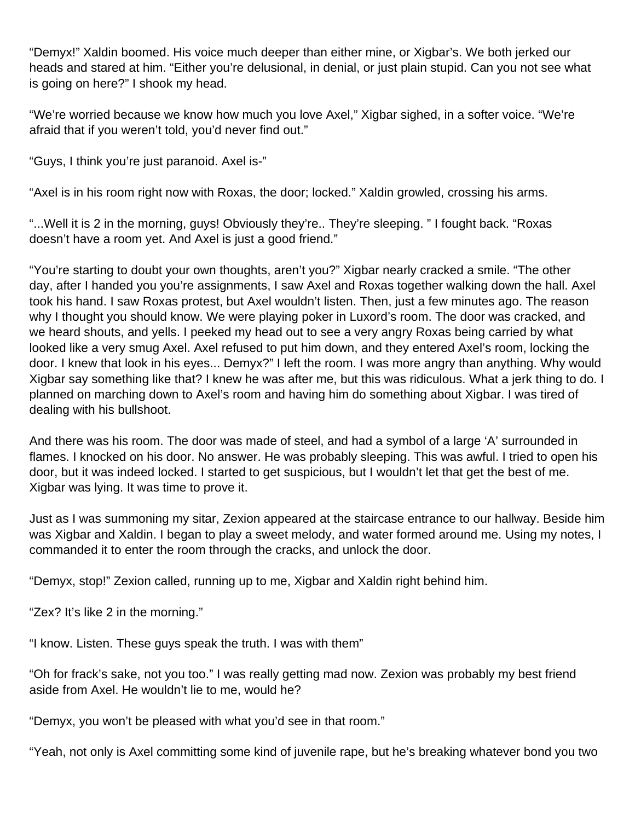"Demyx!" Xaldin boomed. His voice much deeper than either mine, or Xigbar's. We both jerked our heads and stared at him. "Either you're delusional, in denial, or just plain stupid. Can you not see what is going on here?" I shook my head.

"We're worried because we know how much you love Axel," Xigbar sighed, in a softer voice. "We're afraid that if you weren't told, you'd never find out."

"Guys, I think you're just paranoid. Axel is-"

"Axel is in his room right now with Roxas, the door; locked." Xaldin growled, crossing his arms.

"...Well it is 2 in the morning, guys! Obviously they're.. They're sleeping. " I fought back. "Roxas doesn't have a room yet. And Axel is just a good friend."

"You're starting to doubt your own thoughts, aren't you?" Xigbar nearly cracked a smile. "The other day, after I handed you you're assignments, I saw Axel and Roxas together walking down the hall. Axel took his hand. I saw Roxas protest, but Axel wouldn't listen. Then, just a few minutes ago. The reason why I thought you should know. We were playing poker in Luxord's room. The door was cracked, and we heard shouts, and yells. I peeked my head out to see a very angry Roxas being carried by what looked like a very smug Axel. Axel refused to put him down, and they entered Axel's room, locking the door. I knew that look in his eyes... Demyx?" I left the room. I was more angry than anything. Why would Xigbar say something like that? I knew he was after me, but this was ridiculous. What a jerk thing to do. I planned on marching down to Axel's room and having him do something about Xigbar. I was tired of dealing with his bullshoot.

And there was his room. The door was made of steel, and had a symbol of a large 'A' surrounded in flames. I knocked on his door. No answer. He was probably sleeping. This was awful. I tried to open his door, but it was indeed locked. I started to get suspicious, but I wouldn't let that get the best of me. Xigbar was lying. It was time to prove it.

Just as I was summoning my sitar, Zexion appeared at the staircase entrance to our hallway. Beside him was Xigbar and Xaldin. I began to play a sweet melody, and water formed around me. Using my notes, I commanded it to enter the room through the cracks, and unlock the door.

"Demyx, stop!" Zexion called, running up to me, Xigbar and Xaldin right behind him.

"Zex? It's like 2 in the morning."

"I know. Listen. These guys speak the truth. I was with them"

"Oh for frack's sake, not you too." I was really getting mad now. Zexion was probably my best friend aside from Axel. He wouldn't lie to me, would he?

"Demyx, you won't be pleased with what you'd see in that room."

"Yeah, not only is Axel committing some kind of juvenile rape, but he's breaking whatever bond you two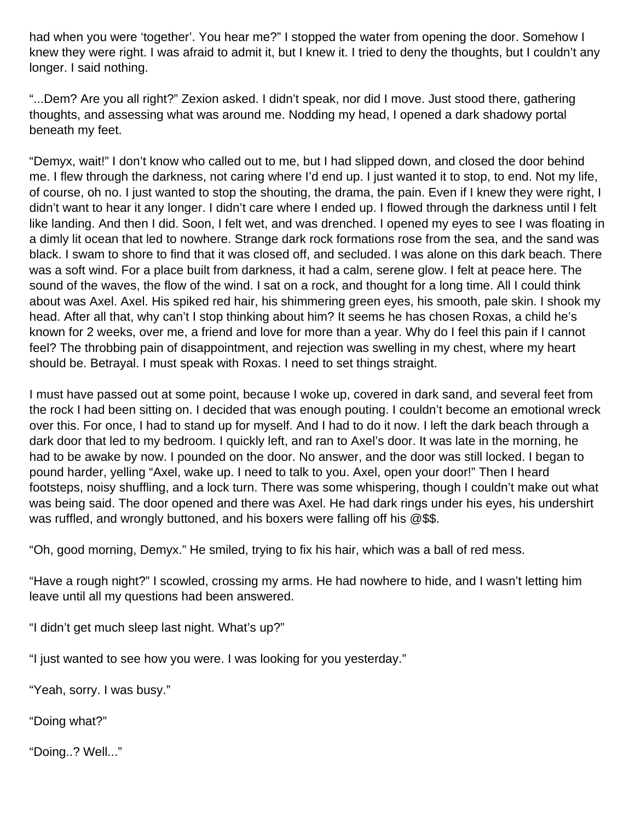had when you were 'together'. You hear me?" I stopped the water from opening the door. Somehow I knew they were right. I was afraid to admit it, but I knew it. I tried to deny the thoughts, but I couldn't any longer. I said nothing.

"...Dem? Are you all right?" Zexion asked. I didn't speak, nor did I move. Just stood there, gathering thoughts, and assessing what was around me. Nodding my head, I opened a dark shadowy portal beneath my feet.

"Demyx, wait!" I don't know who called out to me, but I had slipped down, and closed the door behind me. I flew through the darkness, not caring where I'd end up. I just wanted it to stop, to end. Not my life, of course, oh no. I just wanted to stop the shouting, the drama, the pain. Even if I knew they were right, I didn't want to hear it any longer. I didn't care where I ended up. I flowed through the darkness until I felt like landing. And then I did. Soon, I felt wet, and was drenched. I opened my eyes to see I was floating in a dimly lit ocean that led to nowhere. Strange dark rock formations rose from the sea, and the sand was black. I swam to shore to find that it was closed off, and secluded. I was alone on this dark beach. There was a soft wind. For a place built from darkness, it had a calm, serene glow. I felt at peace here. The sound of the waves, the flow of the wind. I sat on a rock, and thought for a long time. All I could think about was Axel. Axel. His spiked red hair, his shimmering green eyes, his smooth, pale skin. I shook my head. After all that, why can't I stop thinking about him? It seems he has chosen Roxas, a child he's known for 2 weeks, over me, a friend and love for more than a year. Why do I feel this pain if I cannot feel? The throbbing pain of disappointment, and rejection was swelling in my chest, where my heart should be. Betrayal. I must speak with Roxas. I need to set things straight.

I must have passed out at some point, because I woke up, covered in dark sand, and several feet from the rock I had been sitting on. I decided that was enough pouting. I couldn't become an emotional wreck over this. For once, I had to stand up for myself. And I had to do it now. I left the dark beach through a dark door that led to my bedroom. I quickly left, and ran to Axel's door. It was late in the morning, he had to be awake by now. I pounded on the door. No answer, and the door was still locked. I began to pound harder, yelling "Axel, wake up. I need to talk to you. Axel, open your door!" Then I heard footsteps, noisy shuffling, and a lock turn. There was some whispering, though I couldn't make out what was being said. The door opened and there was Axel. He had dark rings under his eyes, his undershirt was ruffled, and wrongly buttoned, and his boxers were falling off his @\$\$.

"Oh, good morning, Demyx." He smiled, trying to fix his hair, which was a ball of red mess.

"Have a rough night?" I scowled, crossing my arms. He had nowhere to hide, and I wasn't letting him leave until all my questions had been answered.

"I didn't get much sleep last night. What's up?"

"I just wanted to see how you were. I was looking for you yesterday."

"Yeah, sorry. I was busy."

"Doing what?"

"Doing..? Well..."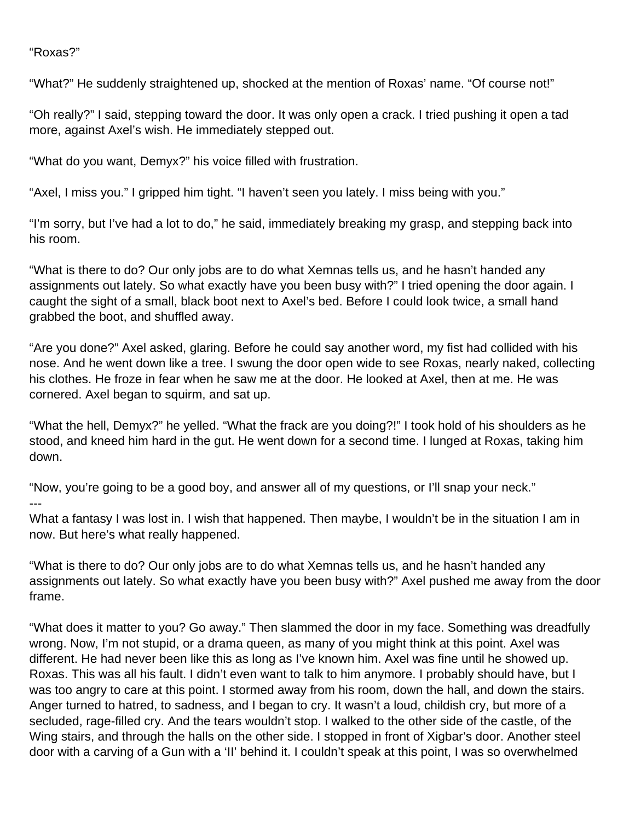#### "Roxas?"

"What?" He suddenly straightened up, shocked at the mention of Roxas' name. "Of course not!"

"Oh really?" I said, stepping toward the door. It was only open a crack. I tried pushing it open a tad more, against Axel's wish. He immediately stepped out.

"What do you want, Demyx?" his voice filled with frustration.

"Axel, I miss you." I gripped him tight. "I haven't seen you lately. I miss being with you."

"I'm sorry, but I've had a lot to do," he said, immediately breaking my grasp, and stepping back into his room.

"What is there to do? Our only jobs are to do what Xemnas tells us, and he hasn't handed any assignments out lately. So what exactly have you been busy with?" I tried opening the door again. I caught the sight of a small, black boot next to Axel's bed. Before I could look twice, a small hand grabbed the boot, and shuffled away.

"Are you done?" Axel asked, glaring. Before he could say another word, my fist had collided with his nose. And he went down like a tree. I swung the door open wide to see Roxas, nearly naked, collecting his clothes. He froze in fear when he saw me at the door. He looked at Axel, then at me. He was cornered. Axel began to squirm, and sat up.

"What the hell, Demyx?" he yelled. "What the frack are you doing?!" I took hold of his shoulders as he stood, and kneed him hard in the gut. He went down for a second time. I lunged at Roxas, taking him down.

"Now, you're going to be a good boy, and answer all of my questions, or I'll snap your neck." ---

What a fantasy I was lost in. I wish that happened. Then maybe, I wouldn't be in the situation I am in now. But here's what really happened.

"What is there to do? Our only jobs are to do what Xemnas tells us, and he hasn't handed any assignments out lately. So what exactly have you been busy with?" Axel pushed me away from the door frame.

"What does it matter to you? Go away." Then slammed the door in my face. Something was dreadfully wrong. Now, I'm not stupid, or a drama queen, as many of you might think at this point. Axel was different. He had never been like this as long as I've known him. Axel was fine until he showed up. Roxas. This was all his fault. I didn't even want to talk to him anymore. I probably should have, but I was too angry to care at this point. I stormed away from his room, down the hall, and down the stairs. Anger turned to hatred, to sadness, and I began to cry. It wasn't a loud, childish cry, but more of a secluded, rage-filled cry. And the tears wouldn't stop. I walked to the other side of the castle, of the Wing stairs, and through the halls on the other side. I stopped in front of Xigbar's door. Another steel door with a carving of a Gun with a 'II' behind it. I couldn't speak at this point, I was so overwhelmed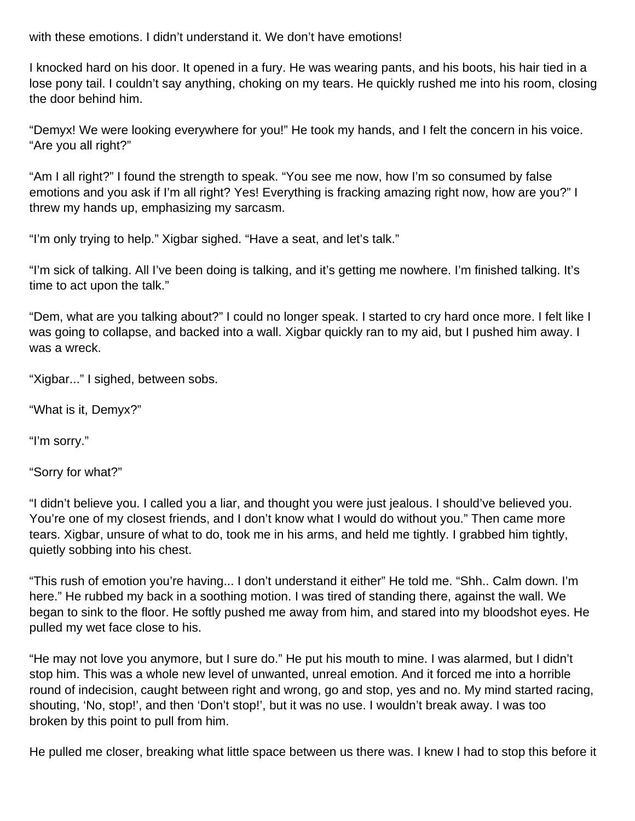with these emotions. I didn't understand it. We don't have emotions!

I knocked hard on his door. It opened in a fury. He was wearing pants, and his boots, his hair tied in a lose pony tail. I couldn't say anything, choking on my tears. He quickly rushed me into his room, closing the door behind him.

"Demyx! We were looking everywhere for you!" He took my hands, and I felt the concern in his voice. "Are you all right?"

"Am I all right?" I found the strength to speak. "You see me now, how I'm so consumed by false emotions and you ask if I'm all right? Yes! Everything is fracking amazing right now, how are you?" I threw my hands up, emphasizing my sarcasm.

"I'm only trying to help." Xigbar sighed. "Have a seat, and let's talk."

"I'm sick of talking. All I've been doing is talking, and it's getting me nowhere. I'm finished talking. It's time to act upon the talk."

"Dem, what are you talking about?" I could no longer speak. I started to cry hard once more. I felt like I was going to collapse, and backed into a wall. Xigbar quickly ran to my aid, but I pushed him away. I was a wreck.

"Xigbar..." I sighed, between sobs.

"What is it, Demyx?"

"I'm sorry."

"Sorry for what?"

"I didn't believe you. I called you a liar, and thought you were just jealous. I should've believed you. You're one of my closest friends, and I don't know what I would do without you." Then came more tears. Xigbar, unsure of what to do, took me in his arms, and held me tightly. I grabbed him tightly, quietly sobbing into his chest.

"This rush of emotion you're having... I don't understand it either" He told me. "Shh.. Calm down. I'm here." He rubbed my back in a soothing motion. I was tired of standing there, against the wall. We began to sink to the floor. He softly pushed me away from him, and stared into my bloodshot eyes. He pulled my wet face close to his.

"He may not love you anymore, but I sure do." He put his mouth to mine. I was alarmed, but I didn't stop him. This was a whole new level of unwanted, unreal emotion. And it forced me into a horrible round of indecision, caught between right and wrong, go and stop, yes and no. My mind started racing, shouting, 'No, stop!', and then 'Don't stop!', but it was no use. I wouldn't break away. I was too broken by this point to pull from him.

He pulled me closer, breaking what little space between us there was. I knew I had to stop this before it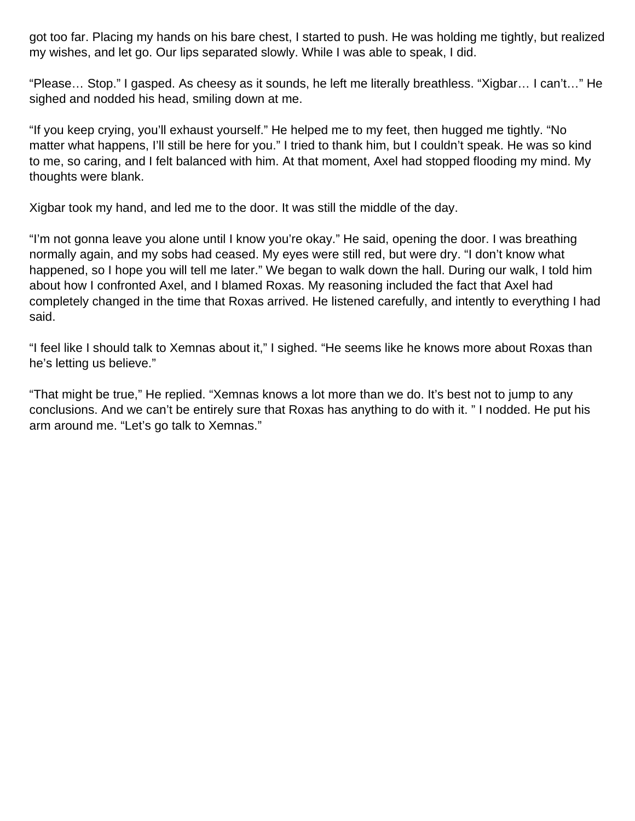got too far. Placing my hands on his bare chest, I started to push. He was holding me tightly, but realized my wishes, and let go. Our lips separated slowly. While I was able to speak, I did.

"Please… Stop." I gasped. As cheesy as it sounds, he left me literally breathless. "Xigbar… I can't…" He sighed and nodded his head, smiling down at me.

"If you keep crying, you'll exhaust yourself." He helped me to my feet, then hugged me tightly. "No matter what happens, I'll still be here for you." I tried to thank him, but I couldn't speak. He was so kind to me, so caring, and I felt balanced with him. At that moment, Axel had stopped flooding my mind. My thoughts were blank.

Xigbar took my hand, and led me to the door. It was still the middle of the day.

"I'm not gonna leave you alone until I know you're okay." He said, opening the door. I was breathing normally again, and my sobs had ceased. My eyes were still red, but were dry. "I don't know what happened, so I hope you will tell me later." We began to walk down the hall. During our walk, I told him about how I confronted Axel, and I blamed Roxas. My reasoning included the fact that Axel had completely changed in the time that Roxas arrived. He listened carefully, and intently to everything I had said.

"I feel like I should talk to Xemnas about it," I sighed. "He seems like he knows more about Roxas than he's letting us believe."

"That might be true," He replied. "Xemnas knows a lot more than we do. It's best not to jump to any conclusions. And we can't be entirely sure that Roxas has anything to do with it. " I nodded. He put his arm around me. "Let's go talk to Xemnas."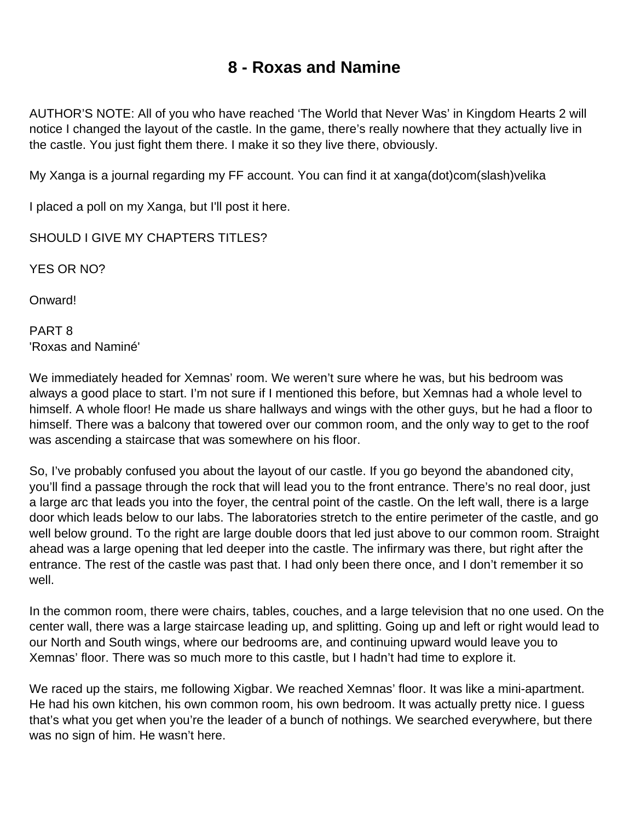## **8 - Roxas and Namine**

AUTHOR'S NOTE: All of you who have reached 'The World that Never Was' in Kingdom Hearts 2 will notice I changed the layout of the castle. In the game, there's really nowhere that they actually live in the castle. You just fight them there. I make it so they live there, obviously.

My Xanga is a journal regarding my FF account. You can find it at xanga(dot)com(slash)velika

I placed a poll on my Xanga, but I'll post it here.

SHOULD I GIVE MY CHAPTERS TITLES?

YES OR NO?

Onward!

PART 8 'Roxas and Naminé'

We immediately headed for Xemnas' room. We weren't sure where he was, but his bedroom was always a good place to start. I'm not sure if I mentioned this before, but Xemnas had a whole level to himself. A whole floor! He made us share hallways and wings with the other guys, but he had a floor to himself. There was a balcony that towered over our common room, and the only way to get to the roof was ascending a staircase that was somewhere on his floor.

So, I've probably confused you about the layout of our castle. If you go beyond the abandoned city, you'll find a passage through the rock that will lead you to the front entrance. There's no real door, just a large arc that leads you into the foyer, the central point of the castle. On the left wall, there is a large door which leads below to our labs. The laboratories stretch to the entire perimeter of the castle, and go well below ground. To the right are large double doors that led just above to our common room. Straight ahead was a large opening that led deeper into the castle. The infirmary was there, but right after the entrance. The rest of the castle was past that. I had only been there once, and I don't remember it so well.

In the common room, there were chairs, tables, couches, and a large television that no one used. On the center wall, there was a large staircase leading up, and splitting. Going up and left or right would lead to our North and South wings, where our bedrooms are, and continuing upward would leave you to Xemnas' floor. There was so much more to this castle, but I hadn't had time to explore it.

We raced up the stairs, me following Xigbar. We reached Xemnas' floor. It was like a mini-apartment. He had his own kitchen, his own common room, his own bedroom. It was actually pretty nice. I guess that's what you get when you're the leader of a bunch of nothings. We searched everywhere, but there was no sign of him. He wasn't here.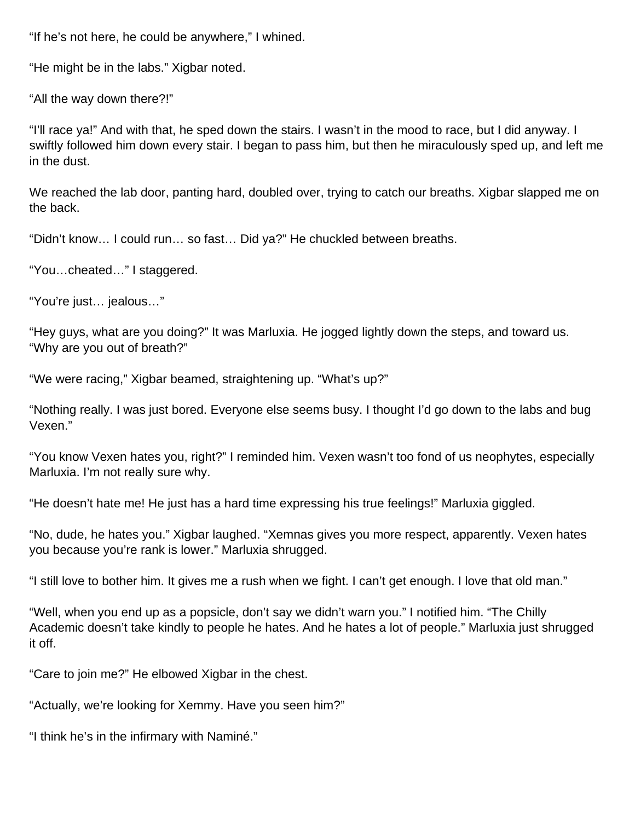"If he's not here, he could be anywhere," I whined.

"He might be in the labs." Xigbar noted.

"All the way down there?!"

"I'll race ya!" And with that, he sped down the stairs. I wasn't in the mood to race, but I did anyway. I swiftly followed him down every stair. I began to pass him, but then he miraculously sped up, and left me in the dust.

We reached the lab door, panting hard, doubled over, trying to catch our breaths. Xigbar slapped me on the back.

"Didn't know… I could run… so fast… Did ya?" He chuckled between breaths.

"You…cheated…" I staggered.

"You're just… jealous…"

"Hey guys, what are you doing?" It was Marluxia. He jogged lightly down the steps, and toward us. "Why are you out of breath?"

"We were racing," Xigbar beamed, straightening up. "What's up?"

"Nothing really. I was just bored. Everyone else seems busy. I thought I'd go down to the labs and bug Vexen."

"You know Vexen hates you, right?" I reminded him. Vexen wasn't too fond of us neophytes, especially Marluxia. I'm not really sure why.

"He doesn't hate me! He just has a hard time expressing his true feelings!" Marluxia giggled.

"No, dude, he hates you." Xigbar laughed. "Xemnas gives you more respect, apparently. Vexen hates you because you're rank is lower." Marluxia shrugged.

"I still love to bother him. It gives me a rush when we fight. I can't get enough. I love that old man."

"Well, when you end up as a popsicle, don't say we didn't warn you." I notified him. "The Chilly Academic doesn't take kindly to people he hates. And he hates a lot of people." Marluxia just shrugged it off.

"Care to join me?" He elbowed Xigbar in the chest.

"Actually, we're looking for Xemmy. Have you seen him?"

"I think he's in the infirmary with Naminé."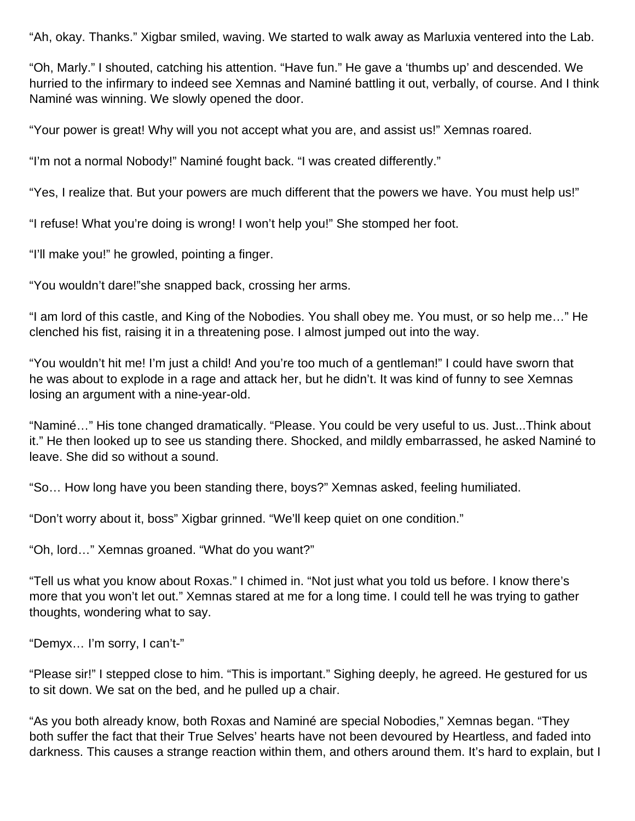"Ah, okay. Thanks." Xigbar smiled, waving. We started to walk away as Marluxia ventered into the Lab.

"Oh, Marly." I shouted, catching his attention. "Have fun." He gave a 'thumbs up' and descended. We hurried to the infirmary to indeed see Xemnas and Naminé battling it out, verbally, of course. And I think Naminé was winning. We slowly opened the door.

"Your power is great! Why will you not accept what you are, and assist us!" Xemnas roared.

"I'm not a normal Nobody!" Naminé fought back. "I was created differently."

"Yes, I realize that. But your powers are much different that the powers we have. You must help us!"

"I refuse! What you're doing is wrong! I won't help you!" She stomped her foot.

"I'll make you!" he growled, pointing a finger.

"You wouldn't dare!"she snapped back, crossing her arms.

"I am lord of this castle, and King of the Nobodies. You shall obey me. You must, or so help me…" He clenched his fist, raising it in a threatening pose. I almost jumped out into the way.

"You wouldn't hit me! I'm just a child! And you're too much of a gentleman!" I could have sworn that he was about to explode in a rage and attack her, but he didn't. It was kind of funny to see Xemnas losing an argument with a nine-year-old.

"Naminé…" His tone changed dramatically. "Please. You could be very useful to us. Just...Think about it." He then looked up to see us standing there. Shocked, and mildly embarrassed, he asked Naminé to leave. She did so without a sound.

"So… How long have you been standing there, boys?" Xemnas asked, feeling humiliated.

"Don't worry about it, boss" Xigbar grinned. "We'll keep quiet on one condition."

"Oh, lord…" Xemnas groaned. "What do you want?"

"Tell us what you know about Roxas." I chimed in. "Not just what you told us before. I know there's more that you won't let out." Xemnas stared at me for a long time. I could tell he was trying to gather thoughts, wondering what to say.

"Demyx… I'm sorry, I can't-"

"Please sir!" I stepped close to him. "This is important." Sighing deeply, he agreed. He gestured for us to sit down. We sat on the bed, and he pulled up a chair.

"As you both already know, both Roxas and Naminé are special Nobodies," Xemnas began. "They both suffer the fact that their True Selves' hearts have not been devoured by Heartless, and faded into darkness. This causes a strange reaction within them, and others around them. It's hard to explain, but I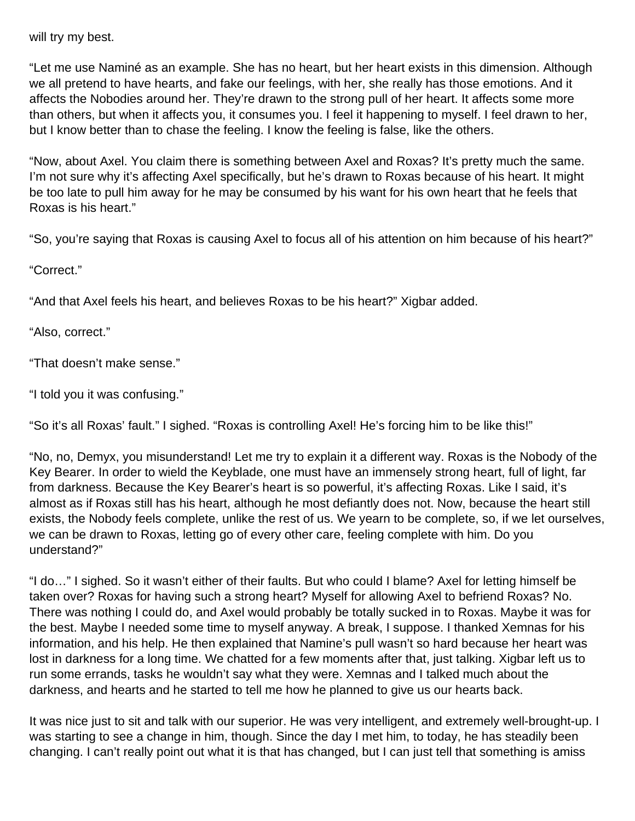will try my best.

"Let me use Naminé as an example. She has no heart, but her heart exists in this dimension. Although we all pretend to have hearts, and fake our feelings, with her, she really has those emotions. And it affects the Nobodies around her. They're drawn to the strong pull of her heart. It affects some more than others, but when it affects you, it consumes you. I feel it happening to myself. I feel drawn to her, but I know better than to chase the feeling. I know the feeling is false, like the others.

"Now, about Axel. You claim there is something between Axel and Roxas? It's pretty much the same. I'm not sure why it's affecting Axel specifically, but he's drawn to Roxas because of his heart. It might be too late to pull him away for he may be consumed by his want for his own heart that he feels that Roxas is his heart."

"So, you're saying that Roxas is causing Axel to focus all of his attention on him because of his heart?"

"Correct."

"And that Axel feels his heart, and believes Roxas to be his heart?" Xigbar added.

"Also, correct."

"That doesn't make sense."

"I told you it was confusing."

"So it's all Roxas' fault." I sighed. "Roxas is controlling Axel! He's forcing him to be like this!"

"No, no, Demyx, you misunderstand! Let me try to explain it a different way. Roxas is the Nobody of the Key Bearer. In order to wield the Keyblade, one must have an immensely strong heart, full of light, far from darkness. Because the Key Bearer's heart is so powerful, it's affecting Roxas. Like I said, it's almost as if Roxas still has his heart, although he most defiantly does not. Now, because the heart still exists, the Nobody feels complete, unlike the rest of us. We yearn to be complete, so, if we let ourselves, we can be drawn to Roxas, letting go of every other care, feeling complete with him. Do you understand?"

"I do…" I sighed. So it wasn't either of their faults. But who could I blame? Axel for letting himself be taken over? Roxas for having such a strong heart? Myself for allowing Axel to befriend Roxas? No. There was nothing I could do, and Axel would probably be totally sucked in to Roxas. Maybe it was for the best. Maybe I needed some time to myself anyway. A break, I suppose. I thanked Xemnas for his information, and his help. He then explained that Namine's pull wasn't so hard because her heart was lost in darkness for a long time. We chatted for a few moments after that, just talking. Xigbar left us to run some errands, tasks he wouldn't say what they were. Xemnas and I talked much about the darkness, and hearts and he started to tell me how he planned to give us our hearts back.

It was nice just to sit and talk with our superior. He was very intelligent, and extremely well-brought-up. I was starting to see a change in him, though. Since the day I met him, to today, he has steadily been changing. I can't really point out what it is that has changed, but I can just tell that something is amiss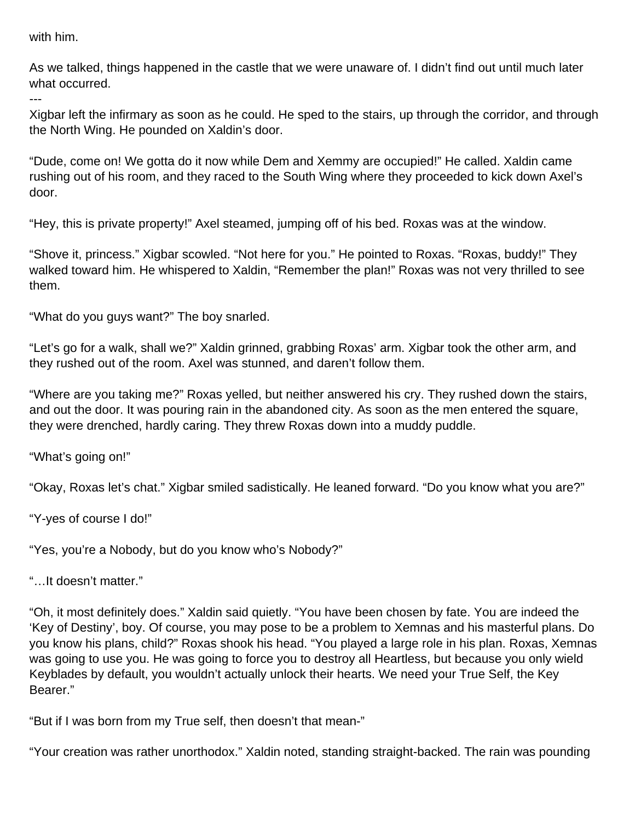with him.

---

As we talked, things happened in the castle that we were unaware of. I didn't find out until much later what occurred.

Xigbar left the infirmary as soon as he could. He sped to the stairs, up through the corridor, and through the North Wing. He pounded on Xaldin's door.

"Dude, come on! We gotta do it now while Dem and Xemmy are occupied!" He called. Xaldin came rushing out of his room, and they raced to the South Wing where they proceeded to kick down Axel's door.

"Hey, this is private property!" Axel steamed, jumping off of his bed. Roxas was at the window.

"Shove it, princess." Xigbar scowled. "Not here for you." He pointed to Roxas. "Roxas, buddy!" They walked toward him. He whispered to Xaldin, "Remember the plan!" Roxas was not very thrilled to see them.

"What do you guys want?" The boy snarled.

"Let's go for a walk, shall we?" Xaldin grinned, grabbing Roxas' arm. Xigbar took the other arm, and they rushed out of the room. Axel was stunned, and daren't follow them.

"Where are you taking me?" Roxas yelled, but neither answered his cry. They rushed down the stairs, and out the door. It was pouring rain in the abandoned city. As soon as the men entered the square, they were drenched, hardly caring. They threw Roxas down into a muddy puddle.

"What's going on!"

"Okay, Roxas let's chat." Xigbar smiled sadistically. He leaned forward. "Do you know what you are?"

"Y-yes of course I do!"

"Yes, you're a Nobody, but do you know who's Nobody?"

"…It doesn't matter."

"Oh, it most definitely does." Xaldin said quietly. "You have been chosen by fate. You are indeed the 'Key of Destiny', boy. Of course, you may pose to be a problem to Xemnas and his masterful plans. Do you know his plans, child?" Roxas shook his head. "You played a large role in his plan. Roxas, Xemnas was going to use you. He was going to force you to destroy all Heartless, but because you only wield Keyblades by default, you wouldn't actually unlock their hearts. We need your True Self, the Key Bearer."

"But if I was born from my True self, then doesn't that mean-"

"Your creation was rather unorthodox." Xaldin noted, standing straight-backed. The rain was pounding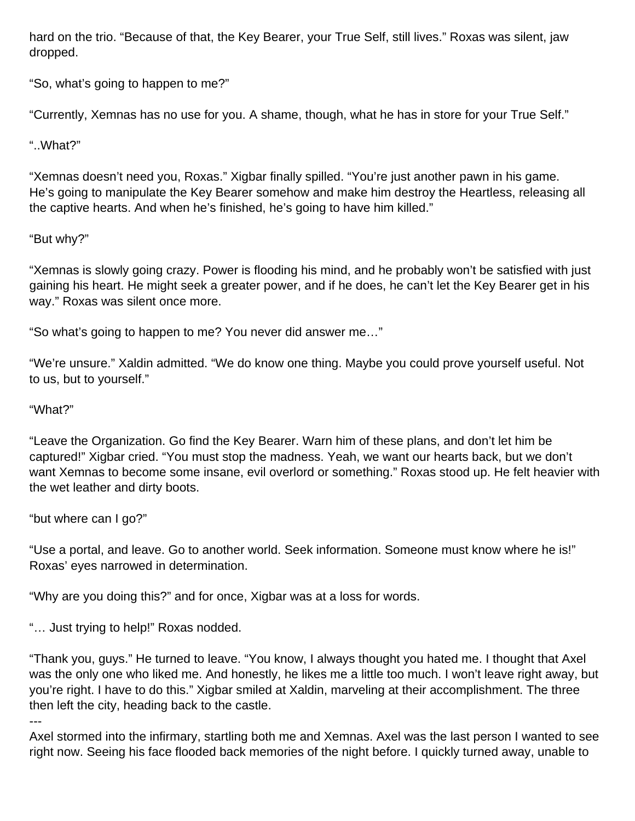hard on the trio. "Because of that, the Key Bearer, your True Self, still lives." Roxas was silent, jaw dropped.

"So, what's going to happen to me?"

"Currently, Xemnas has no use for you. A shame, though, what he has in store for your True Self."

### "..What?"

"Xemnas doesn't need you, Roxas." Xigbar finally spilled. "You're just another pawn in his game. He's going to manipulate the Key Bearer somehow and make him destroy the Heartless, releasing all the captive hearts. And when he's finished, he's going to have him killed."

### "But why?"

"Xemnas is slowly going crazy. Power is flooding his mind, and he probably won't be satisfied with just gaining his heart. He might seek a greater power, and if he does, he can't let the Key Bearer get in his way." Roxas was silent once more.

"So what's going to happen to me? You never did answer me…"

"We're unsure." Xaldin admitted. "We do know one thing. Maybe you could prove yourself useful. Not to us, but to yourself."

#### "What?"

"Leave the Organization. Go find the Key Bearer. Warn him of these plans, and don't let him be captured!" Xigbar cried. "You must stop the madness. Yeah, we want our hearts back, but we don't want Xemnas to become some insane, evil overlord or something." Roxas stood up. He felt heavier with the wet leather and dirty boots.

"but where can I go?"

"Use a portal, and leave. Go to another world. Seek information. Someone must know where he is!" Roxas' eyes narrowed in determination.

"Why are you doing this?" and for once, Xigbar was at a loss for words.

"… Just trying to help!" Roxas nodded.

"Thank you, guys." He turned to leave. "You know, I always thought you hated me. I thought that Axel was the only one who liked me. And honestly, he likes me a little too much. I won't leave right away, but you're right. I have to do this." Xigbar smiled at Xaldin, marveling at their accomplishment. The three then left the city, heading back to the castle.

---

Axel stormed into the infirmary, startling both me and Xemnas. Axel was the last person I wanted to see right now. Seeing his face flooded back memories of the night before. I quickly turned away, unable to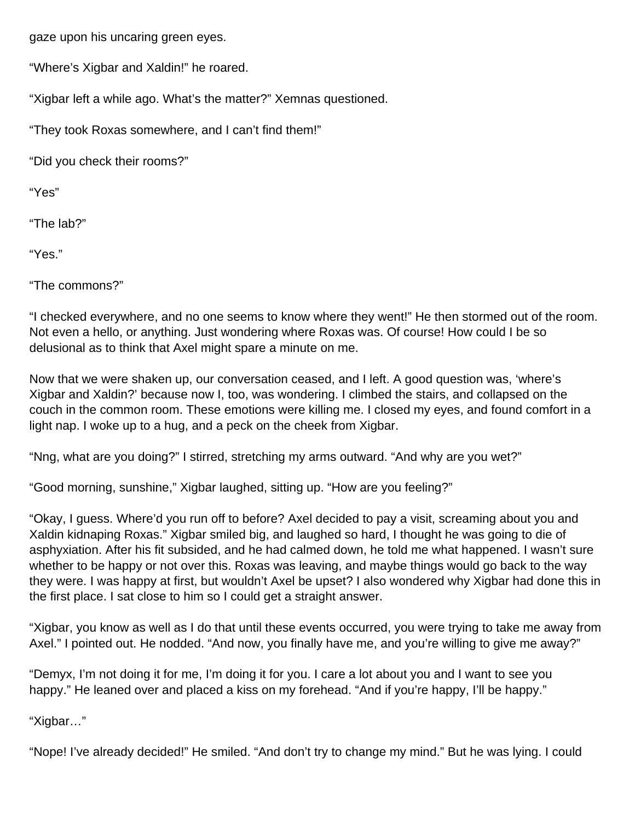gaze upon his uncaring green eyes.

"Where's Xigbar and Xaldin!" he roared.

"Xigbar left a while ago. What's the matter?" Xemnas questioned.

"They took Roxas somewhere, and I can't find them!"

"Did you check their rooms?"

"Yes"

"The lab?"

"Yes."

"The commons?"

"I checked everywhere, and no one seems to know where they went!" He then stormed out of the room. Not even a hello, or anything. Just wondering where Roxas was. Of course! How could I be so delusional as to think that Axel might spare a minute on me.

Now that we were shaken up, our conversation ceased, and I left. A good question was, 'where's Xigbar and Xaldin?' because now I, too, was wondering. I climbed the stairs, and collapsed on the couch in the common room. These emotions were killing me. I closed my eyes, and found comfort in a light nap. I woke up to a hug, and a peck on the cheek from Xigbar.

"Nng, what are you doing?" I stirred, stretching my arms outward. "And why are you wet?"

"Good morning, sunshine," Xigbar laughed, sitting up. "How are you feeling?"

"Okay, I guess. Where'd you run off to before? Axel decided to pay a visit, screaming about you and Xaldin kidnaping Roxas." Xigbar smiled big, and laughed so hard, I thought he was going to die of asphyxiation. After his fit subsided, and he had calmed down, he told me what happened. I wasn't sure whether to be happy or not over this. Roxas was leaving, and maybe things would go back to the way they were. I was happy at first, but wouldn't Axel be upset? I also wondered why Xigbar had done this in the first place. I sat close to him so I could get a straight answer.

"Xigbar, you know as well as I do that until these events occurred, you were trying to take me away from Axel." I pointed out. He nodded. "And now, you finally have me, and you're willing to give me away?"

"Demyx, I'm not doing it for me, I'm doing it for you. I care a lot about you and I want to see you happy." He leaned over and placed a kiss on my forehead. "And if you're happy, I'll be happy."

"Xigbar…"

"Nope! I've already decided!" He smiled. "And don't try to change my mind." But he was lying. I could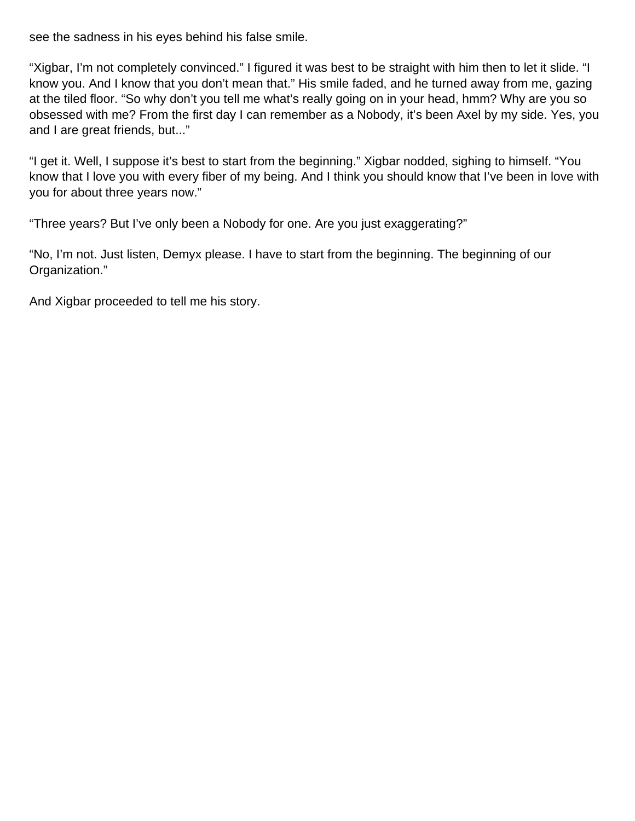see the sadness in his eyes behind his false smile.

"Xigbar, I'm not completely convinced." I figured it was best to be straight with him then to let it slide. "I know you. And I know that you don't mean that." His smile faded, and he turned away from me, gazing at the tiled floor. "So why don't you tell me what's really going on in your head, hmm? Why are you so obsessed with me? From the first day I can remember as a Nobody, it's been Axel by my side. Yes, you and I are great friends, but..."

"I get it. Well, I suppose it's best to start from the beginning." Xigbar nodded, sighing to himself. "You know that I love you with every fiber of my being. And I think you should know that I've been in love with you for about three years now."

"Three years? But I've only been a Nobody for one. Are you just exaggerating?"

"No, I'm not. Just listen, Demyx please. I have to start from the beginning. The beginning of our Organization."

And Xigbar proceeded to tell me his story.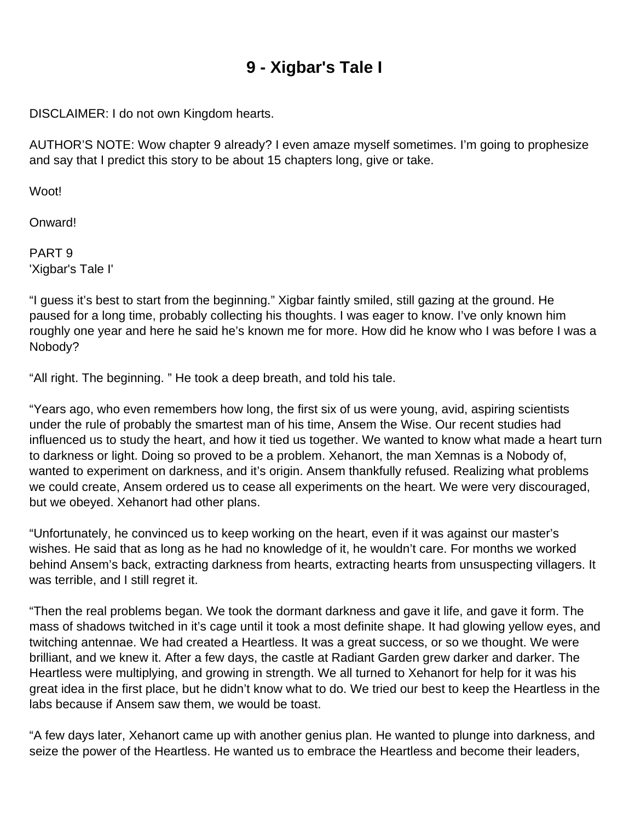# **9 - Xigbar's Tale I**

DISCLAIMER: I do not own Kingdom hearts.

AUTHOR'S NOTE: Wow chapter 9 already? I even amaze myself sometimes. I'm going to prophesize and say that I predict this story to be about 15 chapters long, give or take.

Woot!

Onward!

PART 9 'Xigbar's Tale I'

"I guess it's best to start from the beginning." Xigbar faintly smiled, still gazing at the ground. He paused for a long time, probably collecting his thoughts. I was eager to know. I've only known him roughly one year and here he said he's known me for more. How did he know who I was before I was a Nobody?

"All right. The beginning. " He took a deep breath, and told his tale.

"Years ago, who even remembers how long, the first six of us were young, avid, aspiring scientists under the rule of probably the smartest man of his time, Ansem the Wise. Our recent studies had influenced us to study the heart, and how it tied us together. We wanted to know what made a heart turn to darkness or light. Doing so proved to be a problem. Xehanort, the man Xemnas is a Nobody of, wanted to experiment on darkness, and it's origin. Ansem thankfully refused. Realizing what problems we could create, Ansem ordered us to cease all experiments on the heart. We were very discouraged, but we obeyed. Xehanort had other plans.

"Unfortunately, he convinced us to keep working on the heart, even if it was against our master's wishes. He said that as long as he had no knowledge of it, he wouldn't care. For months we worked behind Ansem's back, extracting darkness from hearts, extracting hearts from unsuspecting villagers. It was terrible, and I still regret it.

"Then the real problems began. We took the dormant darkness and gave it life, and gave it form. The mass of shadows twitched in it's cage until it took a most definite shape. It had glowing yellow eyes, and twitching antennae. We had created a Heartless. It was a great success, or so we thought. We were brilliant, and we knew it. After a few days, the castle at Radiant Garden grew darker and darker. The Heartless were multiplying, and growing in strength. We all turned to Xehanort for help for it was his great idea in the first place, but he didn't know what to do. We tried our best to keep the Heartless in the labs because if Ansem saw them, we would be toast.

"A few days later, Xehanort came up with another genius plan. He wanted to plunge into darkness, and seize the power of the Heartless. He wanted us to embrace the Heartless and become their leaders,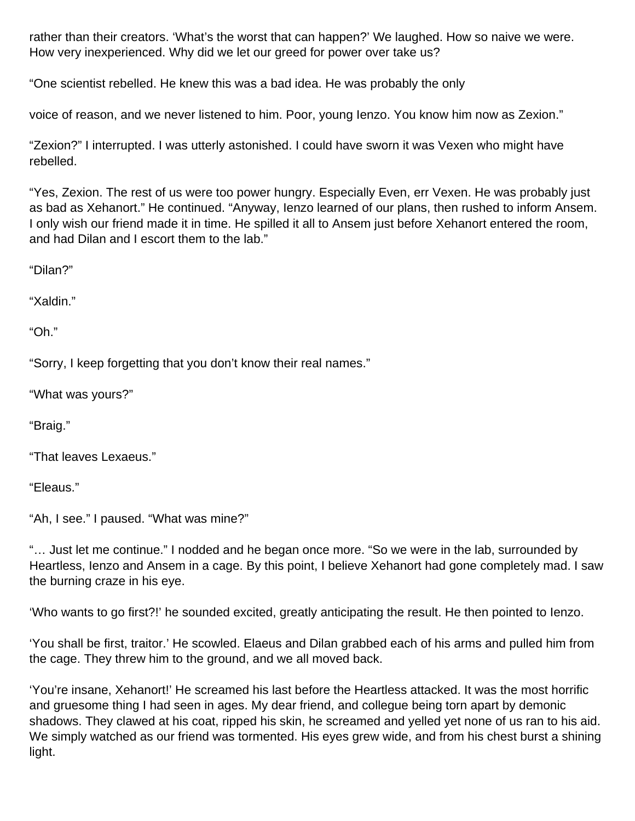rather than their creators. 'What's the worst that can happen?' We laughed. How so naive we were. How very inexperienced. Why did we let our greed for power over take us?

"One scientist rebelled. He knew this was a bad idea. He was probably the only

voice of reason, and we never listened to him. Poor, young Ienzo. You know him now as Zexion."

"Zexion?" I interrupted. I was utterly astonished. I could have sworn it was Vexen who might have rebelled.

"Yes, Zexion. The rest of us were too power hungry. Especially Even, err Vexen. He was probably just as bad as Xehanort." He continued. "Anyway, Ienzo learned of our plans, then rushed to inform Ansem. I only wish our friend made it in time. He spilled it all to Ansem just before Xehanort entered the room, and had Dilan and I escort them to the lab."

"Dilan?"

"Xaldin."

"Oh."

"Sorry, I keep forgetting that you don't know their real names."

"What was yours?"

"Braig."

"That leaves Lexaeus."

"Eleaus."

"Ah, I see." I paused. "What was mine?"

"… Just let me continue." I nodded and he began once more. "So we were in the lab, surrounded by Heartless, Ienzo and Ansem in a cage. By this point, I believe Xehanort had gone completely mad. I saw the burning craze in his eye.

'Who wants to go first?!' he sounded excited, greatly anticipating the result. He then pointed to Ienzo.

'You shall be first, traitor.' He scowled. Elaeus and Dilan grabbed each of his arms and pulled him from the cage. They threw him to the ground, and we all moved back.

'You're insane, Xehanort!' He screamed his last before the Heartless attacked. It was the most horrific and gruesome thing I had seen in ages. My dear friend, and collegue being torn apart by demonic shadows. They clawed at his coat, ripped his skin, he screamed and yelled yet none of us ran to his aid. We simply watched as our friend was tormented. His eyes grew wide, and from his chest burst a shining light.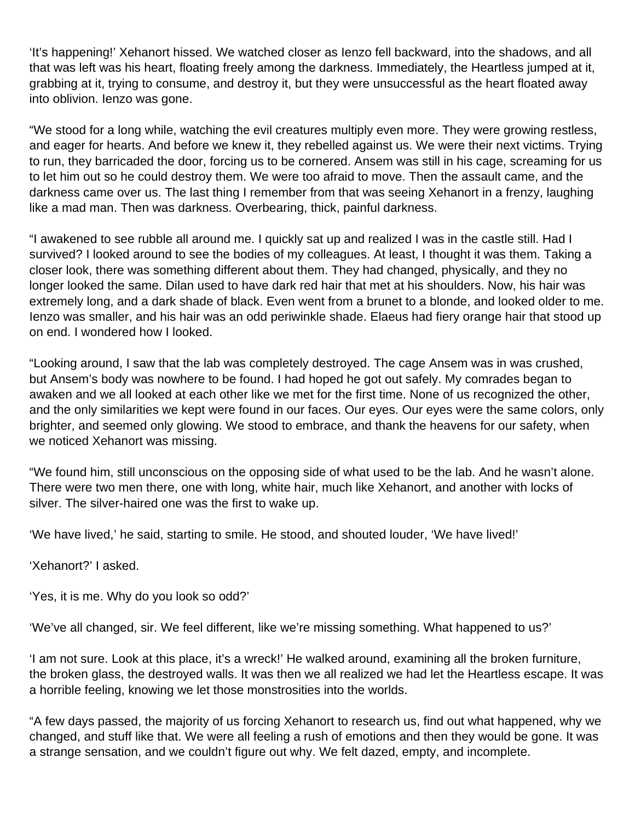'It's happening!' Xehanort hissed. We watched closer as Ienzo fell backward, into the shadows, and all that was left was his heart, floating freely among the darkness. Immediately, the Heartless jumped at it, grabbing at it, trying to consume, and destroy it, but they were unsuccessful as the heart floated away into oblivion. Ienzo was gone.

"We stood for a long while, watching the evil creatures multiply even more. They were growing restless, and eager for hearts. And before we knew it, they rebelled against us. We were their next victims. Trying to run, they barricaded the door, forcing us to be cornered. Ansem was still in his cage, screaming for us to let him out so he could destroy them. We were too afraid to move. Then the assault came, and the darkness came over us. The last thing I remember from that was seeing Xehanort in a frenzy, laughing like a mad man. Then was darkness. Overbearing, thick, painful darkness.

"I awakened to see rubble all around me. I quickly sat up and realized I was in the castle still. Had I survived? I looked around to see the bodies of my colleagues. At least, I thought it was them. Taking a closer look, there was something different about them. They had changed, physically, and they no longer looked the same. Dilan used to have dark red hair that met at his shoulders. Now, his hair was extremely long, and a dark shade of black. Even went from a brunet to a blonde, and looked older to me. Ienzo was smaller, and his hair was an odd periwinkle shade. Elaeus had fiery orange hair that stood up on end. I wondered how I looked.

"Looking around, I saw that the lab was completely destroyed. The cage Ansem was in was crushed, but Ansem's body was nowhere to be found. I had hoped he got out safely. My comrades began to awaken and we all looked at each other like we met for the first time. None of us recognized the other, and the only similarities we kept were found in our faces. Our eyes. Our eyes were the same colors, only brighter, and seemed only glowing. We stood to embrace, and thank the heavens for our safety, when we noticed Xehanort was missing.

"We found him, still unconscious on the opposing side of what used to be the lab. And he wasn't alone. There were two men there, one with long, white hair, much like Xehanort, and another with locks of silver. The silver-haired one was the first to wake up.

'We have lived,' he said, starting to smile. He stood, and shouted louder, 'We have lived!'

'Xehanort?' I asked.

'Yes, it is me. Why do you look so odd?'

'We've all changed, sir. We feel different, like we're missing something. What happened to us?'

'I am not sure. Look at this place, it's a wreck!' He walked around, examining all the broken furniture, the broken glass, the destroyed walls. It was then we all realized we had let the Heartless escape. It was a horrible feeling, knowing we let those monstrosities into the worlds.

"A few days passed, the majority of us forcing Xehanort to research us, find out what happened, why we changed, and stuff like that. We were all feeling a rush of emotions and then they would be gone. It was a strange sensation, and we couldn't figure out why. We felt dazed, empty, and incomplete.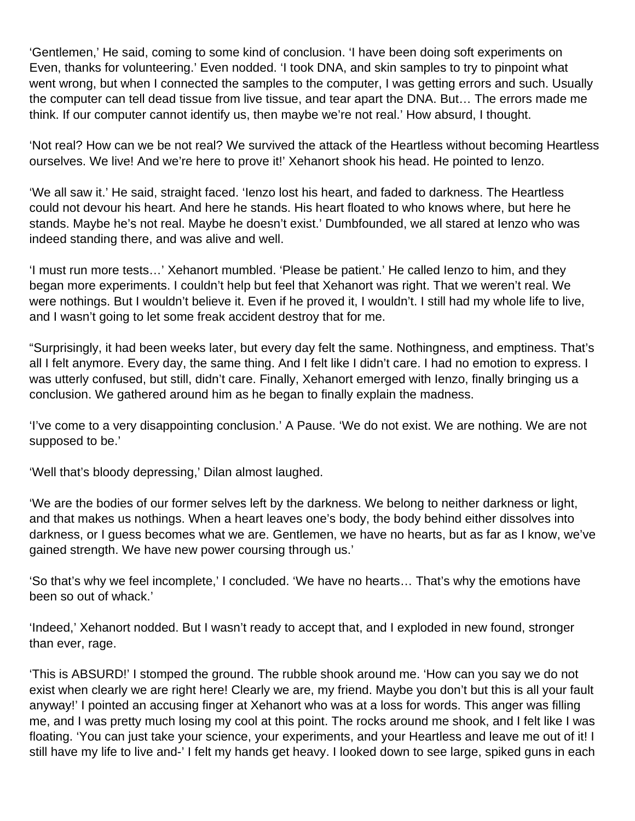'Gentlemen,' He said, coming to some kind of conclusion. 'I have been doing soft experiments on Even, thanks for volunteering.' Even nodded. 'I took DNA, and skin samples to try to pinpoint what went wrong, but when I connected the samples to the computer, I was getting errors and such. Usually the computer can tell dead tissue from live tissue, and tear apart the DNA. But… The errors made me think. If our computer cannot identify us, then maybe we're not real.' How absurd, I thought.

'Not real? How can we be not real? We survived the attack of the Heartless without becoming Heartless ourselves. We live! And we're here to prove it!' Xehanort shook his head. He pointed to Ienzo.

'We all saw it.' He said, straight faced. 'Ienzo lost his heart, and faded to darkness. The Heartless could not devour his heart. And here he stands. His heart floated to who knows where, but here he stands. Maybe he's not real. Maybe he doesn't exist.' Dumbfounded, we all stared at Ienzo who was indeed standing there, and was alive and well.

'I must run more tests…' Xehanort mumbled. 'Please be patient.' He called Ienzo to him, and they began more experiments. I couldn't help but feel that Xehanort was right. That we weren't real. We were nothings. But I wouldn't believe it. Even if he proved it, I wouldn't. I still had my whole life to live, and I wasn't going to let some freak accident destroy that for me.

"Surprisingly, it had been weeks later, but every day felt the same. Nothingness, and emptiness. That's all I felt anymore. Every day, the same thing. And I felt like I didn't care. I had no emotion to express. I was utterly confused, but still, didn't care. Finally, Xehanort emerged with Ienzo, finally bringing us a conclusion. We gathered around him as he began to finally explain the madness.

'I've come to a very disappointing conclusion.' A Pause. 'We do not exist. We are nothing. We are not supposed to be.'

'Well that's bloody depressing,' Dilan almost laughed.

'We are the bodies of our former selves left by the darkness. We belong to neither darkness or light, and that makes us nothings. When a heart leaves one's body, the body behind either dissolves into darkness, or I guess becomes what we are. Gentlemen, we have no hearts, but as far as I know, we've gained strength. We have new power coursing through us.'

'So that's why we feel incomplete,' I concluded. 'We have no hearts… That's why the emotions have been so out of whack.'

'Indeed,' Xehanort nodded. But I wasn't ready to accept that, and I exploded in new found, stronger than ever, rage.

'This is ABSURD!' I stomped the ground. The rubble shook around me. 'How can you say we do not exist when clearly we are right here! Clearly we are, my friend. Maybe you don't but this is all your fault anyway!' I pointed an accusing finger at Xehanort who was at a loss for words. This anger was filling me, and I was pretty much losing my cool at this point. The rocks around me shook, and I felt like I was floating. 'You can just take your science, your experiments, and your Heartless and leave me out of it! I still have my life to live and-' I felt my hands get heavy. I looked down to see large, spiked guns in each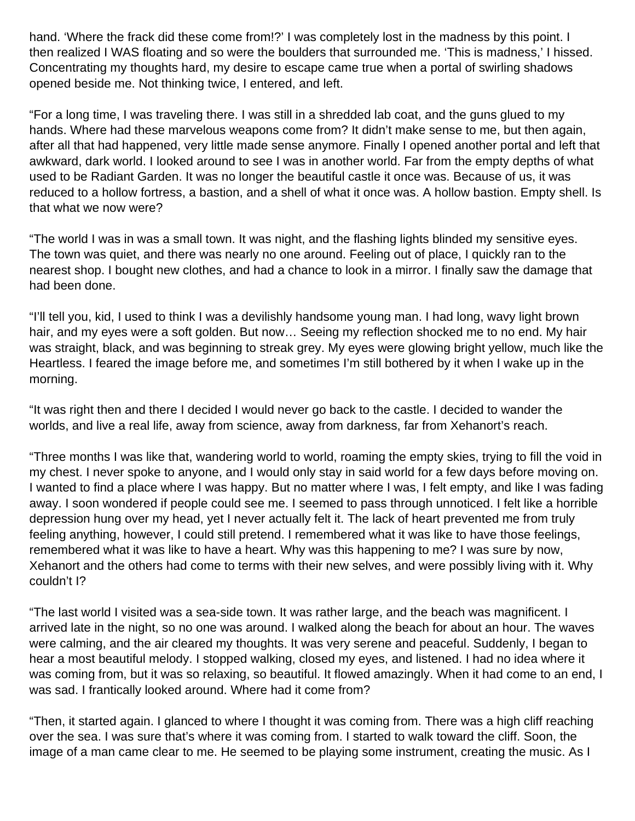hand. 'Where the frack did these come from!?' I was completely lost in the madness by this point. I then realized I WAS floating and so were the boulders that surrounded me. 'This is madness,' I hissed. Concentrating my thoughts hard, my desire to escape came true when a portal of swirling shadows opened beside me. Not thinking twice, I entered, and left.

"For a long time, I was traveling there. I was still in a shredded lab coat, and the guns glued to my hands. Where had these marvelous weapons come from? It didn't make sense to me, but then again, after all that had happened, very little made sense anymore. Finally I opened another portal and left that awkward, dark world. I looked around to see I was in another world. Far from the empty depths of what used to be Radiant Garden. It was no longer the beautiful castle it once was. Because of us, it was reduced to a hollow fortress, a bastion, and a shell of what it once was. A hollow bastion. Empty shell. Is that what we now were?

"The world I was in was a small town. It was night, and the flashing lights blinded my sensitive eyes. The town was quiet, and there was nearly no one around. Feeling out of place, I quickly ran to the nearest shop. I bought new clothes, and had a chance to look in a mirror. I finally saw the damage that had been done.

"I'll tell you, kid, I used to think I was a devilishly handsome young man. I had long, wavy light brown hair, and my eyes were a soft golden. But now... Seeing my reflection shocked me to no end. My hair was straight, black, and was beginning to streak grey. My eyes were glowing bright yellow, much like the Heartless. I feared the image before me, and sometimes I'm still bothered by it when I wake up in the morning.

"It was right then and there I decided I would never go back to the castle. I decided to wander the worlds, and live a real life, away from science, away from darkness, far from Xehanort's reach.

"Three months I was like that, wandering world to world, roaming the empty skies, trying to fill the void in my chest. I never spoke to anyone, and I would only stay in said world for a few days before moving on. I wanted to find a place where I was happy. But no matter where I was, I felt empty, and like I was fading away. I soon wondered if people could see me. I seemed to pass through unnoticed. I felt like a horrible depression hung over my head, yet I never actually felt it. The lack of heart prevented me from truly feeling anything, however, I could still pretend. I remembered what it was like to have those feelings, remembered what it was like to have a heart. Why was this happening to me? I was sure by now, Xehanort and the others had come to terms with their new selves, and were possibly living with it. Why couldn't I?

"The last world I visited was a sea-side town. It was rather large, and the beach was magnificent. I arrived late in the night, so no one was around. I walked along the beach for about an hour. The waves were calming, and the air cleared my thoughts. It was very serene and peaceful. Suddenly, I began to hear a most beautiful melody. I stopped walking, closed my eyes, and listened. I had no idea where it was coming from, but it was so relaxing, so beautiful. It flowed amazingly. When it had come to an end, I was sad. I frantically looked around. Where had it come from?

"Then, it started again. I glanced to where I thought it was coming from. There was a high cliff reaching over the sea. I was sure that's where it was coming from. I started to walk toward the cliff. Soon, the image of a man came clear to me. He seemed to be playing some instrument, creating the music. As I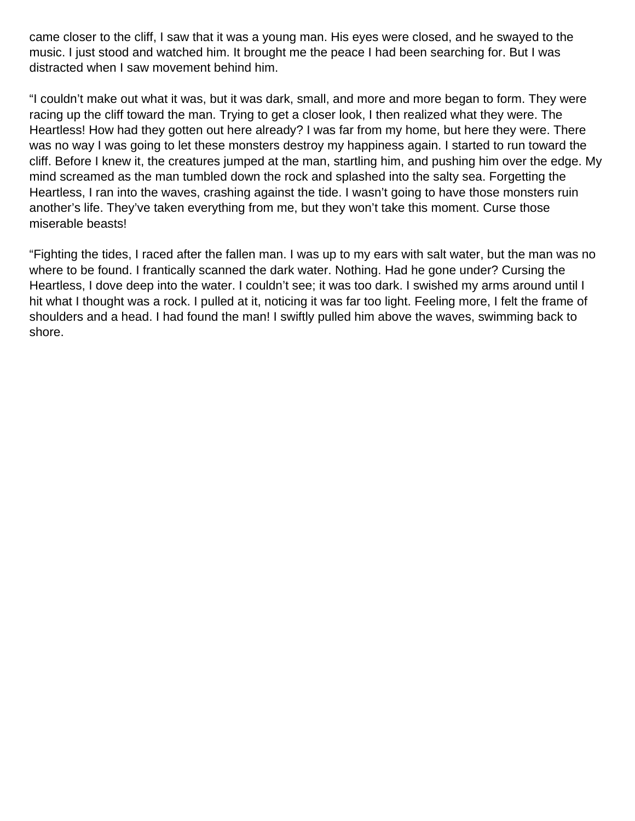came closer to the cliff, I saw that it was a young man. His eyes were closed, and he swayed to the music. I just stood and watched him. It brought me the peace I had been searching for. But I was distracted when I saw movement behind him.

"I couldn't make out what it was, but it was dark, small, and more and more began to form. They were racing up the cliff toward the man. Trying to get a closer look, I then realized what they were. The Heartless! How had they gotten out here already? I was far from my home, but here they were. There was no way I was going to let these monsters destroy my happiness again. I started to run toward the cliff. Before I knew it, the creatures jumped at the man, startling him, and pushing him over the edge. My mind screamed as the man tumbled down the rock and splashed into the salty sea. Forgetting the Heartless, I ran into the waves, crashing against the tide. I wasn't going to have those monsters ruin another's life. They've taken everything from me, but they won't take this moment. Curse those miserable beasts!

"Fighting the tides, I raced after the fallen man. I was up to my ears with salt water, but the man was no where to be found. I frantically scanned the dark water. Nothing. Had he gone under? Cursing the Heartless, I dove deep into the water. I couldn't see; it was too dark. I swished my arms around until I hit what I thought was a rock. I pulled at it, noticing it was far too light. Feeling more, I felt the frame of shoulders and a head. I had found the man! I swiftly pulled him above the waves, swimming back to shore.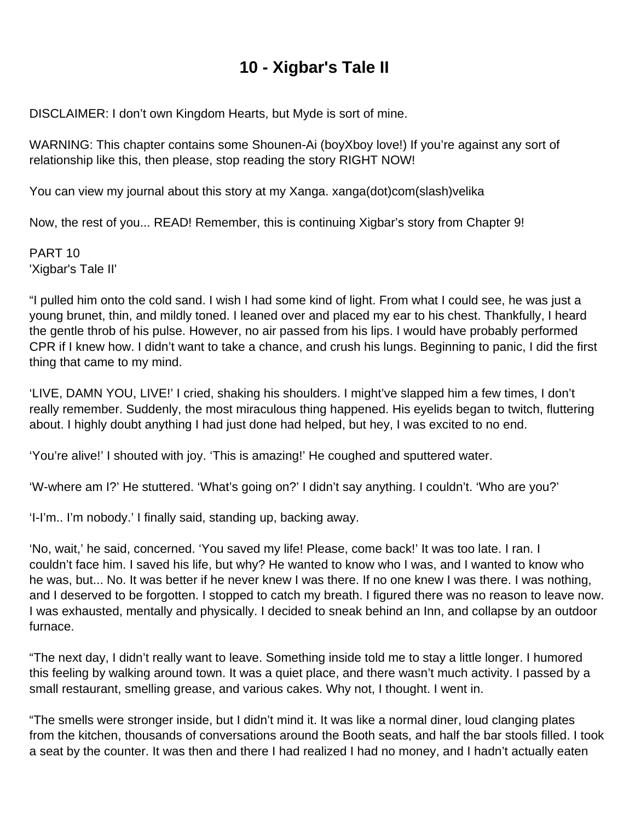# **10 - Xigbar's Tale II**

DISCLAIMER: I don't own Kingdom Hearts, but Myde is sort of mine.

WARNING: This chapter contains some Shounen-Ai (boyXboy love!) If you're against any sort of relationship like this, then please, stop reading the story RIGHT NOW!

You can view my journal about this story at my Xanga. xanga(dot)com(slash)velika

Now, the rest of you... READ! Remember, this is continuing Xigbar's story from Chapter 9!

PART 10 'Xigbar's Tale II'

"I pulled him onto the cold sand. I wish I had some kind of light. From what I could see, he was just a young brunet, thin, and mildly toned. I leaned over and placed my ear to his chest. Thankfully, I heard the gentle throb of his pulse. However, no air passed from his lips. I would have probably performed CPR if I knew how. I didn't want to take a chance, and crush his lungs. Beginning to panic, I did the first thing that came to my mind.

'LIVE, DAMN YOU, LIVE!' I cried, shaking his shoulders. I might've slapped him a few times, I don't really remember. Suddenly, the most miraculous thing happened. His eyelids began to twitch, fluttering about. I highly doubt anything I had just done had helped, but hey, I was excited to no end.

'You're alive!' I shouted with joy. 'This is amazing!' He coughed and sputtered water.

'W-where am I?' He stuttered. 'What's going on?' I didn't say anything. I couldn't. 'Who are you?'

'I-I'm.. I'm nobody.' I finally said, standing up, backing away.

'No, wait,' he said, concerned. 'You saved my life! Please, come back!' It was too late. I ran. I couldn't face him. I saved his life, but why? He wanted to know who I was, and I wanted to know who he was, but... No. It was better if he never knew I was there. If no one knew I was there. I was nothing, and I deserved to be forgotten. I stopped to catch my breath. I figured there was no reason to leave now. I was exhausted, mentally and physically. I decided to sneak behind an Inn, and collapse by an outdoor furnace.

"The next day, I didn't really want to leave. Something inside told me to stay a little longer. I humored this feeling by walking around town. It was a quiet place, and there wasn't much activity. I passed by a small restaurant, smelling grease, and various cakes. Why not, I thought. I went in.

"The smells were stronger inside, but I didn't mind it. It was like a normal diner, loud clanging plates from the kitchen, thousands of conversations around the Booth seats, and half the bar stools filled. I took a seat by the counter. It was then and there I had realized I had no money, and I hadn't actually eaten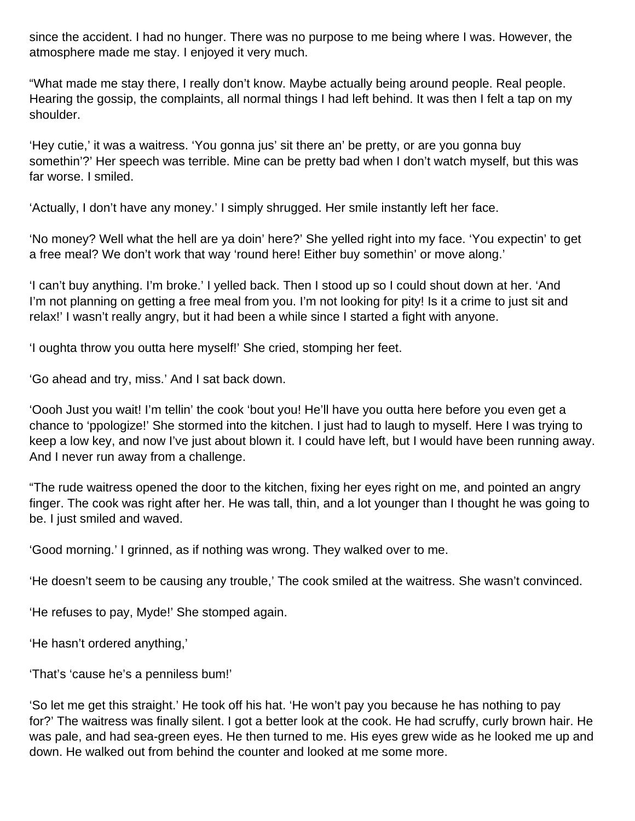since the accident. I had no hunger. There was no purpose to me being where I was. However, the atmosphere made me stay. I enjoyed it very much.

"What made me stay there, I really don't know. Maybe actually being around people. Real people. Hearing the gossip, the complaints, all normal things I had left behind. It was then I felt a tap on my shoulder.

'Hey cutie,' it was a waitress. 'You gonna jus' sit there an' be pretty, or are you gonna buy somethin'?' Her speech was terrible. Mine can be pretty bad when I don't watch myself, but this was far worse. I smiled.

'Actually, I don't have any money.' I simply shrugged. Her smile instantly left her face.

'No money? Well what the hell are ya doin' here?' She yelled right into my face. 'You expectin' to get a free meal? We don't work that way 'round here! Either buy somethin' or move along.'

'I can't buy anything. I'm broke.' I yelled back. Then I stood up so I could shout down at her. 'And I'm not planning on getting a free meal from you. I'm not looking for pity! Is it a crime to just sit and relax!' I wasn't really angry, but it had been a while since I started a fight with anyone.

'I oughta throw you outta here myself!' She cried, stomping her feet.

'Go ahead and try, miss.' And I sat back down.

'Oooh Just you wait! I'm tellin' the cook 'bout you! He'll have you outta here before you even get a chance to 'ppologize!' She stormed into the kitchen. I just had to laugh to myself. Here I was trying to keep a low key, and now I've just about blown it. I could have left, but I would have been running away. And I never run away from a challenge.

"The rude waitress opened the door to the kitchen, fixing her eyes right on me, and pointed an angry finger. The cook was right after her. He was tall, thin, and a lot younger than I thought he was going to be. I just smiled and waved.

'Good morning.' I grinned, as if nothing was wrong. They walked over to me.

'He doesn't seem to be causing any trouble,' The cook smiled at the waitress. She wasn't convinced.

'He refuses to pay, Myde!' She stomped again.

'He hasn't ordered anything,'

'That's 'cause he's a penniless bum!'

'So let me get this straight.' He took off his hat. 'He won't pay you because he has nothing to pay for?' The waitress was finally silent. I got a better look at the cook. He had scruffy, curly brown hair. He was pale, and had sea-green eyes. He then turned to me. His eyes grew wide as he looked me up and down. He walked out from behind the counter and looked at me some more.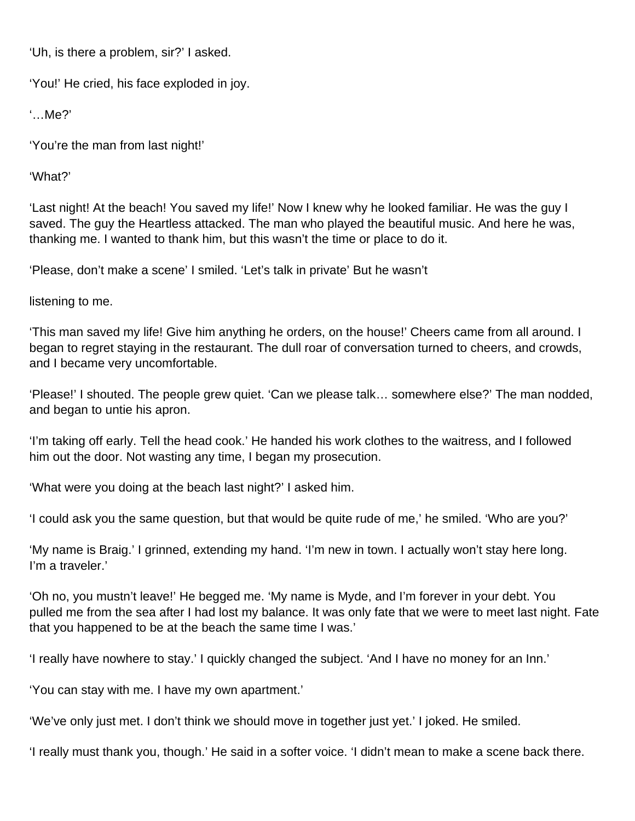'Uh, is there a problem, sir?' I asked.

'You!' He cried, his face exploded in joy.

'…Me?'

'You're the man from last night!'

'What?'

'Last night! At the beach! You saved my life!' Now I knew why he looked familiar. He was the guy I saved. The guy the Heartless attacked. The man who played the beautiful music. And here he was, thanking me. I wanted to thank him, but this wasn't the time or place to do it.

'Please, don't make a scene' I smiled. 'Let's talk in private' But he wasn't

listening to me.

'This man saved my life! Give him anything he orders, on the house!' Cheers came from all around. I began to regret staying in the restaurant. The dull roar of conversation turned to cheers, and crowds, and I became very uncomfortable.

'Please!' I shouted. The people grew quiet. 'Can we please talk… somewhere else?' The man nodded, and began to untie his apron.

'I'm taking off early. Tell the head cook.' He handed his work clothes to the waitress, and I followed him out the door. Not wasting any time, I began my prosecution.

'What were you doing at the beach last night?' I asked him.

'I could ask you the same question, but that would be quite rude of me,' he smiled. 'Who are you?'

'My name is Braig.' I grinned, extending my hand. 'I'm new in town. I actually won't stay here long. I'm a traveler.'

'Oh no, you mustn't leave!' He begged me. 'My name is Myde, and I'm forever in your debt. You pulled me from the sea after I had lost my balance. It was only fate that we were to meet last night. Fate that you happened to be at the beach the same time I was.'

'I really have nowhere to stay.' I quickly changed the subject. 'And I have no money for an Inn.'

'You can stay with me. I have my own apartment.'

'We've only just met. I don't think we should move in together just yet.' I joked. He smiled.

'I really must thank you, though.' He said in a softer voice. 'I didn't mean to make a scene back there.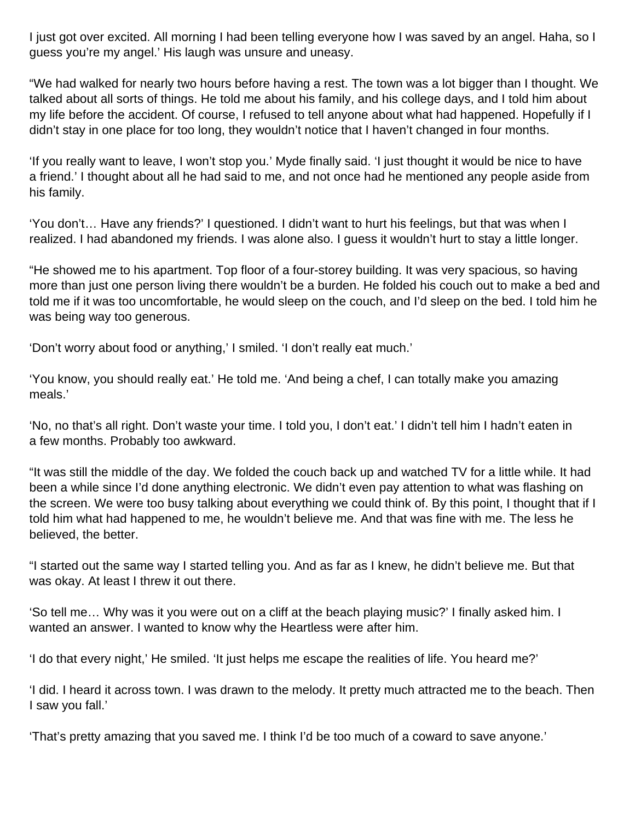I just got over excited. All morning I had been telling everyone how I was saved by an angel. Haha, so I guess you're my angel.' His laugh was unsure and uneasy.

"We had walked for nearly two hours before having a rest. The town was a lot bigger than I thought. We talked about all sorts of things. He told me about his family, and his college days, and I told him about my life before the accident. Of course, I refused to tell anyone about what had happened. Hopefully if I didn't stay in one place for too long, they wouldn't notice that I haven't changed in four months.

'If you really want to leave, I won't stop you.' Myde finally said. 'I just thought it would be nice to have a friend.' I thought about all he had said to me, and not once had he mentioned any people aside from his family.

'You don't… Have any friends?' I questioned. I didn't want to hurt his feelings, but that was when I realized. I had abandoned my friends. I was alone also. I guess it wouldn't hurt to stay a little longer.

"He showed me to his apartment. Top floor of a four-storey building. It was very spacious, so having more than just one person living there wouldn't be a burden. He folded his couch out to make a bed and told me if it was too uncomfortable, he would sleep on the couch, and I'd sleep on the bed. I told him he was being way too generous.

'Don't worry about food or anything,' I smiled. 'I don't really eat much.'

'You know, you should really eat.' He told me. 'And being a chef, I can totally make you amazing meals.'

'No, no that's all right. Don't waste your time. I told you, I don't eat.' I didn't tell him I hadn't eaten in a few months. Probably too awkward.

"It was still the middle of the day. We folded the couch back up and watched TV for a little while. It had been a while since I'd done anything electronic. We didn't even pay attention to what was flashing on the screen. We were too busy talking about everything we could think of. By this point, I thought that if I told him what had happened to me, he wouldn't believe me. And that was fine with me. The less he believed, the better.

"I started out the same way I started telling you. And as far as I knew, he didn't believe me. But that was okay. At least I threw it out there.

'So tell me… Why was it you were out on a cliff at the beach playing music?' I finally asked him. I wanted an answer. I wanted to know why the Heartless were after him.

'I do that every night,' He smiled. 'It just helps me escape the realities of life. You heard me?'

'I did. I heard it across town. I was drawn to the melody. It pretty much attracted me to the beach. Then I saw you fall.'

'That's pretty amazing that you saved me. I think I'd be too much of a coward to save anyone.'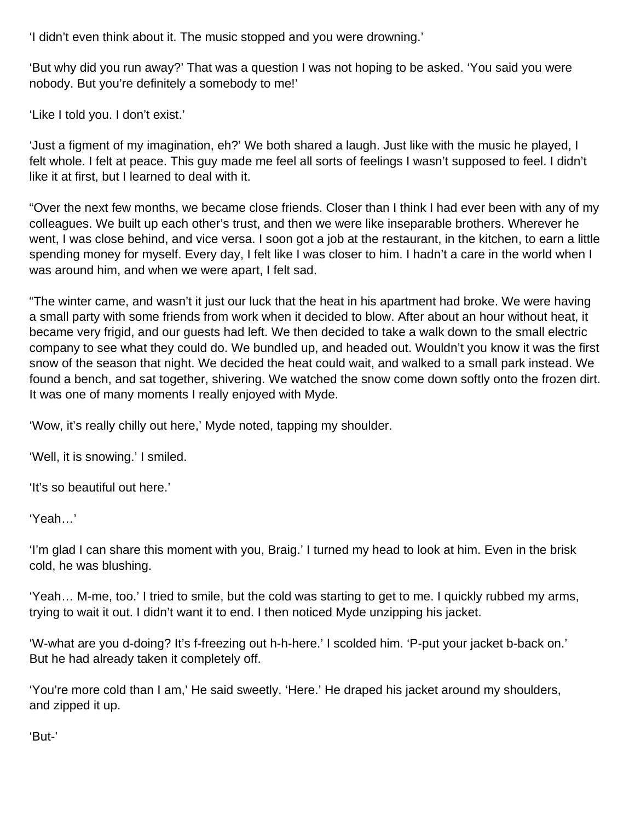'I didn't even think about it. The music stopped and you were drowning.'

'But why did you run away?' That was a question I was not hoping to be asked. 'You said you were nobody. But you're definitely a somebody to me!'

'Like I told you. I don't exist.'

'Just a figment of my imagination, eh?' We both shared a laugh. Just like with the music he played, I felt whole. I felt at peace. This guy made me feel all sorts of feelings I wasn't supposed to feel. I didn't like it at first, but I learned to deal with it.

"Over the next few months, we became close friends. Closer than I think I had ever been with any of my colleagues. We built up each other's trust, and then we were like inseparable brothers. Wherever he went, I was close behind, and vice versa. I soon got a job at the restaurant, in the kitchen, to earn a little spending money for myself. Every day, I felt like I was closer to him. I hadn't a care in the world when I was around him, and when we were apart, I felt sad.

"The winter came, and wasn't it just our luck that the heat in his apartment had broke. We were having a small party with some friends from work when it decided to blow. After about an hour without heat, it became very frigid, and our guests had left. We then decided to take a walk down to the small electric company to see what they could do. We bundled up, and headed out. Wouldn't you know it was the first snow of the season that night. We decided the heat could wait, and walked to a small park instead. We found a bench, and sat together, shivering. We watched the snow come down softly onto the frozen dirt. It was one of many moments I really enjoyed with Myde.

'Wow, it's really chilly out here,' Myde noted, tapping my shoulder.

'Well, it is snowing.' I smiled.

'It's so beautiful out here.'

'Yeah…'

'I'm glad I can share this moment with you, Braig.' I turned my head to look at him. Even in the brisk cold, he was blushing.

'Yeah… M-me, too.' I tried to smile, but the cold was starting to get to me. I quickly rubbed my arms, trying to wait it out. I didn't want it to end. I then noticed Myde unzipping his jacket.

'W-what are you d-doing? It's f-freezing out h-h-here.' I scolded him. 'P-put your jacket b-back on.' But he had already taken it completely off.

'You're more cold than I am,' He said sweetly. 'Here.' He draped his jacket around my shoulders, and zipped it up.

'But-'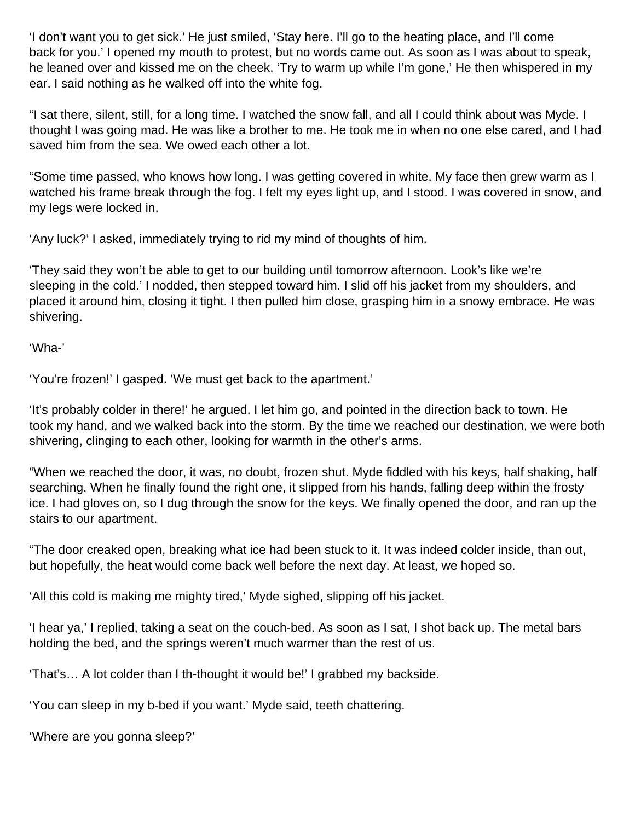'I don't want you to get sick.' He just smiled, 'Stay here. I'll go to the heating place, and I'll come back for you.' I opened my mouth to protest, but no words came out. As soon as I was about to speak, he leaned over and kissed me on the cheek. 'Try to warm up while I'm gone,' He then whispered in my ear. I said nothing as he walked off into the white fog.

"I sat there, silent, still, for a long time. I watched the snow fall, and all I could think about was Myde. I thought I was going mad. He was like a brother to me. He took me in when no one else cared, and I had saved him from the sea. We owed each other a lot.

"Some time passed, who knows how long. I was getting covered in white. My face then grew warm as I watched his frame break through the fog. I felt my eyes light up, and I stood. I was covered in snow, and my legs were locked in.

'Any luck?' I asked, immediately trying to rid my mind of thoughts of him.

'They said they won't be able to get to our building until tomorrow afternoon. Look's like we're sleeping in the cold.' I nodded, then stepped toward him. I slid off his jacket from my shoulders, and placed it around him, closing it tight. I then pulled him close, grasping him in a snowy embrace. He was shivering.

'Wha-'

'You're frozen!' I gasped. 'We must get back to the apartment.'

'It's probably colder in there!' he argued. I let him go, and pointed in the direction back to town. He took my hand, and we walked back into the storm. By the time we reached our destination, we were both shivering, clinging to each other, looking for warmth in the other's arms.

"When we reached the door, it was, no doubt, frozen shut. Myde fiddled with his keys, half shaking, half searching. When he finally found the right one, it slipped from his hands, falling deep within the frosty ice. I had gloves on, so I dug through the snow for the keys. We finally opened the door, and ran up the stairs to our apartment.

"The door creaked open, breaking what ice had been stuck to it. It was indeed colder inside, than out, but hopefully, the heat would come back well before the next day. At least, we hoped so.

'All this cold is making me mighty tired,' Myde sighed, slipping off his jacket.

'I hear ya,' I replied, taking a seat on the couch-bed. As soon as I sat, I shot back up. The metal bars holding the bed, and the springs weren't much warmer than the rest of us.

'That's… A lot colder than I th-thought it would be!' I grabbed my backside.

'You can sleep in my b-bed if you want.' Myde said, teeth chattering.

'Where are you gonna sleep?'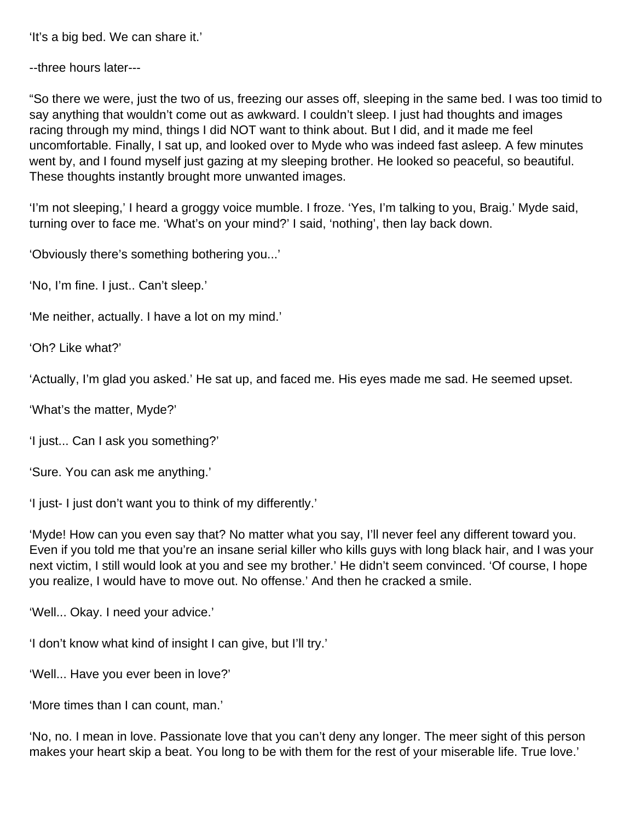'It's a big bed. We can share it.'

--three hours later---

"So there we were, just the two of us, freezing our asses off, sleeping in the same bed. I was too timid to say anything that wouldn't come out as awkward. I couldn't sleep. I just had thoughts and images racing through my mind, things I did NOT want to think about. But I did, and it made me feel uncomfortable. Finally, I sat up, and looked over to Myde who was indeed fast asleep. A few minutes went by, and I found myself just gazing at my sleeping brother. He looked so peaceful, so beautiful. These thoughts instantly brought more unwanted images.

'I'm not sleeping,' I heard a groggy voice mumble. I froze. 'Yes, I'm talking to you, Braig.' Myde said, turning over to face me. 'What's on your mind?' I said, 'nothing', then lay back down.

'Obviously there's something bothering you...'

'No, I'm fine. I just.. Can't sleep.'

'Me neither, actually. I have a lot on my mind.'

'Oh? Like what?'

'Actually, I'm glad you asked.' He sat up, and faced me. His eyes made me sad. He seemed upset.

'What's the matter, Myde?'

'I just... Can I ask you something?'

'Sure. You can ask me anything.'

'I just- I just don't want you to think of my differently.'

'Myde! How can you even say that? No matter what you say, I'll never feel any different toward you. Even if you told me that you're an insane serial killer who kills guys with long black hair, and I was your next victim, I still would look at you and see my brother.' He didn't seem convinced. 'Of course, I hope you realize, I would have to move out. No offense.' And then he cracked a smile.

'Well... Okay. I need your advice.'

'I don't know what kind of insight I can give, but I'll try.'

'Well... Have you ever been in love?'

'More times than I can count, man.'

'No, no. I mean in love. Passionate love that you can't deny any longer. The meer sight of this person makes your heart skip a beat. You long to be with them for the rest of your miserable life. True love.'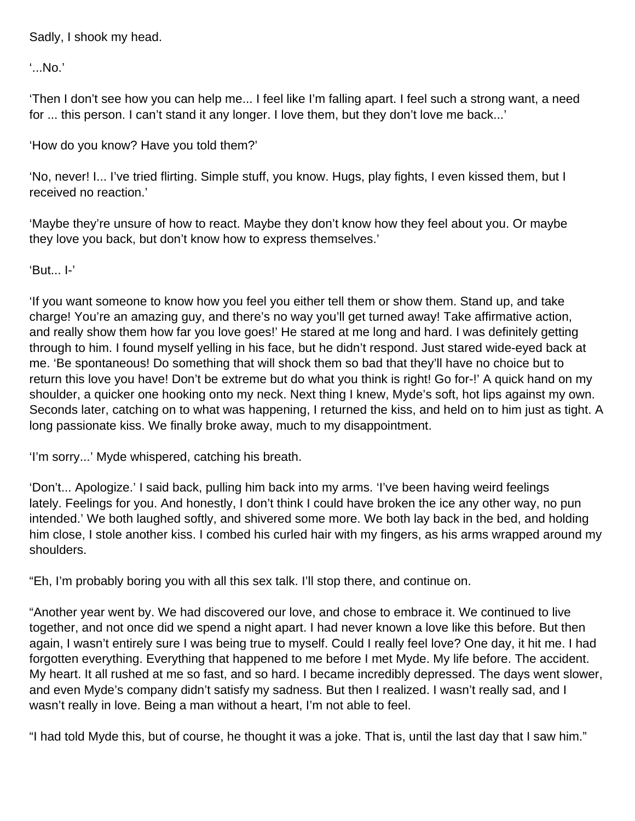Sadly, I shook my head.

'...No.'

'Then I don't see how you can help me... I feel like I'm falling apart. I feel such a strong want, a need for ... this person. I can't stand it any longer. I love them, but they don't love me back...'

'How do you know? Have you told them?'

'No, never! I... I've tried flirting. Simple stuff, you know. Hugs, play fights, I even kissed them, but I received no reaction.'

'Maybe they're unsure of how to react. Maybe they don't know how they feel about you. Or maybe they love you back, but don't know how to express themselves.'

'But... I-'

'If you want someone to know how you feel you either tell them or show them. Stand up, and take charge! You're an amazing guy, and there's no way you'll get turned away! Take affirmative action, and really show them how far you love goes!' He stared at me long and hard. I was definitely getting through to him. I found myself yelling in his face, but he didn't respond. Just stared wide-eyed back at me. 'Be spontaneous! Do something that will shock them so bad that they'll have no choice but to return this love you have! Don't be extreme but do what you think is right! Go for-!' A quick hand on my shoulder, a quicker one hooking onto my neck. Next thing I knew, Myde's soft, hot lips against my own. Seconds later, catching on to what was happening, I returned the kiss, and held on to him just as tight. A long passionate kiss. We finally broke away, much to my disappointment.

'I'm sorry...' Myde whispered, catching his breath.

'Don't... Apologize.' I said back, pulling him back into my arms. 'I've been having weird feelings lately. Feelings for you. And honestly, I don't think I could have broken the ice any other way, no pun intended.' We both laughed softly, and shivered some more. We both lay back in the bed, and holding him close, I stole another kiss. I combed his curled hair with my fingers, as his arms wrapped around my shoulders.

"Eh, I'm probably boring you with all this sex talk. I'll stop there, and continue on.

"Another year went by. We had discovered our love, and chose to embrace it. We continued to live together, and not once did we spend a night apart. I had never known a love like this before. But then again, I wasn't entirely sure I was being true to myself. Could I really feel love? One day, it hit me. I had forgotten everything. Everything that happened to me before I met Myde. My life before. The accident. My heart. It all rushed at me so fast, and so hard. I became incredibly depressed. The days went slower, and even Myde's company didn't satisfy my sadness. But then I realized. I wasn't really sad, and I wasn't really in love. Being a man without a heart, I'm not able to feel.

"I had told Myde this, but of course, he thought it was a joke. That is, until the last day that I saw him."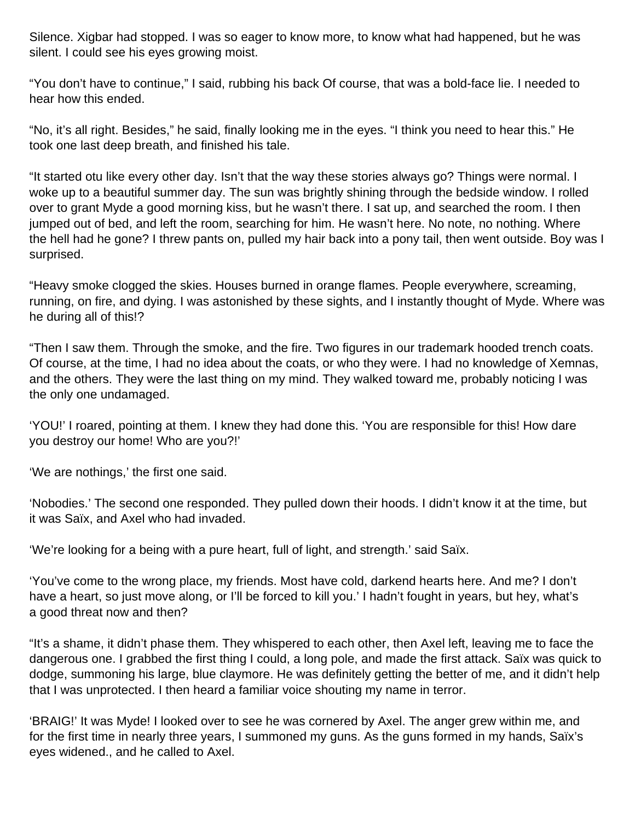Silence. Xigbar had stopped. I was so eager to know more, to know what had happened, but he was silent. I could see his eyes growing moist.

"You don't have to continue," I said, rubbing his back Of course, that was a bold-face lie. I needed to hear how this ended.

"No, it's all right. Besides," he said, finally looking me in the eyes. "I think you need to hear this." He took one last deep breath, and finished his tale.

"It started otu like every other day. Isn't that the way these stories always go? Things were normal. I woke up to a beautiful summer day. The sun was brightly shining through the bedside window. I rolled over to grant Myde a good morning kiss, but he wasn't there. I sat up, and searched the room. I then jumped out of bed, and left the room, searching for him. He wasn't here. No note, no nothing. Where the hell had he gone? I threw pants on, pulled my hair back into a pony tail, then went outside. Boy was I surprised.

"Heavy smoke clogged the skies. Houses burned in orange flames. People everywhere, screaming, running, on fire, and dying. I was astonished by these sights, and I instantly thought of Myde. Where was he during all of this!?

"Then I saw them. Through the smoke, and the fire. Two figures in our trademark hooded trench coats. Of course, at the time, I had no idea about the coats, or who they were. I had no knowledge of Xemnas, and the others. They were the last thing on my mind. They walked toward me, probably noticing I was the only one undamaged.

'YOU!' I roared, pointing at them. I knew they had done this. 'You are responsible for this! How dare you destroy our home! Who are you?!'

'We are nothings,' the first one said.

'Nobodies.' The second one responded. They pulled down their hoods. I didn't know it at the time, but it was Saïx, and Axel who had invaded.

'We're looking for a being with a pure heart, full of light, and strength.' said Saïx.

'You've come to the wrong place, my friends. Most have cold, darkend hearts here. And me? I don't have a heart, so just move along, or I'll be forced to kill you.' I hadn't fought in years, but hey, what's a good threat now and then?

"It's a shame, it didn't phase them. They whispered to each other, then Axel left, leaving me to face the dangerous one. I grabbed the first thing I could, a long pole, and made the first attack. Saïx was quick to dodge, summoning his large, blue claymore. He was definitely getting the better of me, and it didn't help that I was unprotected. I then heard a familiar voice shouting my name in terror.

'BRAIG!' It was Myde! I looked over to see he was cornered by Axel. The anger grew within me, and for the first time in nearly three years, I summoned my guns. As the guns formed in my hands, Saïx's eyes widened., and he called to Axel.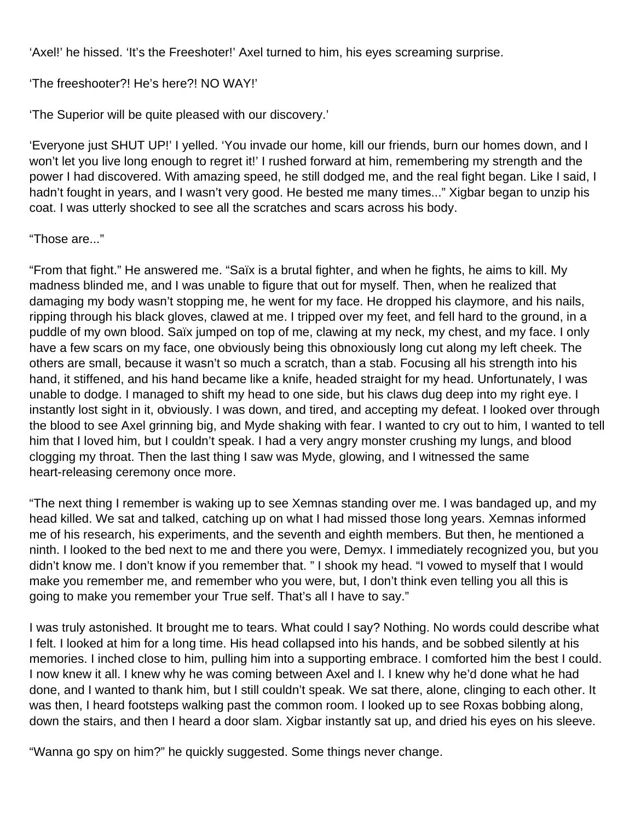'Axel!' he hissed. 'It's the Freeshoter!' Axel turned to him, his eyes screaming surprise.

'The freeshooter?! He's here?! NO WAY!'

'The Superior will be quite pleased with our discovery.'

'Everyone just SHUT UP!' I yelled. 'You invade our home, kill our friends, burn our homes down, and I won't let you live long enough to regret it!' I rushed forward at him, remembering my strength and the power I had discovered. With amazing speed, he still dodged me, and the real fight began. Like I said, I hadn't fought in years, and I wasn't very good. He bested me many times..." Xigbar began to unzip his coat. I was utterly shocked to see all the scratches and scars across his body.

"Those are..."

"From that fight." He answered me. "Saïx is a brutal fighter, and when he fights, he aims to kill. My madness blinded me, and I was unable to figure that out for myself. Then, when he realized that damaging my body wasn't stopping me, he went for my face. He dropped his claymore, and his nails, ripping through his black gloves, clawed at me. I tripped over my feet, and fell hard to the ground, in a puddle of my own blood. Saïx jumped on top of me, clawing at my neck, my chest, and my face. I only have a few scars on my face, one obviously being this obnoxiously long cut along my left cheek. The others are small, because it wasn't so much a scratch, than a stab. Focusing all his strength into his hand, it stiffened, and his hand became like a knife, headed straight for my head. Unfortunately, I was unable to dodge. I managed to shift my head to one side, but his claws dug deep into my right eye. I instantly lost sight in it, obviously. I was down, and tired, and accepting my defeat. I looked over through the blood to see Axel grinning big, and Myde shaking with fear. I wanted to cry out to him, I wanted to tell him that I loved him, but I couldn't speak. I had a very angry monster crushing my lungs, and blood clogging my throat. Then the last thing I saw was Myde, glowing, and I witnessed the same heart-releasing ceremony once more.

"The next thing I remember is waking up to see Xemnas standing over me. I was bandaged up, and my head killed. We sat and talked, catching up on what I had missed those long years. Xemnas informed me of his research, his experiments, and the seventh and eighth members. But then, he mentioned a ninth. I looked to the bed next to me and there you were, Demyx. I immediately recognized you, but you didn't know me. I don't know if you remember that. " I shook my head. "I vowed to myself that I would make you remember me, and remember who you were, but, I don't think even telling you all this is going to make you remember your True self. That's all I have to say."

I was truly astonished. It brought me to tears. What could I say? Nothing. No words could describe what I felt. I looked at him for a long time. His head collapsed into his hands, and be sobbed silently at his memories. I inched close to him, pulling him into a supporting embrace. I comforted him the best I could. I now knew it all. I knew why he was coming between Axel and I. I knew why he'd done what he had done, and I wanted to thank him, but I still couldn't speak. We sat there, alone, clinging to each other. It was then, I heard footsteps walking past the common room. I looked up to see Roxas bobbing along, down the stairs, and then I heard a door slam. Xigbar instantly sat up, and dried his eyes on his sleeve.

"Wanna go spy on him?" he quickly suggested. Some things never change.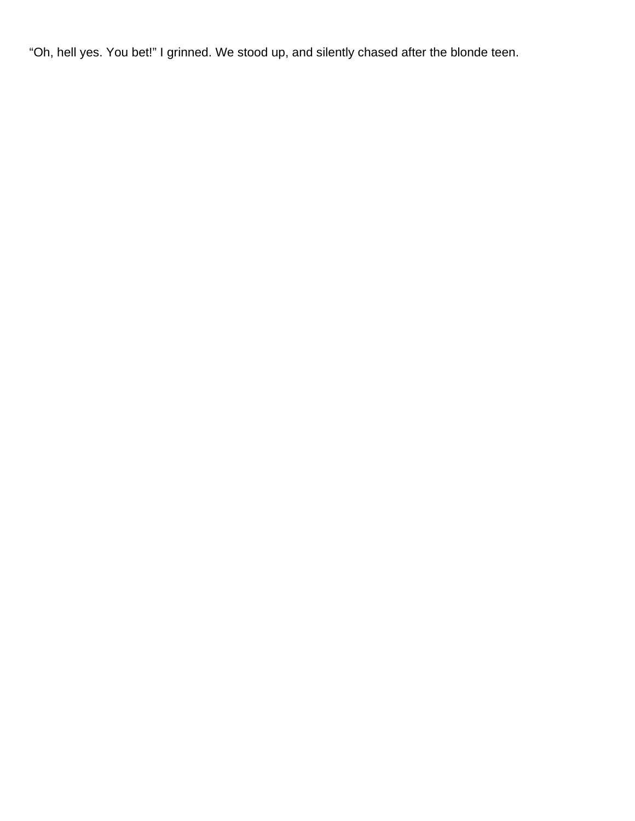"Oh, hell yes. You bet!" I grinned. We stood up, and silently chased after the blonde teen.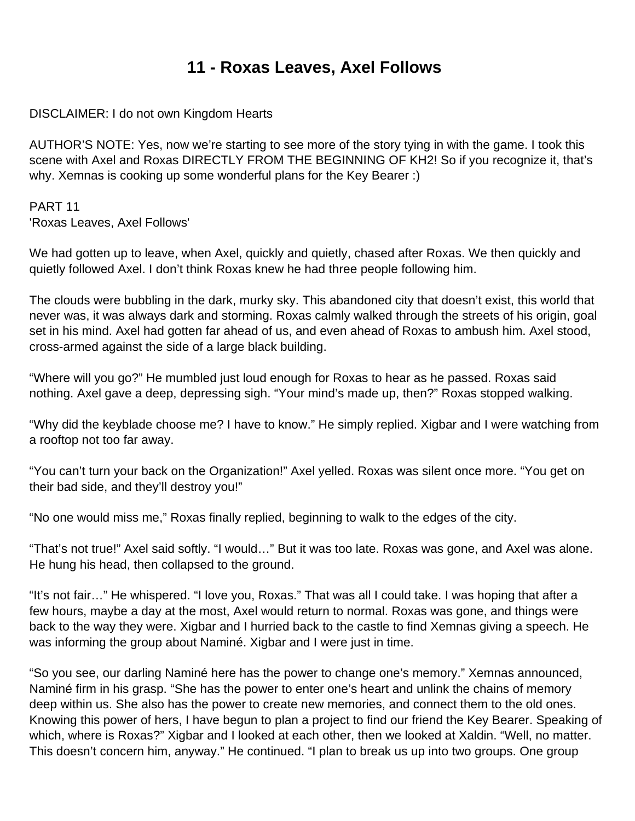### **11 - Roxas Leaves, Axel Follows**

DISCLAIMER: I do not own Kingdom Hearts

AUTHOR'S NOTE: Yes, now we're starting to see more of the story tying in with the game. I took this scene with Axel and Roxas DIRECTLY FROM THE BEGINNING OF KH2! So if you recognize it, that's why. Xemnas is cooking up some wonderful plans for the Key Bearer :)

PART 11 'Roxas Leaves, Axel Follows'

We had gotten up to leave, when Axel, quickly and quietly, chased after Roxas. We then quickly and quietly followed Axel. I don't think Roxas knew he had three people following him.

The clouds were bubbling in the dark, murky sky. This abandoned city that doesn't exist, this world that never was, it was always dark and storming. Roxas calmly walked through the streets of his origin, goal set in his mind. Axel had gotten far ahead of us, and even ahead of Roxas to ambush him. Axel stood, cross-armed against the side of a large black building.

"Where will you go?" He mumbled just loud enough for Roxas to hear as he passed. Roxas said nothing. Axel gave a deep, depressing sigh. "Your mind's made up, then?" Roxas stopped walking.

"Why did the keyblade choose me? I have to know." He simply replied. Xigbar and I were watching from a rooftop not too far away.

"You can't turn your back on the Organization!" Axel yelled. Roxas was silent once more. "You get on their bad side, and they'll destroy you!"

"No one would miss me," Roxas finally replied, beginning to walk to the edges of the city.

"That's not true!" Axel said softly. "I would…" But it was too late. Roxas was gone, and Axel was alone. He hung his head, then collapsed to the ground.

"It's not fair…" He whispered. "I love you, Roxas." That was all I could take. I was hoping that after a few hours, maybe a day at the most, Axel would return to normal. Roxas was gone, and things were back to the way they were. Xigbar and I hurried back to the castle to find Xemnas giving a speech. He was informing the group about Naminé. Xigbar and I were just in time.

"So you see, our darling Naminé here has the power to change one's memory." Xemnas announced, Naminé firm in his grasp. "She has the power to enter one's heart and unlink the chains of memory deep within us. She also has the power to create new memories, and connect them to the old ones. Knowing this power of hers, I have begun to plan a project to find our friend the Key Bearer. Speaking of which, where is Roxas?" Xigbar and I looked at each other, then we looked at Xaldin. "Well, no matter. This doesn't concern him, anyway." He continued. "I plan to break us up into two groups. One group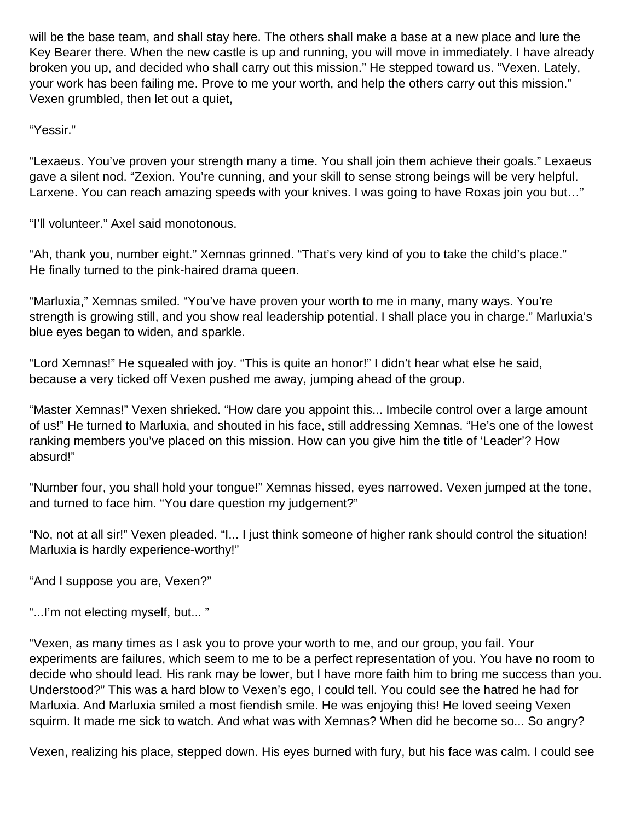will be the base team, and shall stay here. The others shall make a base at a new place and lure the Key Bearer there. When the new castle is up and running, you will move in immediately. I have already broken you up, and decided who shall carry out this mission." He stepped toward us. "Vexen. Lately, your work has been failing me. Prove to me your worth, and help the others carry out this mission." Vexen grumbled, then let out a quiet,

"Yessir."

"Lexaeus. You've proven your strength many a time. You shall join them achieve their goals." Lexaeus gave a silent nod. "Zexion. You're cunning, and your skill to sense strong beings will be very helpful. Larxene. You can reach amazing speeds with your knives. I was going to have Roxas join you but…"

"I'll volunteer." Axel said monotonous.

"Ah, thank you, number eight." Xemnas grinned. "That's very kind of you to take the child's place." He finally turned to the pink-haired drama queen.

"Marluxia," Xemnas smiled. "You've have proven your worth to me in many, many ways. You're strength is growing still, and you show real leadership potential. I shall place you in charge." Marluxia's blue eyes began to widen, and sparkle.

"Lord Xemnas!" He squealed with joy. "This is quite an honor!" I didn't hear what else he said, because a very ticked off Vexen pushed me away, jumping ahead of the group.

"Master Xemnas!" Vexen shrieked. "How dare you appoint this... Imbecile control over a large amount of us!" He turned to Marluxia, and shouted in his face, still addressing Xemnas. "He's one of the lowest ranking members you've placed on this mission. How can you give him the title of 'Leader'? How absurd!"

"Number four, you shall hold your tongue!" Xemnas hissed, eyes narrowed. Vexen jumped at the tone, and turned to face him. "You dare question my judgement?"

"No, not at all sir!" Vexen pleaded. "I... I just think someone of higher rank should control the situation! Marluxia is hardly experience-worthy!"

"And I suppose you are, Vexen?"

"...I'm not electing myself, but... "

"Vexen, as many times as I ask you to prove your worth to me, and our group, you fail. Your experiments are failures, which seem to me to be a perfect representation of you. You have no room to decide who should lead. His rank may be lower, but I have more faith him to bring me success than you. Understood?" This was a hard blow to Vexen's ego, I could tell. You could see the hatred he had for Marluxia. And Marluxia smiled a most fiendish smile. He was enjoying this! He loved seeing Vexen squirm. It made me sick to watch. And what was with Xemnas? When did he become so... So angry?

Vexen, realizing his place, stepped down. His eyes burned with fury, but his face was calm. I could see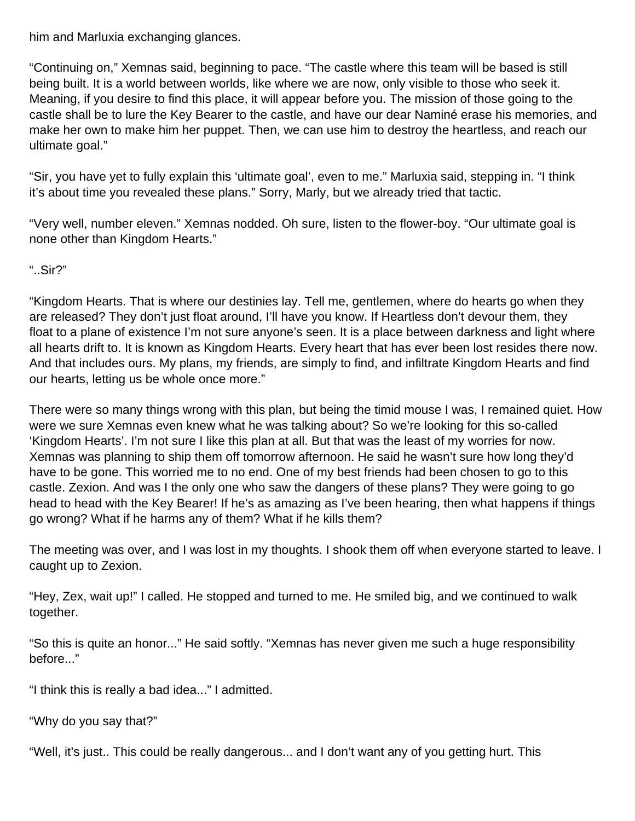him and Marluxia exchanging glances.

"Continuing on," Xemnas said, beginning to pace. "The castle where this team will be based is still being built. It is a world between worlds, like where we are now, only visible to those who seek it. Meaning, if you desire to find this place, it will appear before you. The mission of those going to the castle shall be to lure the Key Bearer to the castle, and have our dear Naminé erase his memories, and make her own to make him her puppet. Then, we can use him to destroy the heartless, and reach our ultimate goal."

"Sir, you have yet to fully explain this 'ultimate goal', even to me." Marluxia said, stepping in. "I think it's about time you revealed these plans." Sorry, Marly, but we already tried that tactic.

"Very well, number eleven." Xemnas nodded. Oh sure, listen to the flower-boy. "Our ultimate goal is none other than Kingdom Hearts."

"..Sir?"

"Kingdom Hearts. That is where our destinies lay. Tell me, gentlemen, where do hearts go when they are released? They don't just float around, I'll have you know. If Heartless don't devour them, they float to a plane of existence I'm not sure anyone's seen. It is a place between darkness and light where all hearts drift to. It is known as Kingdom Hearts. Every heart that has ever been lost resides there now. And that includes ours. My plans, my friends, are simply to find, and infiltrate Kingdom Hearts and find our hearts, letting us be whole once more."

There were so many things wrong with this plan, but being the timid mouse I was, I remained quiet. How were we sure Xemnas even knew what he was talking about? So we're looking for this so-called 'Kingdom Hearts'. I'm not sure I like this plan at all. But that was the least of my worries for now. Xemnas was planning to ship them off tomorrow afternoon. He said he wasn't sure how long they'd have to be gone. This worried me to no end. One of my best friends had been chosen to go to this castle. Zexion. And was I the only one who saw the dangers of these plans? They were going to go head to head with the Key Bearer! If he's as amazing as I've been hearing, then what happens if things go wrong? What if he harms any of them? What if he kills them?

The meeting was over, and I was lost in my thoughts. I shook them off when everyone started to leave. I caught up to Zexion.

"Hey, Zex, wait up!" I called. He stopped and turned to me. He smiled big, and we continued to walk together.

"So this is quite an honor..." He said softly. "Xemnas has never given me such a huge responsibility before..."

"I think this is really a bad idea..." I admitted.

"Why do you say that?"

"Well, it's just.. This could be really dangerous... and I don't want any of you getting hurt. This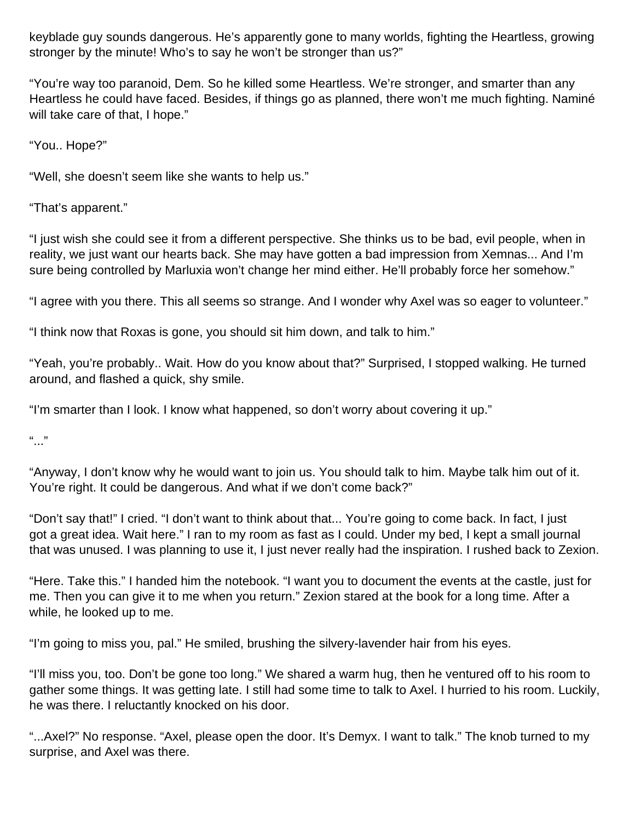keyblade guy sounds dangerous. He's apparently gone to many worlds, fighting the Heartless, growing stronger by the minute! Who's to say he won't be stronger than us?"

"You're way too paranoid, Dem. So he killed some Heartless. We're stronger, and smarter than any Heartless he could have faced. Besides, if things go as planned, there won't me much fighting. Naminé will take care of that, I hope."

"You.. Hope?"

"Well, she doesn't seem like she wants to help us."

"That's apparent."

"I just wish she could see it from a different perspective. She thinks us to be bad, evil people, when in reality, we just want our hearts back. She may have gotten a bad impression from Xemnas... And I'm sure being controlled by Marluxia won't change her mind either. He'll probably force her somehow."

"I agree with you there. This all seems so strange. And I wonder why Axel was so eager to volunteer."

"I think now that Roxas is gone, you should sit him down, and talk to him."

"Yeah, you're probably.. Wait. How do you know about that?" Surprised, I stopped walking. He turned around, and flashed a quick, shy smile.

"I'm smarter than I look. I know what happened, so don't worry about covering it up."

 $\frac{1}{2}$ 

"Anyway, I don't know why he would want to join us. You should talk to him. Maybe talk him out of it. You're right. It could be dangerous. And what if we don't come back?"

"Don't say that!" I cried. "I don't want to think about that... You're going to come back. In fact, I just got a great idea. Wait here." I ran to my room as fast as I could. Under my bed, I kept a small journal that was unused. I was planning to use it, I just never really had the inspiration. I rushed back to Zexion.

"Here. Take this." I handed him the notebook. "I want you to document the events at the castle, just for me. Then you can give it to me when you return." Zexion stared at the book for a long time. After a while, he looked up to me.

"I'm going to miss you, pal." He smiled, brushing the silvery-lavender hair from his eyes.

"I'll miss you, too. Don't be gone too long." We shared a warm hug, then he ventured off to his room to gather some things. It was getting late. I still had some time to talk to Axel. I hurried to his room. Luckily, he was there. I reluctantly knocked on his door.

"...Axel?" No response. "Axel, please open the door. It's Demyx. I want to talk." The knob turned to my surprise, and Axel was there.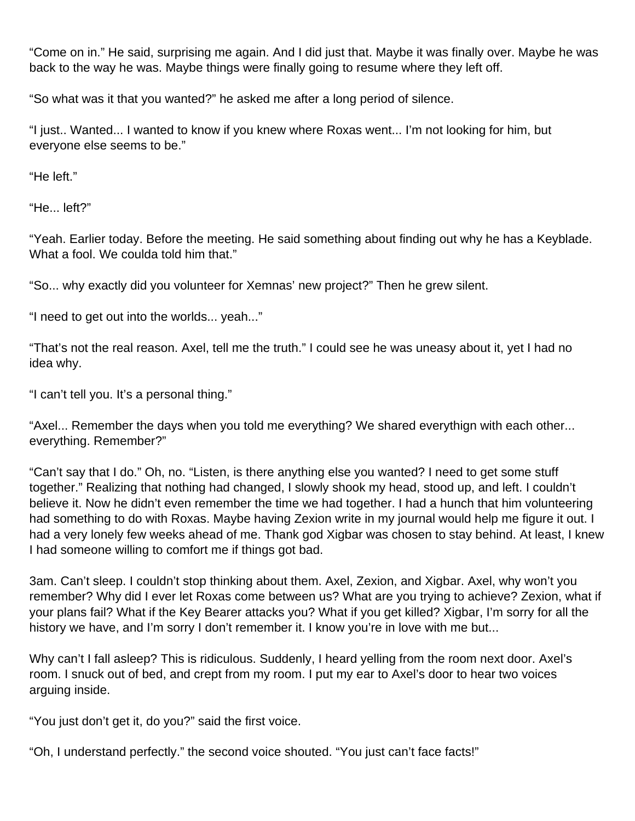"Come on in." He said, surprising me again. And I did just that. Maybe it was finally over. Maybe he was back to the way he was. Maybe things were finally going to resume where they left off.

"So what was it that you wanted?" he asked me after a long period of silence.

"I just.. Wanted... I wanted to know if you knew where Roxas went... I'm not looking for him, but everyone else seems to be."

"He left."

"He... left?"

"Yeah. Earlier today. Before the meeting. He said something about finding out why he has a Keyblade. What a fool. We coulda told him that."

"So... why exactly did you volunteer for Xemnas' new project?" Then he grew silent.

"I need to get out into the worlds... yeah..."

"That's not the real reason. Axel, tell me the truth." I could see he was uneasy about it, yet I had no idea why.

"I can't tell you. It's a personal thing."

"Axel... Remember the days when you told me everything? We shared everythign with each other... everything. Remember?"

"Can't say that I do." Oh, no. "Listen, is there anything else you wanted? I need to get some stuff together." Realizing that nothing had changed, I slowly shook my head, stood up, and left. I couldn't believe it. Now he didn't even remember the time we had together. I had a hunch that him volunteering had something to do with Roxas. Maybe having Zexion write in my journal would help me figure it out. I had a very lonely few weeks ahead of me. Thank god Xigbar was chosen to stay behind. At least, I knew I had someone willing to comfort me if things got bad.

3am. Can't sleep. I couldn't stop thinking about them. Axel, Zexion, and Xigbar. Axel, why won't you remember? Why did I ever let Roxas come between us? What are you trying to achieve? Zexion, what if your plans fail? What if the Key Bearer attacks you? What if you get killed? Xigbar, I'm sorry for all the history we have, and I'm sorry I don't remember it. I know you're in love with me but...

Why can't I fall asleep? This is ridiculous. Suddenly, I heard yelling from the room next door. Axel's room. I snuck out of bed, and crept from my room. I put my ear to Axel's door to hear two voices arguing inside.

"You just don't get it, do you?" said the first voice.

"Oh, I understand perfectly." the second voice shouted. "You just can't face facts!"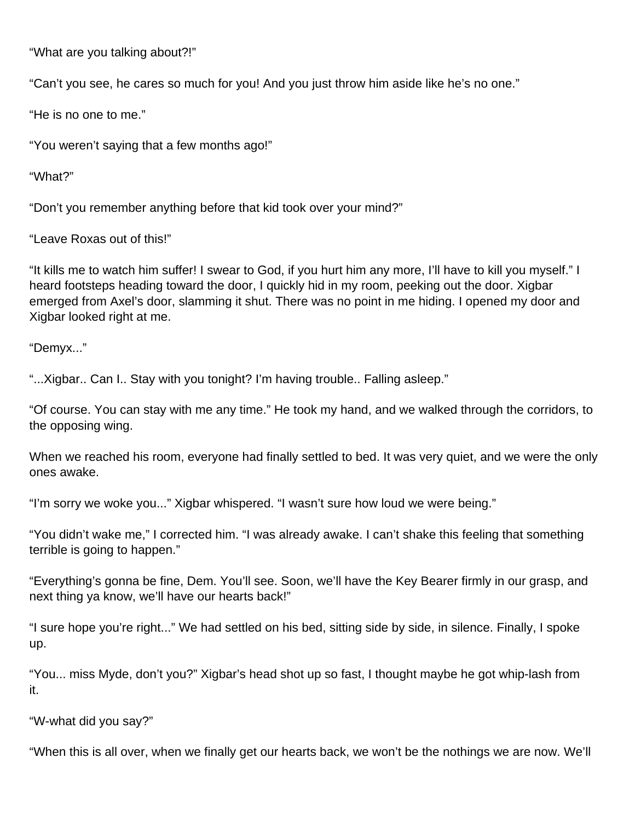"What are you talking about?!"

"Can't you see, he cares so much for you! And you just throw him aside like he's no one."

"He is no one to me."

"You weren't saying that a few months ago!"

"What?"

"Don't you remember anything before that kid took over your mind?"

"Leave Roxas out of this!"

"It kills me to watch him suffer! I swear to God, if you hurt him any more, I'll have to kill you myself." I heard footsteps heading toward the door, I quickly hid in my room, peeking out the door. Xigbar emerged from Axel's door, slamming it shut. There was no point in me hiding. I opened my door and Xigbar looked right at me.

"Demyx..."

"...Xigbar.. Can I.. Stay with you tonight? I'm having trouble.. Falling asleep."

"Of course. You can stay with me any time." He took my hand, and we walked through the corridors, to the opposing wing.

When we reached his room, everyone had finally settled to bed. It was very quiet, and we were the only ones awake.

"I'm sorry we woke you..." Xigbar whispered. "I wasn't sure how loud we were being."

"You didn't wake me," I corrected him. "I was already awake. I can't shake this feeling that something terrible is going to happen."

"Everything's gonna be fine, Dem. You'll see. Soon, we'll have the Key Bearer firmly in our grasp, and next thing ya know, we'll have our hearts back!"

"I sure hope you're right..." We had settled on his bed, sitting side by side, in silence. Finally, I spoke up.

"You... miss Myde, don't you?" Xigbar's head shot up so fast, I thought maybe he got whip-lash from it.

"W-what did you say?"

"When this is all over, when we finally get our hearts back, we won't be the nothings we are now. We'll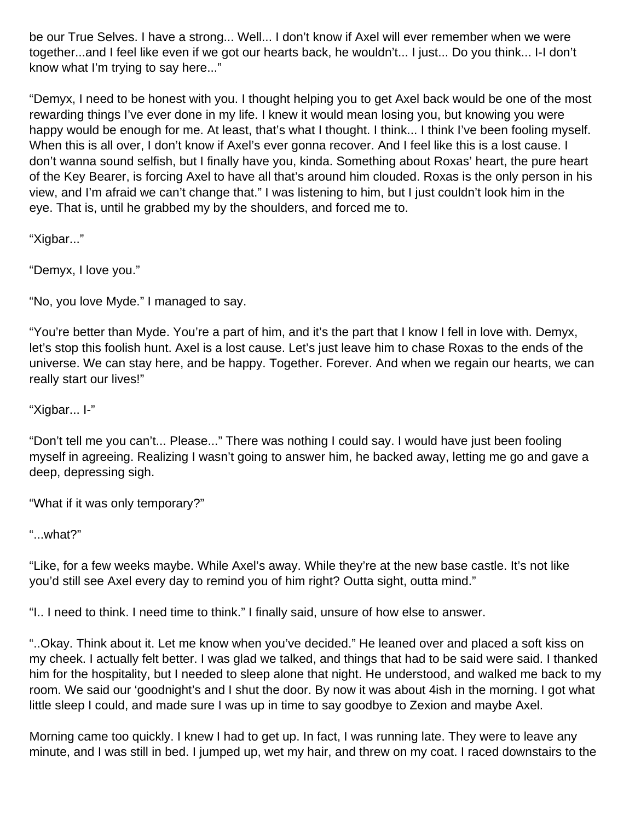be our True Selves. I have a strong... Well... I don't know if Axel will ever remember when we were together...and I feel like even if we got our hearts back, he wouldn't... I just... Do you think... I-I don't know what I'm trying to say here..."

"Demyx, I need to be honest with you. I thought helping you to get Axel back would be one of the most rewarding things I've ever done in my life. I knew it would mean losing you, but knowing you were happy would be enough for me. At least, that's what I thought. I think... I think I've been fooling myself. When this is all over, I don't know if Axel's ever gonna recover. And I feel like this is a lost cause. I don't wanna sound selfish, but I finally have you, kinda. Something about Roxas' heart, the pure heart of the Key Bearer, is forcing Axel to have all that's around him clouded. Roxas is the only person in his view, and I'm afraid we can't change that." I was listening to him, but I just couldn't look him in the eye. That is, until he grabbed my by the shoulders, and forced me to.

"Xigbar..."

"Demyx, I love you."

"No, you love Myde." I managed to say.

"You're better than Myde. You're a part of him, and it's the part that I know I fell in love with. Demyx, let's stop this foolish hunt. Axel is a lost cause. Let's just leave him to chase Roxas to the ends of the universe. We can stay here, and be happy. Together. Forever. And when we regain our hearts, we can really start our lives!"

"Xigbar... I-"

"Don't tell me you can't... Please..." There was nothing I could say. I would have just been fooling myself in agreeing. Realizing I wasn't going to answer him, he backed away, letting me go and gave a deep, depressing sigh.

"What if it was only temporary?"

"...what?"

"Like, for a few weeks maybe. While Axel's away. While they're at the new base castle. It's not like you'd still see Axel every day to remind you of him right? Outta sight, outta mind."

"I.. I need to think. I need time to think." I finally said, unsure of how else to answer.

"..Okay. Think about it. Let me know when you've decided." He leaned over and placed a soft kiss on my cheek. I actually felt better. I was glad we talked, and things that had to be said were said. I thanked him for the hospitality, but I needed to sleep alone that night. He understood, and walked me back to my room. We said our 'goodnight's and I shut the door. By now it was about 4ish in the morning. I got what little sleep I could, and made sure I was up in time to say goodbye to Zexion and maybe Axel.

Morning came too quickly. I knew I had to get up. In fact, I was running late. They were to leave any minute, and I was still in bed. I jumped up, wet my hair, and threw on my coat. I raced downstairs to the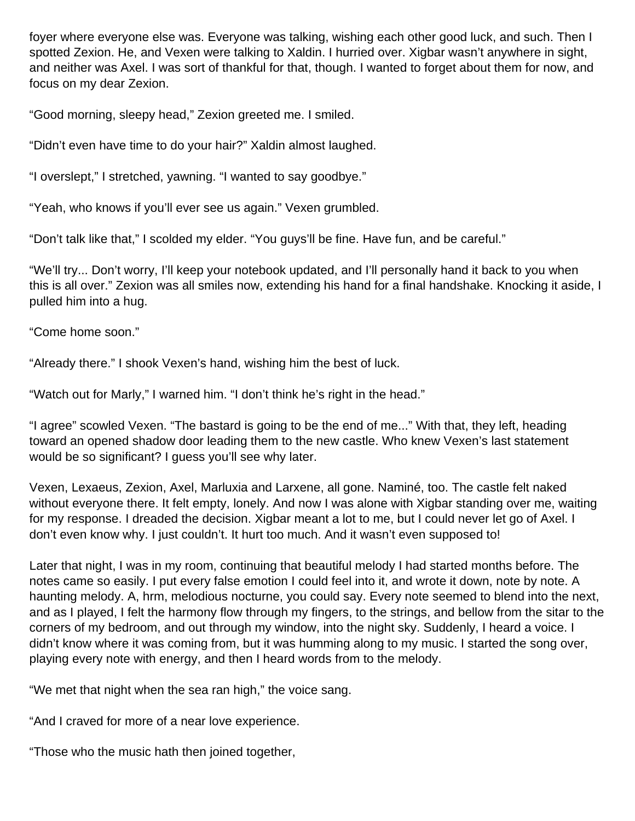foyer where everyone else was. Everyone was talking, wishing each other good luck, and such. Then I spotted Zexion. He, and Vexen were talking to Xaldin. I hurried over. Xigbar wasn't anywhere in sight, and neither was Axel. I was sort of thankful for that, though. I wanted to forget about them for now, and focus on my dear Zexion.

"Good morning, sleepy head," Zexion greeted me. I smiled.

"Didn't even have time to do your hair?" Xaldin almost laughed.

"I overslept," I stretched, yawning. "I wanted to say goodbye."

"Yeah, who knows if you'll ever see us again." Vexen grumbled.

"Don't talk like that," I scolded my elder. "You guys'll be fine. Have fun, and be careful."

"We'll try... Don't worry, I'll keep your notebook updated, and I'll personally hand it back to you when this is all over." Zexion was all smiles now, extending his hand for a final handshake. Knocking it aside, I pulled him into a hug.

"Come home soon."

"Already there." I shook Vexen's hand, wishing him the best of luck.

"Watch out for Marly," I warned him. "I don't think he's right in the head."

"I agree" scowled Vexen. "The bastard is going to be the end of me..." With that, they left, heading toward an opened shadow door leading them to the new castle. Who knew Vexen's last statement would be so significant? I guess you'll see why later.

Vexen, Lexaeus, Zexion, Axel, Marluxia and Larxene, all gone. Naminé, too. The castle felt naked without everyone there. It felt empty, lonely. And now I was alone with Xigbar standing over me, waiting for my response. I dreaded the decision. Xigbar meant a lot to me, but I could never let go of Axel. I don't even know why. I just couldn't. It hurt too much. And it wasn't even supposed to!

Later that night, I was in my room, continuing that beautiful melody I had started months before. The notes came so easily. I put every false emotion I could feel into it, and wrote it down, note by note. A haunting melody. A, hrm, melodious nocturne, you could say. Every note seemed to blend into the next, and as I played, I felt the harmony flow through my fingers, to the strings, and bellow from the sitar to the corners of my bedroom, and out through my window, into the night sky. Suddenly, I heard a voice. I didn't know where it was coming from, but it was humming along to my music. I started the song over, playing every note with energy, and then I heard words from to the melody.

"We met that night when the sea ran high," the voice sang.

"And I craved for more of a near love experience.

"Those who the music hath then joined together,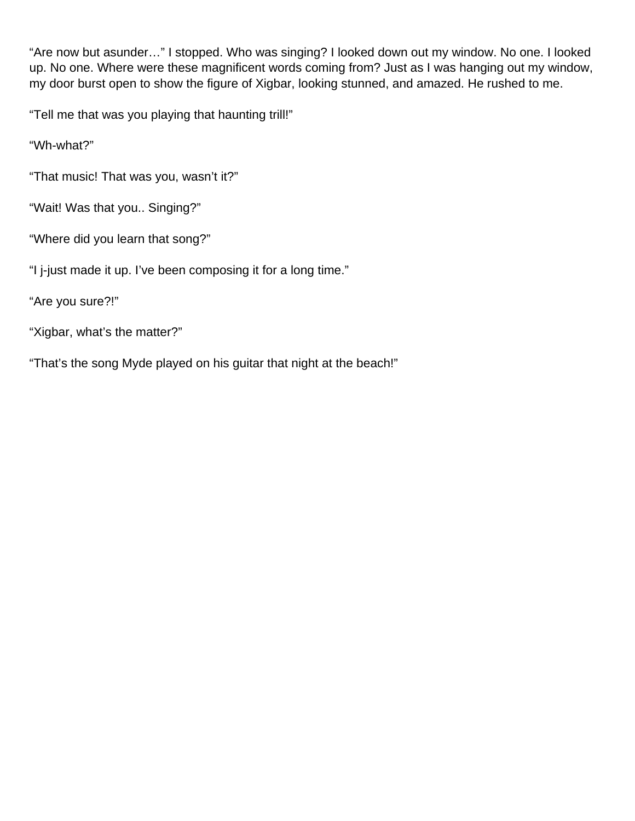"Are now but asunder…" I stopped. Who was singing? I looked down out my window. No one. I looked up. No one. Where were these magnificent words coming from? Just as I was hanging out my window, my door burst open to show the figure of Xigbar, looking stunned, and amazed. He rushed to me.

"Tell me that was you playing that haunting trill!"

"Wh-what?"

"That music! That was you, wasn't it?"

- "Wait! Was that you.. Singing?"
- "Where did you learn that song?"
- "I j-just made it up. I've been composing it for a long time."

"Are you sure?!"

"Xigbar, what's the matter?"

"That's the song Myde played on his guitar that night at the beach!"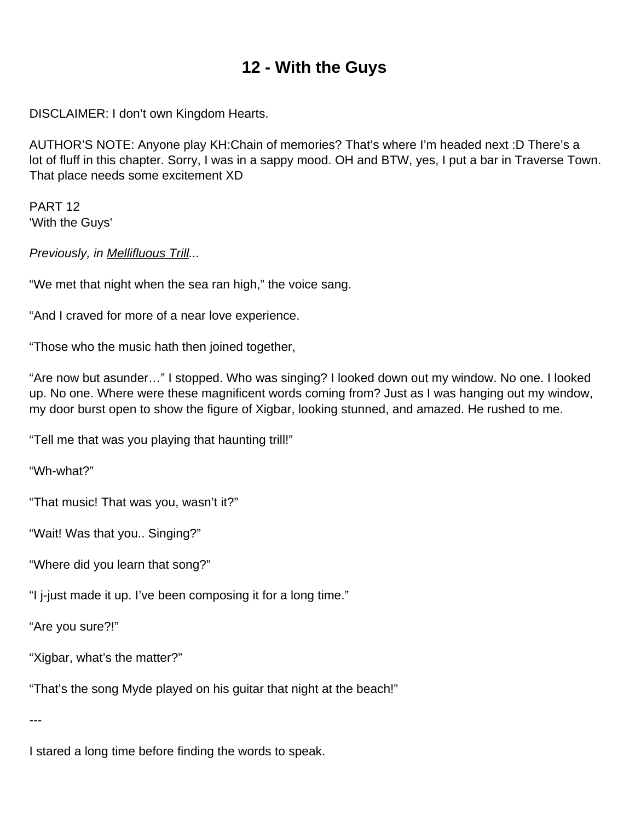## **12 - With the Guys**

DISCLAIMER: I don't own Kingdom Hearts.

AUTHOR'S NOTE: Anyone play KH:Chain of memories? That's where I'm headed next :D There's a lot of fluff in this chapter. Sorry, I was in a sappy mood. OH and BTW, yes, I put a bar in Traverse Town. That place needs some excitement XD

PART 12 'With the Guys'

Previously, in **Mellifluous Trill...** 

"We met that night when the sea ran high," the voice sang.

"And I craved for more of a near love experience.

"Those who the music hath then joined together,

"Are now but asunder…" I stopped. Who was singing? I looked down out my window. No one. I looked up. No one. Where were these magnificent words coming from? Just as I was hanging out my window, my door burst open to show the figure of Xigbar, looking stunned, and amazed. He rushed to me.

"Tell me that was you playing that haunting trill!"

"Wh-what?"

"That music! That was you, wasn't it?"

"Wait! Was that you.. Singing?"

"Where did you learn that song?"

"I j-just made it up. I've been composing it for a long time."

"Are you sure?!"

"Xigbar, what's the matter?"

"That's the song Myde played on his guitar that night at the beach!"

---

I stared a long time before finding the words to speak.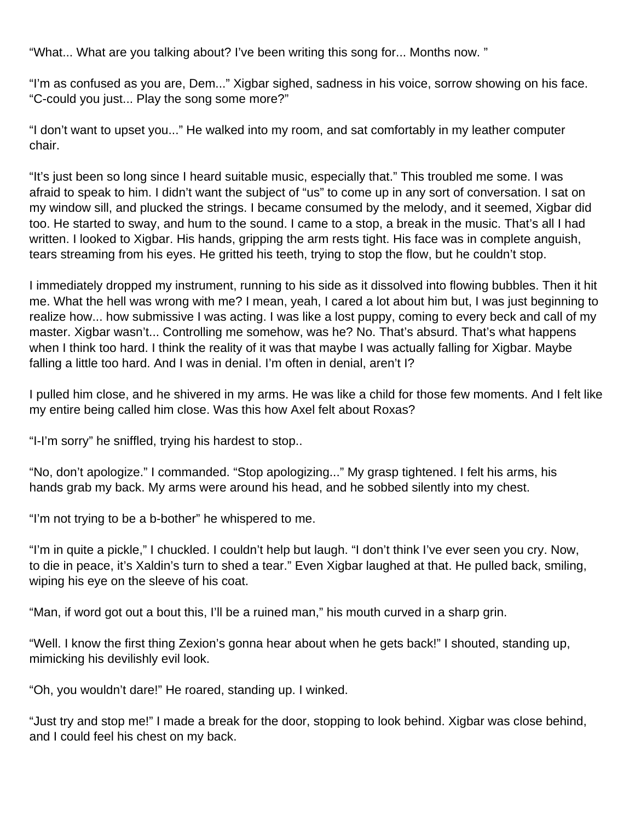"What... What are you talking about? I've been writing this song for... Months now. "

"I'm as confused as you are, Dem..." Xigbar sighed, sadness in his voice, sorrow showing on his face. "C-could you just... Play the song some more?"

"I don't want to upset you..." He walked into my room, and sat comfortably in my leather computer chair.

"It's just been so long since I heard suitable music, especially that." This troubled me some. I was afraid to speak to him. I didn't want the subject of "us" to come up in any sort of conversation. I sat on my window sill, and plucked the strings. I became consumed by the melody, and it seemed, Xigbar did too. He started to sway, and hum to the sound. I came to a stop, a break in the music. That's all I had written. I looked to Xigbar. His hands, gripping the arm rests tight. His face was in complete anguish, tears streaming from his eyes. He gritted his teeth, trying to stop the flow, but he couldn't stop.

I immediately dropped my instrument, running to his side as it dissolved into flowing bubbles. Then it hit me. What the hell was wrong with me? I mean, yeah, I cared a lot about him but, I was just beginning to realize how... how submissive I was acting. I was like a lost puppy, coming to every beck and call of my master. Xigbar wasn't... Controlling me somehow, was he? No. That's absurd. That's what happens when I think too hard. I think the reality of it was that maybe I was actually falling for Xigbar. Maybe falling a little too hard. And I was in denial. I'm often in denial, aren't I?

I pulled him close, and he shivered in my arms. He was like a child for those few moments. And I felt like my entire being called him close. Was this how Axel felt about Roxas?

"I-I'm sorry" he sniffled, trying his hardest to stop..

"No, don't apologize." I commanded. "Stop apologizing..." My grasp tightened. I felt his arms, his hands grab my back. My arms were around his head, and he sobbed silently into my chest.

"I'm not trying to be a b-bother" he whispered to me.

"I'm in quite a pickle," I chuckled. I couldn't help but laugh. "I don't think I've ever seen you cry. Now, to die in peace, it's Xaldin's turn to shed a tear." Even Xigbar laughed at that. He pulled back, smiling, wiping his eye on the sleeve of his coat.

"Man, if word got out a bout this, I'll be a ruined man," his mouth curved in a sharp grin.

"Well. I know the first thing Zexion's gonna hear about when he gets back!" I shouted, standing up, mimicking his devilishly evil look.

"Oh, you wouldn't dare!" He roared, standing up. I winked.

"Just try and stop me!" I made a break for the door, stopping to look behind. Xigbar was close behind, and I could feel his chest on my back.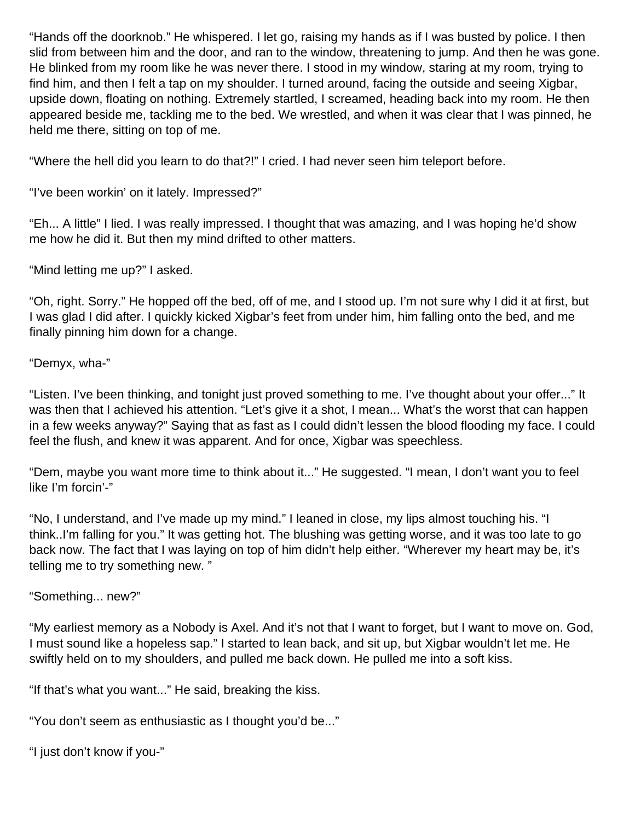"Hands off the doorknob." He whispered. I let go, raising my hands as if I was busted by police. I then slid from between him and the door, and ran to the window, threatening to jump. And then he was gone. He blinked from my room like he was never there. I stood in my window, staring at my room, trying to find him, and then I felt a tap on my shoulder. I turned around, facing the outside and seeing Xigbar, upside down, floating on nothing. Extremely startled, I screamed, heading back into my room. He then appeared beside me, tackling me to the bed. We wrestled, and when it was clear that I was pinned, he held me there, sitting on top of me.

"Where the hell did you learn to do that?!" I cried. I had never seen him teleport before.

"I've been workin' on it lately. Impressed?"

"Eh... A little" I lied. I was really impressed. I thought that was amazing, and I was hoping he'd show me how he did it. But then my mind drifted to other matters.

"Mind letting me up?" I asked.

"Oh, right. Sorry." He hopped off the bed, off of me, and I stood up. I'm not sure why I did it at first, but I was glad I did after. I quickly kicked Xigbar's feet from under him, him falling onto the bed, and me finally pinning him down for a change.

#### "Demyx, wha-"

"Listen. I've been thinking, and tonight just proved something to me. I've thought about your offer..." It was then that I achieved his attention. "Let's give it a shot, I mean... What's the worst that can happen in a few weeks anyway?" Saying that as fast as I could didn't lessen the blood flooding my face. I could feel the flush, and knew it was apparent. And for once, Xigbar was speechless.

"Dem, maybe you want more time to think about it..." He suggested. "I mean, I don't want you to feel like I'm forcin'-"

"No, I understand, and I've made up my mind." I leaned in close, my lips almost touching his. "I think..I'm falling for you." It was getting hot. The blushing was getting worse, and it was too late to go back now. The fact that I was laying on top of him didn't help either. "Wherever my heart may be, it's telling me to try something new. "

"Something... new?"

"My earliest memory as a Nobody is Axel. And it's not that I want to forget, but I want to move on. God, I must sound like a hopeless sap." I started to lean back, and sit up, but Xigbar wouldn't let me. He swiftly held on to my shoulders, and pulled me back down. He pulled me into a soft kiss.

"If that's what you want..." He said, breaking the kiss.

"You don't seem as enthusiastic as I thought you'd be..."

"I just don't know if you-"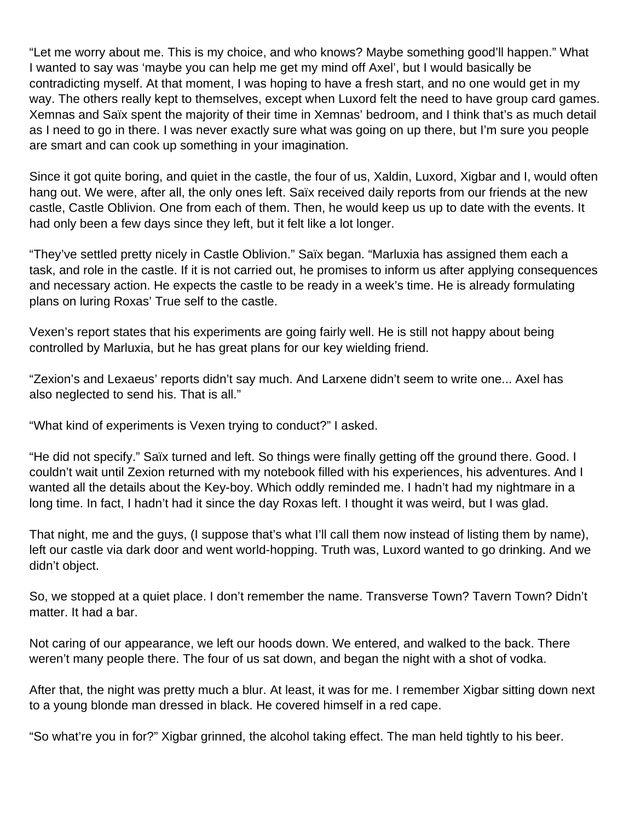"Let me worry about me. This is my choice, and who knows? Maybe something good'll happen." What I wanted to say was 'maybe you can help me get my mind off Axel', but I would basically be contradicting myself. At that moment, I was hoping to have a fresh start, and no one would get in my way. The others really kept to themselves, except when Luxord felt the need to have group card games. Xemnas and Saïx spent the majority of their time in Xemnas' bedroom, and I think that's as much detail as I need to go in there. I was never exactly sure what was going on up there, but I'm sure you people are smart and can cook up something in your imagination.

Since it got quite boring, and quiet in the castle, the four of us, Xaldin, Luxord, Xigbar and I, would often hang out. We were, after all, the only ones left. Saïx received daily reports from our friends at the new castle, Castle Oblivion. One from each of them. Then, he would keep us up to date with the events. It had only been a few days since they left, but it felt like a lot longer.

"They've settled pretty nicely in Castle Oblivion." Saïx began. "Marluxia has assigned them each a task, and role in the castle. If it is not carried out, he promises to inform us after applying consequences and necessary action. He expects the castle to be ready in a week's time. He is already formulating plans on luring Roxas' True self to the castle.

Vexen's report states that his experiments are going fairly well. He is still not happy about being controlled by Marluxia, but he has great plans for our key wielding friend.

"Zexion's and Lexaeus' reports didn't say much. And Larxene didn't seem to write one... Axel has also neglected to send his. That is all."

"What kind of experiments is Vexen trying to conduct?" I asked.

"He did not specify." Saïx turned and left. So things were finally getting off the ground there. Good. I couldn't wait until Zexion returned with my notebook filled with his experiences, his adventures. And I wanted all the details about the Key-boy. Which oddly reminded me. I hadn't had my nightmare in a long time. In fact, I hadn't had it since the day Roxas left. I thought it was weird, but I was glad.

That night, me and the guys, (I suppose that's what I'll call them now instead of listing them by name), left our castle via dark door and went world-hopping. Truth was, Luxord wanted to go drinking. And we didn't object.

So, we stopped at a quiet place. I don't remember the name. Transverse Town? Tavern Town? Didn't matter. It had a bar.

Not caring of our appearance, we left our hoods down. We entered, and walked to the back. There weren't many people there. The four of us sat down, and began the night with a shot of vodka.

After that, the night was pretty much a blur. At least, it was for me. I remember Xigbar sitting down next to a young blonde man dressed in black. He covered himself in a red cape.

"So what're you in for?" Xigbar grinned, the alcohol taking effect. The man held tightly to his beer.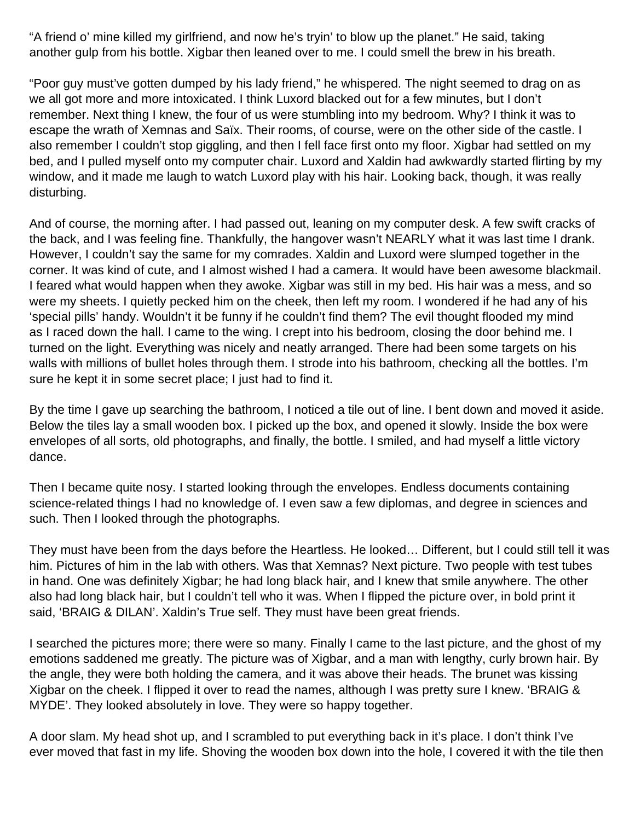"A friend o' mine killed my girlfriend, and now he's tryin' to blow up the planet." He said, taking another gulp from his bottle. Xigbar then leaned over to me. I could smell the brew in his breath.

"Poor guy must've gotten dumped by his lady friend," he whispered. The night seemed to drag on as we all got more and more intoxicated. I think Luxord blacked out for a few minutes, but I don't remember. Next thing I knew, the four of us were stumbling into my bedroom. Why? I think it was to escape the wrath of Xemnas and Saïx. Their rooms, of course, were on the other side of the castle. I also remember I couldn't stop giggling, and then I fell face first onto my floor. Xigbar had settled on my bed, and I pulled myself onto my computer chair. Luxord and Xaldin had awkwardly started flirting by my window, and it made me laugh to watch Luxord play with his hair. Looking back, though, it was really disturbing.

And of course, the morning after. I had passed out, leaning on my computer desk. A few swift cracks of the back, and I was feeling fine. Thankfully, the hangover wasn't NEARLY what it was last time I drank. However, I couldn't say the same for my comrades. Xaldin and Luxord were slumped together in the corner. It was kind of cute, and I almost wished I had a camera. It would have been awesome blackmail. I feared what would happen when they awoke. Xigbar was still in my bed. His hair was a mess, and so were my sheets. I quietly pecked him on the cheek, then left my room. I wondered if he had any of his 'special pills' handy. Wouldn't it be funny if he couldn't find them? The evil thought flooded my mind as I raced down the hall. I came to the wing. I crept into his bedroom, closing the door behind me. I turned on the light. Everything was nicely and neatly arranged. There had been some targets on his walls with millions of bullet holes through them. I strode into his bathroom, checking all the bottles. I'm sure he kept it in some secret place; I just had to find it.

By the time I gave up searching the bathroom, I noticed a tile out of line. I bent down and moved it aside. Below the tiles lay a small wooden box. I picked up the box, and opened it slowly. Inside the box were envelopes of all sorts, old photographs, and finally, the bottle. I smiled, and had myself a little victory dance.

Then I became quite nosy. I started looking through the envelopes. Endless documents containing science-related things I had no knowledge of. I even saw a few diplomas, and degree in sciences and such. Then I looked through the photographs.

They must have been from the days before the Heartless. He looked… Different, but I could still tell it was him. Pictures of him in the lab with others. Was that Xemnas? Next picture. Two people with test tubes in hand. One was definitely Xigbar; he had long black hair, and I knew that smile anywhere. The other also had long black hair, but I couldn't tell who it was. When I flipped the picture over, in bold print it said, 'BRAIG & DILAN'. Xaldin's True self. They must have been great friends.

I searched the pictures more; there were so many. Finally I came to the last picture, and the ghost of my emotions saddened me greatly. The picture was of Xigbar, and a man with lengthy, curly brown hair. By the angle, they were both holding the camera, and it was above their heads. The brunet was kissing Xigbar on the cheek. I flipped it over to read the names, although I was pretty sure I knew. 'BRAIG & MYDE'. They looked absolutely in love. They were so happy together.

A door slam. My head shot up, and I scrambled to put everything back in it's place. I don't think I've ever moved that fast in my life. Shoving the wooden box down into the hole, I covered it with the tile then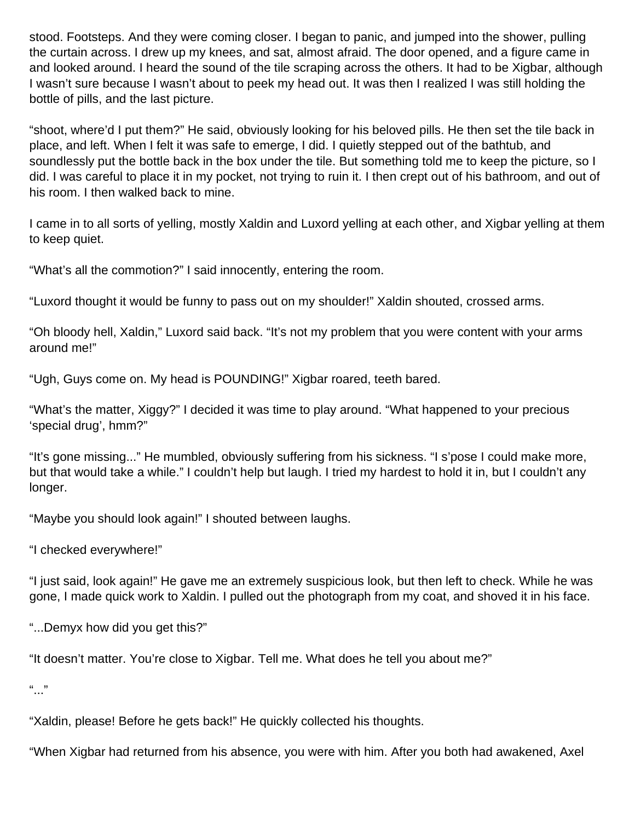stood. Footsteps. And they were coming closer. I began to panic, and jumped into the shower, pulling the curtain across. I drew up my knees, and sat, almost afraid. The door opened, and a figure came in and looked around. I heard the sound of the tile scraping across the others. It had to be Xigbar, although I wasn't sure because I wasn't about to peek my head out. It was then I realized I was still holding the bottle of pills, and the last picture.

"shoot, where'd I put them?" He said, obviously looking for his beloved pills. He then set the tile back in place, and left. When I felt it was safe to emerge, I did. I quietly stepped out of the bathtub, and soundlessly put the bottle back in the box under the tile. But something told me to keep the picture, so I did. I was careful to place it in my pocket, not trying to ruin it. I then crept out of his bathroom, and out of his room. I then walked back to mine.

I came in to all sorts of yelling, mostly Xaldin and Luxord yelling at each other, and Xigbar yelling at them to keep quiet.

"What's all the commotion?" I said innocently, entering the room.

"Luxord thought it would be funny to pass out on my shoulder!" Xaldin shouted, crossed arms.

"Oh bloody hell, Xaldin," Luxord said back. "It's not my problem that you were content with your arms around me!"

"Ugh, Guys come on. My head is POUNDING!" Xigbar roared, teeth bared.

"What's the matter, Xiggy?" I decided it was time to play around. "What happened to your precious 'special drug', hmm?"

"It's gone missing..." He mumbled, obviously suffering from his sickness. "I s'pose I could make more, but that would take a while." I couldn't help but laugh. I tried my hardest to hold it in, but I couldn't any longer.

"Maybe you should look again!" I shouted between laughs.

"I checked everywhere!"

"I just said, look again!" He gave me an extremely suspicious look, but then left to check. While he was gone, I made quick work to Xaldin. I pulled out the photograph from my coat, and shoved it in his face.

"...Demyx how did you get this?"

"It doesn't matter. You're close to Xigbar. Tell me. What does he tell you about me?"

 $\frac{1}{2}$ 

"Xaldin, please! Before he gets back!" He quickly collected his thoughts.

"When Xigbar had returned from his absence, you were with him. After you both had awakened, Axel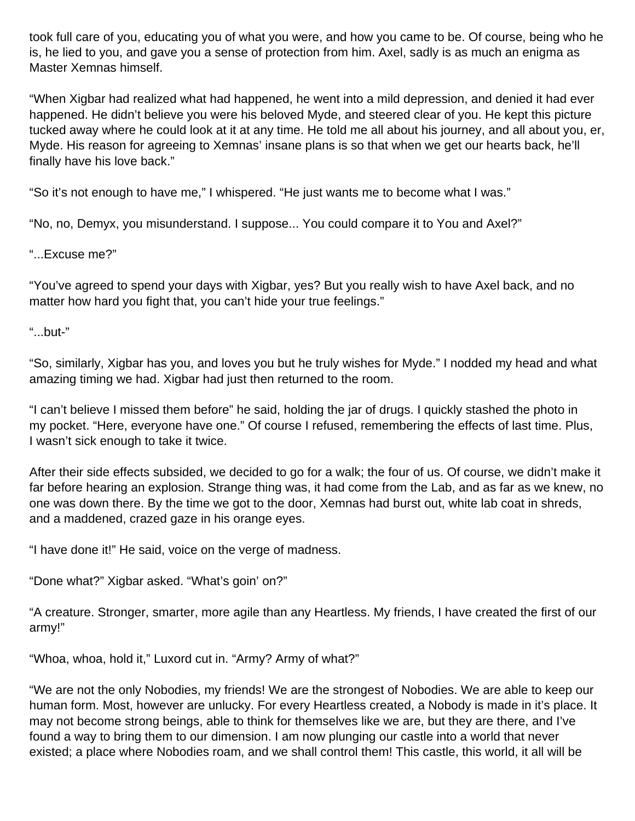took full care of you, educating you of what you were, and how you came to be. Of course, being who he is, he lied to you, and gave you a sense of protection from him. Axel, sadly is as much an enigma as Master Xemnas himself.

"When Xigbar had realized what had happened, he went into a mild depression, and denied it had ever happened. He didn't believe you were his beloved Myde, and steered clear of you. He kept this picture tucked away where he could look at it at any time. He told me all about his journey, and all about you, er, Myde. His reason for agreeing to Xemnas' insane plans is so that when we get our hearts back, he'll finally have his love back."

"So it's not enough to have me," I whispered. "He just wants me to become what I was."

"No, no, Demyx, you misunderstand. I suppose... You could compare it to You and Axel?"

"...Excuse me?"

"You've agreed to spend your days with Xigbar, yes? But you really wish to have Axel back, and no matter how hard you fight that, you can't hide your true feelings."

"...but-"

"So, similarly, Xigbar has you, and loves you but he truly wishes for Myde." I nodded my head and what amazing timing we had. Xigbar had just then returned to the room.

"I can't believe I missed them before" he said, holding the jar of drugs. I quickly stashed the photo in my pocket. "Here, everyone have one." Of course I refused, remembering the effects of last time. Plus, I wasn't sick enough to take it twice.

After their side effects subsided, we decided to go for a walk; the four of us. Of course, we didn't make it far before hearing an explosion. Strange thing was, it had come from the Lab, and as far as we knew, no one was down there. By the time we got to the door, Xemnas had burst out, white lab coat in shreds, and a maddened, crazed gaze in his orange eyes.

"I have done it!" He said, voice on the verge of madness.

"Done what?" Xigbar asked. "What's goin' on?"

"A creature. Stronger, smarter, more agile than any Heartless. My friends, I have created the first of our army!"

"Whoa, whoa, hold it," Luxord cut in. "Army? Army of what?"

"We are not the only Nobodies, my friends! We are the strongest of Nobodies. We are able to keep our human form. Most, however are unlucky. For every Heartless created, a Nobody is made in it's place. It may not become strong beings, able to think for themselves like we are, but they are there, and I've found a way to bring them to our dimension. I am now plunging our castle into a world that never existed; a place where Nobodies roam, and we shall control them! This castle, this world, it all will be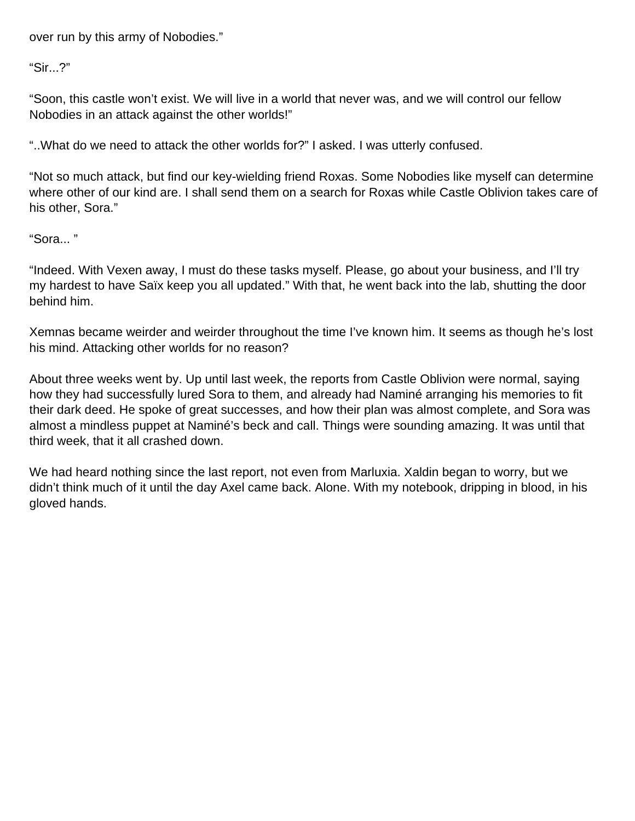over run by this army of Nobodies."

"Sir...?"

"Soon, this castle won't exist. We will live in a world that never was, and we will control our fellow Nobodies in an attack against the other worlds!"

"..What do we need to attack the other worlds for?" I asked. I was utterly confused.

"Not so much attack, but find our key-wielding friend Roxas. Some Nobodies like myself can determine where other of our kind are. I shall send them on a search for Roxas while Castle Oblivion takes care of his other, Sora."

"Sora... "

"Indeed. With Vexen away, I must do these tasks myself. Please, go about your business, and I'll try my hardest to have Saïx keep you all updated." With that, he went back into the lab, shutting the door behind him.

Xemnas became weirder and weirder throughout the time I've known him. It seems as though he's lost his mind. Attacking other worlds for no reason?

About three weeks went by. Up until last week, the reports from Castle Oblivion were normal, saying how they had successfully lured Sora to them, and already had Naminé arranging his memories to fit their dark deed. He spoke of great successes, and how their plan was almost complete, and Sora was almost a mindless puppet at Naminé's beck and call. Things were sounding amazing. It was until that third week, that it all crashed down.

We had heard nothing since the last report, not even from Marluxia. Xaldin began to worry, but we didn't think much of it until the day Axel came back. Alone. With my notebook, dripping in blood, in his gloved hands.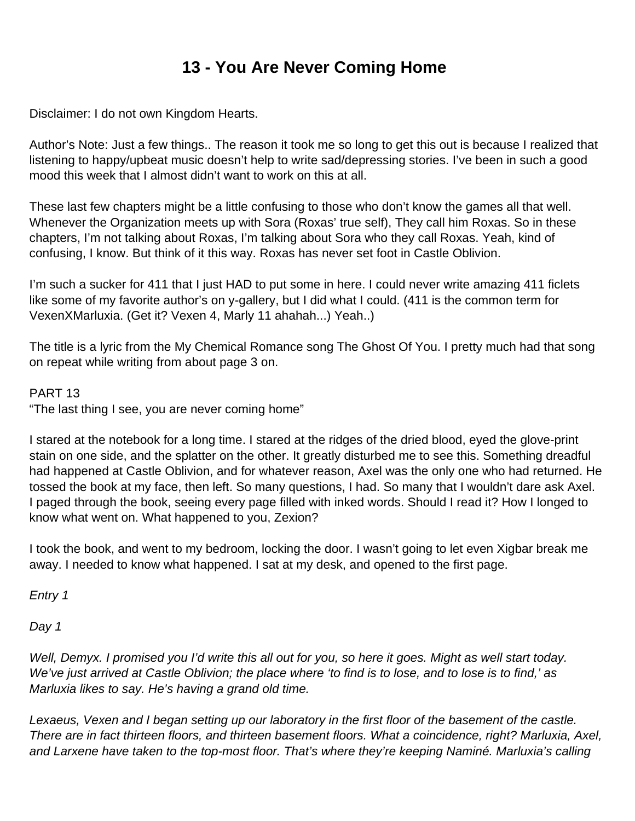# **13 - You Are Never Coming Home**

Disclaimer: I do not own Kingdom Hearts.

Author's Note: Just a few things.. The reason it took me so long to get this out is because I realized that listening to happy/upbeat music doesn't help to write sad/depressing stories. I've been in such a good mood this week that I almost didn't want to work on this at all.

These last few chapters might be a little confusing to those who don't know the games all that well. Whenever the Organization meets up with Sora (Roxas' true self), They call him Roxas. So in these chapters, I'm not talking about Roxas, I'm talking about Sora who they call Roxas. Yeah, kind of confusing, I know. But think of it this way. Roxas has never set foot in Castle Oblivion.

I'm such a sucker for 411 that I just HAD to put some in here. I could never write amazing 411 ficlets like some of my favorite author's on y-gallery, but I did what I could. (411 is the common term for VexenXMarluxia. (Get it? Vexen 4, Marly 11 ahahah...) Yeah..)

The title is a lyric from the My Chemical Romance song The Ghost Of You. I pretty much had that song on repeat while writing from about page 3 on.

PART 13

"The last thing I see, you are never coming home"

I stared at the notebook for a long time. I stared at the ridges of the dried blood, eyed the glove-print stain on one side, and the splatter on the other. It greatly disturbed me to see this. Something dreadful had happened at Castle Oblivion, and for whatever reason, Axel was the only one who had returned. He tossed the book at my face, then left. So many questions, I had. So many that I wouldn't dare ask Axel. I paged through the book, seeing every page filled with inked words. Should I read it? How I longed to know what went on. What happened to you, Zexion?

I took the book, and went to my bedroom, locking the door. I wasn't going to let even Xigbar break me away. I needed to know what happened. I sat at my desk, and opened to the first page.

Entry 1

Day 1

Well, Demyx. I promised you I'd write this all out for you, so here it goes. Might as well start today. We've just arrived at Castle Oblivion; the place where 'to find is to lose, and to lose is to find,' as Marluxia likes to say. He's having a grand old time.

Lexaeus, Vexen and I began setting up our laboratory in the first floor of the basement of the castle. There are in fact thirteen floors, and thirteen basement floors. What a coincidence, right? Marluxia, Axel, and Larxene have taken to the top-most floor. That's where they're keeping Naminé. Marluxia's calling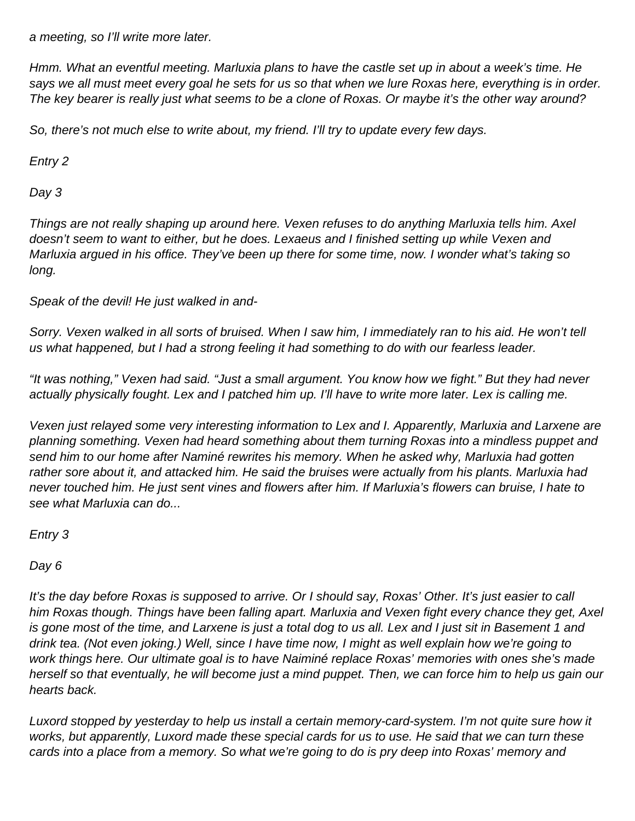a meeting, so I'll write more later.

Hmm. What an eventful meeting. Marluxia plans to have the castle set up in about a week's time. He says we all must meet every goal he sets for us so that when we lure Roxas here, everything is in order. The key bearer is really just what seems to be a clone of Roxas. Or maybe it's the other way around?

So, there's not much else to write about, my friend. I'll try to update every few days.

Entry 2

Day 3

Things are not really shaping up around here. Vexen refuses to do anything Marluxia tells him. Axel doesn't seem to want to either, but he does. Lexaeus and I finished setting up while Vexen and Marluxia argued in his office. They've been up there for some time, now. I wonder what's taking so long.

Speak of the devil! He just walked in and-

Sorry. Vexen walked in all sorts of bruised. When I saw him, I immediately ran to his aid. He won't tell us what happened, but I had a strong feeling it had something to do with our fearless leader.

"It was nothing," Vexen had said. "Just a small argument. You know how we fight." But they had never actually physically fought. Lex and I patched him up. I'll have to write more later. Lex is calling me.

Vexen just relayed some very interesting information to Lex and I. Apparently, Marluxia and Larxene are planning something. Vexen had heard something about them turning Roxas into a mindless puppet and send him to our home after Naminé rewrites his memory. When he asked why, Marluxia had gotten rather sore about it, and attacked him. He said the bruises were actually from his plants. Marluxia had never touched him. He just sent vines and flowers after him. If Marluxia's flowers can bruise, I hate to see what Marluxia can do...

Entry 3

Day 6

It's the day before Roxas is supposed to arrive. Or I should say, Roxas' Other. It's just easier to call him Roxas though. Things have been falling apart. Marluxia and Vexen fight every chance they get, Axel is gone most of the time, and Larxene is just a total dog to us all. Lex and I just sit in Basement 1 and drink tea. (Not even joking.) Well, since I have time now, I might as well explain how we're going to work things here. Our ultimate goal is to have Naiminé replace Roxas' memories with ones she's made herself so that eventually, he will become just a mind puppet. Then, we can force him to help us gain our hearts back.

Luxord stopped by yesterday to help us install a certain memory-card-system. I'm not quite sure how it works, but apparently, Luxord made these special cards for us to use. He said that we can turn these cards into a place from a memory. So what we're going to do is pry deep into Roxas' memory and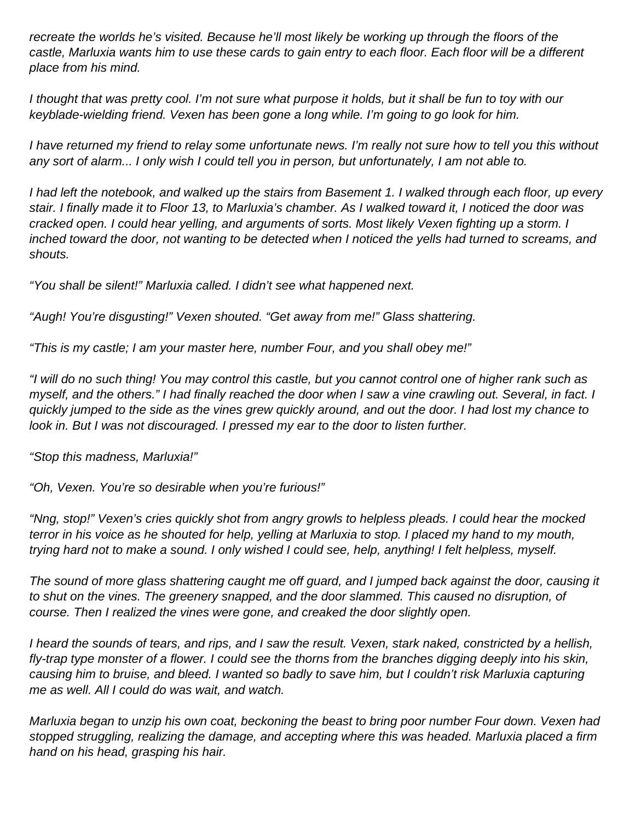recreate the worlds he's visited. Because he'll most likely be working up through the floors of the castle, Marluxia wants him to use these cards to gain entry to each floor. Each floor will be a different place from his mind.

I thought that was pretty cool. I'm not sure what purpose it holds, but it shall be fun to toy with our keyblade-wielding friend. Vexen has been gone a long while. I'm going to go look for him.

I have returned my friend to relay some unfortunate news. I'm really not sure how to tell you this without any sort of alarm... I only wish I could tell you in person, but unfortunately, I am not able to.

I had left the notebook, and walked up the stairs from Basement 1. I walked through each floor, up every stair. I finally made it to Floor 13, to Marluxia's chamber. As I walked toward it, I noticed the door was cracked open. I could hear yelling, and arguments of sorts. Most likely Vexen fighting up a storm. I inched toward the door, not wanting to be detected when I noticed the yells had turned to screams, and shouts.

"You shall be silent!" Marluxia called. I didn't see what happened next.

"Augh! You're disgusting!" Vexen shouted. "Get away from me!" Glass shattering.

"This is my castle; I am your master here, number Four, and you shall obey me!"

"I will do no such thing! You may control this castle, but you cannot control one of higher rank such as myself, and the others." I had finally reached the door when I saw a vine crawling out. Several, in fact. I quickly jumped to the side as the vines grew quickly around, and out the door. I had lost my chance to look in. But I was not discouraged. I pressed my ear to the door to listen further.

"Stop this madness, Marluxia!"

"Oh, Vexen. You're so desirable when you're furious!"

"Nng, stop!" Vexen's cries quickly shot from angry growls to helpless pleads. I could hear the mocked terror in his voice as he shouted for help, yelling at Marluxia to stop. I placed my hand to my mouth, trying hard not to make a sound. I only wished I could see, help, anything! I felt helpless, myself.

The sound of more glass shattering caught me off guard, and I jumped back against the door, causing it to shut on the vines. The greenery snapped, and the door slammed. This caused no disruption, of course. Then I realized the vines were gone, and creaked the door slightly open.

I heard the sounds of tears, and rips, and I saw the result. Vexen, stark naked, constricted by a hellish, fly-trap type monster of a flower. I could see the thorns from the branches digging deeply into his skin, causing him to bruise, and bleed. I wanted so badly to save him, but I couldn't risk Marluxia capturing me as well. All I could do was wait, and watch.

Marluxia began to unzip his own coat, beckoning the beast to bring poor number Four down. Vexen had stopped struggling, realizing the damage, and accepting where this was headed. Marluxia placed a firm hand on his head, grasping his hair.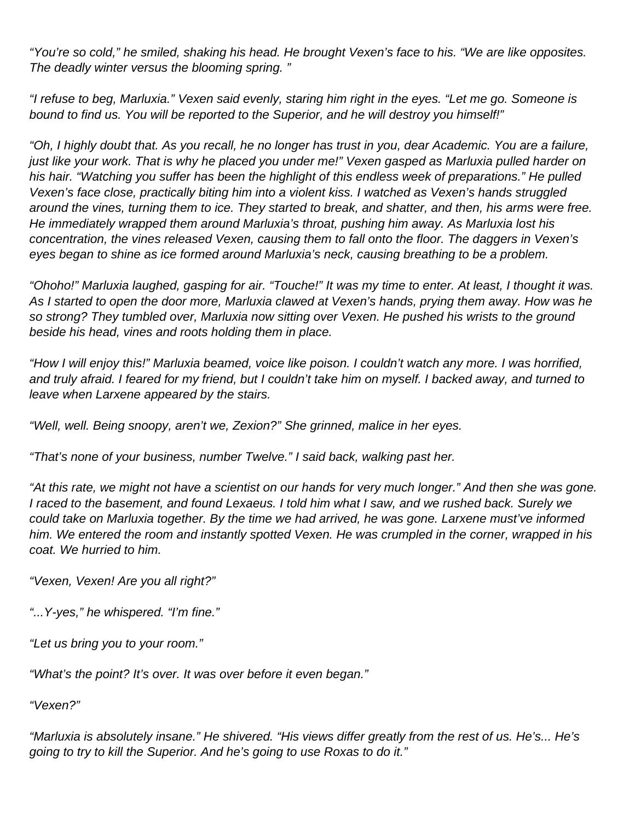"You're so cold," he smiled, shaking his head. He brought Vexen's face to his. "We are like opposites. The deadly winter versus the blooming spring. "

"I refuse to beg, Marluxia." Vexen said evenly, staring him right in the eyes. "Let me go. Someone is bound to find us. You will be reported to the Superior, and he will destroy you himself!"

"Oh, I highly doubt that. As you recall, he no longer has trust in you, dear Academic. You are a failure, just like your work. That is why he placed you under me!" Vexen gasped as Marluxia pulled harder on his hair. "Watching you suffer has been the highlight of this endless week of preparations." He pulled Vexen's face close, practically biting him into a violent kiss. I watched as Vexen's hands struggled around the vines, turning them to ice. They started to break, and shatter, and then, his arms were free. He immediately wrapped them around Marluxia's throat, pushing him away. As Marluxia lost his concentration, the vines released Vexen, causing them to fall onto the floor. The daggers in Vexen's eyes began to shine as ice formed around Marluxia's neck, causing breathing to be a problem.

"Ohoho!" Marluxia laughed, gasping for air. "Touche!" It was my time to enter. At least, I thought it was. As I started to open the door more, Marluxia clawed at Vexen's hands, prying them away. How was he so strong? They tumbled over, Marluxia now sitting over Vexen. He pushed his wrists to the ground beside his head, vines and roots holding them in place.

"How I will enjoy this!" Marluxia beamed, voice like poison. I couldn't watch any more. I was horrified, and truly afraid. I feared for my friend, but I couldn't take him on myself. I backed away, and turned to leave when Larxene appeared by the stairs.

"Well, well. Being snoopy, aren't we, Zexion?" She grinned, malice in her eyes.

"That's none of your business, number Twelve." I said back, walking past her.

"At this rate, we might not have a scientist on our hands for very much longer." And then she was gone. I raced to the basement, and found Lexaeus. I told him what I saw, and we rushed back. Surely we could take on Marluxia together. By the time we had arrived, he was gone. Larxene must've informed him. We entered the room and instantly spotted Vexen. He was crumpled in the corner, wrapped in his coat. We hurried to him.

"Vexen, Vexen! Are you all right?"

"...Y-yes," he whispered. "I'm fine."

"Let us bring you to your room."

"What's the point? It's over. It was over before it even began."

"Vexen?"

"Marluxia is absolutely insane." He shivered. "His views differ greatly from the rest of us. He's... He's going to try to kill the Superior. And he's going to use Roxas to do it."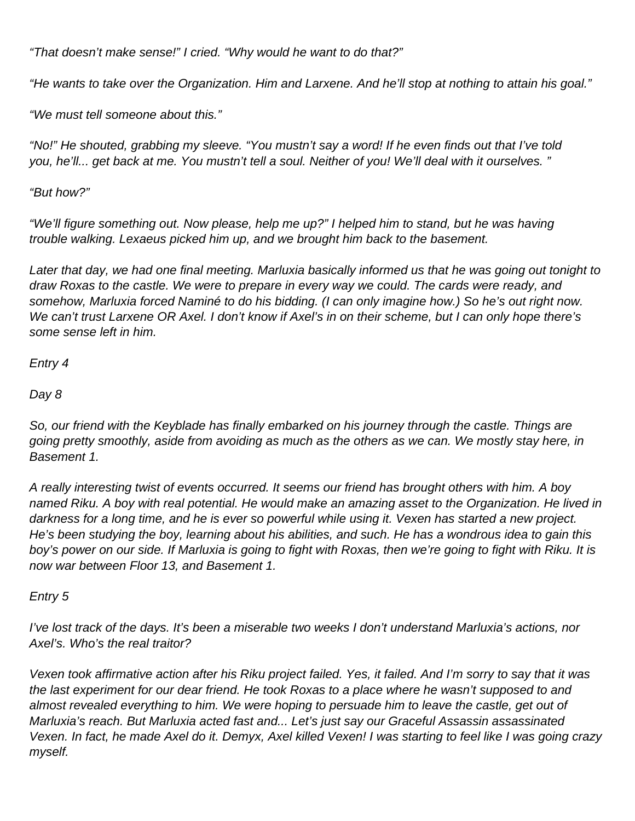"That doesn't make sense!" I cried. "Why would he want to do that?"

"He wants to take over the Organization. Him and Larxene. And he'll stop at nothing to attain his goal."

"We must tell someone about this."

"No!" He shouted, grabbing my sleeve. "You mustn't say a word! If he even finds out that I've told you, he'll... get back at me. You mustn't tell a soul. Neither of you! We'll deal with it ourselves. "

"But how?"

"We'll figure something out. Now please, help me up?" I helped him to stand, but he was having trouble walking. Lexaeus picked him up, and we brought him back to the basement.

Later that day, we had one final meeting. Marluxia basically informed us that he was going out tonight to draw Roxas to the castle. We were to prepare in every way we could. The cards were ready, and somehow, Marluxia forced Naminé to do his bidding. (I can only imagine how.) So he's out right now. We can't trust Larxene OR Axel. I don't know if Axel's in on their scheme, but I can only hope there's some sense left in him.

Entry 4

Day 8

So, our friend with the Keyblade has finally embarked on his journey through the castle. Things are going pretty smoothly, aside from avoiding as much as the others as we can. We mostly stay here, in Basement 1.

A really interesting twist of events occurred. It seems our friend has brought others with him. A boy named Riku. A boy with real potential. He would make an amazing asset to the Organization. He lived in darkness for a long time, and he is ever so powerful while using it. Vexen has started a new project. He's been studying the boy, learning about his abilities, and such. He has a wondrous idea to gain this boy's power on our side. If Marluxia is going to fight with Roxas, then we're going to fight with Riku. It is now war between Floor 13, and Basement 1.

### Entry 5

I've lost track of the days. It's been a miserable two weeks I don't understand Marluxia's actions, nor Axel's. Who's the real traitor?

Vexen took affirmative action after his Riku project failed. Yes, it failed. And I'm sorry to say that it was the last experiment for our dear friend. He took Roxas to a place where he wasn't supposed to and almost revealed everything to him. We were hoping to persuade him to leave the castle, get out of Marluxia's reach. But Marluxia acted fast and... Let's just say our Graceful Assassin assassinated Vexen. In fact, he made Axel do it. Demyx, Axel killed Vexen! I was starting to feel like I was going crazy myself.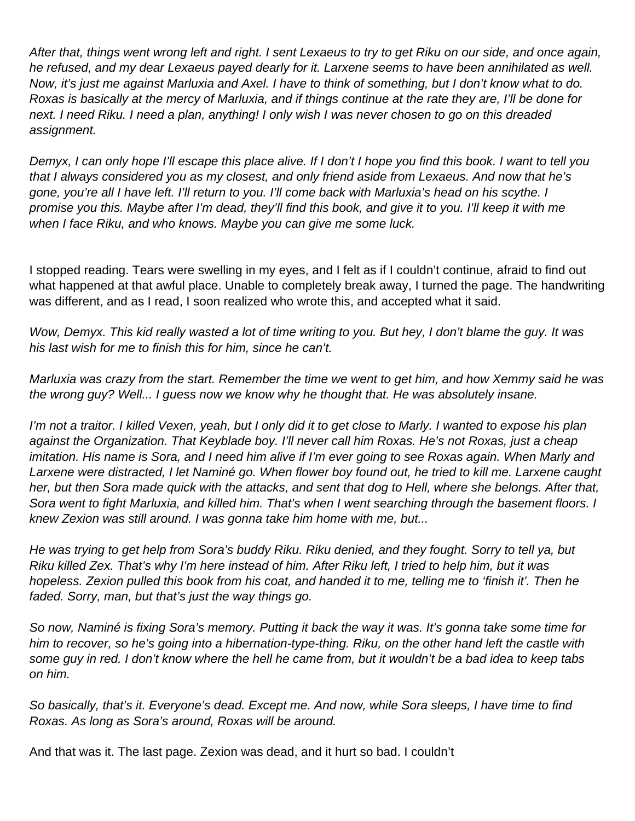After that, things went wrong left and right. I sent Lexaeus to try to get Riku on our side, and once again, he refused, and my dear Lexaeus payed dearly for it. Larxene seems to have been annihilated as well. Now, it's just me against Marluxia and Axel. I have to think of something, but I don't know what to do. Roxas is basically at the mercy of Marluxia, and if things continue at the rate they are, I'll be done for next. I need Riku. I need a plan, anything! I only wish I was never chosen to go on this dreaded assignment.

Demyx, I can only hope I'll escape this place alive. If I don't I hope you find this book. I want to tell you that I always considered you as my closest, and only friend aside from Lexaeus. And now that he's gone, you're all I have left. I'll return to you. I'll come back with Marluxia's head on his scythe. I promise you this. Maybe after I'm dead, they'll find this book, and give it to you. I'll keep it with me when I face Riku, and who knows. Maybe you can give me some luck.

I stopped reading. Tears were swelling in my eyes, and I felt as if I couldn't continue, afraid to find out what happened at that awful place. Unable to completely break away, I turned the page. The handwriting was different, and as I read, I soon realized who wrote this, and accepted what it said.

Wow, Demyx. This kid really wasted a lot of time writing to you. But hey, I don't blame the guy. It was his last wish for me to finish this for him, since he can't.

Marluxia was crazy from the start. Remember the time we went to get him, and how Xemmy said he was the wrong guy? Well... I guess now we know why he thought that. He was absolutely insane.

I'm not a traitor. I killed Vexen, yeah, but I only did it to get close to Marly. I wanted to expose his plan against the Organization. That Keyblade boy. I'll never call him Roxas. He's not Roxas, just a cheap imitation. His name is Sora, and I need him alive if I'm ever going to see Roxas again. When Marly and Larxene were distracted, I let Naminé go. When flower boy found out, he tried to kill me. Larxene caught her, but then Sora made quick with the attacks, and sent that dog to Hell, where she belongs. After that, Sora went to fight Marluxia, and killed him. That's when I went searching through the basement floors. I knew Zexion was still around. I was gonna take him home with me, but...

He was trying to get help from Sora's buddy Riku. Riku denied, and they fought. Sorry to tell ya, but Riku killed Zex. That's why I'm here instead of him. After Riku left, I tried to help him, but it was hopeless. Zexion pulled this book from his coat, and handed it to me, telling me to 'finish it'. Then he faded. Sorry, man, but that's just the way things go.

So now, Naminé is fixing Sora's memory. Putting it back the way it was. It's gonna take some time for him to recover, so he's going into a hibernation-type-thing. Riku, on the other hand left the castle with some guy in red. I don't know where the hell he came from, but it wouldn't be a bad idea to keep tabs on him.

So basically, that's it. Everyone's dead. Except me. And now, while Sora sleeps, I have time to find Roxas. As long as Sora's around, Roxas will be around.

And that was it. The last page. Zexion was dead, and it hurt so bad. I couldn't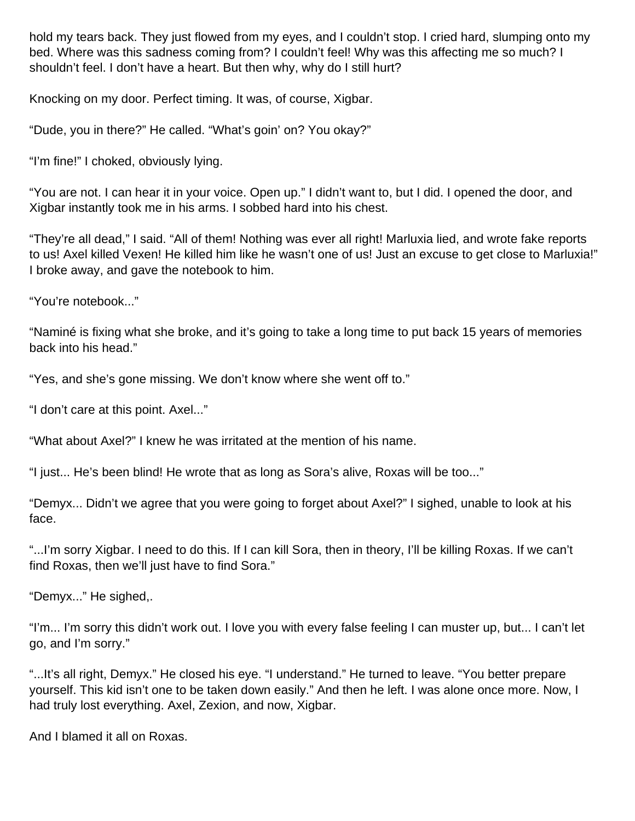hold my tears back. They just flowed from my eyes, and I couldn't stop. I cried hard, slumping onto my bed. Where was this sadness coming from? I couldn't feel! Why was this affecting me so much? I shouldn't feel. I don't have a heart. But then why, why do I still hurt?

Knocking on my door. Perfect timing. It was, of course, Xigbar.

"Dude, you in there?" He called. "What's goin' on? You okay?"

"I'm fine!" I choked, obviously lying.

"You are not. I can hear it in your voice. Open up." I didn't want to, but I did. I opened the door, and Xigbar instantly took me in his arms. I sobbed hard into his chest.

"They're all dead," I said. "All of them! Nothing was ever all right! Marluxia lied, and wrote fake reports to us! Axel killed Vexen! He killed him like he wasn't one of us! Just an excuse to get close to Marluxia!" I broke away, and gave the notebook to him.

"You're notebook..."

"Naminé is fixing what she broke, and it's going to take a long time to put back 15 years of memories back into his head."

"Yes, and she's gone missing. We don't know where she went off to."

"I don't care at this point. Axel..."

"What about Axel?" I knew he was irritated at the mention of his name.

"I just... He's been blind! He wrote that as long as Sora's alive, Roxas will be too..."

"Demyx... Didn't we agree that you were going to forget about Axel?" I sighed, unable to look at his face.

"...I'm sorry Xigbar. I need to do this. If I can kill Sora, then in theory, I'll be killing Roxas. If we can't find Roxas, then we'll just have to find Sora."

"Demyx..." He sighed,.

"I'm... I'm sorry this didn't work out. I love you with every false feeling I can muster up, but... I can't let go, and I'm sorry."

"...It's all right, Demyx." He closed his eye. "I understand." He turned to leave. "You better prepare yourself. This kid isn't one to be taken down easily." And then he left. I was alone once more. Now, I had truly lost everything. Axel, Zexion, and now, Xigbar.

And I blamed it all on Roxas.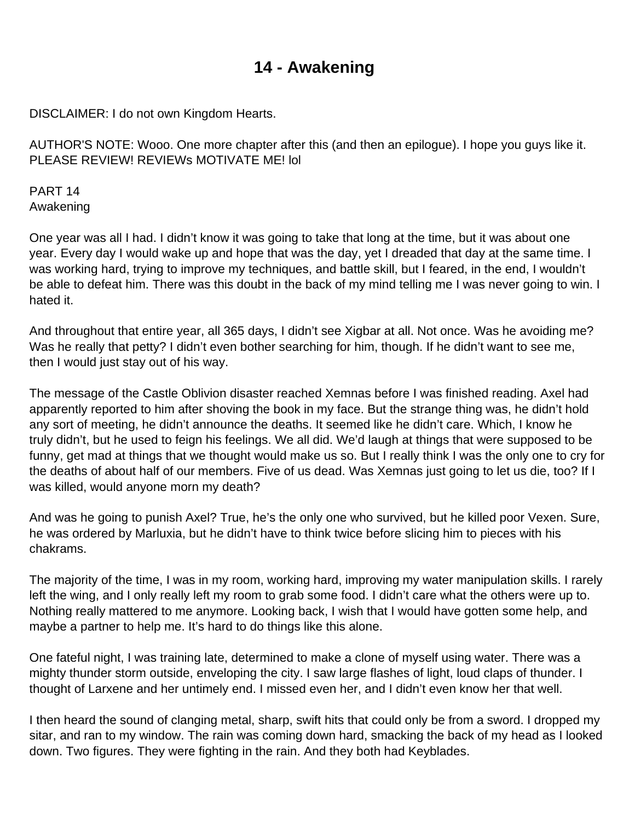## **14 - Awakening**

DISCLAIMER: I do not own Kingdom Hearts.

AUTHOR'S NOTE: Wooo. One more chapter after this (and then an epilogue). I hope you guys like it. PLEASE REVIEW! REVIEWs MOTIVATE ME! lol

PART 14 Awakening

One year was all I had. I didn't know it was going to take that long at the time, but it was about one year. Every day I would wake up and hope that was the day, yet I dreaded that day at the same time. I was working hard, trying to improve my techniques, and battle skill, but I feared, in the end, I wouldn't be able to defeat him. There was this doubt in the back of my mind telling me I was never going to win. I hated it.

And throughout that entire year, all 365 days, I didn't see Xigbar at all. Not once. Was he avoiding me? Was he really that petty? I didn't even bother searching for him, though. If he didn't want to see me, then I would just stay out of his way.

The message of the Castle Oblivion disaster reached Xemnas before I was finished reading. Axel had apparently reported to him after shoving the book in my face. But the strange thing was, he didn't hold any sort of meeting, he didn't announce the deaths. It seemed like he didn't care. Which, I know he truly didn't, but he used to feign his feelings. We all did. We'd laugh at things that were supposed to be funny, get mad at things that we thought would make us so. But I really think I was the only one to cry for the deaths of about half of our members. Five of us dead. Was Xemnas just going to let us die, too? If I was killed, would anyone morn my death?

And was he going to punish Axel? True, he's the only one who survived, but he killed poor Vexen. Sure, he was ordered by Marluxia, but he didn't have to think twice before slicing him to pieces with his chakrams.

The majority of the time, I was in my room, working hard, improving my water manipulation skills. I rarely left the wing, and I only really left my room to grab some food. I didn't care what the others were up to. Nothing really mattered to me anymore. Looking back, I wish that I would have gotten some help, and maybe a partner to help me. It's hard to do things like this alone.

One fateful night, I was training late, determined to make a clone of myself using water. There was a mighty thunder storm outside, enveloping the city. I saw large flashes of light, loud claps of thunder. I thought of Larxene and her untimely end. I missed even her, and I didn't even know her that well.

I then heard the sound of clanging metal, sharp, swift hits that could only be from a sword. I dropped my sitar, and ran to my window. The rain was coming down hard, smacking the back of my head as I looked down. Two figures. They were fighting in the rain. And they both had Keyblades.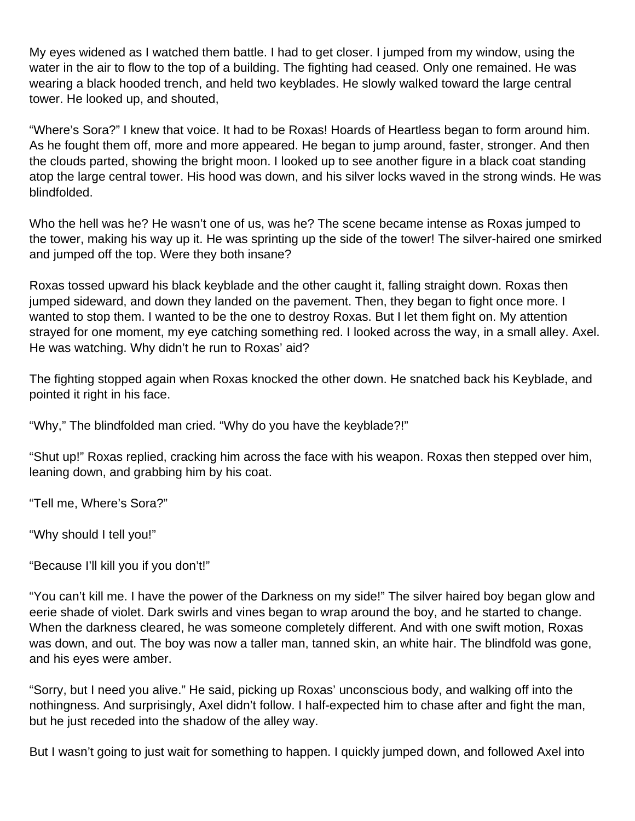My eyes widened as I watched them battle. I had to get closer. I jumped from my window, using the water in the air to flow to the top of a building. The fighting had ceased. Only one remained. He was wearing a black hooded trench, and held two keyblades. He slowly walked toward the large central tower. He looked up, and shouted,

"Where's Sora?" I knew that voice. It had to be Roxas! Hoards of Heartless began to form around him. As he fought them off, more and more appeared. He began to jump around, faster, stronger. And then the clouds parted, showing the bright moon. I looked up to see another figure in a black coat standing atop the large central tower. His hood was down, and his silver locks waved in the strong winds. He was blindfolded.

Who the hell was he? He wasn't one of us, was he? The scene became intense as Roxas jumped to the tower, making his way up it. He was sprinting up the side of the tower! The silver-haired one smirked and jumped off the top. Were they both insane?

Roxas tossed upward his black keyblade and the other caught it, falling straight down. Roxas then jumped sideward, and down they landed on the pavement. Then, they began to fight once more. I wanted to stop them. I wanted to be the one to destroy Roxas. But I let them fight on. My attention strayed for one moment, my eye catching something red. I looked across the way, in a small alley. Axel. He was watching. Why didn't he run to Roxas' aid?

The fighting stopped again when Roxas knocked the other down. He snatched back his Keyblade, and pointed it right in his face.

"Why," The blindfolded man cried. "Why do you have the keyblade?!"

"Shut up!" Roxas replied, cracking him across the face with his weapon. Roxas then stepped over him, leaning down, and grabbing him by his coat.

"Tell me, Where's Sora?"

"Why should I tell you!"

"Because I'll kill you if you don't!"

"You can't kill me. I have the power of the Darkness on my side!" The silver haired boy began glow and eerie shade of violet. Dark swirls and vines began to wrap around the boy, and he started to change. When the darkness cleared, he was someone completely different. And with one swift motion, Roxas was down, and out. The boy was now a taller man, tanned skin, an white hair. The blindfold was gone, and his eyes were amber.

"Sorry, but I need you alive." He said, picking up Roxas' unconscious body, and walking off into the nothingness. And surprisingly, Axel didn't follow. I half-expected him to chase after and fight the man, but he just receded into the shadow of the alley way.

But I wasn't going to just wait for something to happen. I quickly jumped down, and followed Axel into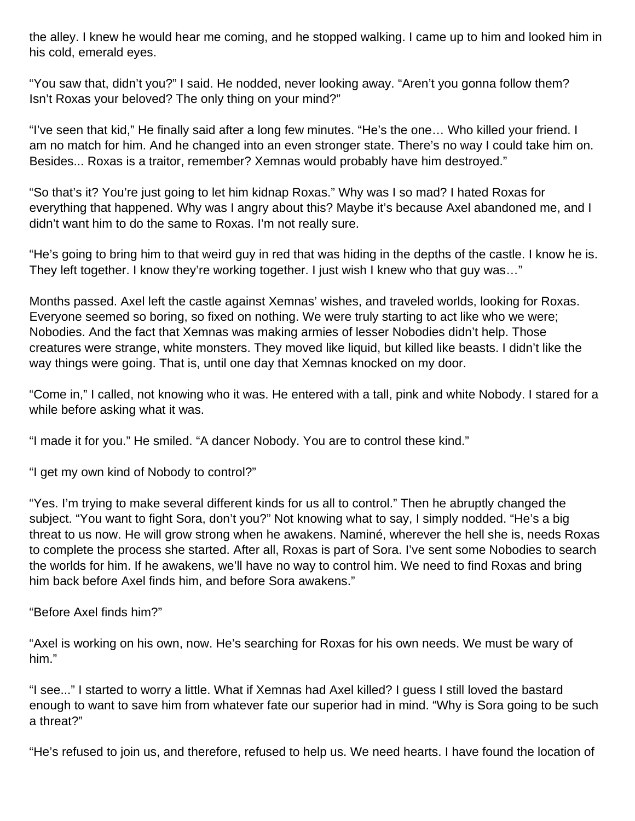the alley. I knew he would hear me coming, and he stopped walking. I came up to him and looked him in his cold, emerald eyes.

"You saw that, didn't you?" I said. He nodded, never looking away. "Aren't you gonna follow them? Isn't Roxas your beloved? The only thing on your mind?"

"I've seen that kid," He finally said after a long few minutes. "He's the one… Who killed your friend. I am no match for him. And he changed into an even stronger state. There's no way I could take him on. Besides... Roxas is a traitor, remember? Xemnas would probably have him destroyed."

"So that's it? You're just going to let him kidnap Roxas." Why was I so mad? I hated Roxas for everything that happened. Why was I angry about this? Maybe it's because Axel abandoned me, and I didn't want him to do the same to Roxas. I'm not really sure.

"He's going to bring him to that weird guy in red that was hiding in the depths of the castle. I know he is. They left together. I know they're working together. I just wish I knew who that guy was…"

Months passed. Axel left the castle against Xemnas' wishes, and traveled worlds, looking for Roxas. Everyone seemed so boring, so fixed on nothing. We were truly starting to act like who we were; Nobodies. And the fact that Xemnas was making armies of lesser Nobodies didn't help. Those creatures were strange, white monsters. They moved like liquid, but killed like beasts. I didn't like the way things were going. That is, until one day that Xemnas knocked on my door.

"Come in," I called, not knowing who it was. He entered with a tall, pink and white Nobody. I stared for a while before asking what it was.

"I made it for you." He smiled. "A dancer Nobody. You are to control these kind."

"I get my own kind of Nobody to control?"

"Yes. I'm trying to make several different kinds for us all to control." Then he abruptly changed the subject. "You want to fight Sora, don't you?" Not knowing what to say, I simply nodded. "He's a big threat to us now. He will grow strong when he awakens. Naminé, wherever the hell she is, needs Roxas to complete the process she started. After all, Roxas is part of Sora. I've sent some Nobodies to search the worlds for him. If he awakens, we'll have no way to control him. We need to find Roxas and bring him back before Axel finds him, and before Sora awakens."

"Before Axel finds him?"

"Axel is working on his own, now. He's searching for Roxas for his own needs. We must be wary of him."

"I see..." I started to worry a little. What if Xemnas had Axel killed? I guess I still loved the bastard enough to want to save him from whatever fate our superior had in mind. "Why is Sora going to be such a threat?"

"He's refused to join us, and therefore, refused to help us. We need hearts. I have found the location of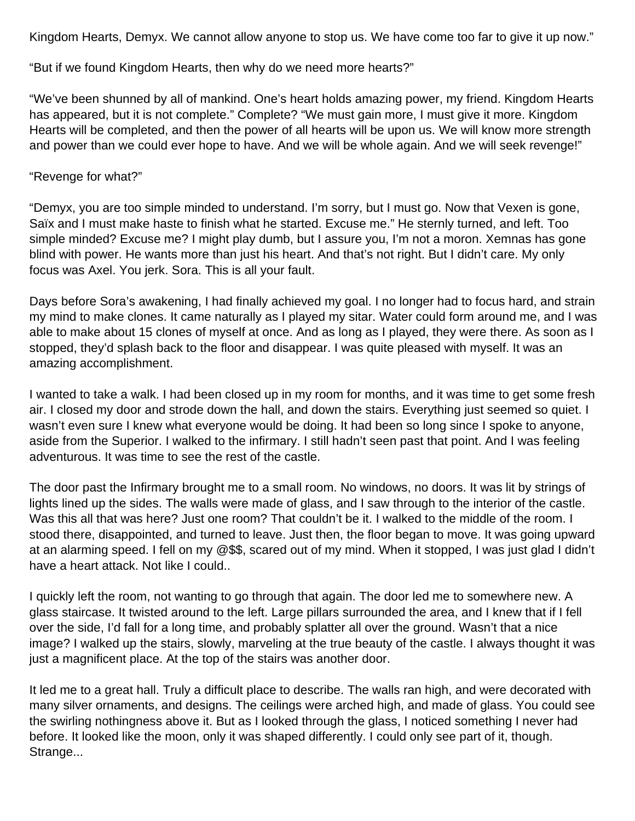Kingdom Hearts, Demyx. We cannot allow anyone to stop us. We have come too far to give it up now."

"But if we found Kingdom Hearts, then why do we need more hearts?"

"We've been shunned by all of mankind. One's heart holds amazing power, my friend. Kingdom Hearts has appeared, but it is not complete." Complete? "We must gain more, I must give it more. Kingdom Hearts will be completed, and then the power of all hearts will be upon us. We will know more strength and power than we could ever hope to have. And we will be whole again. And we will seek revenge!"

## "Revenge for what?"

"Demyx, you are too simple minded to understand. I'm sorry, but I must go. Now that Vexen is gone, Saïx and I must make haste to finish what he started. Excuse me." He sternly turned, and left. Too simple minded? Excuse me? I might play dumb, but I assure you, I'm not a moron. Xemnas has gone blind with power. He wants more than just his heart. And that's not right. But I didn't care. My only focus was Axel. You jerk. Sora. This is all your fault.

Days before Sora's awakening, I had finally achieved my goal. I no longer had to focus hard, and strain my mind to make clones. It came naturally as I played my sitar. Water could form around me, and I was able to make about 15 clones of myself at once. And as long as I played, they were there. As soon as I stopped, they'd splash back to the floor and disappear. I was quite pleased with myself. It was an amazing accomplishment.

I wanted to take a walk. I had been closed up in my room for months, and it was time to get some fresh air. I closed my door and strode down the hall, and down the stairs. Everything just seemed so quiet. I wasn't even sure I knew what everyone would be doing. It had been so long since I spoke to anyone, aside from the Superior. I walked to the infirmary. I still hadn't seen past that point. And I was feeling adventurous. It was time to see the rest of the castle.

The door past the Infirmary brought me to a small room. No windows, no doors. It was lit by strings of lights lined up the sides. The walls were made of glass, and I saw through to the interior of the castle. Was this all that was here? Just one room? That couldn't be it. I walked to the middle of the room. I stood there, disappointed, and turned to leave. Just then, the floor began to move. It was going upward at an alarming speed. I fell on my @\$\$, scared out of my mind. When it stopped, I was just glad I didn't have a heart attack. Not like I could..

I quickly left the room, not wanting to go through that again. The door led me to somewhere new. A glass staircase. It twisted around to the left. Large pillars surrounded the area, and I knew that if I fell over the side, I'd fall for a long time, and probably splatter all over the ground. Wasn't that a nice image? I walked up the stairs, slowly, marveling at the true beauty of the castle. I always thought it was just a magnificent place. At the top of the stairs was another door.

It led me to a great hall. Truly a difficult place to describe. The walls ran high, and were decorated with many silver ornaments, and designs. The ceilings were arched high, and made of glass. You could see the swirling nothingness above it. But as I looked through the glass, I noticed something I never had before. It looked like the moon, only it was shaped differently. I could only see part of it, though. Strange...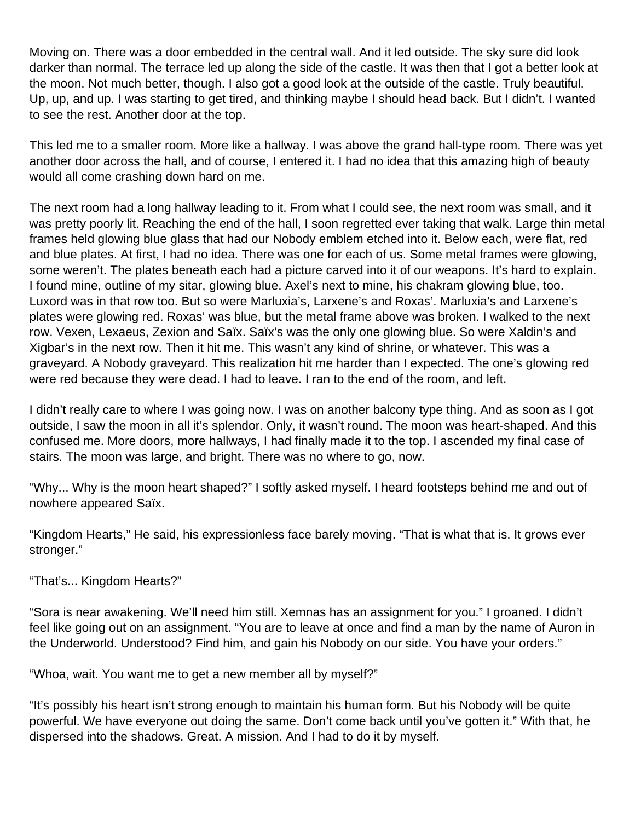Moving on. There was a door embedded in the central wall. And it led outside. The sky sure did look darker than normal. The terrace led up along the side of the castle. It was then that I got a better look at the moon. Not much better, though. I also got a good look at the outside of the castle. Truly beautiful. Up, up, and up. I was starting to get tired, and thinking maybe I should head back. But I didn't. I wanted to see the rest. Another door at the top.

This led me to a smaller room. More like a hallway. I was above the grand hall-type room. There was yet another door across the hall, and of course, I entered it. I had no idea that this amazing high of beauty would all come crashing down hard on me.

The next room had a long hallway leading to it. From what I could see, the next room was small, and it was pretty poorly lit. Reaching the end of the hall, I soon regretted ever taking that walk. Large thin metal frames held glowing blue glass that had our Nobody emblem etched into it. Below each, were flat, red and blue plates. At first, I had no idea. There was one for each of us. Some metal frames were glowing, some weren't. The plates beneath each had a picture carved into it of our weapons. It's hard to explain. I found mine, outline of my sitar, glowing blue. Axel's next to mine, his chakram glowing blue, too. Luxord was in that row too. But so were Marluxia's, Larxene's and Roxas'. Marluxia's and Larxene's plates were glowing red. Roxas' was blue, but the metal frame above was broken. I walked to the next row. Vexen, Lexaeus, Zexion and Saïx. Saïx's was the only one glowing blue. So were Xaldin's and Xigbar's in the next row. Then it hit me. This wasn't any kind of shrine, or whatever. This was a graveyard. A Nobody graveyard. This realization hit me harder than I expected. The one's glowing red were red because they were dead. I had to leave. I ran to the end of the room, and left.

I didn't really care to where I was going now. I was on another balcony type thing. And as soon as I got outside, I saw the moon in all it's splendor. Only, it wasn't round. The moon was heart-shaped. And this confused me. More doors, more hallways, I had finally made it to the top. I ascended my final case of stairs. The moon was large, and bright. There was no where to go, now.

"Why... Why is the moon heart shaped?" I softly asked myself. I heard footsteps behind me and out of nowhere appeared Saïx.

"Kingdom Hearts," He said, his expressionless face barely moving. "That is what that is. It grows ever stronger."

"That's... Kingdom Hearts?"

"Sora is near awakening. We'll need him still. Xemnas has an assignment for you." I groaned. I didn't feel like going out on an assignment. "You are to leave at once and find a man by the name of Auron in the Underworld. Understood? Find him, and gain his Nobody on our side. You have your orders."

"Whoa, wait. You want me to get a new member all by myself?"

"It's possibly his heart isn't strong enough to maintain his human form. But his Nobody will be quite powerful. We have everyone out doing the same. Don't come back until you've gotten it." With that, he dispersed into the shadows. Great. A mission. And I had to do it by myself.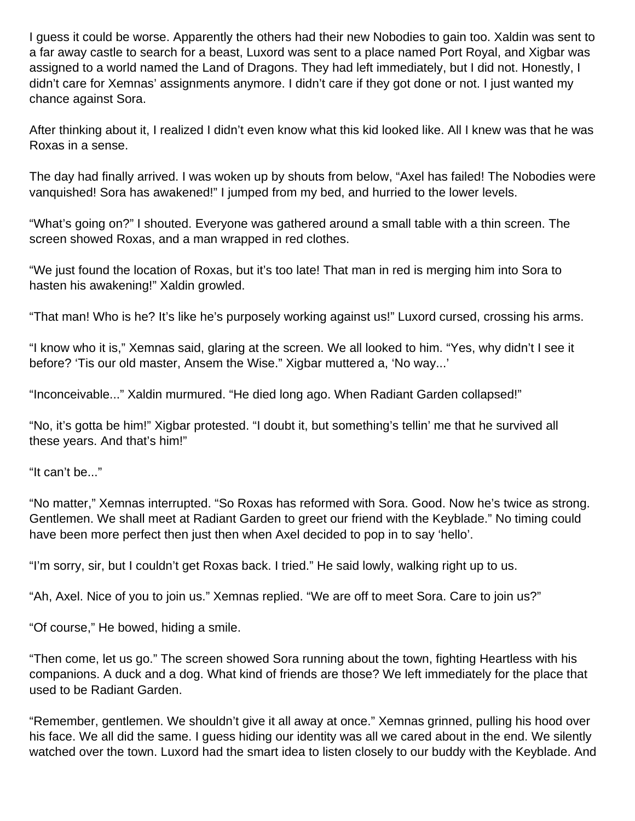I guess it could be worse. Apparently the others had their new Nobodies to gain too. Xaldin was sent to a far away castle to search for a beast, Luxord was sent to a place named Port Royal, and Xigbar was assigned to a world named the Land of Dragons. They had left immediately, but I did not. Honestly, I didn't care for Xemnas' assignments anymore. I didn't care if they got done or not. I just wanted my chance against Sora.

After thinking about it, I realized I didn't even know what this kid looked like. All I knew was that he was Roxas in a sense.

The day had finally arrived. I was woken up by shouts from below, "Axel has failed! The Nobodies were vanquished! Sora has awakened!" I jumped from my bed, and hurried to the lower levels.

"What's going on?" I shouted. Everyone was gathered around a small table with a thin screen. The screen showed Roxas, and a man wrapped in red clothes.

"We just found the location of Roxas, but it's too late! That man in red is merging him into Sora to hasten his awakening!" Xaldin growled.

"That man! Who is he? It's like he's purposely working against us!" Luxord cursed, crossing his arms.

"I know who it is," Xemnas said, glaring at the screen. We all looked to him. "Yes, why didn't I see it before? 'Tis our old master, Ansem the Wise." Xigbar muttered a, 'No way...'

"Inconceivable..." Xaldin murmured. "He died long ago. When Radiant Garden collapsed!"

"No, it's gotta be him!" Xigbar protested. "I doubt it, but something's tellin' me that he survived all these years. And that's him!"

"It can't be..."

"No matter," Xemnas interrupted. "So Roxas has reformed with Sora. Good. Now he's twice as strong. Gentlemen. We shall meet at Radiant Garden to greet our friend with the Keyblade." No timing could have been more perfect then just then when Axel decided to pop in to say 'hello'.

"I'm sorry, sir, but I couldn't get Roxas back. I tried." He said lowly, walking right up to us.

"Ah, Axel. Nice of you to join us." Xemnas replied. "We are off to meet Sora. Care to join us?"

"Of course," He bowed, hiding a smile.

"Then come, let us go." The screen showed Sora running about the town, fighting Heartless with his companions. A duck and a dog. What kind of friends are those? We left immediately for the place that used to be Radiant Garden.

"Remember, gentlemen. We shouldn't give it all away at once." Xemnas grinned, pulling his hood over his face. We all did the same. I guess hiding our identity was all we cared about in the end. We silently watched over the town. Luxord had the smart idea to listen closely to our buddy with the Keyblade. And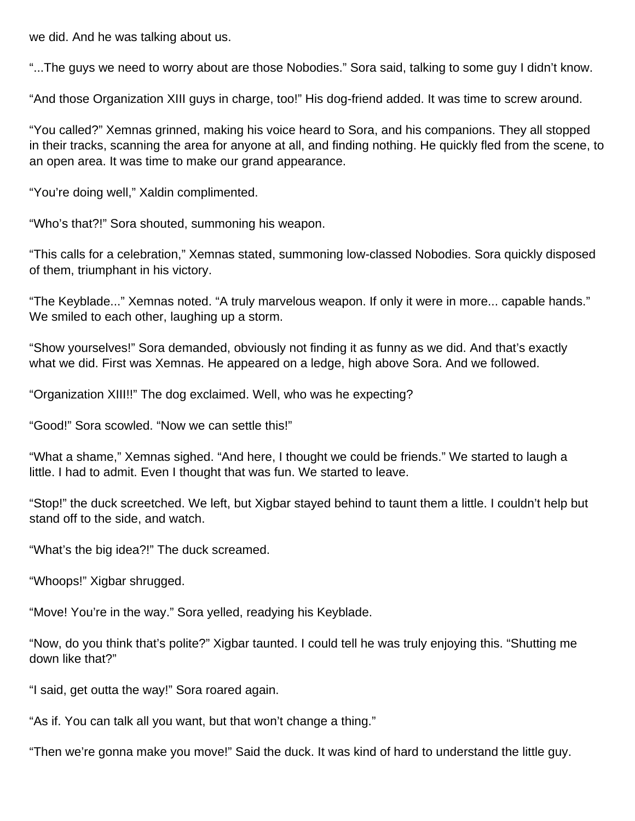we did. And he was talking about us.

"...The guys we need to worry about are those Nobodies." Sora said, talking to some guy I didn't know.

"And those Organization XIII guys in charge, too!" His dog-friend added. It was time to screw around.

"You called?" Xemnas grinned, making his voice heard to Sora, and his companions. They all stopped in their tracks, scanning the area for anyone at all, and finding nothing. He quickly fled from the scene, to an open area. It was time to make our grand appearance.

"You're doing well," Xaldin complimented.

"Who's that?!" Sora shouted, summoning his weapon.

"This calls for a celebration," Xemnas stated, summoning low-classed Nobodies. Sora quickly disposed of them, triumphant in his victory.

"The Keyblade..." Xemnas noted. "A truly marvelous weapon. If only it were in more... capable hands." We smiled to each other, laughing up a storm.

"Show yourselves!" Sora demanded, obviously not finding it as funny as we did. And that's exactly what we did. First was Xemnas. He appeared on a ledge, high above Sora. And we followed.

"Organization XIII!!" The dog exclaimed. Well, who was he expecting?

"Good!" Sora scowled. "Now we can settle this!"

"What a shame," Xemnas sighed. "And here, I thought we could be friends." We started to laugh a little. I had to admit. Even I thought that was fun. We started to leave.

"Stop!" the duck screetched. We left, but Xigbar stayed behind to taunt them a little. I couldn't help but stand off to the side, and watch.

"What's the big idea?!" The duck screamed.

"Whoops!" Xigbar shrugged.

"Move! You're in the way." Sora yelled, readying his Keyblade.

"Now, do you think that's polite?" Xigbar taunted. I could tell he was truly enjoying this. "Shutting me down like that?"

"I said, get outta the way!" Sora roared again.

"As if. You can talk all you want, but that won't change a thing."

"Then we're gonna make you move!" Said the duck. It was kind of hard to understand the little guy.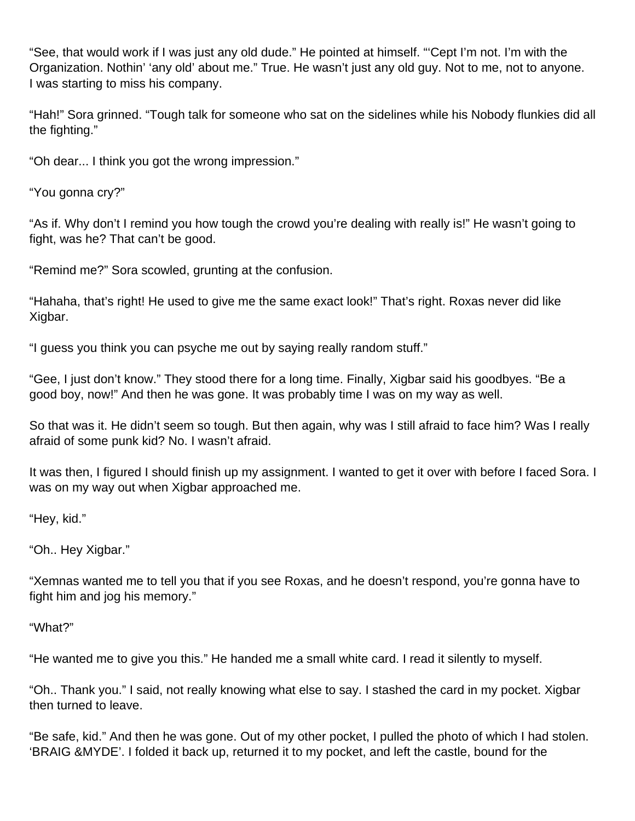"See, that would work if I was just any old dude." He pointed at himself. "'Cept I'm not. I'm with the Organization. Nothin' 'any old' about me." True. He wasn't just any old guy. Not to me, not to anyone. I was starting to miss his company.

"Hah!" Sora grinned. "Tough talk for someone who sat on the sidelines while his Nobody flunkies did all the fighting."

"Oh dear... I think you got the wrong impression."

"You gonna cry?"

"As if. Why don't I remind you how tough the crowd you're dealing with really is!" He wasn't going to fight, was he? That can't be good.

"Remind me?" Sora scowled, grunting at the confusion.

"Hahaha, that's right! He used to give me the same exact look!" That's right. Roxas never did like Xigbar.

"I guess you think you can psyche me out by saying really random stuff."

"Gee, I just don't know." They stood there for a long time. Finally, Xigbar said his goodbyes. "Be a good boy, now!" And then he was gone. It was probably time I was on my way as well.

So that was it. He didn't seem so tough. But then again, why was I still afraid to face him? Was I really afraid of some punk kid? No. I wasn't afraid.

It was then, I figured I should finish up my assignment. I wanted to get it over with before I faced Sora. I was on my way out when Xigbar approached me.

"Hey, kid."

"Oh.. Hey Xigbar."

"Xemnas wanted me to tell you that if you see Roxas, and he doesn't respond, you're gonna have to fight him and jog his memory."

"What?"

"He wanted me to give you this." He handed me a small white card. I read it silently to myself.

"Oh.. Thank you." I said, not really knowing what else to say. I stashed the card in my pocket. Xigbar then turned to leave.

"Be safe, kid." And then he was gone. Out of my other pocket, I pulled the photo of which I had stolen. 'BRAIG &MYDE'. I folded it back up, returned it to my pocket, and left the castle, bound for the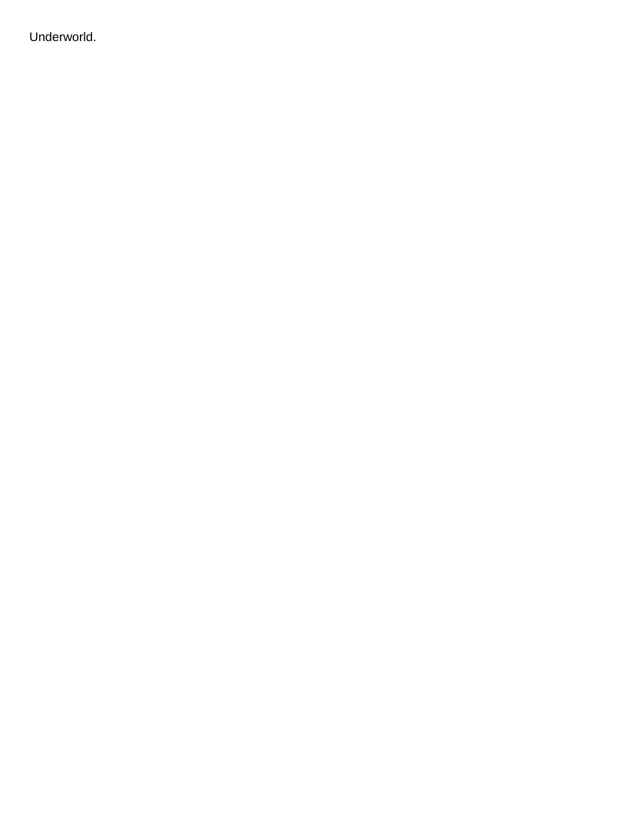Underworld.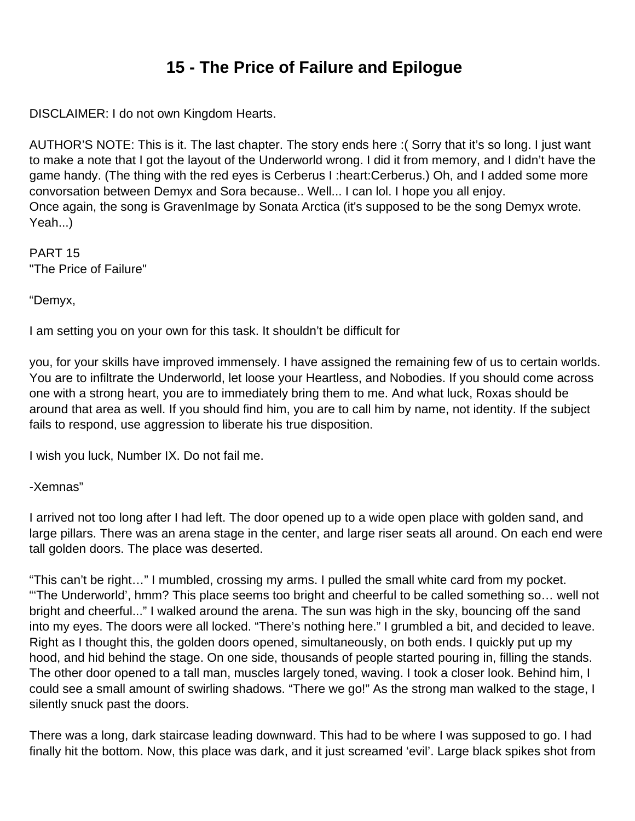## **15 - The Price of Failure and Epilogue**

DISCLAIMER: I do not own Kingdom Hearts.

AUTHOR'S NOTE: This is it. The last chapter. The story ends here :( Sorry that it's so long. I just want to make a note that I got the layout of the Underworld wrong. I did it from memory, and I didn't have the game handy. (The thing with the red eyes is Cerberus I :heart:Cerberus.) Oh, and I added some more convorsation between Demyx and Sora because.. Well... I can lol. I hope you all enjoy. Once again, the song is GravenImage by Sonata Arctica (it's supposed to be the song Demyx wrote. Yeah...)

PART 15 "The Price of Failure"

"Demyx,

I am setting you on your own for this task. It shouldn't be difficult for

you, for your skills have improved immensely. I have assigned the remaining few of us to certain worlds. You are to infiltrate the Underworld, let loose your Heartless, and Nobodies. If you should come across one with a strong heart, you are to immediately bring them to me. And what luck, Roxas should be around that area as well. If you should find him, you are to call him by name, not identity. If the subject fails to respond, use aggression to liberate his true disposition.

I wish you luck, Number IX. Do not fail me.

## -Xemnas"

I arrived not too long after I had left. The door opened up to a wide open place with golden sand, and large pillars. There was an arena stage in the center, and large riser seats all around. On each end were tall golden doors. The place was deserted.

"This can't be right…" I mumbled, crossing my arms. I pulled the small white card from my pocket. "'The Underworld', hmm? This place seems too bright and cheerful to be called something so… well not bright and cheerful..." I walked around the arena. The sun was high in the sky, bouncing off the sand into my eyes. The doors were all locked. "There's nothing here." I grumbled a bit, and decided to leave. Right as I thought this, the golden doors opened, simultaneously, on both ends. I quickly put up my hood, and hid behind the stage. On one side, thousands of people started pouring in, filling the stands. The other door opened to a tall man, muscles largely toned, waving. I took a closer look. Behind him, I could see a small amount of swirling shadows. "There we go!" As the strong man walked to the stage, I silently snuck past the doors.

There was a long, dark staircase leading downward. This had to be where I was supposed to go. I had finally hit the bottom. Now, this place was dark, and it just screamed 'evil'. Large black spikes shot from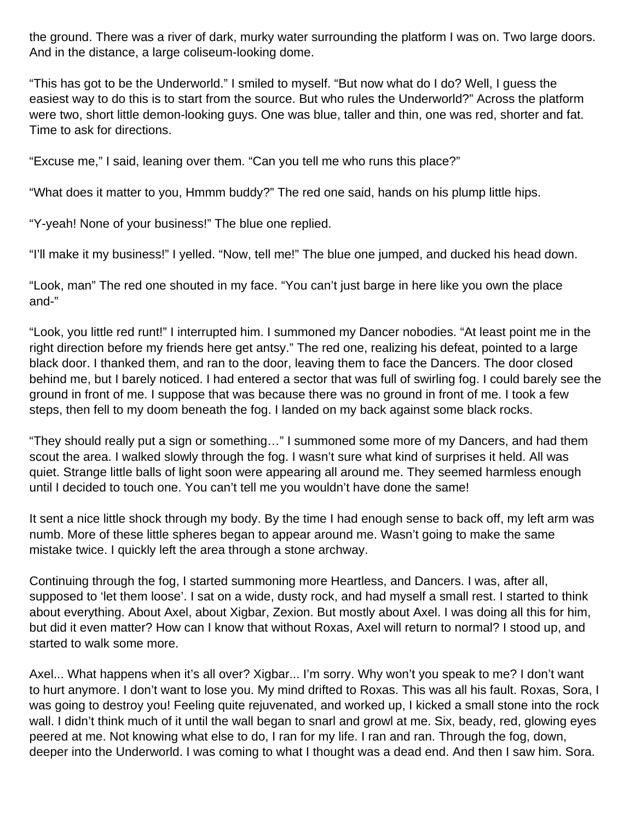the ground. There was a river of dark, murky water surrounding the platform I was on. Two large doors. And in the distance, a large coliseum-looking dome.

"This has got to be the Underworld." I smiled to myself. "But now what do I do? Well, I guess the easiest way to do this is to start from the source. But who rules the Underworld?" Across the platform were two, short little demon-looking guys. One was blue, taller and thin, one was red, shorter and fat. Time to ask for directions.

"Excuse me," I said, leaning over them. "Can you tell me who runs this place?"

"What does it matter to you, Hmmm buddy?" The red one said, hands on his plump little hips.

"Y-yeah! None of your business!" The blue one replied.

"I'll make it my business!" I yelled. "Now, tell me!" The blue one jumped, and ducked his head down.

"Look, man" The red one shouted in my face. "You can't just barge in here like you own the place and-"

"Look, you little red runt!" I interrupted him. I summoned my Dancer nobodies. "At least point me in the right direction before my friends here get antsy." The red one, realizing his defeat, pointed to a large black door. I thanked them, and ran to the door, leaving them to face the Dancers. The door closed behind me, but I barely noticed. I had entered a sector that was full of swirling fog. I could barely see the ground in front of me. I suppose that was because there was no ground in front of me. I took a few steps, then fell to my doom beneath the fog. I landed on my back against some black rocks.

"They should really put a sign or something…" I summoned some more of my Dancers, and had them scout the area. I walked slowly through the fog. I wasn't sure what kind of surprises it held. All was quiet. Strange little balls of light soon were appearing all around me. They seemed harmless enough until I decided to touch one. You can't tell me you wouldn't have done the same!

It sent a nice little shock through my body. By the time I had enough sense to back off, my left arm was numb. More of these little spheres began to appear around me. Wasn't going to make the same mistake twice. I quickly left the area through a stone archway.

Continuing through the fog, I started summoning more Heartless, and Dancers. I was, after all, supposed to 'let them loose'. I sat on a wide, dusty rock, and had myself a small rest. I started to think about everything. About Axel, about Xigbar, Zexion. But mostly about Axel. I was doing all this for him, but did it even matter? How can I know that without Roxas, Axel will return to normal? I stood up, and started to walk some more.

Axel... What happens when it's all over? Xigbar... I'm sorry. Why won't you speak to me? I don't want to hurt anymore. I don't want to lose you. My mind drifted to Roxas. This was all his fault. Roxas, Sora, I was going to destroy you! Feeling quite rejuvenated, and worked up, I kicked a small stone into the rock wall. I didn't think much of it until the wall began to snarl and growl at me. Six, beady, red, glowing eyes peered at me. Not knowing what else to do, I ran for my life. I ran and ran. Through the fog, down, deeper into the Underworld. I was coming to what I thought was a dead end. And then I saw him. Sora.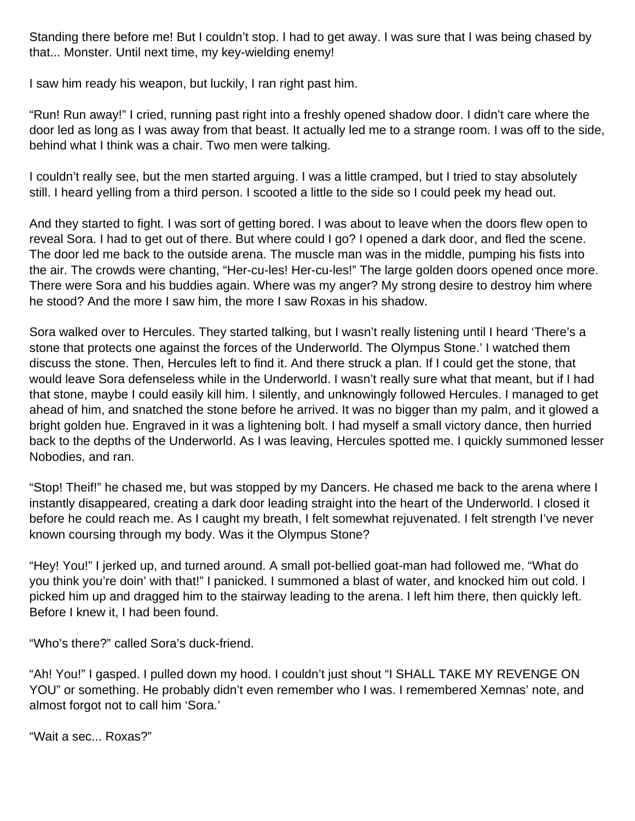Standing there before me! But I couldn't stop. I had to get away. I was sure that I was being chased by that... Monster. Until next time, my key-wielding enemy!

I saw him ready his weapon, but luckily, I ran right past him.

"Run! Run away!" I cried, running past right into a freshly opened shadow door. I didn't care where the door led as long as I was away from that beast. It actually led me to a strange room. I was off to the side, behind what I think was a chair. Two men were talking.

I couldn't really see, but the men started arguing. I was a little cramped, but I tried to stay absolutely still. I heard yelling from a third person. I scooted a little to the side so I could peek my head out.

And they started to fight. I was sort of getting bored. I was about to leave when the doors flew open to reveal Sora. I had to get out of there. But where could I go? I opened a dark door, and fled the scene. The door led me back to the outside arena. The muscle man was in the middle, pumping his fists into the air. The crowds were chanting, "Her-cu-les! Her-cu-les!" The large golden doors opened once more. There were Sora and his buddies again. Where was my anger? My strong desire to destroy him where he stood? And the more I saw him, the more I saw Roxas in his shadow.

Sora walked over to Hercules. They started talking, but I wasn't really listening until I heard 'There's a stone that protects one against the forces of the Underworld. The Olympus Stone.' I watched them discuss the stone. Then, Hercules left to find it. And there struck a plan. If I could get the stone, that would leave Sora defenseless while in the Underworld. I wasn't really sure what that meant, but if I had that stone, maybe I could easily kill him. I silently, and unknowingly followed Hercules. I managed to get ahead of him, and snatched the stone before he arrived. It was no bigger than my palm, and it glowed a bright golden hue. Engraved in it was a lightening bolt. I had myself a small victory dance, then hurried back to the depths of the Underworld. As I was leaving, Hercules spotted me. I quickly summoned lesser Nobodies, and ran.

"Stop! Theif!" he chased me, but was stopped by my Dancers. He chased me back to the arena where I instantly disappeared, creating a dark door leading straight into the heart of the Underworld. I closed it before he could reach me. As I caught my breath, I felt somewhat rejuvenated. I felt strength I've never known coursing through my body. Was it the Olympus Stone?

"Hey! You!" I jerked up, and turned around. A small pot-bellied goat-man had followed me. "What do you think you're doin' with that!" I panicked. I summoned a blast of water, and knocked him out cold. I picked him up and dragged him to the stairway leading to the arena. I left him there, then quickly left. Before I knew it, I had been found.

"Who's there?" called Sora's duck-friend.

"Ah! You!" I gasped. I pulled down my hood. I couldn't just shout "I SHALL TAKE MY REVENGE ON YOU" or something. He probably didn't even remember who I was. I remembered Xemnas' note, and almost forgot not to call him 'Sora.'

"Wait a sec... Roxas?"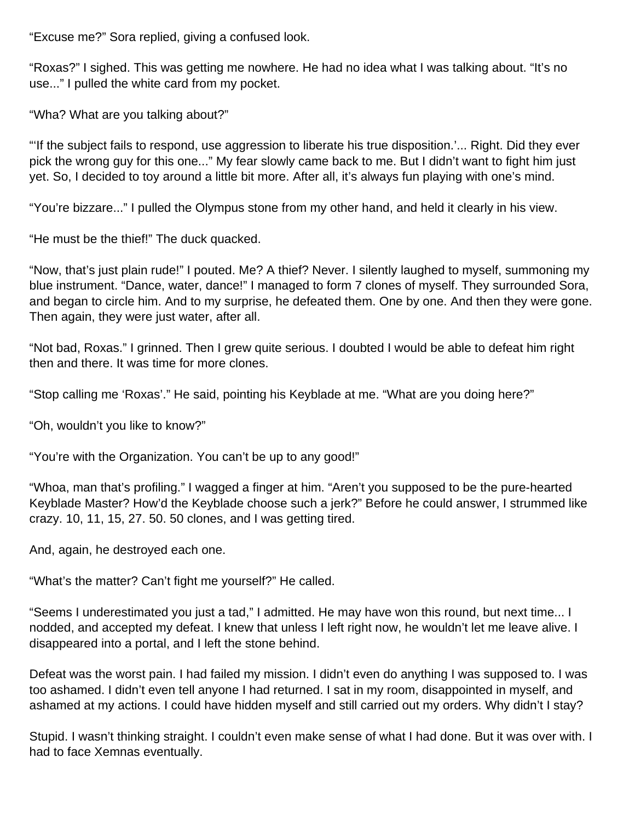"Excuse me?" Sora replied, giving a confused look.

"Roxas?" I sighed. This was getting me nowhere. He had no idea what I was talking about. "It's no use..." I pulled the white card from my pocket.

"Wha? What are you talking about?"

"'If the subject fails to respond, use aggression to liberate his true disposition.'... Right. Did they ever pick the wrong guy for this one..." My fear slowly came back to me. But I didn't want to fight him just yet. So, I decided to toy around a little bit more. After all, it's always fun playing with one's mind.

"You're bizzare..." I pulled the Olympus stone from my other hand, and held it clearly in his view.

"He must be the thief!" The duck quacked.

"Now, that's just plain rude!" I pouted. Me? A thief? Never. I silently laughed to myself, summoning my blue instrument. "Dance, water, dance!" I managed to form 7 clones of myself. They surrounded Sora, and began to circle him. And to my surprise, he defeated them. One by one. And then they were gone. Then again, they were just water, after all.

"Not bad, Roxas." I grinned. Then I grew quite serious. I doubted I would be able to defeat him right then and there. It was time for more clones.

"Stop calling me 'Roxas'." He said, pointing his Keyblade at me. "What are you doing here?"

"Oh, wouldn't you like to know?"

"You're with the Organization. You can't be up to any good!"

"Whoa, man that's profiling." I wagged a finger at him. "Aren't you supposed to be the pure-hearted Keyblade Master? How'd the Keyblade choose such a jerk?" Before he could answer, I strummed like crazy. 10, 11, 15, 27. 50. 50 clones, and I was getting tired.

And, again, he destroyed each one.

"What's the matter? Can't fight me yourself?" He called.

"Seems I underestimated you just a tad," I admitted. He may have won this round, but next time... I nodded, and accepted my defeat. I knew that unless I left right now, he wouldn't let me leave alive. I disappeared into a portal, and I left the stone behind.

Defeat was the worst pain. I had failed my mission. I didn't even do anything I was supposed to. I was too ashamed. I didn't even tell anyone I had returned. I sat in my room, disappointed in myself, and ashamed at my actions. I could have hidden myself and still carried out my orders. Why didn't I stay?

Stupid. I wasn't thinking straight. I couldn't even make sense of what I had done. But it was over with. I had to face Xemnas eventually.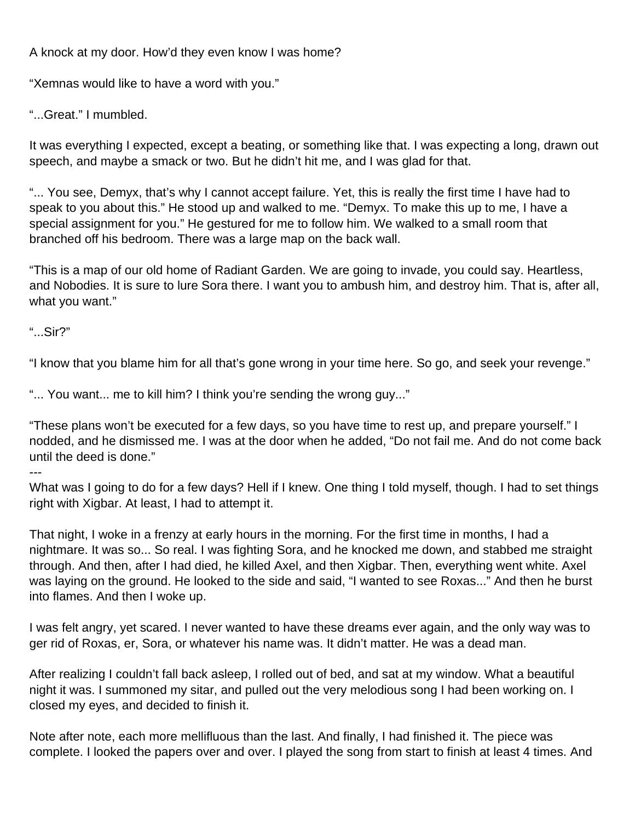A knock at my door. How'd they even know I was home?

"Xemnas would like to have a word with you."

"...Great." I mumbled.

It was everything I expected, except a beating, or something like that. I was expecting a long, drawn out speech, and maybe a smack or two. But he didn't hit me, and I was glad for that.

"... You see, Demyx, that's why I cannot accept failure. Yet, this is really the first time I have had to speak to you about this." He stood up and walked to me. "Demyx. To make this up to me, I have a special assignment for you." He gestured for me to follow him. We walked to a small room that branched off his bedroom. There was a large map on the back wall.

"This is a map of our old home of Radiant Garden. We are going to invade, you could say. Heartless, and Nobodies. It is sure to lure Sora there. I want you to ambush him, and destroy him. That is, after all, what you want."

"...Sir?"

"I know that you blame him for all that's gone wrong in your time here. So go, and seek your revenge."

"... You want... me to kill him? I think you're sending the wrong guy..."

"These plans won't be executed for a few days, so you have time to rest up, and prepare yourself." I nodded, and he dismissed me. I was at the door when he added, "Do not fail me. And do not come back until the deed is done."

---

What was I going to do for a few days? Hell if I knew. One thing I told myself, though. I had to set things right with Xigbar. At least, I had to attempt it.

That night, I woke in a frenzy at early hours in the morning. For the first time in months, I had a nightmare. It was so... So real. I was fighting Sora, and he knocked me down, and stabbed me straight through. And then, after I had died, he killed Axel, and then Xigbar. Then, everything went white. Axel was laying on the ground. He looked to the side and said, "I wanted to see Roxas..." And then he burst into flames. And then I woke up.

I was felt angry, yet scared. I never wanted to have these dreams ever again, and the only way was to ger rid of Roxas, er, Sora, or whatever his name was. It didn't matter. He was a dead man.

After realizing I couldn't fall back asleep, I rolled out of bed, and sat at my window. What a beautiful night it was. I summoned my sitar, and pulled out the very melodious song I had been working on. I closed my eyes, and decided to finish it.

Note after note, each more mellifluous than the last. And finally, I had finished it. The piece was complete. I looked the papers over and over. I played the song from start to finish at least 4 times. And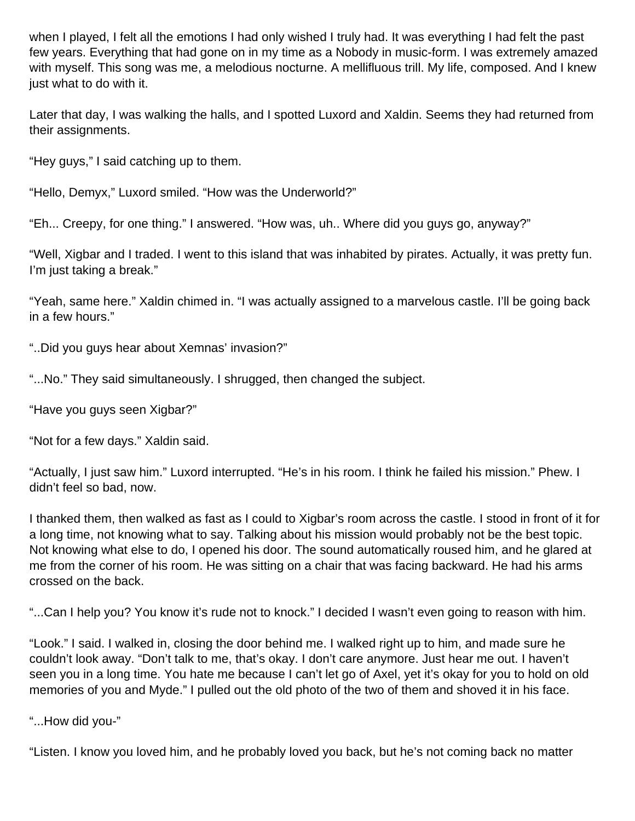when I played, I felt all the emotions I had only wished I truly had. It was everything I had felt the past few years. Everything that had gone on in my time as a Nobody in music-form. I was extremely amazed with myself. This song was me, a melodious nocturne. A mellifluous trill. My life, composed. And I knew just what to do with it.

Later that day, I was walking the halls, and I spotted Luxord and Xaldin. Seems they had returned from their assignments.

"Hey guys," I said catching up to them.

"Hello, Demyx," Luxord smiled. "How was the Underworld?"

"Eh... Creepy, for one thing." I answered. "How was, uh.. Where did you guys go, anyway?"

"Well, Xigbar and I traded. I went to this island that was inhabited by pirates. Actually, it was pretty fun. I'm just taking a break."

"Yeah, same here." Xaldin chimed in. "I was actually assigned to a marvelous castle. I'll be going back in a few hours."

"..Did you guys hear about Xemnas' invasion?"

"...No." They said simultaneously. I shrugged, then changed the subject.

"Have you guys seen Xigbar?"

"Not for a few days." Xaldin said.

"Actually, I just saw him." Luxord interrupted. "He's in his room. I think he failed his mission." Phew. I didn't feel so bad, now.

I thanked them, then walked as fast as I could to Xigbar's room across the castle. I stood in front of it for a long time, not knowing what to say. Talking about his mission would probably not be the best topic. Not knowing what else to do, I opened his door. The sound automatically roused him, and he glared at me from the corner of his room. He was sitting on a chair that was facing backward. He had his arms crossed on the back.

"...Can I help you? You know it's rude not to knock." I decided I wasn't even going to reason with him.

"Look." I said. I walked in, closing the door behind me. I walked right up to him, and made sure he couldn't look away. "Don't talk to me, that's okay. I don't care anymore. Just hear me out. I haven't seen you in a long time. You hate me because I can't let go of Axel, yet it's okay for you to hold on old memories of you and Myde." I pulled out the old photo of the two of them and shoved it in his face.

"...How did you-"

"Listen. I know you loved him, and he probably loved you back, but he's not coming back no matter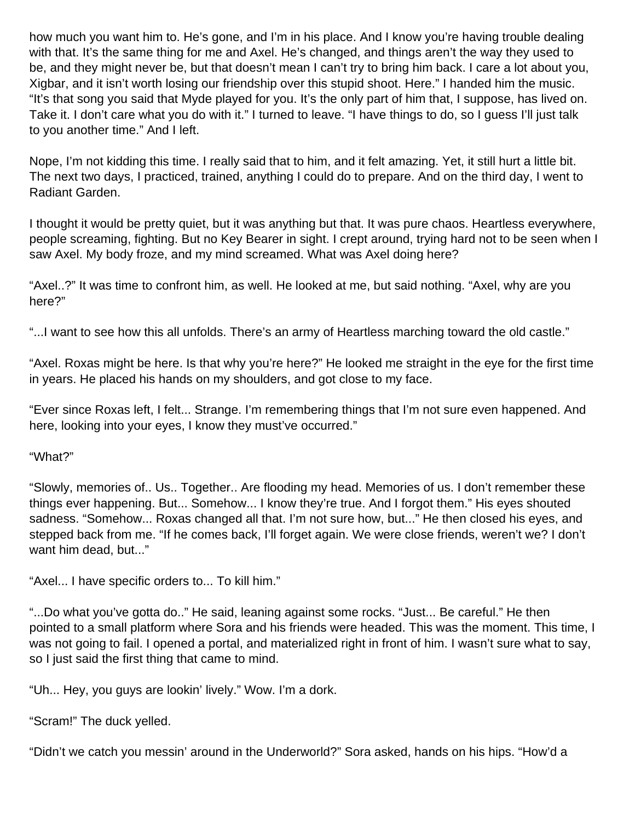how much you want him to. He's gone, and I'm in his place. And I know you're having trouble dealing with that. It's the same thing for me and Axel. He's changed, and things aren't the way they used to be, and they might never be, but that doesn't mean I can't try to bring him back. I care a lot about you, Xigbar, and it isn't worth losing our friendship over this stupid shoot. Here." I handed him the music. "It's that song you said that Myde played for you. It's the only part of him that, I suppose, has lived on. Take it. I don't care what you do with it." I turned to leave. "I have things to do, so I guess I'll just talk to you another time." And I left.

Nope, I'm not kidding this time. I really said that to him, and it felt amazing. Yet, it still hurt a little bit. The next two days, I practiced, trained, anything I could do to prepare. And on the third day, I went to Radiant Garden.

I thought it would be pretty quiet, but it was anything but that. It was pure chaos. Heartless everywhere, people screaming, fighting. But no Key Bearer in sight. I crept around, trying hard not to be seen when I saw Axel. My body froze, and my mind screamed. What was Axel doing here?

"Axel..?" It was time to confront him, as well. He looked at me, but said nothing. "Axel, why are you here?"

"...I want to see how this all unfolds. There's an army of Heartless marching toward the old castle."

"Axel. Roxas might be here. Is that why you're here?" He looked me straight in the eye for the first time in years. He placed his hands on my shoulders, and got close to my face.

"Ever since Roxas left, I felt... Strange. I'm remembering things that I'm not sure even happened. And here, looking into your eyes, I know they must've occurred."

"What?"

"Slowly, memories of.. Us.. Together.. Are flooding my head. Memories of us. I don't remember these things ever happening. But... Somehow... I know they're true. And I forgot them." His eyes shouted sadness. "Somehow... Roxas changed all that. I'm not sure how, but..." He then closed his eyes, and stepped back from me. "If he comes back, I'll forget again. We were close friends, weren't we? I don't want him dead, but..."

"Axel... I have specific orders to... To kill him."

"...Do what you've gotta do.." He said, leaning against some rocks. "Just... Be careful." He then pointed to a small platform where Sora and his friends were headed. This was the moment. This time, I was not going to fail. I opened a portal, and materialized right in front of him. I wasn't sure what to say, so I just said the first thing that came to mind.

"Uh... Hey, you guys are lookin' lively." Wow. I'm a dork.

"Scram!" The duck yelled.

"Didn't we catch you messin' around in the Underworld?" Sora asked, hands on his hips. "How'd a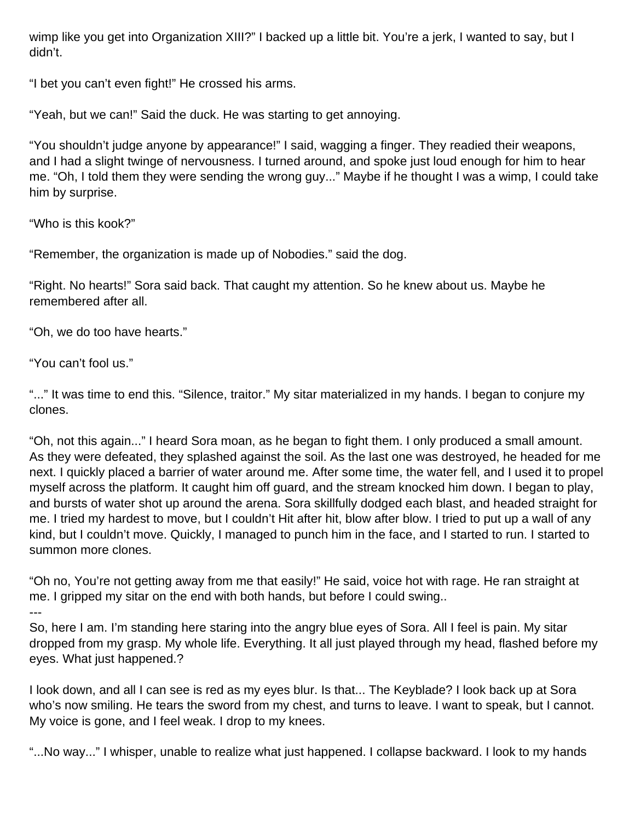wimp like you get into Organization XIII?" I backed up a little bit. You're a jerk, I wanted to say, but I didn't.

"I bet you can't even fight!" He crossed his arms.

"Yeah, but we can!" Said the duck. He was starting to get annoying.

"You shouldn't judge anyone by appearance!" I said, wagging a finger. They readied their weapons, and I had a slight twinge of nervousness. I turned around, and spoke just loud enough for him to hear me. "Oh, I told them they were sending the wrong guy..." Maybe if he thought I was a wimp, I could take him by surprise.

"Who is this kook?"

"Remember, the organization is made up of Nobodies." said the dog.

"Right. No hearts!" Sora said back. That caught my attention. So he knew about us. Maybe he remembered after all.

"Oh, we do too have hearts."

"You can't fool us."

"..." It was time to end this. "Silence, traitor." My sitar materialized in my hands. I began to conjure my clones.

"Oh, not this again..." I heard Sora moan, as he began to fight them. I only produced a small amount. As they were defeated, they splashed against the soil. As the last one was destroyed, he headed for me next. I quickly placed a barrier of water around me. After some time, the water fell, and I used it to propel myself across the platform. It caught him off guard, and the stream knocked him down. I began to play, and bursts of water shot up around the arena. Sora skillfully dodged each blast, and headed straight for me. I tried my hardest to move, but I couldn't Hit after hit, blow after blow. I tried to put up a wall of any kind, but I couldn't move. Quickly, I managed to punch him in the face, and I started to run. I started to summon more clones.

"Oh no, You're not getting away from me that easily!" He said, voice hot with rage. He ran straight at me. I gripped my sitar on the end with both hands, but before I could swing.. ---

So, here I am. I'm standing here staring into the angry blue eyes of Sora. All I feel is pain. My sitar dropped from my grasp. My whole life. Everything. It all just played through my head, flashed before my eyes. What just happened.?

I look down, and all I can see is red as my eyes blur. Is that... The Keyblade? I look back up at Sora who's now smiling. He tears the sword from my chest, and turns to leave. I want to speak, but I cannot. My voice is gone, and I feel weak. I drop to my knees.

"...No way..." I whisper, unable to realize what just happened. I collapse backward. I look to my hands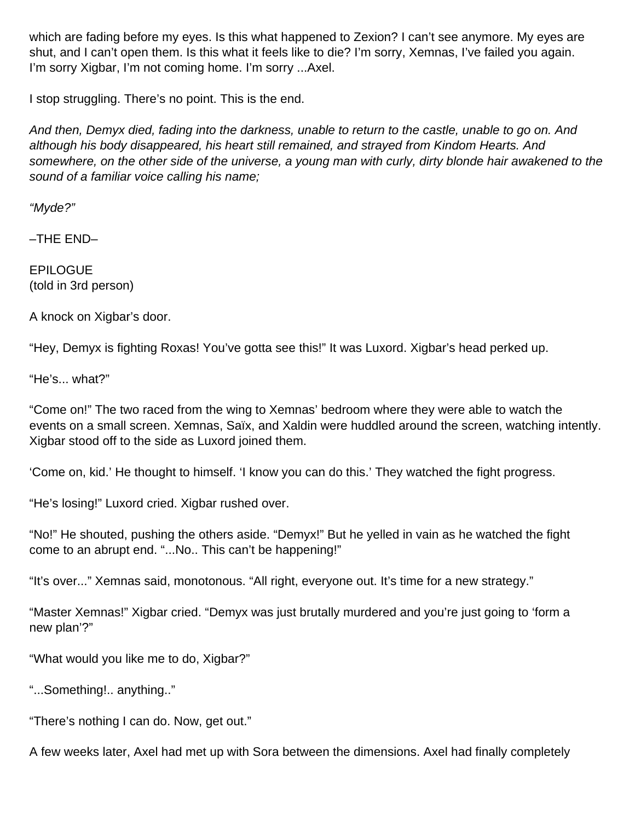which are fading before my eyes. Is this what happened to Zexion? I can't see anymore. My eyes are shut, and I can't open them. Is this what it feels like to die? I'm sorry, Xemnas, I've failed you again. I'm sorry Xigbar, I'm not coming home. I'm sorry ...Axel.

I stop struggling. There's no point. This is the end.

And then, Demyx died, fading into the darkness, unable to return to the castle, unable to go on. And although his body disappeared, his heart still remained, and strayed from Kindom Hearts. And somewhere, on the other side of the universe, a young man with curly, dirty blonde hair awakened to the sound of a familiar voice calling his name;

"Myde?"

–THE END–

**EPILOGUE** (told in 3rd person)

A knock on Xigbar's door.

"Hey, Demyx is fighting Roxas! You've gotta see this!" It was Luxord. Xigbar's head perked up.

"He's... what?"

"Come on!" The two raced from the wing to Xemnas' bedroom where they were able to watch the events on a small screen. Xemnas, Saïx, and Xaldin were huddled around the screen, watching intently. Xigbar stood off to the side as Luxord joined them.

'Come on, kid.' He thought to himself. 'I know you can do this.' They watched the fight progress.

"He's losing!" Luxord cried. Xigbar rushed over.

"No!" He shouted, pushing the others aside. "Demyx!" But he yelled in vain as he watched the fight come to an abrupt end. "...No.. This can't be happening!"

"It's over..." Xemnas said, monotonous. "All right, everyone out. It's time for a new strategy."

"Master Xemnas!" Xigbar cried. "Demyx was just brutally murdered and you're just going to 'form a new plan'?"

"What would you like me to do, Xigbar?"

"...Something!.. anything.."

"There's nothing I can do. Now, get out."

A few weeks later, Axel had met up with Sora between the dimensions. Axel had finally completely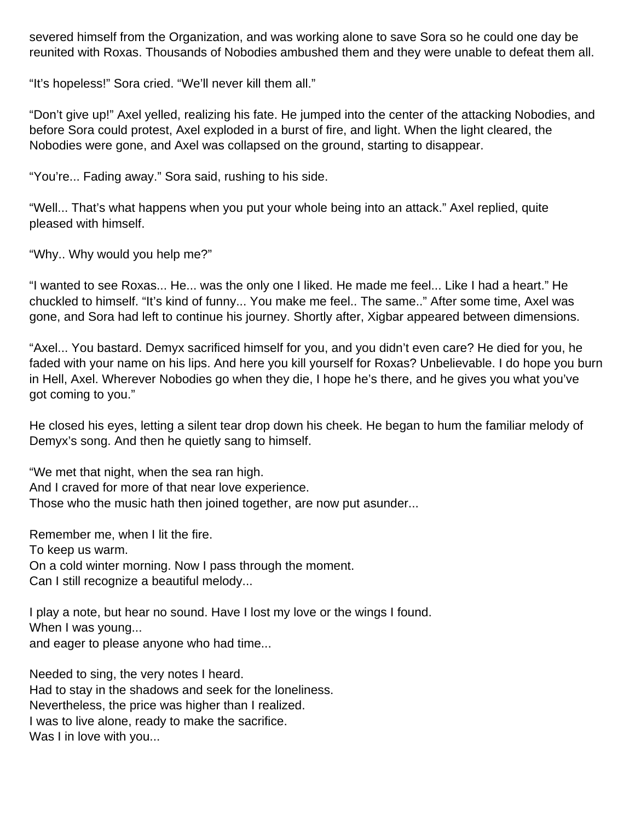severed himself from the Organization, and was working alone to save Sora so he could one day be reunited with Roxas. Thousands of Nobodies ambushed them and they were unable to defeat them all.

"It's hopeless!" Sora cried. "We'll never kill them all."

"Don't give up!" Axel yelled, realizing his fate. He jumped into the center of the attacking Nobodies, and before Sora could protest, Axel exploded in a burst of fire, and light. When the light cleared, the Nobodies were gone, and Axel was collapsed on the ground, starting to disappear.

"You're... Fading away." Sora said, rushing to his side.

"Well... That's what happens when you put your whole being into an attack." Axel replied, quite pleased with himself.

"Why.. Why would you help me?"

"I wanted to see Roxas... He... was the only one I liked. He made me feel... Like I had a heart." He chuckled to himself. "It's kind of funny... You make me feel.. The same.." After some time, Axel was gone, and Sora had left to continue his journey. Shortly after, Xigbar appeared between dimensions.

"Axel... You bastard. Demyx sacrificed himself for you, and you didn't even care? He died for you, he faded with your name on his lips. And here you kill yourself for Roxas? Unbelievable. I do hope you burn in Hell, Axel. Wherever Nobodies go when they die, I hope he's there, and he gives you what you've got coming to you."

He closed his eyes, letting a silent tear drop down his cheek. He began to hum the familiar melody of Demyx's song. And then he quietly sang to himself.

"We met that night, when the sea ran high. And I craved for more of that near love experience. Those who the music hath then joined together, are now put asunder...

Remember me, when I lit the fire. To keep us warm. On a cold winter morning. Now I pass through the moment. Can I still recognize a beautiful melody...

I play a note, but hear no sound. Have I lost my love or the wings I found. When I was young... and eager to please anyone who had time...

Needed to sing, the very notes I heard. Had to stay in the shadows and seek for the loneliness. Nevertheless, the price was higher than I realized. I was to live alone, ready to make the sacrifice. Was I in love with you...